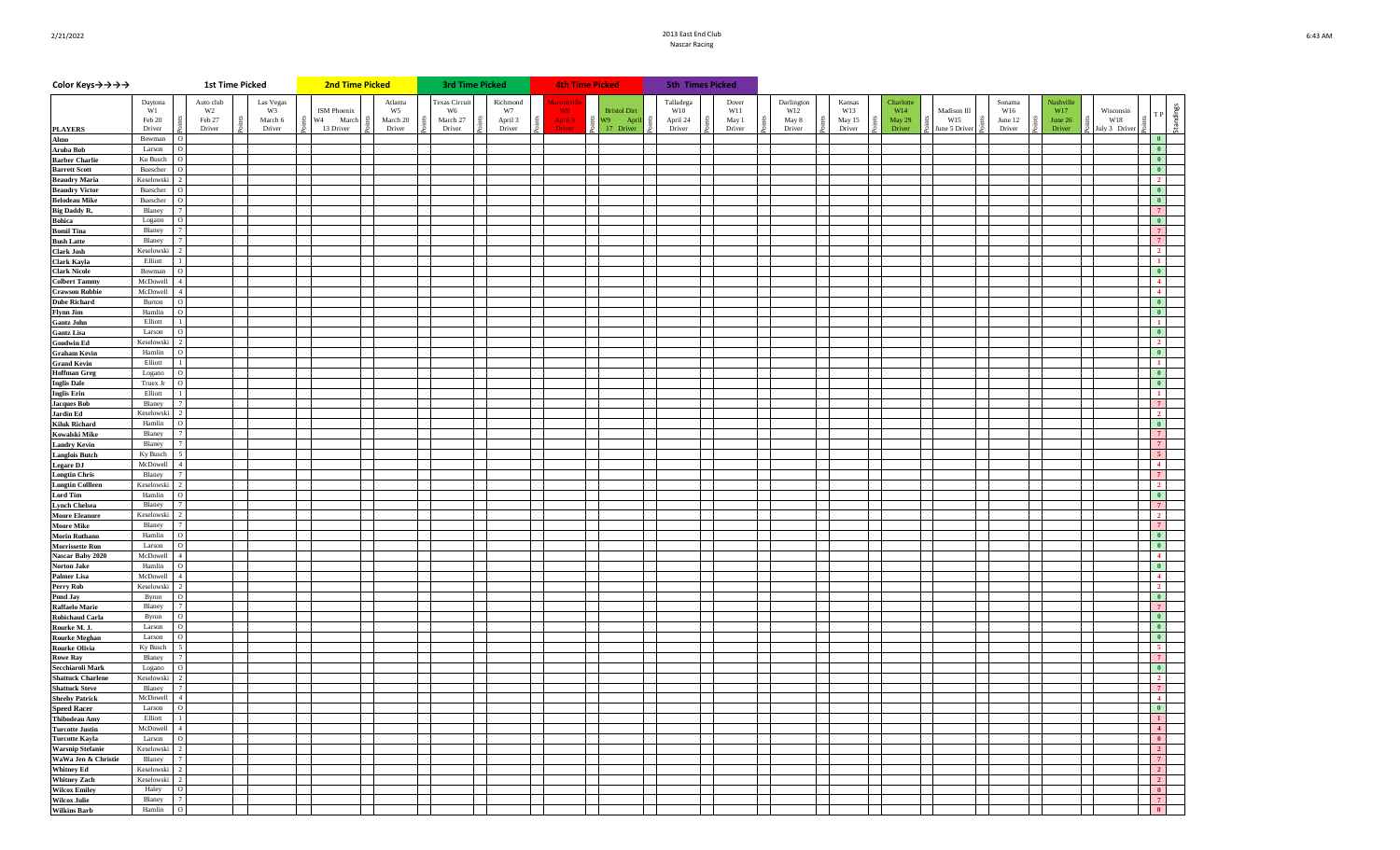## 2/21/2022 2013 East End Club **2013 East End Club 2013 East End Club** Nascar Racing

| Color Keys→→→→                                 |                        | <b>1st Time Picked</b>      |                 | 2nd Time Picked    |                           | <b>3rd Time Picked</b> |                |                      | <b>4th Time Picked</b>            |                  | 5th Times Picked |              |               |                  |                    |               |                  |                  |                                                                |
|------------------------------------------------|------------------------|-----------------------------|-----------------|--------------------|---------------------------|------------------------|----------------|----------------------|-----------------------------------|------------------|------------------|--------------|---------------|------------------|--------------------|---------------|------------------|------------------|----------------------------------------------------------------|
|                                                | Daytona<br>W1          | Auto club<br>W <sub>2</sub> | Las Vegas<br>W3 | <b>ISM</b> Phoenix | Atlanta<br>W <sub>5</sub> | Texas Circui<br>W6     | Richmond<br>W7 | artinsy<br><b>W8</b> |                                   | Talladega<br>W10 | Dover<br>W11     | Darlington   | Kansas<br>W13 | Charlotte<br>W14 |                    | Sonama<br>W16 | Nashville<br>W17 |                  |                                                                |
|                                                | Feb 20                 | Feb 27                      | March 6         | W4<br>March        | March 20                  | March 27               | April 3        | April 9              | <b>Bristol Dirt</b><br>W9<br>Apri | April 24         | May 1            | W12<br>May 8 | May 15        | May 29           | Madison Ill<br>W15 | June 12       | June 26          | Wisconsin<br>W18 | Standings                                                      |
| <b>PLAYERS</b><br>Almo                         | Driver<br>Bowman       | Driver<br>$\circ$           | Driver          | 13 Driver          | Driver                    | Driver                 | Driver         | Driver               | 17 Driver                         | Driver           | Driver           | Driver       | Driver        | Driver           | une 5 Drive        | Driver        | Driver           | July 3 Driver    | $\blacksquare$                                                 |
| Aruba Bob                                      | Larson                 | $\circ$                     |                 |                    |                           |                        |                |                      |                                   |                  |                  |              |               |                  |                    |               |                  |                  | $\bullet$                                                      |
| <b>Barber Charlie</b>                          | Ku Busch               | $\circ$                     |                 |                    |                           |                        |                |                      |                                   |                  |                  |              |               |                  |                    |               |                  |                  | $\blacksquare$                                                 |
| <b>Barrett Scott</b><br><b>Beaudry Maria</b>   | Buescher<br>Keselowski | $\mathfrak{D}$              |                 |                    |                           |                        |                |                      |                                   |                  |                  |              |               |                  |                    |               |                  |                  | $\bullet$<br>$\overline{2}$                                    |
| <b>Beaudry Victor</b>                          | Buescher               | $\circ$                     |                 |                    |                           |                        |                |                      |                                   |                  |                  |              |               |                  |                    |               |                  |                  | $\bullet$                                                      |
| <b>Belodeau Mike</b>                           | Buescher               | $\circ$                     |                 |                    |                           |                        |                |                      |                                   |                  |                  |              |               |                  |                    |               |                  |                  | $\overline{\mathbf{0}}$                                        |
| <b>Big Daddy R.</b>                            | Blaney                 | $\overline{7}$<br>$\circ$   |                 |                    |                           |                        |                |                      |                                   |                  |                  |              |               |                  |                    |               |                  |                  | $\overline{7}$<br>$\blacksquare$                               |
| <b>Bohica</b><br><b>Bomil Tina</b>             | Logano<br>Blaney       |                             |                 |                    |                           |                        |                |                      |                                   |                  |                  |              |               |                  |                    |               |                  |                  | $\sqrt{7}$                                                     |
| <b>Bush Latte</b>                              | Blaney                 |                             |                 |                    |                           |                        |                |                      |                                   |                  |                  |              |               |                  |                    |               |                  |                  |                                                                |
| <b>Clark Josh</b>                              | Keselowski             |                             |                 |                    |                           |                        |                |                      |                                   |                  |                  |              |               |                  |                    |               |                  |                  | $\overline{2}$                                                 |
| Clark Kayla<br><b>Clark Nicole</b>             | Elliott<br>Bowman      | $\circ$                     |                 |                    |                           |                        |                |                      |                                   |                  |                  |              |               |                  |                    |               |                  |                  | $\mathbf{1}$<br>$\blacksquare$                                 |
| <b>Colbert Tammy</b>                           | McDowell               | $\overline{\mathbf{A}}$     |                 |                    |                           |                        |                |                      |                                   |                  |                  |              |               |                  |                    |               |                  |                  | $\vert$ 4                                                      |
| <b>Crawson Robbie</b>                          | McDowell               | $\overline{4}$              |                 |                    |                           |                        |                |                      |                                   |                  |                  |              |               |                  |                    |               |                  |                  | $\overline{4}$                                                 |
| <b>Dube Richard</b><br>Flynn Jim               | Burton<br>Hamlin       | $\circ$<br>$\circ$          |                 |                    |                           |                        |                |                      |                                   |                  |                  |              |               |                  |                    |               |                  |                  | $\blacksquare$<br>$\blacksquare$                               |
| <b>Gantz John</b>                              | Elliott                |                             |                 |                    |                           |                        |                |                      |                                   |                  |                  |              |               |                  |                    |               |                  |                  |                                                                |
| <b>Gantz Lisa</b>                              | Larson                 | $\Omega$                    |                 |                    |                           |                        |                |                      |                                   |                  |                  |              |               |                  |                    |               |                  |                  | $\bullet$                                                      |
| <b>Goodwin Ed</b>                              | Keselowski<br>Hamlin   | $\Omega$                    |                 |                    |                           |                        |                |                      |                                   |                  |                  |              |               |                  |                    |               |                  |                  | $\overline{2}$<br>$\overline{\phantom{a}}$                     |
| <b>Graham Kevin</b><br><b>Grand Kevin</b>      | Elliott                | $\overline{1}$              |                 |                    |                           |                        |                |                      |                                   |                  |                  |              |               |                  |                    |               |                  |                  | $\blacksquare$                                                 |
| <b>Hoffman Greg</b>                            | Logano                 | $\Omega$                    |                 |                    |                           |                        |                |                      |                                   |                  |                  |              |               |                  |                    |               |                  |                  | $\blacksquare$                                                 |
| <b>Inglis Dale</b>                             | Truex Jr               |                             |                 |                    |                           |                        |                |                      |                                   |                  |                  |              |               |                  |                    |               |                  |                  | $\blacksquare$                                                 |
| <b>Inglis Erin</b><br><b>Jacques Bob</b>       | Elliott<br>Blaney      |                             |                 |                    |                           |                        |                |                      |                                   |                  |                  |              |               |                  |                    |               |                  |                  | $\mathbf{1}$<br>$7^{\circ}$                                    |
| <b>Jardin Ed</b>                               | Keselowski             |                             |                 |                    |                           |                        |                |                      |                                   |                  |                  |              |               |                  |                    |               |                  |                  | $\begin{array}{\textbf{1} & \textbf{2} \end{array}$            |
| <b>Kiluk Richard</b>                           | Hamlin                 |                             |                 |                    |                           |                        |                |                      |                                   |                  |                  |              |               |                  |                    |               |                  |                  | $\bullet$                                                      |
| <b>Kowalski Mike</b>                           | Blaney<br>Blaney       |                             |                 |                    |                           |                        |                |                      |                                   |                  |                  |              |               |                  |                    |               |                  |                  | $\overline{7}$<br>$\overline{7}$                               |
| <b>Landry Kevin</b><br><b>Langlois Butch</b>   | Ky Busch               |                             |                 |                    |                           |                        |                |                      |                                   |                  |                  |              |               |                  |                    |               |                  |                  |                                                                |
| <b>Legare DJ</b>                               | McDowell               |                             |                 |                    |                           |                        |                |                      |                                   |                  |                  |              |               |                  |                    |               |                  |                  | $\vert$ 4                                                      |
| <b>Longtin Chris</b>                           | Blaney                 |                             |                 |                    |                           |                        |                |                      |                                   |                  |                  |              |               |                  |                    |               |                  |                  | $\overline{7}$                                                 |
| <b>Longtin Collleen</b><br><b>Lord Tim</b>     | Keselowski<br>Hamlin   | $\circ$                     |                 |                    |                           |                        |                |                      |                                   |                  |                  |              |               |                  |                    |               |                  |                  | $\begin{array}{\begin{array}{\small \end{array}}$<br>$\bullet$ |
| <b>Lynch Chelsea</b>                           | Blaney                 |                             |                 |                    |                           |                        |                |                      |                                   |                  |                  |              |               |                  |                    |               |                  |                  | $\overline{7}$                                                 |
| <b>Moore Eleanore</b>                          | Keselowski             |                             |                 |                    |                           |                        |                |                      |                                   |                  |                  |              |               |                  |                    |               |                  |                  | $\overline{\mathbf{2}}$                                        |
| <b>Moore Mike</b><br><b>Morin Ruthann</b>      | Blaney<br>Hamlin       | $\circ$                     |                 |                    |                           |                        |                |                      |                                   |                  |                  |              |               |                  |                    |               |                  |                  | $\overline{7}$<br>$\bullet$                                    |
| <b>Morrissette Ron</b>                         | Larson                 | $\circ$                     |                 |                    |                           |                        |                |                      |                                   |                  |                  |              |               |                  |                    |               |                  |                  | $\blacksquare$                                                 |
| Nascar Baby 2020                               | McDowell               | $\overline{4}$              |                 |                    |                           |                        |                |                      |                                   |                  |                  |              |               |                  |                    |               |                  |                  | $\vert$ 4                                                      |
| <b>Norton Jake</b><br><b>Palmer Lisa</b>       | Hamlin<br>McDowell     | $\Omega$                    |                 |                    |                           |                        |                |                      |                                   |                  |                  |              |               |                  |                    |               |                  |                  | $\blacksquare$<br>$\blacksquare$                               |
| Perry Rob                                      | Keselowski             |                             |                 |                    |                           |                        |                |                      |                                   |                  |                  |              |               |                  |                    |               |                  |                  | $\overline{\phantom{a}}$                                       |
| Pond Jay                                       | Byron                  | $\circ$                     |                 |                    |                           |                        |                |                      |                                   |                  |                  |              |               |                  |                    |               |                  |                  | $\blacksquare$                                                 |
| <b>Raffaelo Marie</b>                          | Blaney                 |                             |                 |                    |                           |                        |                |                      |                                   |                  |                  |              |               |                  |                    |               |                  |                  | 7                                                              |
| Robichaud Carla<br>Rourke M. J.                | Byron<br>Larson        | $\circ$<br>$\circ$          |                 |                    |                           |                        |                |                      |                                   |                  |                  |              |               |                  |                    |               |                  |                  | $\overline{\phantom{a}}$<br>$\blacksquare$                     |
| <b>Rourke Meghan</b>                           | Larson                 | $\circ$                     |                 |                    |                           |                        |                |                      |                                   |                  |                  |              |               |                  |                    |               |                  |                  | $\overline{\phantom{a}}$                                       |
| <b>Rourke Olivia</b>                           | Ky Busch               |                             |                 |                    |                           |                        |                |                      |                                   |                  |                  |              |               |                  |                    |               |                  |                  | $\vert 5 \vert$                                                |
| <b>Rowe Ray</b><br>Secchiaroli Mark            | Blaney<br>Logano       | $\Omega$                    |                 |                    |                           |                        |                |                      |                                   |                  |                  |              |               |                  |                    |               |                  |                  | $\overline{7}$<br>$\blacksquare$                               |
| <b>Shattuck Charlene</b>                       | Keselowski             |                             |                 |                    |                           |                        |                |                      |                                   |                  |                  |              |               |                  |                    |               |                  |                  | $\overline{2}$                                                 |
| <b>Shattuck Steve</b>                          | Blaney                 | $\overline{7}$              |                 |                    |                           |                        |                |                      |                                   |                  |                  |              |               |                  |                    |               |                  |                  | $\vert$ 7                                                      |
| <b>Sheehy Patrick</b>                          | McDowell 4<br>Larson   | $\circ$                     |                 |                    |                           |                        |                |                      |                                   |                  |                  |              |               |                  |                    |               |                  |                  | $\vert$ 4<br>$\bullet$                                         |
| <b>Speed Racer</b><br><b>Thibodeau Amy</b>     | Elliott                | $\vert 1 \vert$             |                 |                    |                           |                        |                |                      |                                   |                  |                  |              |               |                  |                    |               |                  |                  | $\blacksquare$                                                 |
| <b>Turcotte Justin</b>                         | McDowell               | $\vert 4 \vert$             |                 |                    |                           |                        |                |                      |                                   |                  |                  |              |               |                  |                    |               |                  |                  | $\vert 4 \vert$                                                |
| <b>Turcotte Kayla</b>                          | Larson                 | $\circ$                     |                 |                    |                           |                        |                |                      |                                   |                  |                  |              |               |                  |                    |               |                  |                  | $\blacksquare$                                                 |
| <b>Warsnip Stefanie</b><br>WaWa Jen & Christie | Keselowski<br>Blaney   | 2<br>$7\phantom{.0}$        |                 |                    |                           |                        |                |                      |                                   |                  |                  |              |               |                  |                    |               |                  |                  | $\boxed{2}$<br> 7                                              |
| <b>Whitney Ed</b>                              | Keselowski             | $\mathcal{D}$               |                 |                    |                           |                        |                |                      |                                   |                  |                  |              |               |                  |                    |               |                  |                  | $\vert 2 \vert$                                                |
| <b>Whitney Zach</b>                            | Keselowski             | $\overline{2}$              |                 |                    |                           |                        |                |                      |                                   |                  |                  |              |               |                  |                    |               |                  |                  | $\vert 2 \vert$                                                |
| <b>Wilcox Emiley</b>                           | Haley                  | $\circ$                     |                 |                    |                           |                        |                |                      |                                   |                  |                  |              |               |                  |                    |               |                  |                  | $\bullet$<br>7 <sup>1</sup>                                    |
| <b>Wilcox Julie</b><br><b>Wilkins Barb</b>     | Blaney<br>Hamlin       | 7<br>$\circ$                |                 |                    |                           |                        |                |                      |                                   |                  |                  |              |               |                  |                    |               |                  |                  | $\bullet$                                                      |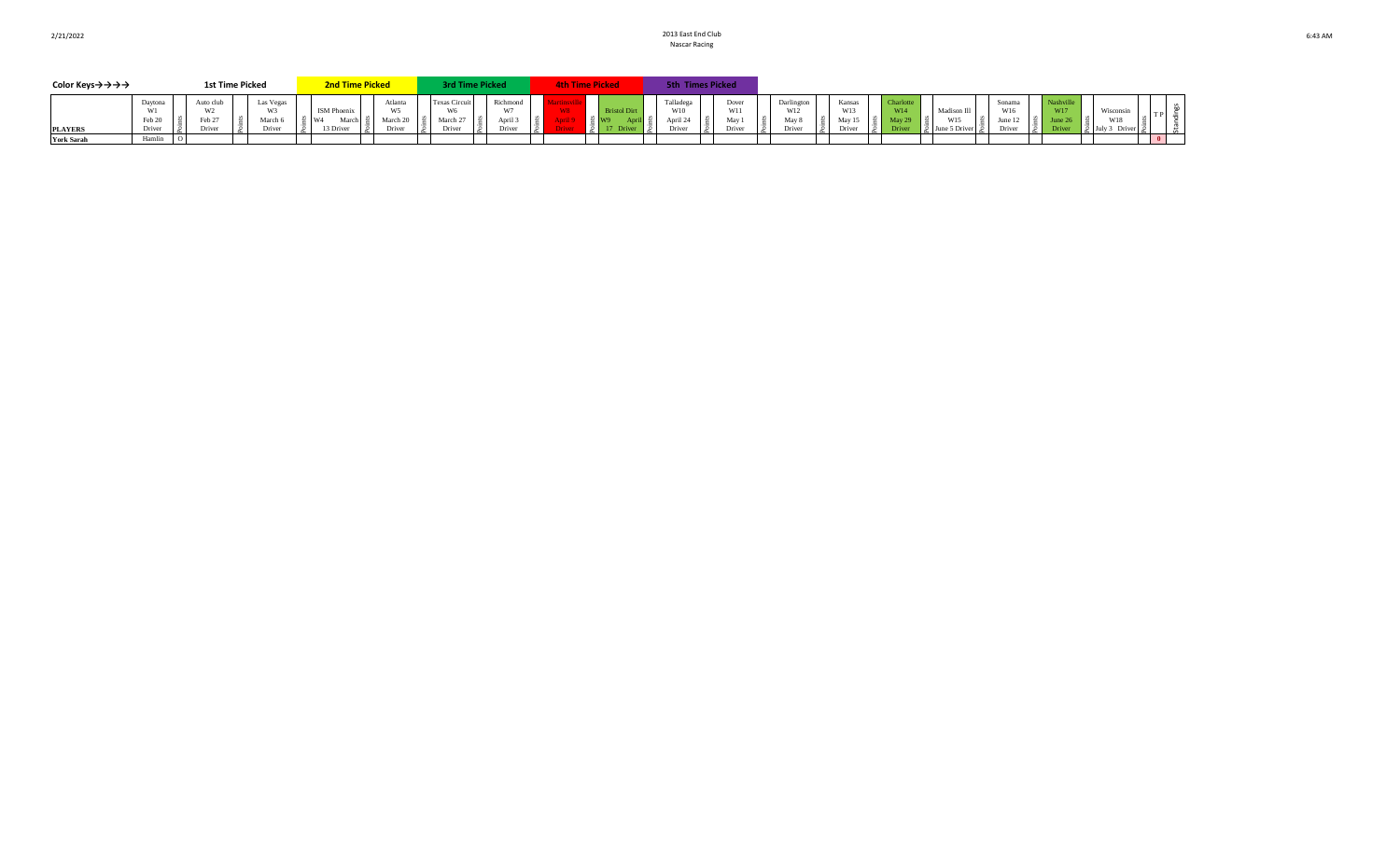| Color Keys→→→→    |                             | <b>1st Time Picked</b>        |                              | <b>2nd Time Picked</b>                                     |                         | rd Time Picked                       |                    | <b>4th Time Picked</b> |           | <b>5th Times Picked</b>    |                                  |                      |                        |              |                                    |                  |           |                       |                  |  |
|-------------------|-----------------------------|-------------------------------|------------------------------|------------------------------------------------------------|-------------------------|--------------------------------------|--------------------|------------------------|-----------|----------------------------|----------------------------------|----------------------|------------------------|--------------|------------------------------------|------------------|-----------|-----------------------|------------------|--|
| <b>PLAYERS</b>    | Daytona<br>Feb 20<br>Driver | Auto clu.<br>Feb 27<br>Driver | Las Vegas<br>March<br>Driver | <b>ISM Phoenix</b><br>W <sup>d</sup><br>March<br>13 Driver | Atlanta<br>W<<br>Driver | <b>Texas Circui</b><br>$M_{\rm arc}$ | Richmond<br>Driver | W8.<br><b>river</b>    | stol Dir. | Talladega<br>W10<br>Driver | W1 <sub>1</sub><br>May<br>Driver | W12<br><b>Jriver</b> | Kansa<br>Mov<br>Driver | W14<br>Drive | Madison 1.<br>W15<br>Jur<br>, .,,, | Sonama<br>Driver | . .<br>∣≿ | <b>M712</b><br>Driver | Wisconsin<br>W18 |  |
| <b>York Sarah</b> | Hamlın                      |                               |                              |                                                            |                         |                                      |                    |                        |           |                            |                                  |                      |                        |              |                                    |                  |           |                       |                  |  |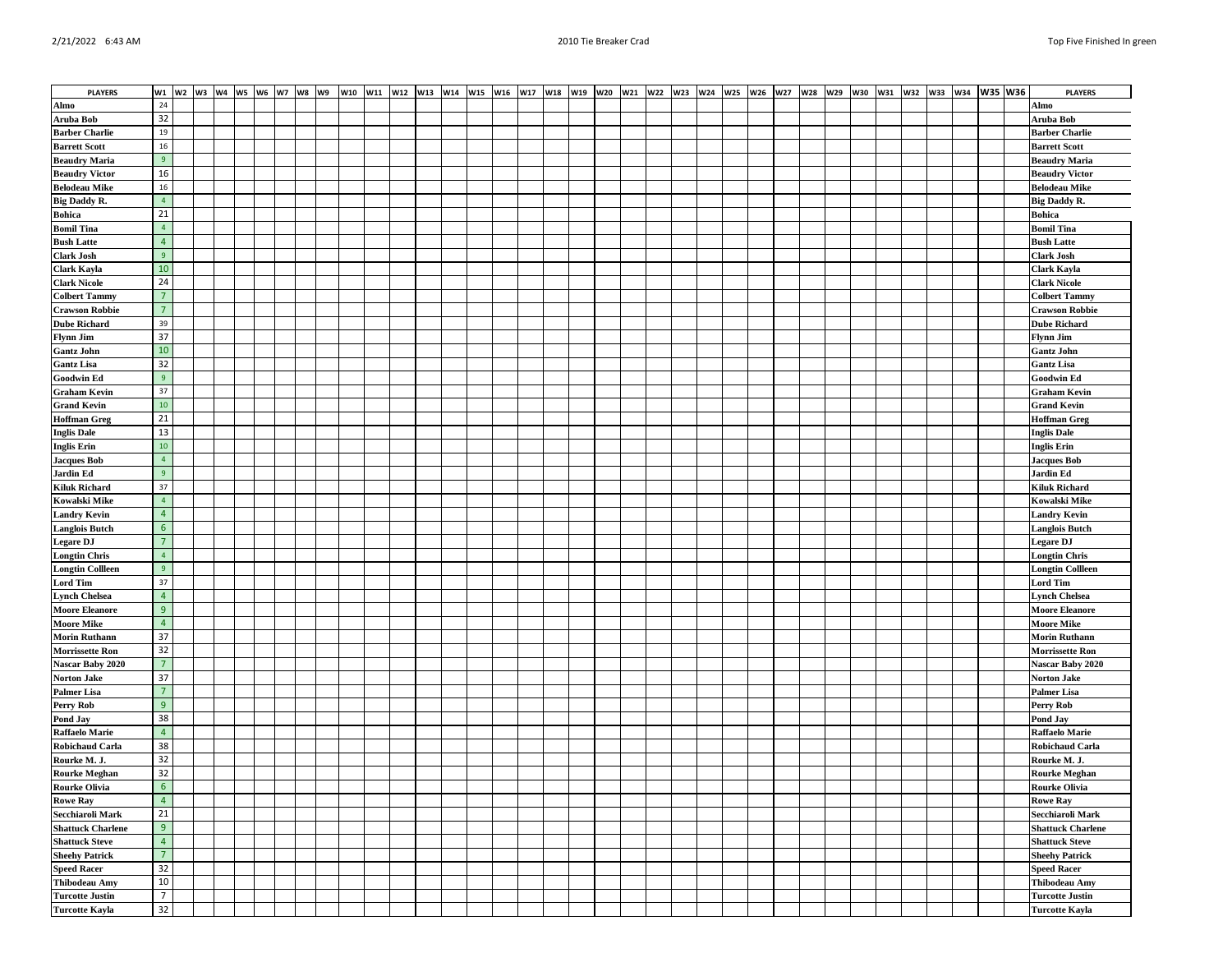| <b>PLAYERS</b>                               |                 |  |  |  | w1 w2 w3 w4 w5 w6 w7 w8 w9 |  | w10  w11  w12  w13  w14  w15  w16  w17  w18  w19  w20  w21 |  |  |  |  |  |  | w22 W23 W24 W25 W26 W27 W28 |  | W29 W30 |  |  | w31   w32   w33   w34   W35   W36 | <b>PLAYERS</b>                                |
|----------------------------------------------|-----------------|--|--|--|----------------------------|--|------------------------------------------------------------|--|--|--|--|--|--|-----------------------------|--|---------|--|--|-----------------------------------|-----------------------------------------------|
| Almo                                         | 24              |  |  |  |                            |  |                                                            |  |  |  |  |  |  |                             |  |         |  |  |                                   | Almo                                          |
| Aruba Bob                                    | 32              |  |  |  |                            |  |                                                            |  |  |  |  |  |  |                             |  |         |  |  |                                   | Aruba Bob                                     |
| <b>Barber Charlie</b>                        | 19              |  |  |  |                            |  |                                                            |  |  |  |  |  |  |                             |  |         |  |  |                                   | <b>Barber Charlie</b>                         |
| <b>Barrett Scott</b>                         | 16              |  |  |  |                            |  |                                                            |  |  |  |  |  |  |                             |  |         |  |  |                                   | <b>Barrett Scott</b>                          |
| <b>Beaudry Maria</b>                         | 9               |  |  |  |                            |  |                                                            |  |  |  |  |  |  |                             |  |         |  |  |                                   | <b>Beaudry Maria</b>                          |
| <b>Beaudry Victor</b>                        | 16              |  |  |  |                            |  |                                                            |  |  |  |  |  |  |                             |  |         |  |  |                                   | <b>Beaudry Victor</b>                         |
| <b>Belodeau Mike</b>                         | 16              |  |  |  |                            |  |                                                            |  |  |  |  |  |  |                             |  |         |  |  |                                   | <b>Belodeau Mike</b>                          |
| <b>Big Daddy R.</b>                          | $\overline{4}$  |  |  |  |                            |  |                                                            |  |  |  |  |  |  |                             |  |         |  |  |                                   | <b>Big Daddy R.</b>                           |
| <b>Bohica</b>                                | 21              |  |  |  |                            |  |                                                            |  |  |  |  |  |  |                             |  |         |  |  |                                   | <b>Bohica</b>                                 |
| <b>Bomil Tina</b>                            | $\overline{4}$  |  |  |  |                            |  |                                                            |  |  |  |  |  |  |                             |  |         |  |  |                                   | <b>Bomil Tina</b>                             |
|                                              | $\overline{4}$  |  |  |  |                            |  |                                                            |  |  |  |  |  |  |                             |  |         |  |  |                                   |                                               |
| <b>Bush Latte</b><br><b>Clark Josh</b>       | 9               |  |  |  |                            |  |                                                            |  |  |  |  |  |  |                             |  |         |  |  |                                   | <b>Bush Latte</b><br><b>Clark Josh</b>        |
|                                              | 10              |  |  |  |                            |  |                                                            |  |  |  |  |  |  |                             |  |         |  |  |                                   |                                               |
| Clark Kayla                                  | 24              |  |  |  |                            |  |                                                            |  |  |  |  |  |  |                             |  |         |  |  |                                   | Clark Kayla<br><b>Clark Nicole</b>            |
| <b>Clark Nicole</b>                          | $\overline{7}$  |  |  |  |                            |  |                                                            |  |  |  |  |  |  |                             |  |         |  |  |                                   |                                               |
| <b>Colbert Tammy</b>                         | $\overline{7}$  |  |  |  |                            |  |                                                            |  |  |  |  |  |  |                             |  |         |  |  |                                   | <b>Colbert Tammy</b><br><b>Crawson Robbie</b> |
| <b>Crawson Robbie</b><br><b>Dube Richard</b> | 39              |  |  |  |                            |  |                                                            |  |  |  |  |  |  |                             |  |         |  |  |                                   | <b>Dube Richard</b>                           |
| <b>Flynn Jim</b>                             | 37              |  |  |  |                            |  |                                                            |  |  |  |  |  |  |                             |  |         |  |  |                                   | <b>Flynn Jim</b>                              |
|                                              | 10              |  |  |  |                            |  |                                                            |  |  |  |  |  |  |                             |  |         |  |  |                                   |                                               |
| <b>Gantz John</b>                            | 32              |  |  |  |                            |  |                                                            |  |  |  |  |  |  |                             |  |         |  |  |                                   | <b>Gantz John</b>                             |
| <b>Gantz Lisa</b>                            | 9               |  |  |  |                            |  |                                                            |  |  |  |  |  |  |                             |  |         |  |  |                                   | <b>Gantz Lisa</b><br><b>Goodwin Ed</b>        |
| <b>Goodwin Ed</b>                            | 37              |  |  |  |                            |  |                                                            |  |  |  |  |  |  |                             |  |         |  |  |                                   |                                               |
| <b>Graham Kevin</b>                          | 10 <sub>1</sub> |  |  |  |                            |  |                                                            |  |  |  |  |  |  |                             |  |         |  |  |                                   | <b>Graham Kevin</b>                           |
| <b>Grand Kevin</b>                           |                 |  |  |  |                            |  |                                                            |  |  |  |  |  |  |                             |  |         |  |  |                                   | <b>Grand Kevin</b>                            |
| <b>Hoffman Greg</b>                          | 21              |  |  |  |                            |  |                                                            |  |  |  |  |  |  |                             |  |         |  |  |                                   | <b>Hoffman Greg</b>                           |
| <b>Inglis Dale</b>                           | 13              |  |  |  |                            |  |                                                            |  |  |  |  |  |  |                             |  |         |  |  |                                   | <b>Inglis Dale</b>                            |
| <b>Inglis Erin</b>                           | $10\,$          |  |  |  |                            |  |                                                            |  |  |  |  |  |  |                             |  |         |  |  |                                   | <b>Inglis Erin</b>                            |
| <b>Jacques Bob</b>                           | 4<br>9          |  |  |  |                            |  |                                                            |  |  |  |  |  |  |                             |  |         |  |  |                                   | <b>Jacques Bob</b>                            |
| <b>Jardin Ed</b>                             |                 |  |  |  |                            |  |                                                            |  |  |  |  |  |  |                             |  |         |  |  |                                   | <b>Jardin Ed</b>                              |
| <b>Kiluk Richard</b>                         | 37              |  |  |  |                            |  |                                                            |  |  |  |  |  |  |                             |  |         |  |  |                                   | <b>Kiluk Richard</b>                          |
| <b>Kowalski Mike</b>                         | $\overline{4}$  |  |  |  |                            |  |                                                            |  |  |  |  |  |  |                             |  |         |  |  |                                   | <b>Kowalski Mike</b>                          |
| <b>Landry Kevin</b>                          | $\overline{4}$  |  |  |  |                            |  |                                                            |  |  |  |  |  |  |                             |  |         |  |  |                                   | <b>Landry Kevin</b>                           |
| <b>Langlois Butch</b>                        | $6^{\circ}$     |  |  |  |                            |  |                                                            |  |  |  |  |  |  |                             |  |         |  |  |                                   | <b>Langlois Butch</b>                         |
| <b>Legare DJ</b>                             | $\overline{7}$  |  |  |  |                            |  |                                                            |  |  |  |  |  |  |                             |  |         |  |  |                                   | <b>Legare DJ</b>                              |
| <b>Longtin Chris</b>                         | $\overline{4}$  |  |  |  |                            |  |                                                            |  |  |  |  |  |  |                             |  |         |  |  |                                   | <b>Longtin Chris</b>                          |
| <b>Longtin Collleen</b>                      | 9               |  |  |  |                            |  |                                                            |  |  |  |  |  |  |                             |  |         |  |  |                                   | <b>Longtin Collleen</b>                       |
| <b>Lord Tim</b>                              | 37              |  |  |  |                            |  |                                                            |  |  |  |  |  |  |                             |  |         |  |  |                                   | <b>Lord Tim</b>                               |
| <b>Lynch Chelsea</b>                         | $\overline{4}$  |  |  |  |                            |  |                                                            |  |  |  |  |  |  |                             |  |         |  |  |                                   | <b>Lynch Chelsea</b>                          |
| <b>Moore Eleanore</b>                        | 9               |  |  |  |                            |  |                                                            |  |  |  |  |  |  |                             |  |         |  |  |                                   | <b>Moore Eleanore</b>                         |
| <b>Moore Mike</b>                            | $\overline{4}$  |  |  |  |                            |  |                                                            |  |  |  |  |  |  |                             |  |         |  |  |                                   | <b>Moore Mike</b>                             |
| <b>Morin Ruthann</b>                         | 37              |  |  |  |                            |  |                                                            |  |  |  |  |  |  |                             |  |         |  |  |                                   | <b>Morin Ruthann</b>                          |
| <b>Morrissette Ron</b>                       | 32              |  |  |  |                            |  |                                                            |  |  |  |  |  |  |                             |  |         |  |  |                                   | Morrissette Ron                               |
| Nascar Baby 2020                             | $7\overline{ }$ |  |  |  |                            |  |                                                            |  |  |  |  |  |  |                             |  |         |  |  |                                   | Nascar Baby 2020                              |
| <b>Norton Jake</b>                           | 37              |  |  |  |                            |  |                                                            |  |  |  |  |  |  |                             |  |         |  |  |                                   | <b>Norton Jake</b>                            |
| <b>Palmer Lisa</b>                           | $\overline{7}$  |  |  |  |                            |  |                                                            |  |  |  |  |  |  |                             |  |         |  |  |                                   | <b>Palmer Lisa</b>                            |
| Perry Rob                                    | 9               |  |  |  |                            |  |                                                            |  |  |  |  |  |  |                             |  |         |  |  |                                   | <b>Perry Rob</b>                              |
| Pond Jay                                     | 38              |  |  |  |                            |  |                                                            |  |  |  |  |  |  |                             |  |         |  |  |                                   | Pond Jay                                      |
| <b>Raffaelo Marie</b>                        | $\overline{4}$  |  |  |  |                            |  |                                                            |  |  |  |  |  |  |                             |  |         |  |  |                                   | <b>Raffaelo Marie</b>                         |
| <b>Robichaud Carla</b>                       | 38              |  |  |  |                            |  |                                                            |  |  |  |  |  |  |                             |  |         |  |  |                                   | <b>Robichaud Carla</b>                        |
| Rourke M. J.                                 | 32              |  |  |  |                            |  |                                                            |  |  |  |  |  |  |                             |  |         |  |  |                                   | Rourke M. J.                                  |
| <b>Rourke Meghan</b>                         | 32              |  |  |  |                            |  |                                                            |  |  |  |  |  |  |                             |  |         |  |  |                                   | <b>Rourke Meghan</b>                          |
| <b>Rourke Olivia</b>                         | $6^{\circ}$     |  |  |  |                            |  |                                                            |  |  |  |  |  |  |                             |  |         |  |  |                                   | <b>Rourke Olivia</b>                          |
| <b>Rowe Ray</b>                              | $\overline{4}$  |  |  |  |                            |  |                                                            |  |  |  |  |  |  |                             |  |         |  |  |                                   | <b>Rowe Ray</b>                               |
| Secchiaroli Mark                             | 21              |  |  |  |                            |  |                                                            |  |  |  |  |  |  |                             |  |         |  |  |                                   | Secchiaroli Mark                              |
| <b>Shattuck Charlene</b>                     | 9               |  |  |  |                            |  |                                                            |  |  |  |  |  |  |                             |  |         |  |  |                                   | <b>Shattuck Charlene</b>                      |
| <b>Shattuck Steve</b>                        | $\overline{4}$  |  |  |  |                            |  |                                                            |  |  |  |  |  |  |                             |  |         |  |  |                                   | <b>Shattuck Steve</b>                         |
| <b>Sheehy Patrick</b>                        | $\overline{7}$  |  |  |  |                            |  |                                                            |  |  |  |  |  |  |                             |  |         |  |  |                                   | <b>Sheehy Patrick</b>                         |
| <b>Speed Racer</b>                           | 32              |  |  |  |                            |  |                                                            |  |  |  |  |  |  |                             |  |         |  |  |                                   | <b>Speed Racer</b>                            |
| <b>Thibodeau Amy</b>                         | 10              |  |  |  |                            |  |                                                            |  |  |  |  |  |  |                             |  |         |  |  |                                   | <b>Thibodeau Amy</b>                          |
| <b>Turcotte Justin</b>                       | $\overline{7}$  |  |  |  |                            |  |                                                            |  |  |  |  |  |  |                             |  |         |  |  |                                   | <b>Turcotte Justin</b>                        |
| <b>Turcotte Kayla</b>                        | 32              |  |  |  |                            |  |                                                            |  |  |  |  |  |  |                             |  |         |  |  |                                   | <b>Turcotte Kayla</b>                         |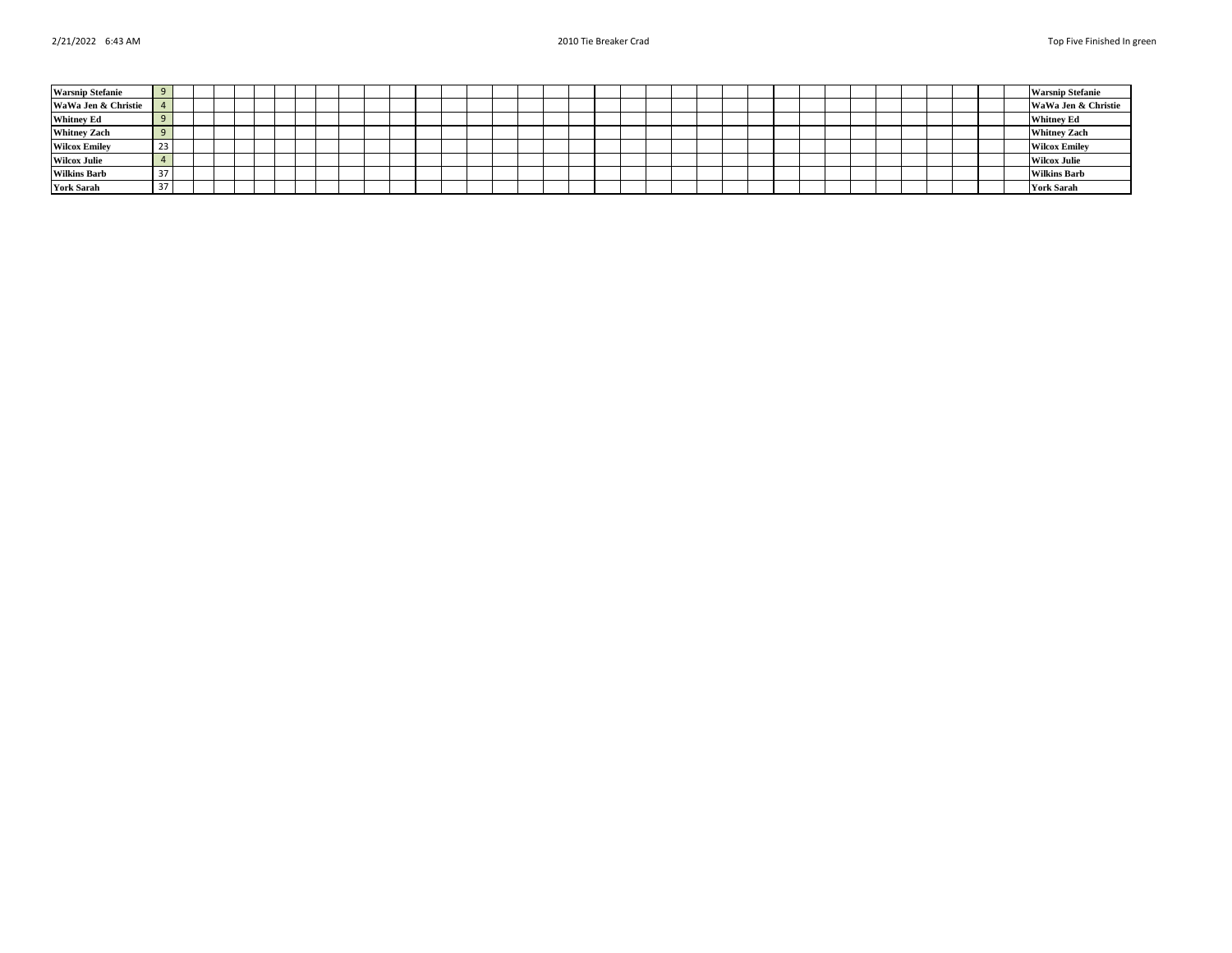| <b>Warsnip Stefanie</b> |                  |  |  |  |  |  |  |  |  |  |  |  |  |  |  |  |  |  | <b>Warsnip Stefanie</b> |
|-------------------------|------------------|--|--|--|--|--|--|--|--|--|--|--|--|--|--|--|--|--|-------------------------|
| WaWa Jen & Christie     |                  |  |  |  |  |  |  |  |  |  |  |  |  |  |  |  |  |  | WaWa Jen & Christie     |
| <b>Whitney Ed</b>       |                  |  |  |  |  |  |  |  |  |  |  |  |  |  |  |  |  |  | <b>Whitney Ed</b>       |
| <b>Whitney Zach</b>     |                  |  |  |  |  |  |  |  |  |  |  |  |  |  |  |  |  |  | <b>Whitney Zach</b>     |
| <b>Wilcox Emiley</b>    | 23               |  |  |  |  |  |  |  |  |  |  |  |  |  |  |  |  |  | <b>Wilcox Emiley</b>    |
| <b>Wilcox Julie</b>     |                  |  |  |  |  |  |  |  |  |  |  |  |  |  |  |  |  |  | <b>Wilcox Julie</b>     |
| <b>Wilkins Barb</b>     | 31               |  |  |  |  |  |  |  |  |  |  |  |  |  |  |  |  |  | <b>Wilkins Barb</b>     |
| <b>York Sarah</b>       | $\sim$ $-$<br>31 |  |  |  |  |  |  |  |  |  |  |  |  |  |  |  |  |  | <b>York Sarah</b>       |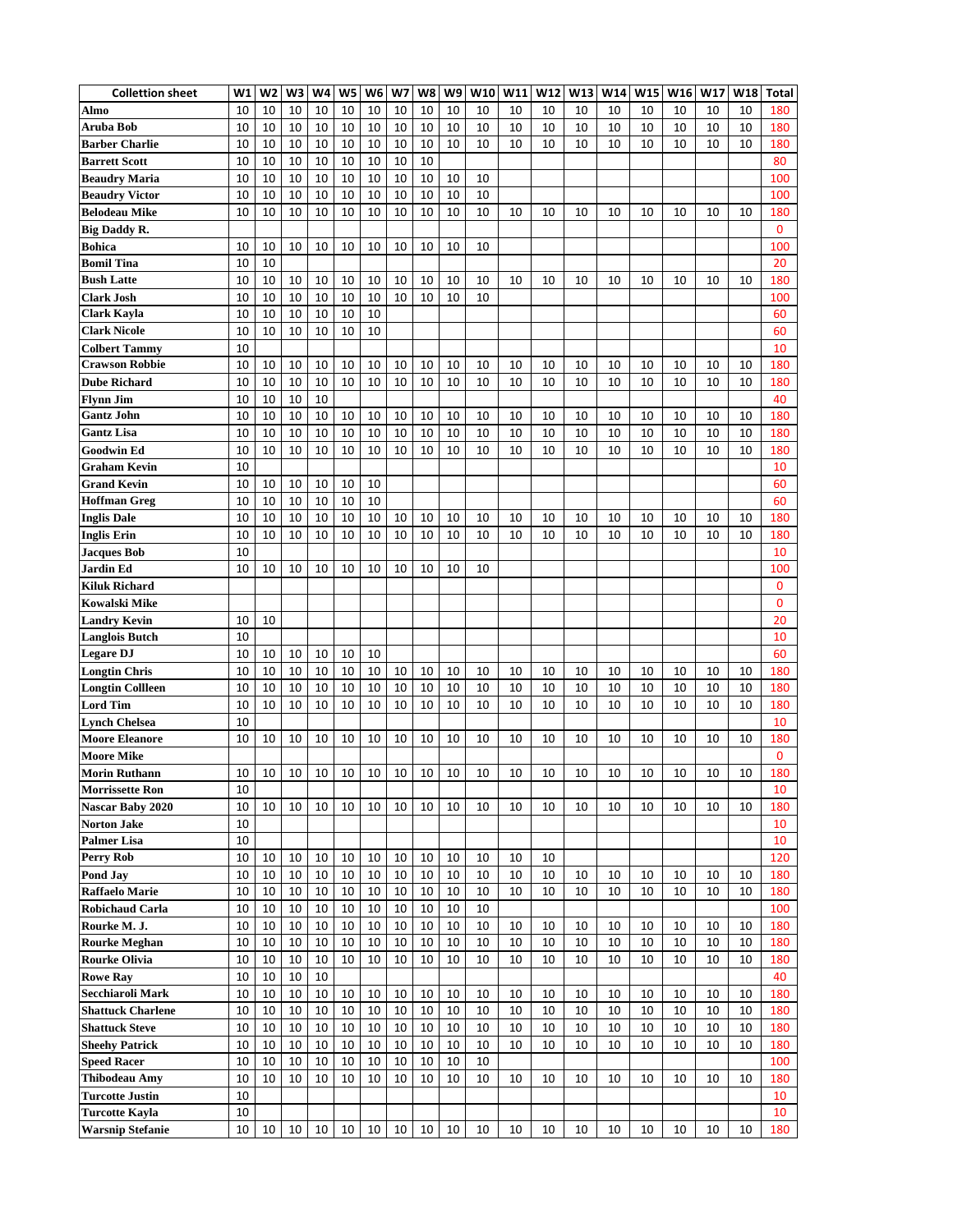| <b>Collettion sheet</b>                   | W1       | W2       | W3       | W4 | W <sub>5</sub> | W <sub>6</sub> | W7 | W8 | W9 | W10 | W11 | W12 | W13 | W14 | W15 | W16 | W17 | W18 | <b>Total</b> |
|-------------------------------------------|----------|----------|----------|----|----------------|----------------|----|----|----|-----|-----|-----|-----|-----|-----|-----|-----|-----|--------------|
| Almo                                      | 10       | 10       | 10       | 10 | 10             | 10             | 10 | 10 | 10 | 10  | 10  | 10  | 10  | 10  | 10  | 10  | 10  | 10  | 180          |
| Aruba Bob                                 | 10       | 10       | 10       | 10 | 10             | 10             | 10 | 10 | 10 | 10  | 10  | 10  | 10  | 10  | 10  | 10  | 10  | 10  | 180          |
| <b>Barber Charlie</b>                     | 10       | 10       | 10       | 10 | 10             | 10             | 10 | 10 | 10 | 10  | 10  | 10  | 10  | 10  | 10  | 10  | 10  | 10  | 180          |
| <b>Barrett Scott</b>                      | 10       | 10       | 10       | 10 | 10             | 10             | 10 | 10 |    |     |     |     |     |     |     |     |     |     | 80           |
| <b>Beaudry Maria</b>                      | 10       | 10       | 10       | 10 | 10             | 10             | 10 | 10 | 10 | 10  |     |     |     |     |     |     |     |     | 100          |
| <b>Beaudry Victor</b>                     | 10       | 10       | 10       | 10 | 10             | 10             | 10 | 10 | 10 | 10  |     |     |     |     |     |     |     |     | 100          |
| <b>Belodeau Mike</b>                      | 10       | 10       | 10       | 10 | 10             | 10             | 10 | 10 | 10 | 10  | 10  | 10  | 10  | 10  | 10  | 10  | 10  | 10  | 180          |
| <b>Big Daddy R.</b>                       |          |          |          |    |                |                |    |    |    |     |     |     |     |     |     |     |     |     | 0            |
| <b>Bohica</b>                             | 10       | 10       | 10       | 10 | 10             | 10             | 10 | 10 | 10 | 10  |     |     |     |     |     |     |     |     | 100          |
| <b>Bomil Tina</b>                         | 10       | 10       |          |    |                |                |    |    |    |     |     |     |     |     |     |     |     |     | 20           |
| <b>Bush Latte</b>                         | 10       | 10       | 10       | 10 | 10             | 10             | 10 | 10 | 10 | 10  | 10  | 10  | 10  | 10  | 10  | 10  | 10  | 10  | 180          |
| <b>Clark Josh</b>                         | 10       | 10       | 10       | 10 | 10             | 10             | 10 | 10 | 10 | 10  |     |     |     |     |     |     |     |     | 100          |
| <b>Clark Kayla</b>                        | 10       | 10       | 10       | 10 | 10             | 10             |    |    |    |     |     |     |     |     |     |     |     |     | 60           |
| <b>Clark Nicole</b>                       | 10       | 10       | 10       | 10 | 10             | 10             |    |    |    |     |     |     |     |     |     |     |     |     | 60           |
| <b>Colbert Tammy</b>                      | 10       |          |          |    |                |                |    |    |    |     |     |     |     |     |     |     |     |     | 10           |
| <b>Crawson Robbie</b>                     | 10       | 10       | 10       | 10 | 10             | 10             | 10 | 10 | 10 | 10  | 10  | 10  | 10  | 10  | 10  | 10  | 10  | 10  | 180          |
| <b>Dube Richard</b>                       | 10       | 10       | 10       | 10 | 10             | 10             | 10 | 10 | 10 | 10  | 10  | 10  | 10  | 10  | 10  | 10  | 10  | 10  | 180          |
| <b>Flynn Jim</b>                          | 10       | 10       | 10       | 10 |                |                |    |    |    |     |     |     |     |     |     |     |     |     | 40           |
| <b>Gantz John</b>                         | 10       | 10       | 10       | 10 | 10             | 10             | 10 | 10 | 10 | 10  | 10  | 10  | 10  | 10  | 10  | 10  | 10  | 10  | 180          |
| <b>Gantz Lisa</b>                         | 10       | 10       | 10       | 10 | 10             | 10             | 10 | 10 | 10 | 10  | 10  | 10  | 10  | 10  | 10  | 10  | 10  | 10  | 180          |
| <b>Goodwin Ed</b>                         | 10       | 10       | 10       | 10 | 10             | 10             | 10 | 10 | 10 | 10  | 10  | 10  | 10  | 10  | 10  | 10  | 10  | 10  | 180          |
| <b>Graham Kevin</b>                       | 10       |          |          |    |                |                |    |    |    |     |     |     |     |     |     |     |     |     | 10           |
| <b>Grand Kevin</b>                        | 10       | 10       | 10       | 10 | 10             | 10             |    |    |    |     |     |     |     |     |     |     |     |     | 60           |
| <b>Hoffman Greg</b>                       | 10       | 10       | 10       | 10 | 10             | 10             |    |    |    |     |     |     |     |     |     |     |     |     | 60           |
| <b>Inglis Dale</b>                        | 10       | 10       | 10       | 10 | 10             | 10             | 10 | 10 | 10 | 10  | 10  | 10  | 10  | 10  | 10  | 10  | 10  | 10  | 180          |
| <b>Inglis Erin</b>                        | 10       | 10       | 10       | 10 | 10             | 10             | 10 | 10 | 10 | 10  | 10  | 10  | 10  | 10  | 10  | 10  | 10  | 10  | 180          |
| <b>Jacques Bob</b>                        | 10       |          |          |    |                |                |    |    |    |     |     |     |     |     |     |     |     |     | 10           |
| Jardin Ed                                 | 10       | 10       | 10       | 10 | 10             | 10             | 10 | 10 | 10 | 10  |     |     |     |     |     |     |     |     | 100          |
| <b>Kiluk Richard</b>                      |          |          |          |    |                |                |    |    |    |     |     |     |     |     |     |     |     |     | 0            |
| Kowalski Mike                             |          |          |          |    |                |                |    |    |    |     |     |     |     |     |     |     |     |     | 0            |
|                                           |          |          |          |    |                |                |    |    |    |     |     |     |     |     |     |     |     |     |              |
| <b>Landry Kevin</b>                       | 10<br>10 | 10       |          |    |                |                |    |    |    |     |     |     |     |     |     |     |     |     | 20           |
| <b>Langlois Butch</b><br><b>Legare DJ</b> | 10       | 10       | 10       | 10 | 10             | 10             |    |    |    |     |     |     |     |     |     |     |     |     | 10<br>60     |
|                                           | 10       |          |          | 10 | 10             | 10             | 10 | 10 | 10 | 10  |     | 10  | 10  | 10  | 10  | 10  | 10  | 10  | 180          |
| <b>Longtin Chris</b>                      |          | 10<br>10 | 10<br>10 |    | 10             | 10             |    |    |    | 10  | 10  |     | 10  | 10  |     | 10  |     | 10  | 180          |
| <b>Longtin Collleen</b>                   | 10<br>10 | 10       | 10       | 10 | 10             | 10             | 10 | 10 | 10 |     | 10  | 10  | 10  |     | 10  | 10  | 10  |     |              |
| <b>Lord Tim</b>                           | 10       |          |          | 10 |                |                | 10 | 10 | 10 | 10  | 10  | 10  |     | 10  | 10  |     | 10  | 10  | 180<br>10    |
| <b>Lynch Chelsea</b>                      |          |          |          |    |                |                |    |    |    |     |     |     |     |     |     |     |     |     |              |
| <b>Moore Eleanore</b>                     | 10       | 10       | 10       | 10 | 10             | 10             | 10 | 10 | 10 | 10  | 10  | 10  | 10  | 10  | 10  | 10  | 10  | 10  | 180          |
| <b>Moore Mike</b>                         |          |          |          |    |                |                |    |    |    |     |     |     |     |     |     |     |     |     | 0            |
| <b>Morin Ruthann</b>                      | 10       | 10       | 10       | 10 | 10             | 10             | 10 | 10 | 10 | 10  | 10  | 10  | 10  | 10  | 10  | 10  | 10  | 10  | 180          |
| <b>Morrissette Ron</b>                    | 10<br>10 | 10       | 10       | 10 | 10             | 10             |    |    | 10 | 10  |     |     |     | 10  | 10  | 10  | 10  | 10  | 10           |
| Nascar Baby 2020<br><b>Norton Jake</b>    | 10       |          |          |    |                |                | 10 | 10 |    |     | 10  | 10  | 10  |     |     |     |     |     | 180          |
|                                           | 10       |          |          |    |                |                |    |    |    |     |     |     |     |     |     |     |     |     | 10<br>10     |
| <b>Palmer Lisa</b><br><b>Perry Rob</b>    |          |          |          |    |                |                |    |    |    |     |     |     |     |     |     |     |     |     |              |
|                                           | 10       | 10       | 10       | 10 | 10             | 10             | 10 | 10 | 10 | 10  | 10  | 10  |     |     |     |     |     |     | 120          |
| Pond Jay                                  | 10       | 10       | 10       | 10 | 10             | 10             | 10 | 10 | 10 | 10  | 10  | 10  | 10  | 10  | 10  | 10  | 10  | 10  | 180          |
| <b>Raffaelo Marie</b>                     | 10       | 10       | 10       | 10 | 10             | 10             | 10 | 10 | 10 | 10  | 10  | 10  | 10  | 10  | 10  | 10  | 10  | 10  | 180          |
| Robichaud Carla                           | 10       | 10       | 10       | 10 | 10             | 10             | 10 | 10 | 10 | 10  |     |     |     |     |     |     |     |     | 100          |
| Rourke M. J.                              | 10       | 10       | 10       | 10 | 10             | 10             | 10 | 10 | 10 | 10  | 10  | 10  | 10  | 10  | 10  | 10  | 10  | 10  | 180          |
| <b>Rourke Meghan</b>                      | 10       | 10       | 10       | 10 | 10             | 10             | 10 | 10 | 10 | 10  | 10  | 10  | 10  | 10  | 10  | 10  | 10  | 10  | 180          |
| <b>Rourke Olivia</b>                      | 10       | 10       | 10       | 10 | 10             | 10             | 10 | 10 | 10 | 10  | 10  | 10  | 10  | 10  | 10  | 10  | 10  | 10  | 180          |
| <b>Rowe Ray</b>                           | 10       | 10       | 10       | 10 |                |                |    |    |    |     |     |     |     |     |     |     |     |     | 40           |
| Secchiaroli Mark                          | 10       | 10       | 10       | 10 | 10             | 10             | 10 | 10 | 10 | 10  | 10  | 10  | 10  | 10  | 10  | 10  | 10  | 10  | 180          |
| <b>Shattuck Charlene</b>                  | 10       | 10       | 10       | 10 | 10             | 10             | 10 | 10 | 10 | 10  | 10  | 10  | 10  | 10  | 10  | 10  | 10  | 10  | 180          |
| <b>Shattuck Steve</b>                     | 10       | 10       | 10       | 10 | 10             | 10             | 10 | 10 | 10 | 10  | 10  | 10  | 10  | 10  | 10  | 10  | 10  | 10  | 180          |
| <b>Sheehy Patrick</b>                     | 10       | 10       | 10       | 10 | 10             | 10             | 10 | 10 | 10 | 10  | 10  | 10  | 10  | 10  | 10  | 10  | 10  | 10  | 180          |
| <b>Speed Racer</b>                        | 10       | 10       | 10       | 10 | 10             | 10             | 10 | 10 | 10 | 10  |     |     |     |     |     |     |     |     | 100          |
| <b>Thibodeau Amy</b>                      | 10       | 10       | 10       | 10 | 10             | 10             | 10 | 10 | 10 | 10  | 10  | 10  | 10  | 10  | 10  | 10  | 10  | 10  | 180          |
| <b>Turcotte Justin</b>                    | 10       |          |          |    |                |                |    |    |    |     |     |     |     |     |     |     |     |     | 10           |
| Turcotte Kayla                            | 10       |          |          |    |                |                |    |    |    |     |     |     |     |     |     |     |     |     | 10           |
| <b>Warsnip Stefanie</b>                   | 10       | 10       | 10       | 10 | 10             | 10             | 10 | 10 | 10 | 10  | 10  | 10  | 10  | 10  | 10  | 10  | 10  | 10  | 180          |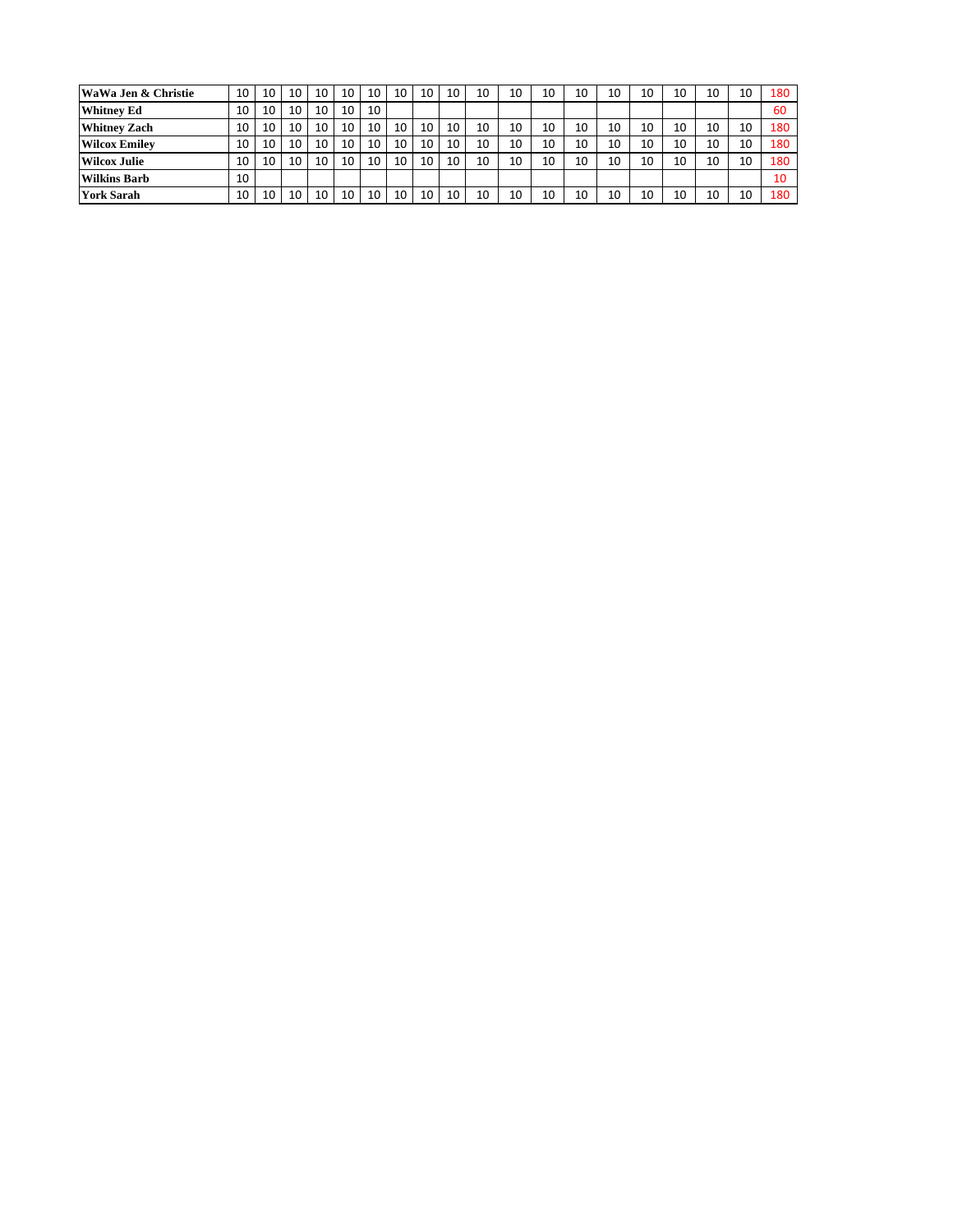| WaWa Jen & Christie  | 10 | 10 | 10 | 10 | 10 | 10 | 10 | 10 | 10 | 10 | 10 | 10 | 10 | 10 | 10 | 10 | 10 | 10 | 180 |
|----------------------|----|----|----|----|----|----|----|----|----|----|----|----|----|----|----|----|----|----|-----|
| <b>Whitney Ed</b>    | 10 | 10 | 10 | 10 | 10 | 10 |    |    |    |    |    |    |    |    |    |    |    |    | 60  |
| <b>Whitney Zach</b>  | 10 | 10 | 10 | 10 | 10 | 10 | 10 | 10 | 10 | 10 | 10 | 10 | 10 | 10 | 10 | 10 | 10 | 10 | 180 |
| <b>Wilcox Emilev</b> | 10 | 10 | 10 | 10 | 10 | 10 | 10 | 10 | 10 | 10 | 10 | 10 | 10 | 10 | 10 | 10 | 10 | 10 | 180 |
| <b>Wilcox Julie</b>  | 10 | 10 | 10 | 10 | 10 | 10 | 10 | 10 | 10 | 10 | 10 | 10 | 10 | 10 | 10 | 10 | 10 | 10 | 180 |
| <b>Wilkins Barb</b>  | 10 |    |    |    |    |    |    |    |    |    |    |    |    |    |    |    |    |    | 10  |
| <b>York Sarah</b>    | 10 | 10 | 10 | 10 | 10 | 10 | 10 | 10 | 10 | 10 | 10 | 10 | 10 | 10 | 10 | 10 | 10 | 10 | 180 |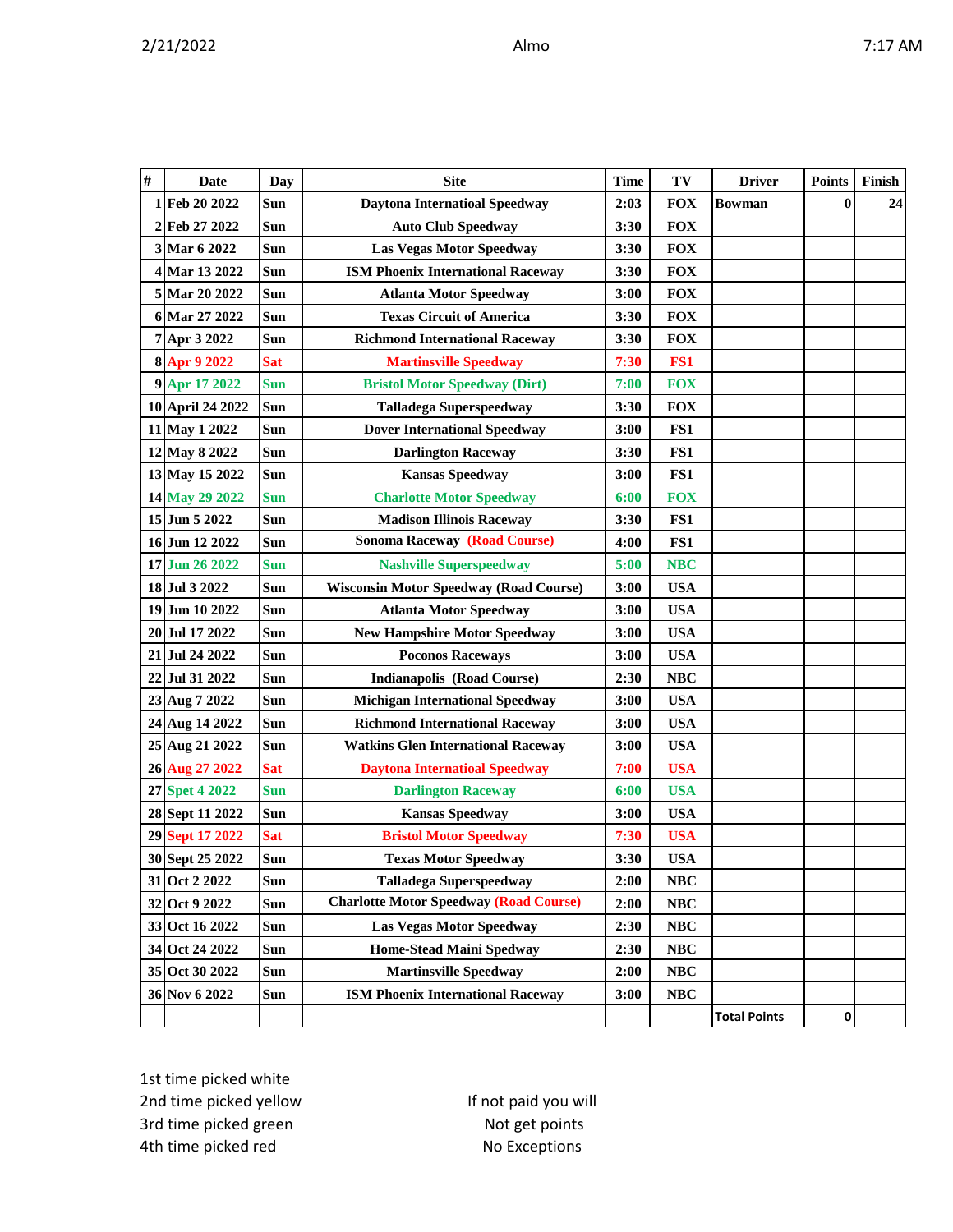| # | <b>Date</b>      | Day        | <b>Site</b>                                   | <b>Time</b> | TV         | <b>Driver</b>       | <b>Points</b> | Finish |
|---|------------------|------------|-----------------------------------------------|-------------|------------|---------------------|---------------|--------|
|   | 1 Feb 20 2022    | Sun        | <b>Daytona Internatioal Speedway</b>          | 2:03        | <b>FOX</b> | Bowman              | $\bf{0}$      | 24     |
|   | 2 Feb 27 2022    | Sun        | <b>Auto Club Speedway</b>                     | 3:30        | <b>FOX</b> |                     |               |        |
|   | 3 Mar 6 2022     | Sun        | <b>Las Vegas Motor Speedway</b>               | 3:30        | <b>FOX</b> |                     |               |        |
|   | 4 Mar 13 2022    | Sun        | <b>ISM Phoenix International Raceway</b>      | 3:30        | <b>FOX</b> |                     |               |        |
|   | 5 Mar 20 2022    | Sun        | <b>Atlanta Motor Speedway</b>                 | 3:00        | <b>FOX</b> |                     |               |        |
|   | 6 Mar 27 2022    | Sun        | <b>Texas Circuit of America</b>               | 3:30        | <b>FOX</b> |                     |               |        |
|   | 7 Apr 3 2022     | Sun        | <b>Richmond International Raceway</b>         | 3:30        | <b>FOX</b> |                     |               |        |
|   | 8 Apr 9 2022     | <b>Sat</b> | <b>Martinsville Speedway</b>                  | 7:30        | FS1        |                     |               |        |
|   | 9 Apr 17 2022    | <b>Sun</b> | <b>Bristol Motor Speedway (Dirt)</b>          | 7:00        | <b>FOX</b> |                     |               |        |
|   | 10 April 24 2022 | Sun        | <b>Talladega Superspeedway</b>                | 3:30        | <b>FOX</b> |                     |               |        |
|   | 11 May 1 2022    | Sun        | <b>Dover International Speedway</b>           | 3:00        | FS1        |                     |               |        |
|   | 12 May 8 2022    | Sun        | <b>Darlington Raceway</b>                     | 3:30        | FS1        |                     |               |        |
|   | 13 May 15 2022   | Sun        | <b>Kansas Speedway</b>                        | 3:00        | FS1        |                     |               |        |
|   | 14 May 29 2022   | <b>Sun</b> | <b>Charlotte Motor Speedway</b>               | 6:00        | <b>FOX</b> |                     |               |        |
|   | 15 Jun 5 2022    | Sun        | <b>Madison Illinois Raceway</b>               | 3:30        | FS1        |                     |               |        |
|   | 16 Jun 12 2022   | <b>Sun</b> | <b>Sonoma Raceway (Road Course)</b>           | 4:00        | FS1        |                     |               |        |
|   | 17 Jun 26 2022   | <b>Sun</b> | <b>Nashville Superspeedway</b>                | 5:00        | <b>NBC</b> |                     |               |        |
|   | 18 Jul 3 2022    | Sun        | <b>Wisconsin Motor Speedway (Road Course)</b> | 3:00        | <b>USA</b> |                     |               |        |
|   | 19 Jun 10 2022   | Sun        | <b>Atlanta Motor Speedway</b>                 | 3:00        | <b>USA</b> |                     |               |        |
|   | 20 Jul 17 2022   | Sun        | <b>New Hampshire Motor Speedway</b>           | 3:00        | <b>USA</b> |                     |               |        |
|   | 21 Jul 24 2022   | Sun        | <b>Poconos Raceways</b>                       | 3:00        | <b>USA</b> |                     |               |        |
|   | 22 Jul 31 2022   | Sun        | <b>Indianapolis (Road Course)</b>             | 2:30        | NBC        |                     |               |        |
|   | 23 Aug 7 2022    | <b>Sun</b> | <b>Michigan International Speedway</b>        | 3:00        | <b>USA</b> |                     |               |        |
|   | 24 Aug 14 2022   | Sun        | <b>Richmond International Raceway</b>         | 3:00        | <b>USA</b> |                     |               |        |
|   | 25 Aug 21 2022   | Sun        | <b>Watkins Glen International Raceway</b>     | 3:00        | <b>USA</b> |                     |               |        |
|   | 26 Aug 27 2022   | <b>Sat</b> | <b>Daytona Internatioal Speedway</b>          | 7:00        | <b>USA</b> |                     |               |        |
|   | 27 Spet 4 2022   | <b>Sun</b> | <b>Darlington Raceway</b>                     | 6:00        | <b>USA</b> |                     |               |        |
|   | 28 Sept 11 2022  | Sun        | <b>Kansas Speedway</b>                        | 3:00        | <b>USA</b> |                     |               |        |
|   | 29 Sept 17 2022  | <b>Sat</b> | <b>Bristol Motor Speedway</b>                 | 7:30        | <b>USA</b> |                     |               |        |
|   | 30 Sept 25 2022  | Sun        | <b>Texas Motor Speedway</b>                   | 3:30        | <b>USA</b> |                     |               |        |
|   | 31 Oct 2 2022    | Sun        | <b>Talladega Superspeedway</b>                | 2:00        | NBC        |                     |               |        |
|   | 32 Oct 9 2022    | Sun        | <b>Charlotte Motor Speedway (Road Course)</b> | 2:00        | NBC        |                     |               |        |
|   | 33 Oct 16 2022   | Sun        | Las Vegas Motor Speedway                      | 2:30        | NBC        |                     |               |        |
|   | 34 Oct 24 2022   | Sun        | <b>Home-Stead Maini Spedway</b>               | 2:30        | NBC        |                     |               |        |
|   | 35 Oct 30 2022   | Sun        | <b>Martinsville Speedway</b>                  | 2:00        | <b>NBC</b> |                     |               |        |
|   | 36 Nov 6 2022    | Sun        | <b>ISM Phoenix International Raceway</b>      | 3:00        | NBC        |                     |               |        |
|   |                  |            |                                               |             |            | <b>Total Points</b> | 0             |        |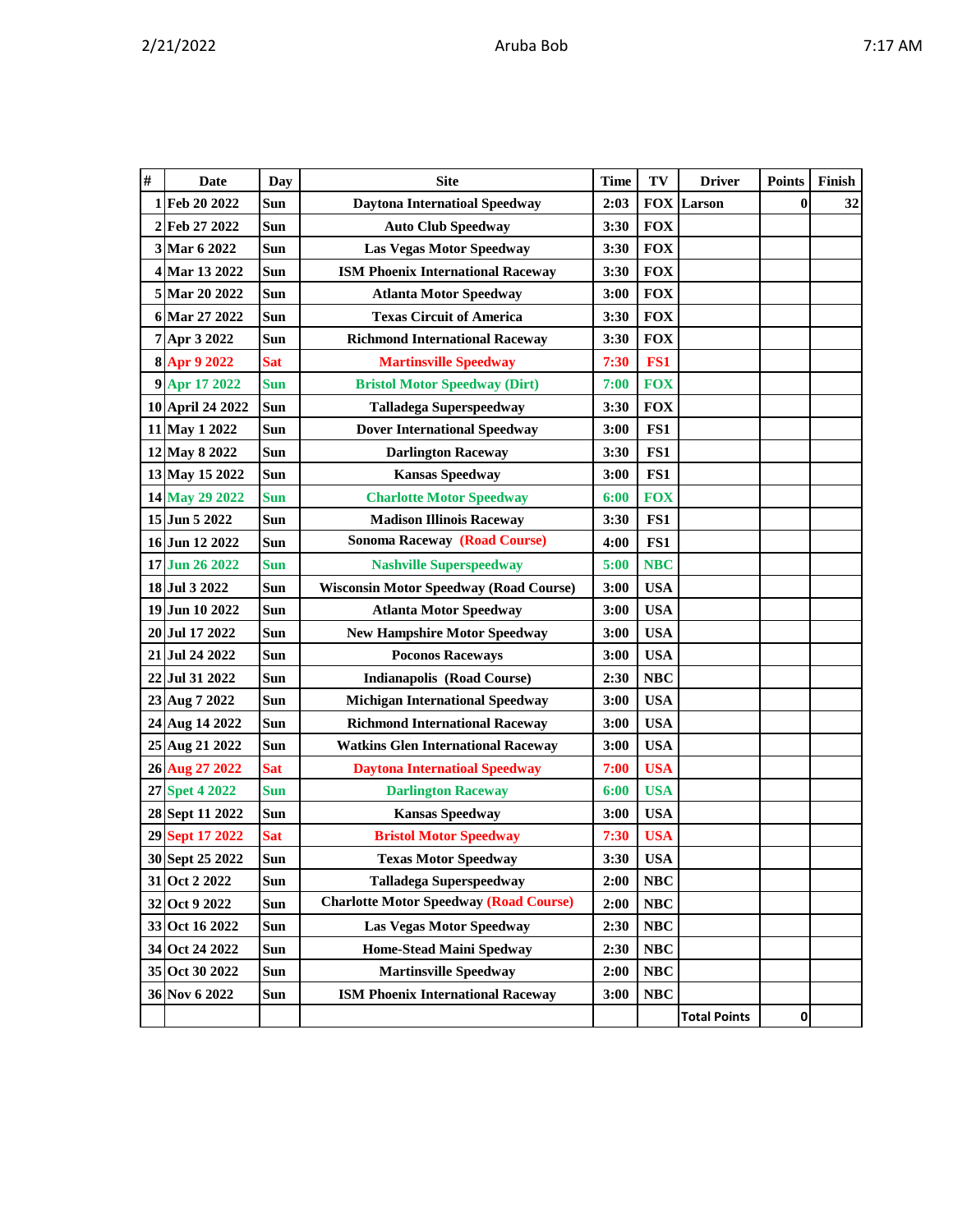| v |  |  | Ί |
|---|--|--|---|
|---|--|--|---|

| # | Date             | Day        | <b>Site</b>                                   | <b>Time</b> | TV         | <b>Driver</b>       | <b>Points</b> | Finish |
|---|------------------|------------|-----------------------------------------------|-------------|------------|---------------------|---------------|--------|
|   | 1 Feb 20 2022    | Sun        | <b>Daytona Internatioal Speedway</b>          | 2:03        |            | <b>FOX Larson</b>   | $\bf{0}$      | 32     |
|   | 2 Feb 27 2022    | Sun        | <b>Auto Club Speedway</b>                     | 3:30        | <b>FOX</b> |                     |               |        |
|   | 3 Mar 6 2022     | Sun        | <b>Las Vegas Motor Speedway</b>               | 3:30        | <b>FOX</b> |                     |               |        |
|   | 4 Mar 13 2022    | Sun        | <b>ISM Phoenix International Raceway</b>      | 3:30        | <b>FOX</b> |                     |               |        |
|   | 5 Mar 20 2022    | Sun        | <b>Atlanta Motor Speedway</b>                 | 3:00        | <b>FOX</b> |                     |               |        |
|   | 6 Mar 27 2022    | Sun        | <b>Texas Circuit of America</b>               | 3:30        | <b>FOX</b> |                     |               |        |
|   | 7 Apr 3 2022     | Sun        | <b>Richmond International Raceway</b>         | 3:30        | <b>FOX</b> |                     |               |        |
|   | 8 Apr 9 2022     | <b>Sat</b> | <b>Martinsville Speedway</b>                  | 7:30        | FS1        |                     |               |        |
|   | 9 Apr 17 2022    | <b>Sun</b> | <b>Bristol Motor Speedway (Dirt)</b>          | 7:00        | <b>FOX</b> |                     |               |        |
|   | 10 April 24 2022 | Sun        | <b>Talladega Superspeedway</b>                | 3:30        | <b>FOX</b> |                     |               |        |
|   | 11 May 1 2022    | Sun        | <b>Dover International Speedway</b>           | 3:00        | FS1        |                     |               |        |
|   | 12 May 8 2022    | Sun        | <b>Darlington Raceway</b>                     | 3:30        | FS1        |                     |               |        |
|   | 13 May 15 2022   | Sun        | <b>Kansas Speedway</b>                        | 3:00        | FS1        |                     |               |        |
|   | 14 May 29 2022   | Sun        | <b>Charlotte Motor Speedway</b>               | 6:00        | <b>FOX</b> |                     |               |        |
|   | 15 Jun 5 2022    | Sun        | <b>Madison Illinois Raceway</b>               | 3:30        | FS1        |                     |               |        |
|   | 16 Jun 12 2022   | Sun        | <b>Sonoma Raceway (Road Course)</b>           | 4:00        | FS1        |                     |               |        |
|   | 17 Jun 26 2022   | <b>Sun</b> | <b>Nashville Superspeedway</b>                | 5:00        | <b>NBC</b> |                     |               |        |
|   | 18 Jul 3 2022    | Sun        | <b>Wisconsin Motor Speedway (Road Course)</b> | 3:00        | <b>USA</b> |                     |               |        |
|   | 19 Jun 10 2022   | Sun        | <b>Atlanta Motor Speedway</b>                 | 3:00        | <b>USA</b> |                     |               |        |
|   | 20 Jul 17 2022   | Sun        | <b>New Hampshire Motor Speedway</b>           | 3:00        | <b>USA</b> |                     |               |        |
|   | 21 Jul 24 2022   | Sun        | <b>Poconos Raceways</b>                       | 3:00        | <b>USA</b> |                     |               |        |
|   | 22 Jul 31 2022   | Sun        | <b>Indianapolis (Road Course)</b>             | 2:30        | <b>NBC</b> |                     |               |        |
|   | 23 Aug 7 2022    | Sun        | <b>Michigan International Speedway</b>        | 3:00        | <b>USA</b> |                     |               |        |
|   | 24 Aug 14 2022   | Sun        | <b>Richmond International Raceway</b>         | 3:00        | <b>USA</b> |                     |               |        |
|   | 25 Aug 21 2022   | Sun        | <b>Watkins Glen International Raceway</b>     | 3:00        | <b>USA</b> |                     |               |        |
|   | 26 Aug 27 2022   | <b>Sat</b> | <b>Daytona Internatioal Speedway</b>          | 7:00        | <b>USA</b> |                     |               |        |
|   | 27 Spet 4 2022   | <b>Sun</b> | <b>Darlington Raceway</b>                     | 6:00        | <b>USA</b> |                     |               |        |
|   | 28 Sept 11 2022  | Sun        | <b>Kansas Speedway</b>                        | 3:00        | <b>USA</b> |                     |               |        |
|   | 29 Sept 17 2022  | <b>Sat</b> | <b>Bristol Motor Speedway</b>                 | 7:30        | <b>USA</b> |                     |               |        |
|   | 30 Sept 25 2022  | Sun        | <b>Texas Motor Speedway</b>                   | 3:30        | <b>USA</b> |                     |               |        |
|   | 31 Oct 2 2022    | Sun        | <b>Talladega Superspeedway</b>                | 2:00        | <b>NBC</b> |                     |               |        |
|   | 32 Oct 9 2022    | Sun        | <b>Charlotte Motor Speedway (Road Course)</b> | 2:00        | <b>NBC</b> |                     |               |        |
|   | 33 Oct 16 2022   | Sun        | <b>Las Vegas Motor Speedway</b>               | 2:30        | <b>NBC</b> |                     |               |        |
|   | 34 Oct 24 2022   | Sun        | <b>Home-Stead Maini Spedway</b>               | 2:30        | NBC        |                     |               |        |
|   | 35 Oct 30 2022   | Sun        | <b>Martinsville Speedway</b>                  | 2:00        | <b>NBC</b> |                     |               |        |
|   | 36 Nov 6 2022    | Sun        | <b>ISM Phoenix International Raceway</b>      | 3:00        | <b>NBC</b> |                     |               |        |
|   |                  |            |                                               |             |            | <b>Total Points</b> | 0             |        |
|   |                  |            |                                               |             |            |                     |               |        |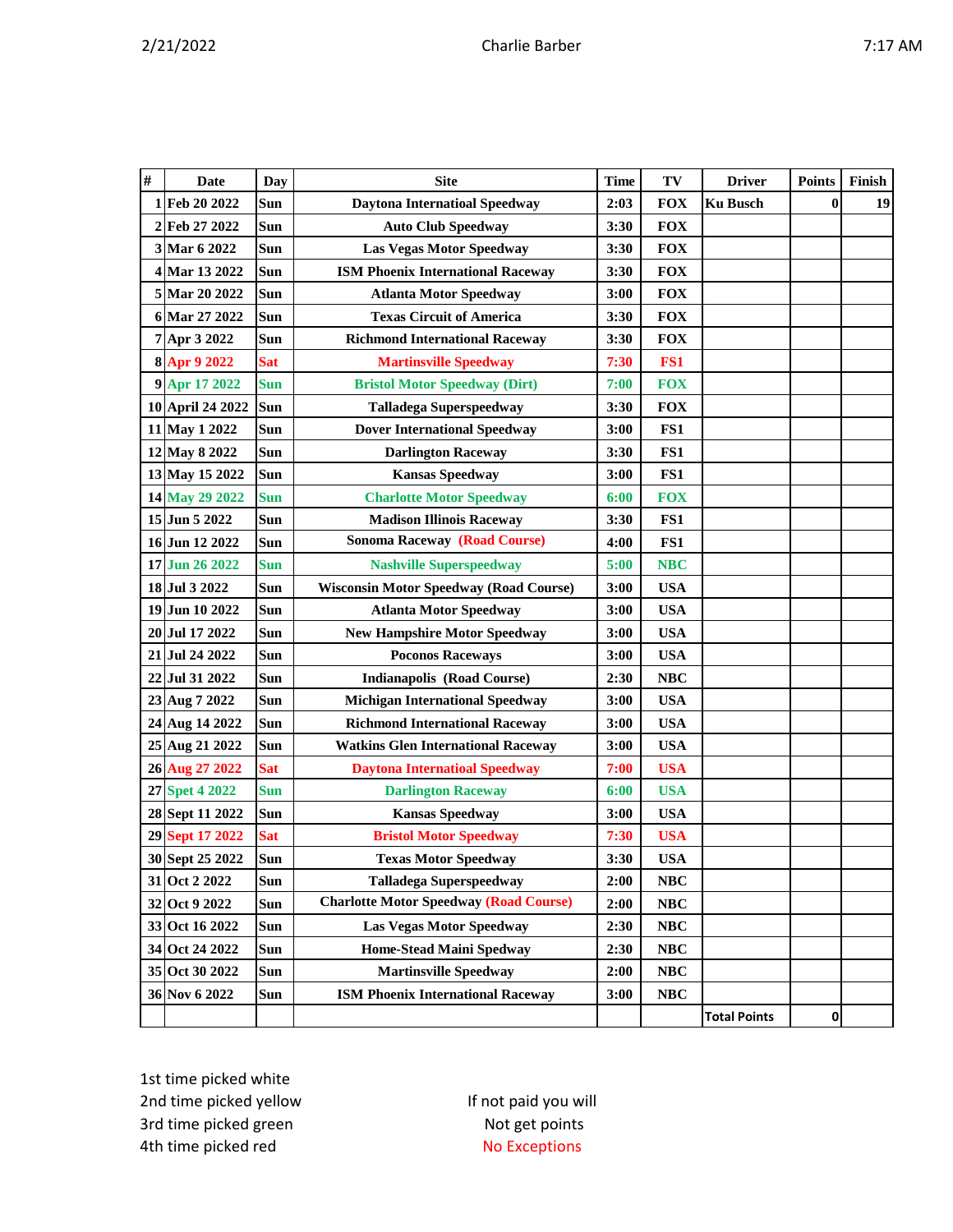| # | <b>Date</b>      | Day        | <b>Site</b>                                   | <b>Time</b> | TV         | <b>Driver</b>       | <b>Points</b> | Finish |
|---|------------------|------------|-----------------------------------------------|-------------|------------|---------------------|---------------|--------|
|   | 1 Feb 20 2022    | Sun        | <b>Daytona Internatioal Speedway</b>          | 2:03        | <b>FOX</b> | <b>Ku Busch</b>     | $\bf{0}$      | 19     |
|   | 2 Feb 27 2022    | Sun        | <b>Auto Club Speedway</b>                     | 3:30        | <b>FOX</b> |                     |               |        |
|   | 3 Mar 6 2022     | Sun        | <b>Las Vegas Motor Speedway</b>               | 3:30        | <b>FOX</b> |                     |               |        |
|   | 4 Mar 13 2022    | Sun        | <b>ISM Phoenix International Raceway</b>      | 3:30        | <b>FOX</b> |                     |               |        |
|   | 5 Mar 20 2022    | Sun        | <b>Atlanta Motor Speedway</b>                 | 3:00        | <b>FOX</b> |                     |               |        |
|   | 6 Mar 27 2022    | Sun        | <b>Texas Circuit of America</b>               | 3:30        | <b>FOX</b> |                     |               |        |
|   | 7 Apr 3 2022     | Sun        | <b>Richmond International Raceway</b>         | 3:30        | <b>FOX</b> |                     |               |        |
|   | 8 Apr 9 2022     | <b>Sat</b> | <b>Martinsville Speedway</b>                  | 7:30        | FS1        |                     |               |        |
|   | 9 Apr 17 2022    | <b>Sun</b> | <b>Bristol Motor Speedway (Dirt)</b>          | 7:00        | <b>FOX</b> |                     |               |        |
|   | 10 April 24 2022 | Sun        | <b>Talladega Superspeedway</b>                | 3:30        | <b>FOX</b> |                     |               |        |
|   | 11 May 1 2022    | Sun        | <b>Dover International Speedway</b>           | 3:00        | FS1        |                     |               |        |
|   | 12 May 8 2022    | Sun        | <b>Darlington Raceway</b>                     | 3:30        | FS1        |                     |               |        |
|   | 13 May 15 2022   | Sun        | <b>Kansas Speedway</b>                        | 3:00        | FS1        |                     |               |        |
|   | 14 May 29 2022   | <b>Sun</b> | <b>Charlotte Motor Speedway</b>               | 6:00        | <b>FOX</b> |                     |               |        |
|   | 15 Jun 5 2022    | Sun        | <b>Madison Illinois Raceway</b>               | 3:30        | FS1        |                     |               |        |
|   | 16 Jun 12 2022   | Sun        | <b>Sonoma Raceway (Road Course)</b>           | 4:00        | FS1        |                     |               |        |
|   | 17 Jun 26 2022   | Sun        | <b>Nashville Superspeedway</b>                | 5:00        | <b>NBC</b> |                     |               |        |
|   | 18 Jul 3 2022    | Sun        | <b>Wisconsin Motor Speedway (Road Course)</b> | 3:00        | <b>USA</b> |                     |               |        |
|   | 19 Jun 10 2022   | Sun        | <b>Atlanta Motor Speedway</b>                 | 3:00        | <b>USA</b> |                     |               |        |
|   | 20 Jul 17 2022   | Sun        | <b>New Hampshire Motor Speedway</b>           | 3:00        | <b>USA</b> |                     |               |        |
|   | 21 Jul 24 2022   | Sun        | <b>Poconos Raceways</b>                       | 3:00        | <b>USA</b> |                     |               |        |
|   | 22 Jul 31 2022   | Sun        | <b>Indianapolis (Road Course)</b>             | 2:30        | <b>NBC</b> |                     |               |        |
|   | 23 Aug 7 2022    | Sun        | <b>Michigan International Speedway</b>        | 3:00        | <b>USA</b> |                     |               |        |
|   | 24 Aug 14 2022   | Sun        | <b>Richmond International Raceway</b>         | 3:00        | <b>USA</b> |                     |               |        |
|   | 25 Aug 21 2022   | Sun        | <b>Watkins Glen International Raceway</b>     | 3:00        | <b>USA</b> |                     |               |        |
|   | 26 Aug 27 2022   | <b>Sat</b> | <b>Daytona Internatioal Speedway</b>          | 7:00        | <b>USA</b> |                     |               |        |
|   | 27 Spet 4 2022   | Sun        | <b>Darlington Raceway</b>                     | 6:00        | <b>USA</b> |                     |               |        |
|   | 28 Sept 11 2022  | Sun        | <b>Kansas Speedway</b>                        | 3:00        | <b>USA</b> |                     |               |        |
|   | 29 Sept 17 2022  | <b>Sat</b> | <b>Bristol Motor Speedway</b>                 | 7:30        | <b>USA</b> |                     |               |        |
|   | 30 Sept 25 2022  | Sun        | <b>Texas Motor Speedway</b>                   | 3:30        | <b>USA</b> |                     |               |        |
|   | 31 Oct 2 2022    | Sun        | <b>Talladega Superspeedway</b>                | 2:00        | NBC        |                     |               |        |
|   | 32 Oct 9 2022    | Sun        | <b>Charlotte Motor Speedway (Road Course)</b> | 2:00        | NBC        |                     |               |        |
|   | 33 Oct 16 2022   | Sun        | Las Vegas Motor Speedway                      | 2:30        | NBC        |                     |               |        |
|   | 34 Oct 24 2022   | Sun        | <b>Home-Stead Maini Spedway</b>               | 2:30        | NBC        |                     |               |        |
|   | 35 Oct 30 2022   | Sun        | <b>Martinsville Speedway</b>                  | 2:00        | <b>NBC</b> |                     |               |        |
|   | 36 Nov 6 2022    | Sun        | <b>ISM Phoenix International Raceway</b>      | 3:00        | NBC        |                     |               |        |
|   |                  |            |                                               |             |            | <b>Total Points</b> | $\mathbf{0}$  |        |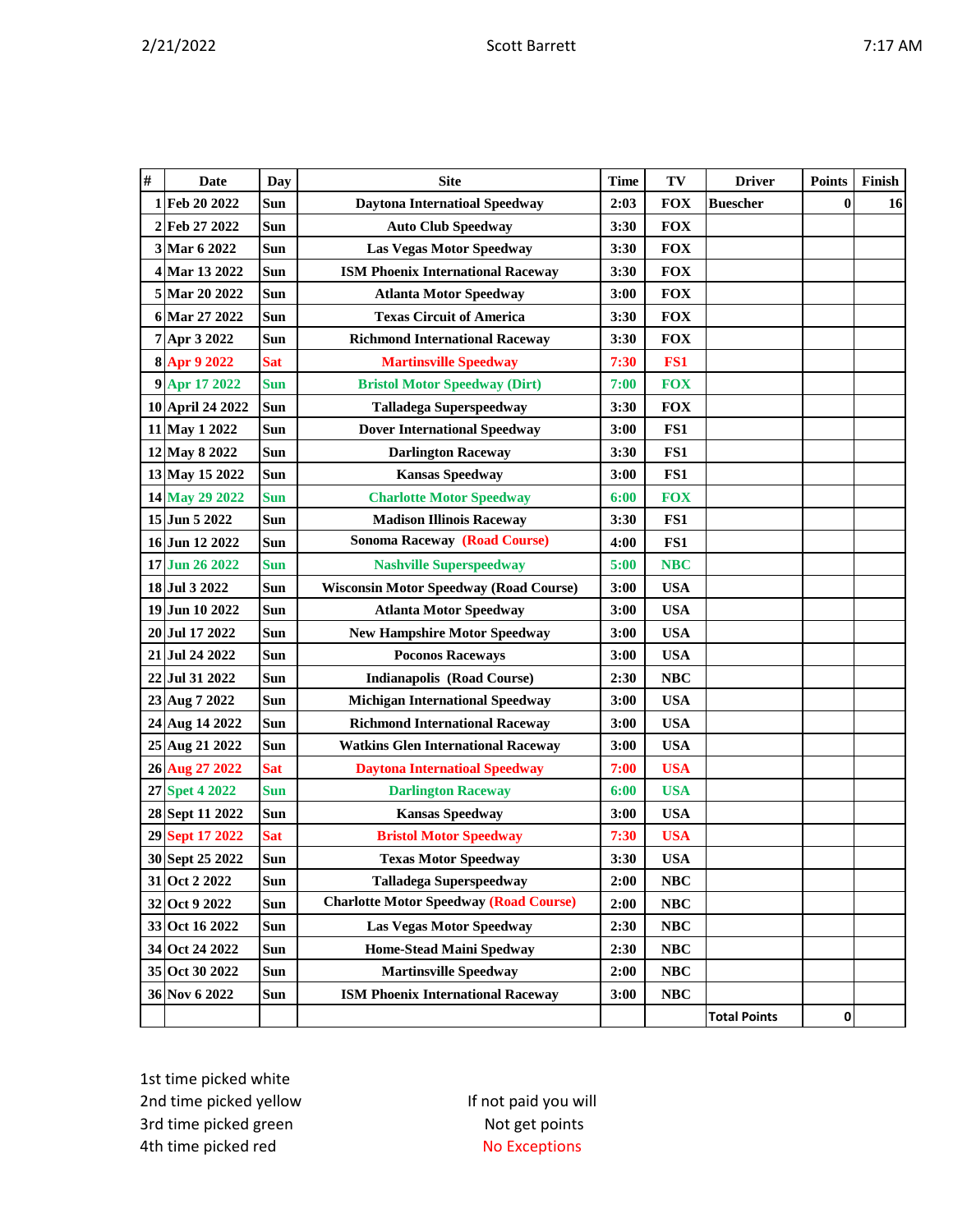| v |
|---|
|---|

| # | Date             | Day        | <b>Site</b>                                   | <b>Time</b> | TV         | <b>Driver</b>       | <b>Points</b> | Finish |
|---|------------------|------------|-----------------------------------------------|-------------|------------|---------------------|---------------|--------|
|   | 1 Feb 20 2022    | Sun        | <b>Daytona Internatioal Speedway</b>          | 2:03        | <b>FOX</b> | <b>Buescher</b>     | $\bf{0}$      | 16     |
|   | 2 Feb 27 2022    | Sun        | <b>Auto Club Speedway</b>                     | 3:30        | <b>FOX</b> |                     |               |        |
|   | 3 Mar 6 2022     | Sun        | <b>Las Vegas Motor Speedway</b>               | 3:30        | <b>FOX</b> |                     |               |        |
|   | 4 Mar 13 2022    | <b>Sun</b> | <b>ISM Phoenix International Raceway</b>      | 3:30        | <b>FOX</b> |                     |               |        |
|   | 5 Mar 20 2022    | <b>Sun</b> | <b>Atlanta Motor Speedway</b>                 | 3:00        | <b>FOX</b> |                     |               |        |
|   | 6 Mar 27 2022    | Sun        | <b>Texas Circuit of America</b>               | 3:30        | <b>FOX</b> |                     |               |        |
|   | 7 Apr 3 2022     | Sun        | <b>Richmond International Raceway</b>         | 3:30        | <b>FOX</b> |                     |               |        |
|   | 8 Apr 9 2022     | <b>Sat</b> | <b>Martinsville Speedway</b>                  | 7:30        | FS1        |                     |               |        |
|   | 9 Apr 17 2022    | <b>Sun</b> | <b>Bristol Motor Speedway (Dirt)</b>          | 7:00        | <b>FOX</b> |                     |               |        |
|   | 10 April 24 2022 | Sun        | <b>Talladega Superspeedway</b>                | 3:30        | <b>FOX</b> |                     |               |        |
|   | 11 May 1 2022    | Sun        | <b>Dover International Speedway</b>           | 3:00        | FS1        |                     |               |        |
|   | 12 May 8 2022    | Sun        | <b>Darlington Raceway</b>                     | 3:30        | FS1        |                     |               |        |
|   | 13 May 15 2022   | Sun        | <b>Kansas Speedway</b>                        | 3:00        | FS1        |                     |               |        |
|   | 14 May 29 2022   | <b>Sun</b> | <b>Charlotte Motor Speedway</b>               | 6:00        | <b>FOX</b> |                     |               |        |
|   | 15 Jun 5 2022    | Sun        | <b>Madison Illinois Raceway</b>               | 3:30        | FS1        |                     |               |        |
|   | 16 Jun 12 2022   | Sun        | <b>Sonoma Raceway (Road Course)</b>           | 4:00        | FS1        |                     |               |        |
|   | 17 Jun 26 2022   | <b>Sun</b> | <b>Nashville Superspeedway</b>                | 5:00        | <b>NBC</b> |                     |               |        |
|   | 18 Jul 3 2022    | Sun        | <b>Wisconsin Motor Speedway (Road Course)</b> | 3:00        | <b>USA</b> |                     |               |        |
|   | 19 Jun 10 2022   | <b>Sun</b> | <b>Atlanta Motor Speedway</b>                 | 3:00        | <b>USA</b> |                     |               |        |
|   | 20 Jul 17 2022   | Sun        | <b>New Hampshire Motor Speedway</b>           | 3:00        | <b>USA</b> |                     |               |        |
|   | 21 Jul 24 2022   | Sun        | <b>Poconos Raceways</b>                       | 3:00        | <b>USA</b> |                     |               |        |
|   | 22 Jul 31 2022   | <b>Sun</b> | <b>Indianapolis (Road Course)</b>             | 2:30        | <b>NBC</b> |                     |               |        |
|   | 23 Aug 7 2022    | Sun        | <b>Michigan International Speedway</b>        | 3:00        | <b>USA</b> |                     |               |        |
|   | 24 Aug 14 2022   | Sun        | <b>Richmond International Raceway</b>         | 3:00        | <b>USA</b> |                     |               |        |
|   | 25 Aug 21 2022   | Sun        | <b>Watkins Glen International Raceway</b>     | 3:00        | <b>USA</b> |                     |               |        |
|   | 26 Aug 27 2022   | <b>Sat</b> | <b>Daytona Internatioal Speedway</b>          | 7:00        | <b>USA</b> |                     |               |        |
|   | 27 Spet 4 2022   | <b>Sun</b> | <b>Darlington Raceway</b>                     | 6:00        | <b>USA</b> |                     |               |        |
|   | 28 Sept 11 2022  | Sun        | <b>Kansas Speedway</b>                        | 3:00        | <b>USA</b> |                     |               |        |
|   | 29 Sept 17 2022  | <b>Sat</b> | <b>Bristol Motor Speedway</b>                 | 7:30        | <b>USA</b> |                     |               |        |
|   | 30 Sept 25 2022  | Sun        | <b>Texas Motor Speedway</b>                   | 3:30        | <b>USA</b> |                     |               |        |
|   | 31 Oct 2 2022    | Sun        | <b>Talladega Superspeedway</b>                | 2:00        | NBC        |                     |               |        |
|   | 32 Oct 9 2022    | Sun        | <b>Charlotte Motor Speedway (Road Course)</b> | 2:00        | NBC        |                     |               |        |
|   | 33 Oct 16 2022   | Sun        | <b>Las Vegas Motor Speedway</b>               | 2:30        | NBC        |                     |               |        |
|   | 34 Oct 24 2022   | Sun        | <b>Home-Stead Maini Spedway</b>               | 2:30        | NBC        |                     |               |        |
|   | 35 Oct 30 2022   | Sun        | <b>Martinsville Speedway</b>                  | 2:00        | NBC        |                     |               |        |
|   | 36 Nov 6 2022    | Sun        | <b>ISM Phoenix International Raceway</b>      | 3:00        | <b>NBC</b> |                     |               |        |
|   |                  |            |                                               |             |            | <b>Total Points</b> | 0             |        |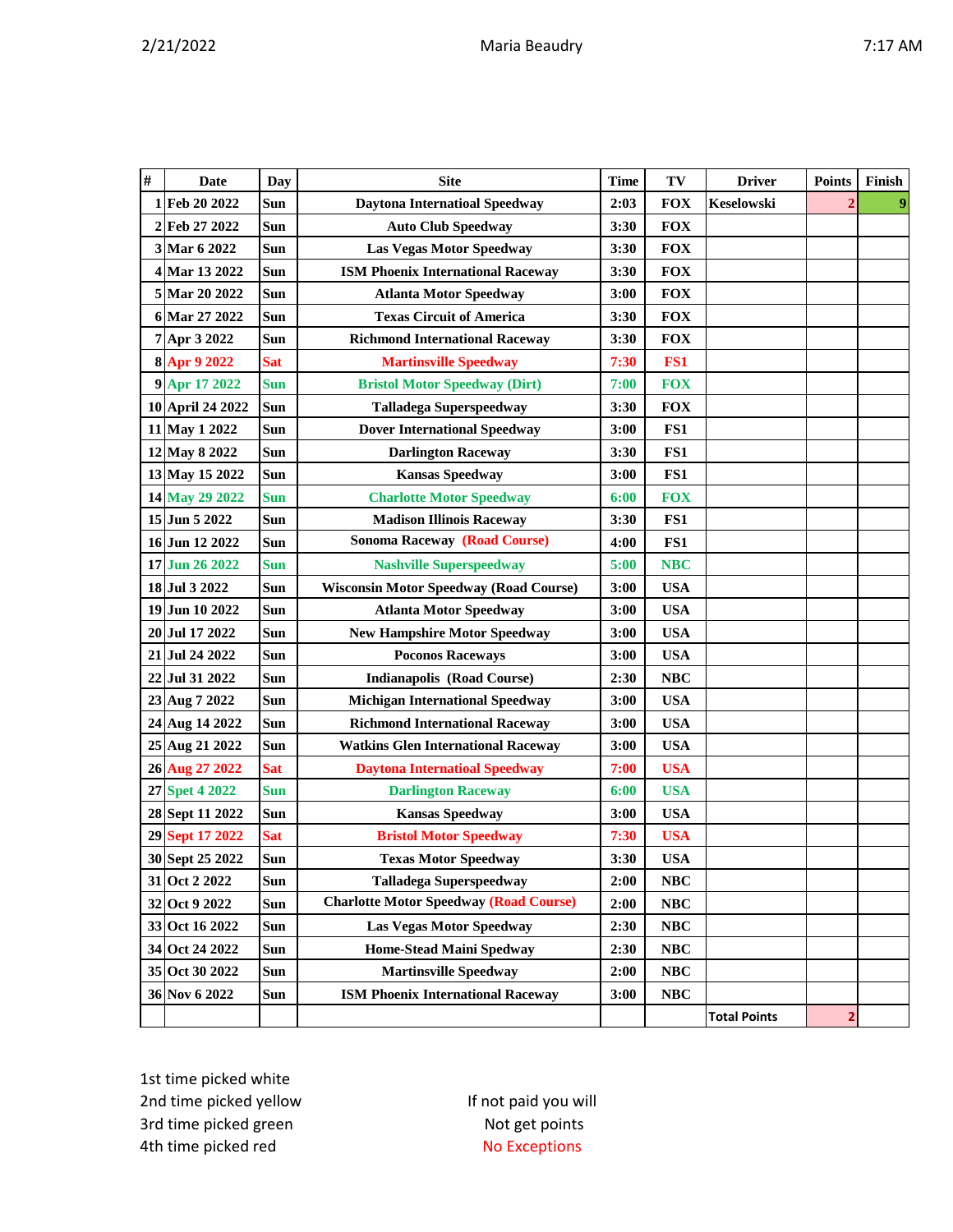|  | ΑN |
|--|----|
|  |    |

| $\#$ | Date             | Day        | <b>Site</b>                                   | <b>Time</b> | TV         | <b>Driver</b>       | <b>Points</b> | Finish |
|------|------------------|------------|-----------------------------------------------|-------------|------------|---------------------|---------------|--------|
|      | 1 Feb 20 2022    | Sun        | <b>Daytona Internatioal Speedway</b>          | 2:03        | <b>FOX</b> | Keselowski          |               |        |
|      | 2 Feb 27 2022    | Sun        | <b>Auto Club Speedway</b>                     | 3:30        | <b>FOX</b> |                     |               |        |
|      | 3 Mar 6 2022     | Sun        | <b>Las Vegas Motor Speedway</b>               | 3:30        | <b>FOX</b> |                     |               |        |
|      | 4 Mar 13 2022    | Sun        | <b>ISM Phoenix International Raceway</b>      | 3:30        | <b>FOX</b> |                     |               |        |
|      | 5 Mar 20 2022    | Sun        | <b>Atlanta Motor Speedway</b>                 | 3:00        | <b>FOX</b> |                     |               |        |
|      | 6 Mar 27 2022    | Sun        | <b>Texas Circuit of America</b>               | 3:30        | <b>FOX</b> |                     |               |        |
|      | 7 Apr 3 2022     | Sun        | <b>Richmond International Raceway</b>         | 3:30        | <b>FOX</b> |                     |               |        |
|      | 8 Apr 9 2022     | <b>Sat</b> | <b>Martinsville Speedway</b>                  | 7:30        | FS1        |                     |               |        |
|      | 9 Apr 17 2022    | <b>Sun</b> | <b>Bristol Motor Speedway (Dirt)</b>          | 7:00        | <b>FOX</b> |                     |               |        |
|      | 10 April 24 2022 | Sun        | <b>Talladega Superspeedway</b>                | 3:30        | <b>FOX</b> |                     |               |        |
|      | 11 May 1 2022    | Sun        | <b>Dover International Speedway</b>           | 3:00        | FS1        |                     |               |        |
|      | 12 May 8 2022    | Sun        | <b>Darlington Raceway</b>                     | 3:30        | FS1        |                     |               |        |
|      | 13 May 15 2022   | Sun        | <b>Kansas Speedway</b>                        | 3:00        | FS1        |                     |               |        |
|      | 14 May 29 2022   | <b>Sun</b> | <b>Charlotte Motor Speedway</b>               | 6:00        | <b>FOX</b> |                     |               |        |
|      | 15 Jun 5 2022    | Sun        | <b>Madison Illinois Raceway</b>               | 3:30        | FS1        |                     |               |        |
|      | 16 Jun 12 2022   | Sun        | <b>Sonoma Raceway (Road Course)</b>           | 4:00        | FS1        |                     |               |        |
|      | 17 Jun 26 2022   | <b>Sun</b> | <b>Nashville Superspeedway</b>                | 5:00        | <b>NBC</b> |                     |               |        |
|      | 18 Jul 3 2022    | Sun        | <b>Wisconsin Motor Speedway (Road Course)</b> | 3:00        | <b>USA</b> |                     |               |        |
|      | 19 Jun 10 2022   | Sun        | <b>Atlanta Motor Speedway</b>                 | 3:00        | <b>USA</b> |                     |               |        |
|      | 20 Jul 17 2022   | Sun        | <b>New Hampshire Motor Speedway</b>           | 3:00        | <b>USA</b> |                     |               |        |
|      | 21 Jul 24 2022   | Sun        | <b>Poconos Raceways</b>                       | 3:00        | <b>USA</b> |                     |               |        |
|      | 22 Jul 31 2022   | Sun        | <b>Indianapolis (Road Course)</b>             | 2:30        | <b>NBC</b> |                     |               |        |
|      | 23 Aug 7 2022    | Sun        | <b>Michigan International Speedway</b>        | 3:00        | <b>USA</b> |                     |               |        |
|      | 24 Aug 14 2022   | Sun        | <b>Richmond International Raceway</b>         | 3:00        | <b>USA</b> |                     |               |        |
|      | 25 Aug 21 2022   | Sun        | <b>Watkins Glen International Raceway</b>     | 3:00        | <b>USA</b> |                     |               |        |
|      | 26 Aug 27 2022   | <b>Sat</b> | <b>Daytona Internatioal Speedway</b>          | 7:00        | <b>USA</b> |                     |               |        |
|      | 27 Spet 4 2022   | <b>Sun</b> | <b>Darlington Raceway</b>                     | 6:00        | <b>USA</b> |                     |               |        |
|      | 28 Sept 11 2022  | Sun        | <b>Kansas Speedway</b>                        | 3:00        | <b>USA</b> |                     |               |        |
|      | 29 Sept 17 2022  | <b>Sat</b> | <b>Bristol Motor Speedway</b>                 | 7:30        | <b>USA</b> |                     |               |        |
|      | 30 Sept 25 2022  | Sun        | <b>Texas Motor Speedway</b>                   | 3:30        | <b>USA</b> |                     |               |        |
|      | 31 Oct 2 2022    | Sun        | <b>Talladega Superspeedway</b>                | 2:00        | <b>NBC</b> |                     |               |        |
|      | 32 Oct 9 2022    | Sun        | <b>Charlotte Motor Speedway (Road Course)</b> | 2:00        | <b>NBC</b> |                     |               |        |
|      | 33 Oct 16 2022   | Sun        | <b>Las Vegas Motor Speedway</b>               | 2:30        | NBC        |                     |               |        |
|      | 34 Oct 24 2022   | Sun        | <b>Home-Stead Maini Spedway</b>               | 2:30        | NBC        |                     |               |        |
|      | 35 Oct 30 2022   | Sun        | <b>Martinsville Speedway</b>                  | 2:00        | NBC        |                     |               |        |
|      | 36 Nov 6 2022    | Sun        | <b>ISM Phoenix International Raceway</b>      | 3:00        | NBC        |                     |               |        |
|      |                  |            |                                               |             |            | <b>Total Points</b> | 2             |        |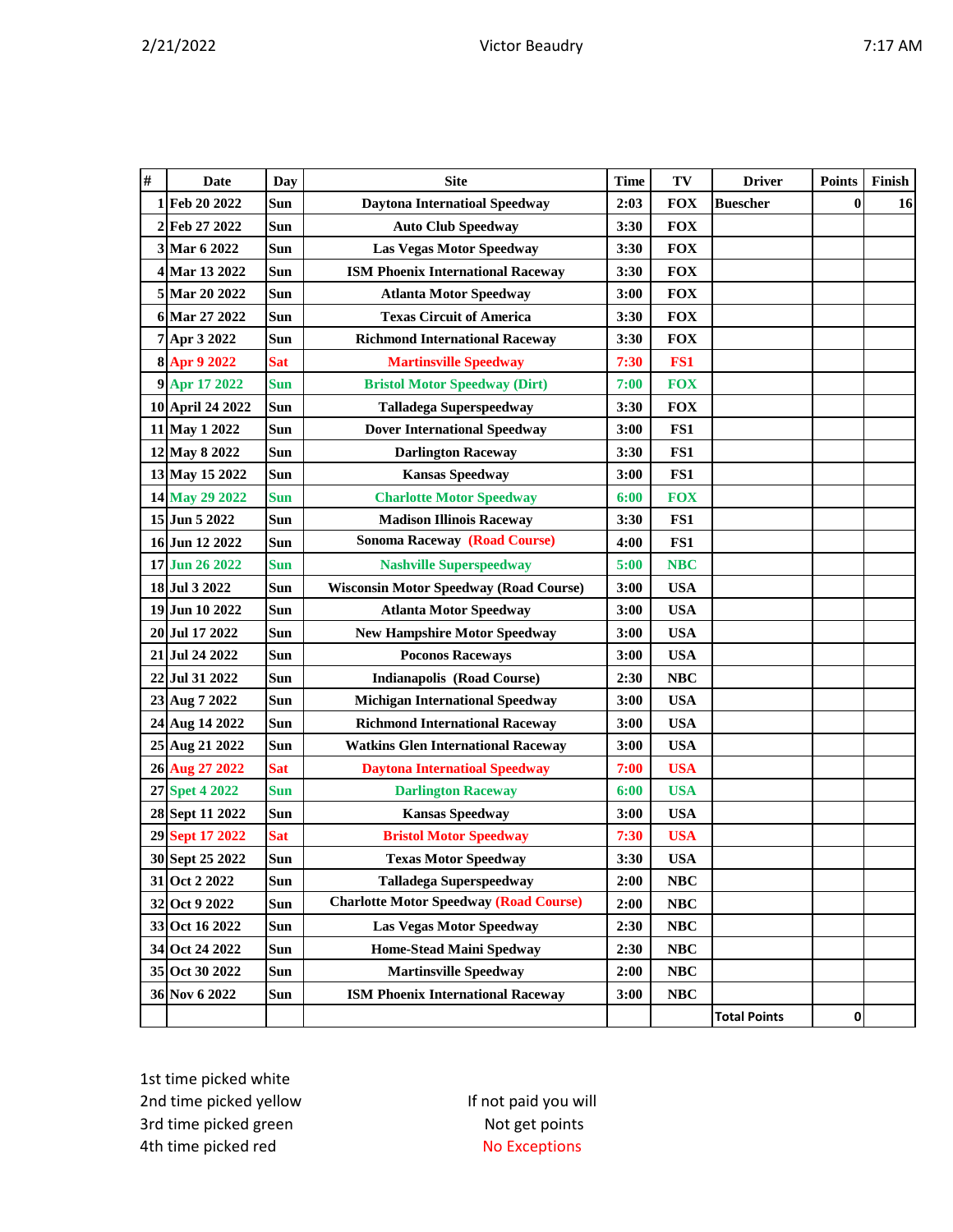| #         | Date               | <b>Day</b> | <b>Site</b>                                   | <b>Time</b> | TV         | <b>Driver</b>       | <b>Points</b> | Finish |
|-----------|--------------------|------------|-----------------------------------------------|-------------|------------|---------------------|---------------|--------|
|           | 1 Feb 20 2022      | Sun        | <b>Daytona Internatioal Speedway</b>          | 2:03        | <b>FOX</b> | <b>Buescher</b>     | $\bf{0}$      | 16     |
|           | 2 Feb 27 2022      | Sun        | <b>Auto Club Speedway</b>                     | 3:30        | <b>FOX</b> |                     |               |        |
|           | 3 Mar 6 2022       | Sun        | <b>Las Vegas Motor Speedway</b>               | 3:30        | <b>FOX</b> |                     |               |        |
|           | 4 Mar 13 2022      | Sun        | <b>ISM Phoenix International Raceway</b>      | 3:30        | <b>FOX</b> |                     |               |        |
|           | 5 Mar 20 2022      | Sun        | <b>Atlanta Motor Speedway</b>                 | 3:00        | <b>FOX</b> |                     |               |        |
|           | 6 Mar 27 2022      | Sun        | <b>Texas Circuit of America</b>               | 3:30        | <b>FOX</b> |                     |               |        |
|           | 7 Apr 3 2022       | Sun        | <b>Richmond International Raceway</b>         | 3:30        | <b>FOX</b> |                     |               |        |
|           | 8 Apr 9 2022       | <b>Sat</b> | <b>Martinsville Speedway</b>                  | 7:30        | FS1        |                     |               |        |
|           | 9 Apr 17 2022      | <b>Sun</b> | <b>Bristol Motor Speedway (Dirt)</b>          | 7:00        | <b>FOX</b> |                     |               |        |
|           | 10 April 24 2022   | Sun        | <b>Talladega Superspeedway</b>                | 3:30        | <b>FOX</b> |                     |               |        |
|           | 11 May 1 2022      | Sun        | <b>Dover International Speedway</b>           | 3:00        | FS1        |                     |               |        |
|           | 12 May 8 2022      | Sun        | <b>Darlington Raceway</b>                     | 3:30        | FS1        |                     |               |        |
|           | 13 May 15 2022     | Sun        | <b>Kansas Speedway</b>                        | 3:00        | FS1        |                     |               |        |
|           | 14 May 29 2022     | Sun        | <b>Charlotte Motor Speedway</b>               | 6:00        | <b>FOX</b> |                     |               |        |
|           | 15 Jun 5 2022      | Sun        | <b>Madison Illinois Raceway</b>               | 3:30        | FS1        |                     |               |        |
|           | 16 Jun 12 2022     | Sun        | <b>Sonoma Raceway (Road Course)</b>           | 4:00        | FS1        |                     |               |        |
|           | 17 Jun 26 2022     | Sun        | <b>Nashville Superspeedway</b>                | 5:00        | <b>NBC</b> |                     |               |        |
|           | 18 Jul 3 2022      | Sun        | <b>Wisconsin Motor Speedway (Road Course)</b> | 3:00        | <b>USA</b> |                     |               |        |
|           | 19 Jun 10 2022     | Sun        | <b>Atlanta Motor Speedway</b>                 | 3:00        | <b>USA</b> |                     |               |        |
| <b>20</b> | <b>Jul 17 2022</b> | Sun        | <b>New Hampshire Motor Speedway</b>           | 3:00        | <b>USA</b> |                     |               |        |
|           | 21 Jul 24 2022     | Sun        | <b>Poconos Raceways</b>                       | 3:00        | <b>USA</b> |                     |               |        |
|           | 22 Jul 31 2022     | Sun        | <b>Indianapolis (Road Course)</b>             | 2:30        | <b>NBC</b> |                     |               |        |
|           | 23 Aug 7 2022      | Sun        | <b>Michigan International Speedway</b>        | 3:00        | <b>USA</b> |                     |               |        |
|           | 24 Aug 14 2022     | Sun        | <b>Richmond International Raceway</b>         | 3:00        | <b>USA</b> |                     |               |        |
|           | 25 Aug 21 2022     | Sun        | <b>Watkins Glen International Raceway</b>     | 3:00        | <b>USA</b> |                     |               |        |
|           | 26 Aug 27 2022     | <b>Sat</b> | <b>Daytona Internatioal Speedway</b>          | 7:00        | <b>USA</b> |                     |               |        |
|           | 27 Spet 4 2022     | <b>Sun</b> | <b>Darlington Raceway</b>                     | 6:00        | <b>USA</b> |                     |               |        |
|           | 28 Sept 11 2022    | Sun        | <b>Kansas Speedway</b>                        | 3:00        | <b>USA</b> |                     |               |        |
|           | 29 Sept 17 2022    | <b>Sat</b> | <b>Bristol Motor Speedway</b>                 | 7:30        | <b>USA</b> |                     |               |        |
|           | 30 Sept 25 2022    | Sun        | <b>Texas Motor Speedway</b>                   | 3:30        | <b>USA</b> |                     |               |        |
|           | 31 Oct 2 2022      | Sun        | <b>Talladega Superspeedway</b>                | 2:00        | <b>NBC</b> |                     |               |        |
|           | 32 Oct 9 2022      | Sun        | <b>Charlotte Motor Speedway (Road Course)</b> | 2:00        | <b>NBC</b> |                     |               |        |
|           | 33 Oct 16 2022     | Sun        | <b>Las Vegas Motor Speedway</b>               | 2:30        | <b>NBC</b> |                     |               |        |
|           | 34 Oct 24 2022     | Sun        | <b>Home-Stead Maini Spedway</b>               | 2:30        | <b>NBC</b> |                     |               |        |
|           | 35 Oct 30 2022     | Sun        | <b>Martinsville Speedway</b>                  | 2:00        | <b>NBC</b> |                     |               |        |
|           | 36 Nov 6 2022      | Sun        | <b>ISM Phoenix International Raceway</b>      | 3:00        | <b>NBC</b> |                     |               |        |
|           |                    |            |                                               |             |            | <b>Total Points</b> | 0             |        |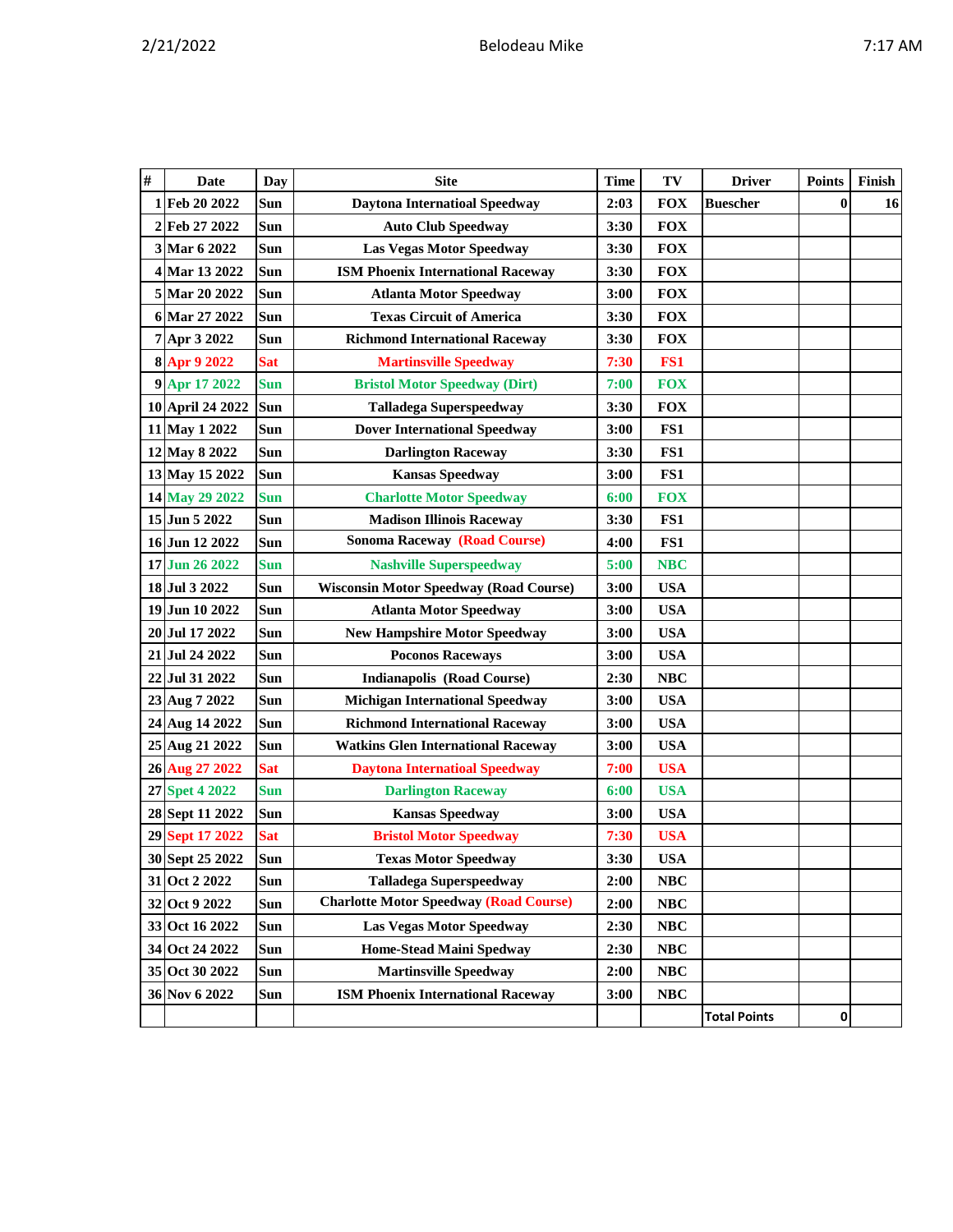| # | Date             | Day        | <b>Site</b>                                   | Time | TV              | <b>Driver</b>       | <b>Points</b> | Finish |
|---|------------------|------------|-----------------------------------------------|------|-----------------|---------------------|---------------|--------|
| 1 | Feb 20 2022      | Sun        | <b>Daytona Internatioal Speedway</b>          | 2:03 | <b>FOX</b>      | <b>Buescher</b>     | $\bf{0}$      | 16     |
|   | 2 Feb 27 2022    | Sun        | <b>Auto Club Speedway</b>                     | 3:30 | <b>FOX</b>      |                     |               |        |
|   | 3 Mar 6 2022     | Sun        | <b>Las Vegas Motor Speedway</b>               | 3:30 | <b>FOX</b>      |                     |               |        |
|   | 4 Mar 13 2022    | Sun        | <b>ISM Phoenix International Raceway</b>      | 3:30 | <b>FOX</b>      |                     |               |        |
|   | 5 Mar 20 2022    | Sun        | <b>Atlanta Motor Speedway</b>                 | 3:00 | <b>FOX</b>      |                     |               |        |
|   | 6 Mar 27 2022    | Sun        | <b>Texas Circuit of America</b>               | 3:30 | <b>FOX</b>      |                     |               |        |
|   | 7 Apr 3 2022     | Sun        | <b>Richmond International Raceway</b>         | 3:30 | <b>FOX</b>      |                     |               |        |
|   | 8 Apr 9 2022     | <b>Sat</b> | <b>Martinsville Speedway</b>                  | 7:30 | FS <sub>1</sub> |                     |               |        |
|   | 9 Apr 17 2022    | <b>Sun</b> | <b>Bristol Motor Speedway (Dirt)</b>          | 7:00 | <b>FOX</b>      |                     |               |        |
|   | 10 April 24 2022 | <b>Sun</b> | <b>Talladega Superspeedway</b>                | 3:30 | <b>FOX</b>      |                     |               |        |
|   | 11 May 1 2022    | Sun        | <b>Dover International Speedway</b>           | 3:00 | FS1             |                     |               |        |
|   | 12 May 8 2022    | Sun        | <b>Darlington Raceway</b>                     | 3:30 | FS1             |                     |               |        |
|   | 13 May 15 2022   | Sun        | <b>Kansas Speedway</b>                        | 3:00 | FS1             |                     |               |        |
|   | 14 May 29 2022   | <b>Sun</b> | <b>Charlotte Motor Speedway</b>               | 6:00 | <b>FOX</b>      |                     |               |        |
|   | 15 Jun 5 2022    | Sun        | <b>Madison Illinois Raceway</b>               | 3:30 | FS1             |                     |               |        |
|   | 16 Jun 12 2022   | Sun        | <b>Sonoma Raceway (Road Course)</b>           | 4:00 | FS1             |                     |               |        |
|   | 17 Jun 26 2022   | <b>Sun</b> | <b>Nashville Superspeedway</b>                | 5:00 | <b>NBC</b>      |                     |               |        |
|   | 18 Jul 3 2022    | Sun        | <b>Wisconsin Motor Speedway (Road Course)</b> | 3:00 | <b>USA</b>      |                     |               |        |
|   | 19 Jun 10 2022   | Sun        | <b>Atlanta Motor Speedway</b>                 | 3:00 | <b>USA</b>      |                     |               |        |
|   | 20 Jul 17 2022   | Sun        | <b>New Hampshire Motor Speedway</b>           | 3:00 | <b>USA</b>      |                     |               |        |
|   | 21 Jul 24 2022   | Sun        | <b>Poconos Raceways</b>                       | 3:00 | <b>USA</b>      |                     |               |        |
|   | 22 Jul 31 2022   | Sun        | <b>Indianapolis (Road Course)</b>             | 2:30 | <b>NBC</b>      |                     |               |        |
|   | 23 Aug 7 2022    | Sun        | <b>Michigan International Speedway</b>        | 3:00 | <b>USA</b>      |                     |               |        |
|   | 24 Aug 14 2022   | Sun        | <b>Richmond International Raceway</b>         | 3:00 | <b>USA</b>      |                     |               |        |
|   | 25 Aug 21 2022   | Sun        | <b>Watkins Glen International Raceway</b>     | 3:00 | <b>USA</b>      |                     |               |        |
|   | 26 Aug 27 2022   | <b>Sat</b> | <b>Daytona Internatioal Speedway</b>          | 7:00 | <b>USA</b>      |                     |               |        |
|   | 27 Spet 4 2022   | Sun        | <b>Darlington Raceway</b>                     | 6:00 | <b>USA</b>      |                     |               |        |
|   | 28 Sept 11 2022  | Sun        | <b>Kansas Speedway</b>                        | 3:00 | <b>USA</b>      |                     |               |        |
|   | 29 Sept 17 2022  | <b>Sat</b> | <b>Bristol Motor Speedway</b>                 | 7:30 | <b>USA</b>      |                     |               |        |
|   | 30 Sept 25 2022  | Sun        | <b>Texas Motor Speedway</b>                   | 3:30 | <b>USA</b>      |                     |               |        |
|   | 31 Oct 2 2022    | <b>Sun</b> | <b>Talladega Superspeedway</b>                | 2:00 | <b>NBC</b>      |                     |               |        |
|   | 32 Oct 9 2022    | Sun        | <b>Charlotte Motor Speedway (Road Course)</b> | 2:00 | <b>NBC</b>      |                     |               |        |
|   | 33 Oct 16 2022   | <b>Sun</b> | <b>Las Vegas Motor Speedway</b>               | 2:30 | NBC             |                     |               |        |
|   | 34 Oct 24 2022   | Sun        | <b>Home-Stead Maini Spedway</b>               | 2:30 | <b>NBC</b>      |                     |               |        |
|   | 35 Oct 30 2022   | Sun        | <b>Martinsville Speedway</b>                  | 2:00 | $\bf NBC$       |                     |               |        |
|   | 36 Nov 6 2022    | Sun        | <b>ISM Phoenix International Raceway</b>      | 3:00 | NBC             |                     |               |        |
|   |                  |            |                                               |      |                 | <b>Total Points</b> | 0             |        |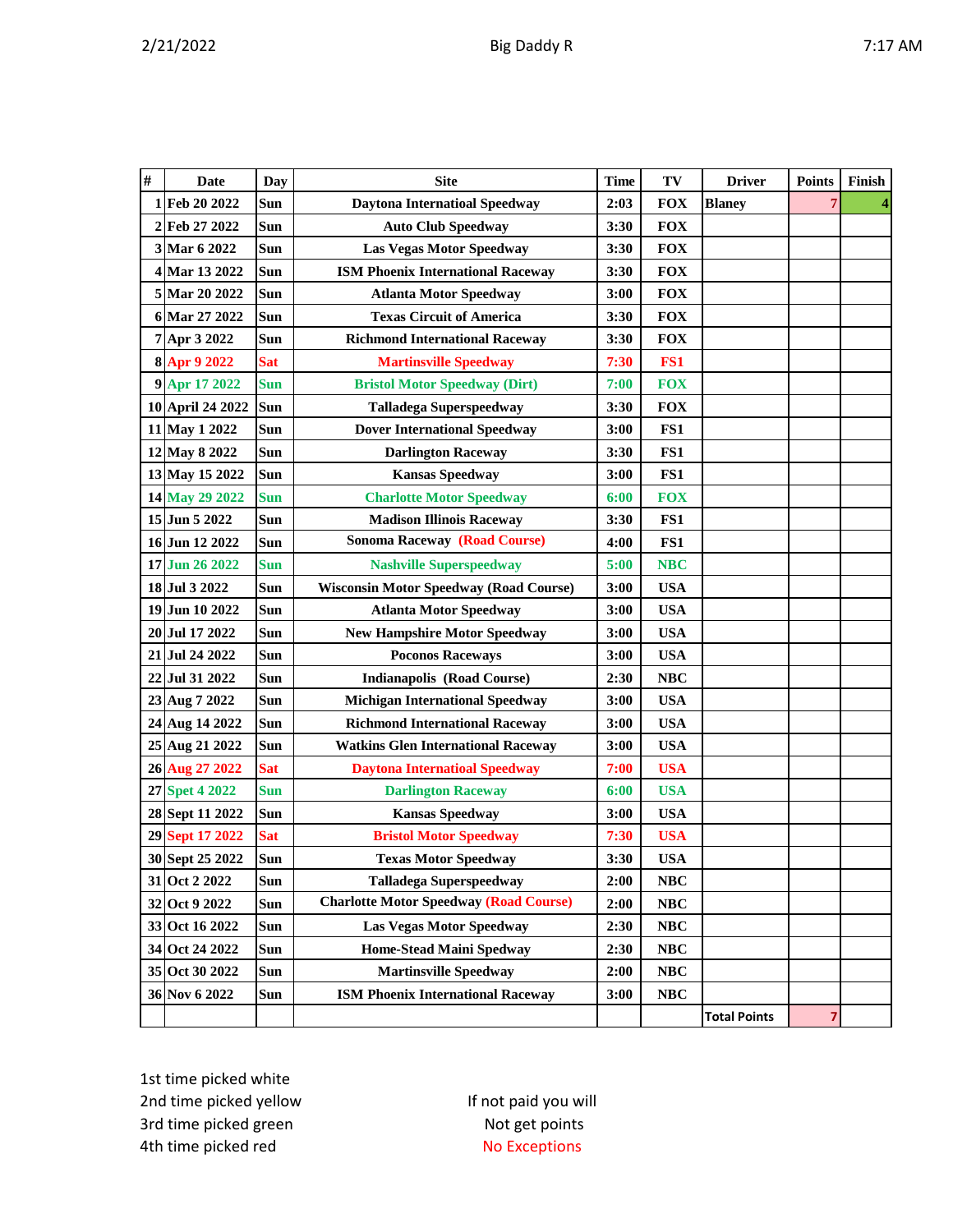| # | <b>Date</b>      | Day        | <b>Site</b>                                   | <b>Time</b> | TV         | <b>Driver</b>       | <b>Points</b> | Finish |
|---|------------------|------------|-----------------------------------------------|-------------|------------|---------------------|---------------|--------|
|   | 1 Feb 20 2022    | Sun        | <b>Daytona Internatioal Speedway</b>          | 2:03        | <b>FOX</b> | <b>Blaney</b>       | 7             | 4      |
|   | 2 Feb 27 2022    | Sun        | <b>Auto Club Speedway</b>                     | 3:30        | <b>FOX</b> |                     |               |        |
|   | 3 Mar 6 2022     | Sun        | <b>Las Vegas Motor Speedway</b>               | 3:30        | <b>FOX</b> |                     |               |        |
|   | 4 Mar 13 2022    | <b>Sun</b> | <b>ISM Phoenix International Raceway</b>      | 3:30        | <b>FOX</b> |                     |               |        |
|   | 5 Mar 20 2022    | <b>Sun</b> | <b>Atlanta Motor Speedway</b>                 | 3:00        | <b>FOX</b> |                     |               |        |
|   | 6 Mar 27 2022    | Sun        | <b>Texas Circuit of America</b>               | 3:30        | <b>FOX</b> |                     |               |        |
|   | 7 Apr 3 2022     | Sun        | <b>Richmond International Raceway</b>         | 3:30        | <b>FOX</b> |                     |               |        |
|   | 8 Apr 9 2022     | <b>Sat</b> | <b>Martinsville Speedway</b>                  | 7:30        | FS1        |                     |               |        |
|   | 9 Apr 17 2022    | <b>Sun</b> | <b>Bristol Motor Speedway (Dirt)</b>          | 7:00        | <b>FOX</b> |                     |               |        |
|   | 10 April 24 2022 | Sun        | <b>Talladega Superspeedway</b>                | 3:30        | <b>FOX</b> |                     |               |        |
|   | 11 May 1 2022    | Sun        | <b>Dover International Speedway</b>           | 3:00        | FS1        |                     |               |        |
|   | 12 May 8 2022    | Sun        | <b>Darlington Raceway</b>                     | 3:30        | FS1        |                     |               |        |
|   | 13 May 15 2022   | Sun        | <b>Kansas Speedway</b>                        | 3:00        | FS1        |                     |               |        |
|   | 14 May 29 2022   | Sun        | <b>Charlotte Motor Speedway</b>               | 6:00        | <b>FOX</b> |                     |               |        |
|   | 15 Jun 5 2022    | <b>Sun</b> | <b>Madison Illinois Raceway</b>               | 3:30        | FS1        |                     |               |        |
|   | 16 Jun 12 2022   | <b>Sun</b> | <b>Sonoma Raceway (Road Course)</b>           | 4:00        | FS1        |                     |               |        |
|   | 17 Jun 26 2022   | <b>Sun</b> | <b>Nashville Superspeedway</b>                | 5:00        | <b>NBC</b> |                     |               |        |
|   | 18 Jul 3 2022    | Sun        | <b>Wisconsin Motor Speedway (Road Course)</b> | 3:00        | <b>USA</b> |                     |               |        |
|   | 19 Jun 10 2022   | Sun        | <b>Atlanta Motor Speedway</b>                 | 3:00        | <b>USA</b> |                     |               |        |
|   | 20 Jul 17 2022   | Sun        | <b>New Hampshire Motor Speedway</b>           | 3:00        | <b>USA</b> |                     |               |        |
|   | 21 Jul 24 2022   | Sun        | <b>Poconos Raceways</b>                       | 3:00        | <b>USA</b> |                     |               |        |
|   | 22 Jul 31 2022   | Sun        | <b>Indianapolis (Road Course)</b>             | 2:30        | <b>NBC</b> |                     |               |        |
|   | 23 Aug 7 2022    | Sun        | <b>Michigan International Speedway</b>        | 3:00        | <b>USA</b> |                     |               |        |
|   | 24 Aug 14 2022   | Sun        | <b>Richmond International Raceway</b>         | 3:00        | <b>USA</b> |                     |               |        |
|   | 25 Aug 21 2022   | Sun        | <b>Watkins Glen International Raceway</b>     | 3:00        | <b>USA</b> |                     |               |        |
|   | 26 Aug 27 2022   | <b>Sat</b> | <b>Daytona Internatioal Speedway</b>          | 7:00        | <b>USA</b> |                     |               |        |
|   | 27 Spet 4 2022   | <b>Sun</b> | <b>Darlington Raceway</b>                     | 6:00        | <b>USA</b> |                     |               |        |
|   | 28 Sept 11 2022  | Sun        | <b>Kansas Speedway</b>                        | 3:00        | <b>USA</b> |                     |               |        |
|   | 29 Sept 17 2022  | <b>Sat</b> | <b>Bristol Motor Speedway</b>                 | 7:30        | <b>USA</b> |                     |               |        |
|   | 30 Sept 25 2022  | Sun        | <b>Texas Motor Speedway</b>                   | 3:30        | <b>USA</b> |                     |               |        |
|   | 31 Oct 2 2022    | Sun        | <b>Talladega Superspeedway</b>                | 2:00        | NBC        |                     |               |        |
|   | 32 Oct 9 2022    | Sun        | <b>Charlotte Motor Speedway (Road Course)</b> | 2:00        | $\bf NBC$  |                     |               |        |
|   | 33 Oct 16 2022   | Sun        | Las Vegas Motor Speedway                      | 2:30        | NBC        |                     |               |        |
|   | 34 Oct 24 2022   | Sun        | <b>Home-Stead Maini Spedway</b>               | 2:30        | NBC        |                     |               |        |
|   | 35 Oct 30 2022   | Sun        | <b>Martinsville Speedway</b>                  | 2:00        | NBC        |                     |               |        |
|   | 36 Nov 6 2022    | Sun        | <b>ISM Phoenix International Raceway</b>      | 3:00        | <b>NBC</b> |                     |               |        |
|   |                  |            |                                               |             |            | <b>Total Points</b> | 7             |        |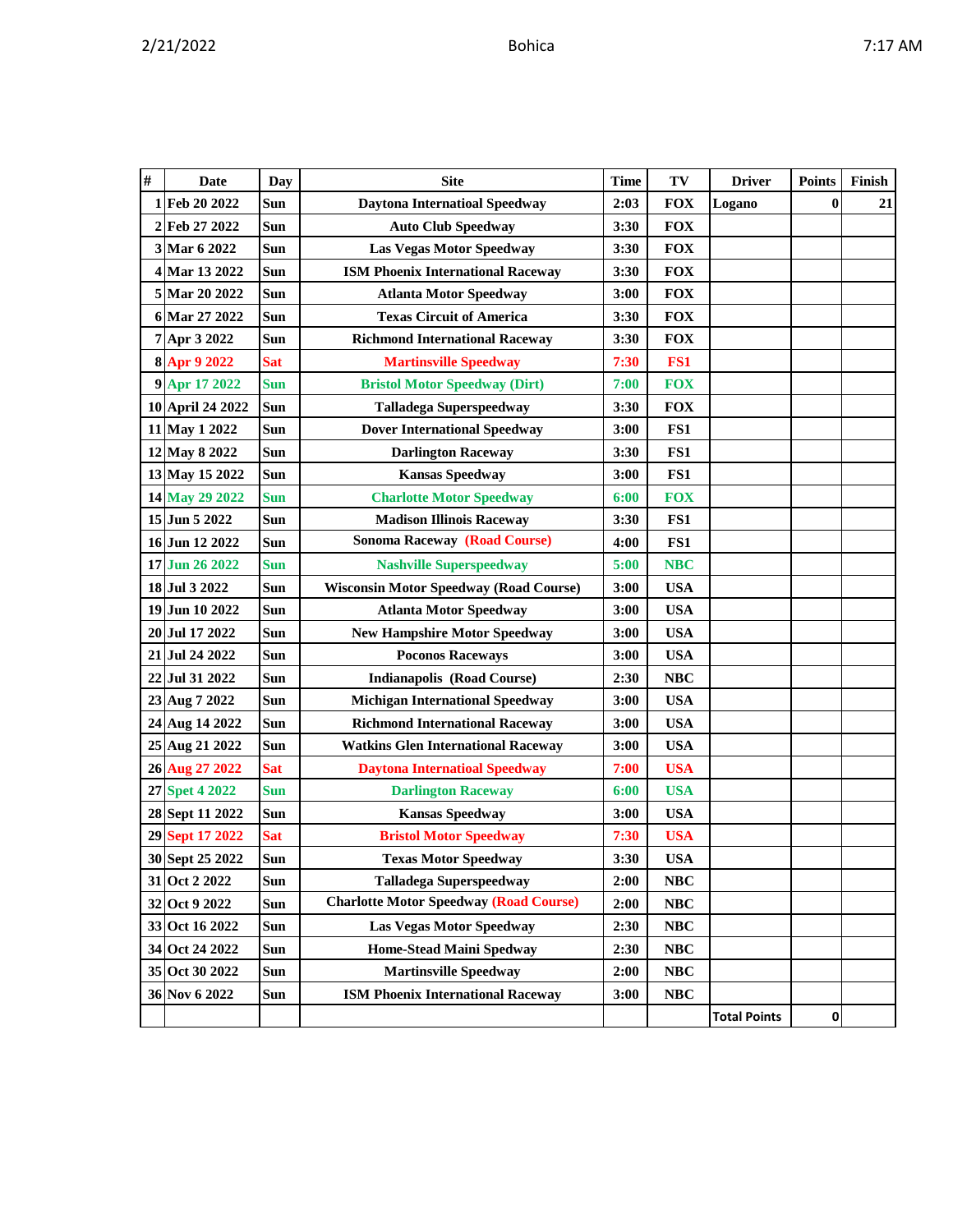| # | Date             | <b>Day</b> | <b>Site</b>                                   | <b>Time</b> | TV         | <b>Driver</b>       | Points   | Finish |
|---|------------------|------------|-----------------------------------------------|-------------|------------|---------------------|----------|--------|
|   | 1 Feb 20 2022    | <b>Sun</b> | <b>Daytona Internatioal Speedway</b>          | 2:03        | <b>FOX</b> | Logano              | $\bf{0}$ | 21     |
|   | 2 Feb 27 2022    | Sun        | <b>Auto Club Speedway</b>                     | 3:30        | <b>FOX</b> |                     |          |        |
|   | 3 Mar 6 2022     | Sun        | <b>Las Vegas Motor Speedway</b>               | 3:30        | <b>FOX</b> |                     |          |        |
|   | 4 Mar 13 2022    | Sun        | <b>ISM Phoenix International Raceway</b>      | 3:30        | <b>FOX</b> |                     |          |        |
|   | 5 Mar 20 2022    | <b>Sun</b> | <b>Atlanta Motor Speedway</b>                 | 3:00        | <b>FOX</b> |                     |          |        |
|   | 6 Mar 27 2022    | <b>Sun</b> | <b>Texas Circuit of America</b>               | 3:30        | <b>FOX</b> |                     |          |        |
|   | 7 Apr 3 2022     | Sun        | <b>Richmond International Raceway</b>         | 3:30        | <b>FOX</b> |                     |          |        |
|   | 8 Apr 9 2022     | <b>Sat</b> | <b>Martinsville Speedway</b>                  | 7:30        | FS1        |                     |          |        |
|   | 9 Apr 17 2022    | <b>Sun</b> | <b>Bristol Motor Speedway (Dirt)</b>          | 7:00        | <b>FOX</b> |                     |          |        |
|   | 10 April 24 2022 | <b>Sun</b> | <b>Talladega Superspeedway</b>                | 3:30        | <b>FOX</b> |                     |          |        |
|   | 11 May 1 2022    | Sun        | <b>Dover International Speedway</b>           | 3:00        | FS1        |                     |          |        |
|   | 12 May 8 2022    | Sun        | <b>Darlington Raceway</b>                     | 3:30        | FS1        |                     |          |        |
|   | 13 May 15 2022   | Sun        | <b>Kansas Speedway</b>                        | 3:00        | FS1        |                     |          |        |
|   | 14 May 29 2022   | <b>Sun</b> | <b>Charlotte Motor Speedway</b>               | 6:00        | <b>FOX</b> |                     |          |        |
|   | 15 Jun 5 2022    | <b>Sun</b> | <b>Madison Illinois Raceway</b>               | 3:30        | FS1        |                     |          |        |
|   | 16 Jun 12 2022   | Sun        | <b>Sonoma Raceway (Road Course)</b>           | 4:00        | FS1        |                     |          |        |
|   | 17 Jun 26 2022   | <b>Sun</b> | <b>Nashville Superspeedway</b>                | 5:00        | <b>NBC</b> |                     |          |        |
|   | 18 Jul 3 2022    | <b>Sun</b> | <b>Wisconsin Motor Speedway (Road Course)</b> | 3:00        | <b>USA</b> |                     |          |        |
|   | 19 Jun 10 2022   | <b>Sun</b> | <b>Atlanta Motor Speedway</b>                 | 3:00        | <b>USA</b> |                     |          |        |
|   | 20 Jul 17 2022   | <b>Sun</b> | <b>New Hampshire Motor Speedway</b>           | 3:00        | <b>USA</b> |                     |          |        |
|   | 21 Jul 24 2022   | <b>Sun</b> | <b>Poconos Raceways</b>                       | 3:00        | <b>USA</b> |                     |          |        |
|   | 22 Jul 31 2022   | Sun        | <b>Indianapolis (Road Course)</b>             | 2:30        | <b>NBC</b> |                     |          |        |
|   | 23 Aug 7 2022    | Sun        | <b>Michigan International Speedway</b>        | 3:00        | <b>USA</b> |                     |          |        |
|   | 24 Aug 14 2022   | <b>Sun</b> | <b>Richmond International Raceway</b>         | 3:00        | <b>USA</b> |                     |          |        |
|   | 25 Aug 21 2022   | <b>Sun</b> | <b>Watkins Glen International Raceway</b>     | 3:00        | <b>USA</b> |                     |          |        |
|   | 26 Aug 27 2022   | <b>Sat</b> | <b>Daytona Internatioal Speedway</b>          | 7:00        | <b>USA</b> |                     |          |        |
|   | 27 Spet 4 2022   | <b>Sun</b> | <b>Darlington Raceway</b>                     | 6:00        | <b>USA</b> |                     |          |        |
|   | 28 Sept 11 2022  | <b>Sun</b> | <b>Kansas Speedway</b>                        | 3:00        | <b>USA</b> |                     |          |        |
|   | 29 Sept 17 2022  | <b>Sat</b> | <b>Bristol Motor Speedway</b>                 | 7:30        | <b>USA</b> |                     |          |        |
|   | 30 Sept 25 2022  | Sun        | <b>Texas Motor Speedway</b>                   | 3:30        | <b>USA</b> |                     |          |        |
|   | 31 Oct 2 2022    | Sun        | <b>Talladega Superspeedway</b>                | 2:00        | NBC        |                     |          |        |
|   | 32 Oct 9 2022    | Sun        | <b>Charlotte Motor Speedway (Road Course)</b> | 2:00        | NBC        |                     |          |        |
|   | 33 Oct 16 2022   | Sun        | <b>Las Vegas Motor Speedway</b>               | 2:30        | NBC        |                     |          |        |
|   | 34 Oct 24 2022   | Sun        | <b>Home-Stead Maini Spedway</b>               | 2:30        | NBC        |                     |          |        |
|   | 35 Oct 30 2022   | Sun        | <b>Martinsville Speedway</b>                  | 2:00        | NBC        |                     |          |        |
|   | 36 Nov 6 2022    | Sun        | <b>ISM Phoenix International Raceway</b>      | 3:00        | NBC        |                     |          |        |
|   |                  |            |                                               |             |            | <b>Total Points</b> | 0        |        |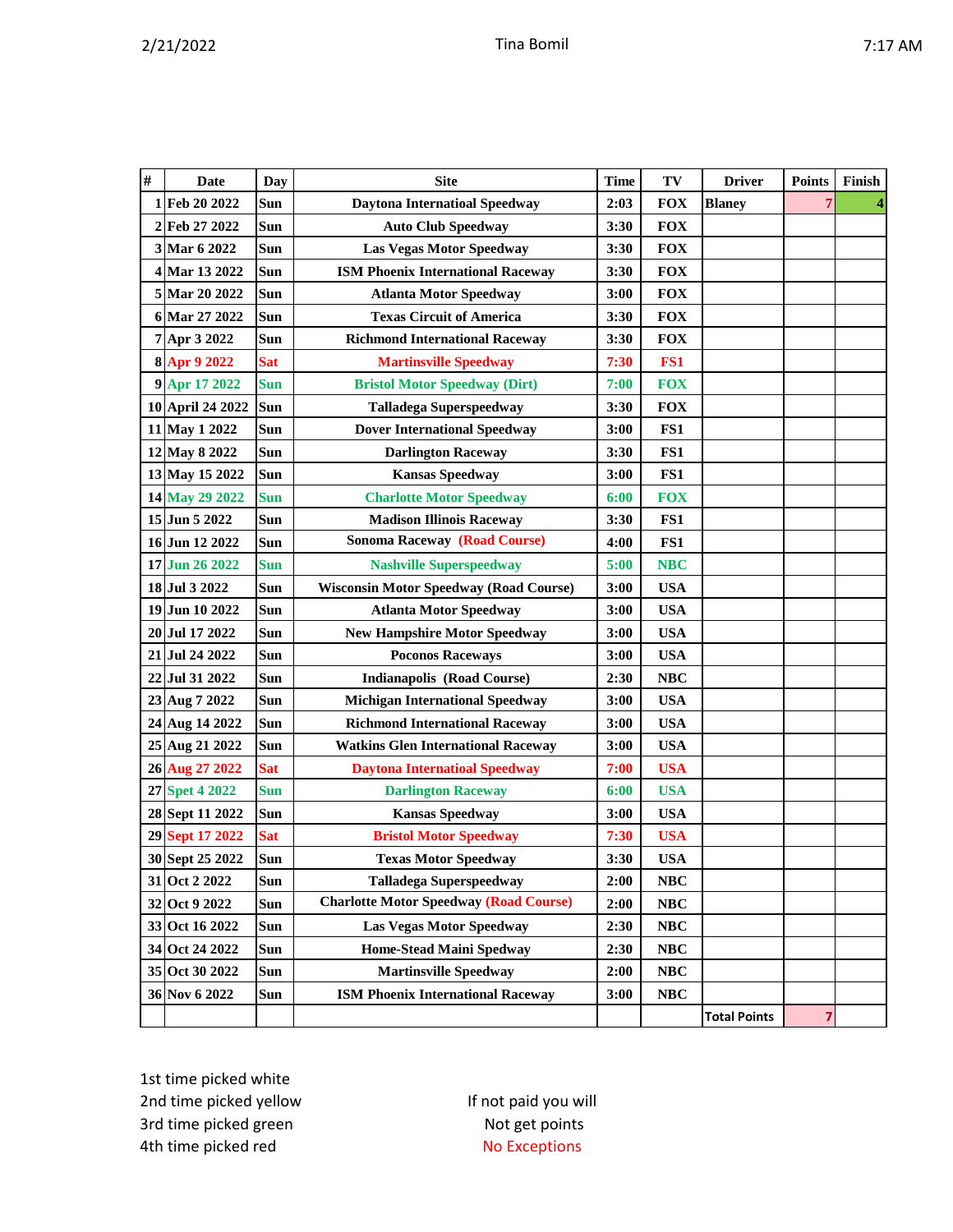| # | Date             | <b>Day</b> | <b>Site</b>                                   | <b>Time</b> | TV         | <b>Driver</b>       | <b>Points</b> | Finish |
|---|------------------|------------|-----------------------------------------------|-------------|------------|---------------------|---------------|--------|
| 1 | Feb 20 2022      | Sun        | <b>Daytona Internatioal Speedway</b>          | 2:03        | <b>FOX</b> | <b>Blaney</b>       | 7             |        |
|   | 2 Feb 27 2022    | Sun        | <b>Auto Club Speedway</b>                     | 3:30        | <b>FOX</b> |                     |               |        |
|   | 3 Mar 6 2022     | Sun        | <b>Las Vegas Motor Speedway</b>               | 3:30        | <b>FOX</b> |                     |               |        |
|   | 4 Mar 13 2022    | Sun        | <b>ISM Phoenix International Raceway</b>      | 3:30        | <b>FOX</b> |                     |               |        |
|   | 5 Mar 20 2022    | Sun        | <b>Atlanta Motor Speedway</b>                 | 3:00        | <b>FOX</b> |                     |               |        |
|   | 6 Mar 27 2022    | Sun        | <b>Texas Circuit of America</b>               | 3:30        | <b>FOX</b> |                     |               |        |
|   | 7 Apr 3 2022     | Sun        | <b>Richmond International Raceway</b>         | 3:30        | <b>FOX</b> |                     |               |        |
|   | 8 Apr 9 2022     | <b>Sat</b> | <b>Martinsville Speedway</b>                  | 7:30        | FS1        |                     |               |        |
|   | 9 Apr 17 2022    | <b>Sun</b> | <b>Bristol Motor Speedway (Dirt)</b>          | 7:00        | <b>FOX</b> |                     |               |        |
|   | 10 April 24 2022 | Sun        | <b>Talladega Superspeedway</b>                | 3:30        | <b>FOX</b> |                     |               |        |
|   | 11 May 1 2022    | Sun        | <b>Dover International Speedway</b>           | 3:00        | FS1        |                     |               |        |
|   | 12 May 8 2022    | Sun        | <b>Darlington Raceway</b>                     | 3:30        | FS1        |                     |               |        |
|   | 13 May 15 2022   | Sun        | <b>Kansas Speedway</b>                        | 3:00        | FS1        |                     |               |        |
|   | 14 May 29 2022   | <b>Sun</b> | <b>Charlotte Motor Speedway</b>               | 6:00        | <b>FOX</b> |                     |               |        |
|   | 15 Jun 5 2022    | Sun        | <b>Madison Illinois Raceway</b>               | 3:30        | FS1        |                     |               |        |
|   | 16 Jun 12 2022   | Sun        | <b>Sonoma Raceway (Road Course)</b>           | 4:00        | FS1        |                     |               |        |
|   | 17 Jun 26 2022   | <b>Sun</b> | <b>Nashville Superspeedway</b>                | 5:00        | <b>NBC</b> |                     |               |        |
|   | 18 Jul 3 2022    | Sun        | <b>Wisconsin Motor Speedway (Road Course)</b> | 3:00        | <b>USA</b> |                     |               |        |
|   | 19 Jun 10 2022   | <b>Sun</b> | <b>Atlanta Motor Speedway</b>                 | 3:00        | <b>USA</b> |                     |               |        |
|   | 20 Jul 17 2022   | <b>Sun</b> | <b>New Hampshire Motor Speedway</b>           | 3:00        | <b>USA</b> |                     |               |        |
|   | 21 Jul 24 2022   | Sun        | <b>Poconos Raceways</b>                       | 3:00        | <b>USA</b> |                     |               |        |
|   | 22 Jul 31 2022   | Sun        | <b>Indianapolis (Road Course)</b>             | 2:30        | <b>NBC</b> |                     |               |        |
|   | 23 Aug 7 2022    | Sun        | <b>Michigan International Speedway</b>        | 3:00        | <b>USA</b> |                     |               |        |
|   | 24 Aug 14 2022   | Sun        | <b>Richmond International Raceway</b>         | 3:00        | <b>USA</b> |                     |               |        |
|   | 25 Aug 21 2022   | Sun        | <b>Watkins Glen International Raceway</b>     | 3:00        | <b>USA</b> |                     |               |        |
|   | 26 Aug 27 2022   | <b>Sat</b> | <b>Daytona Internatioal Speedway</b>          | 7:00        | <b>USA</b> |                     |               |        |
|   | 27 Spet 4 2022   | <b>Sun</b> | <b>Darlington Raceway</b>                     | 6:00        | <b>USA</b> |                     |               |        |
|   | 28 Sept 11 2022  | Sun        | <b>Kansas Speedway</b>                        | 3:00        | <b>USA</b> |                     |               |        |
|   | 29 Sept 17 2022  | <b>Sat</b> | <b>Bristol Motor Speedway</b>                 | 7:30        | <b>USA</b> |                     |               |        |
|   | 30 Sept 25 2022  | Sun        | <b>Texas Motor Speedway</b>                   | 3:30        | <b>USA</b> |                     |               |        |
|   | 31 Oct 2 2022    | Sun        | <b>Talladega Superspeedway</b>                | 2:00        | NBC        |                     |               |        |
|   | 32 Oct 9 2022    | Sun        | <b>Charlotte Motor Speedway (Road Course)</b> | 2:00        | NBC        |                     |               |        |
|   | 33 Oct 16 2022   | Sun        | <b>Las Vegas Motor Speedway</b>               | 2:30        | NBC        |                     |               |        |
|   | 34 Oct 24 2022   | Sun        | <b>Home-Stead Maini Spedway</b>               | 2:30        | NBC        |                     |               |        |
|   | 35 Oct 30 2022   | Sun        | <b>Martinsville Speedway</b>                  | 2:00        | NBC        |                     |               |        |
|   | 36 Nov 6 2022    | Sun        | <b>ISM Phoenix International Raceway</b>      | 3:00        | NBC        |                     |               |        |
|   |                  |            |                                               |             |            | <b>Total Points</b> | 7             |        |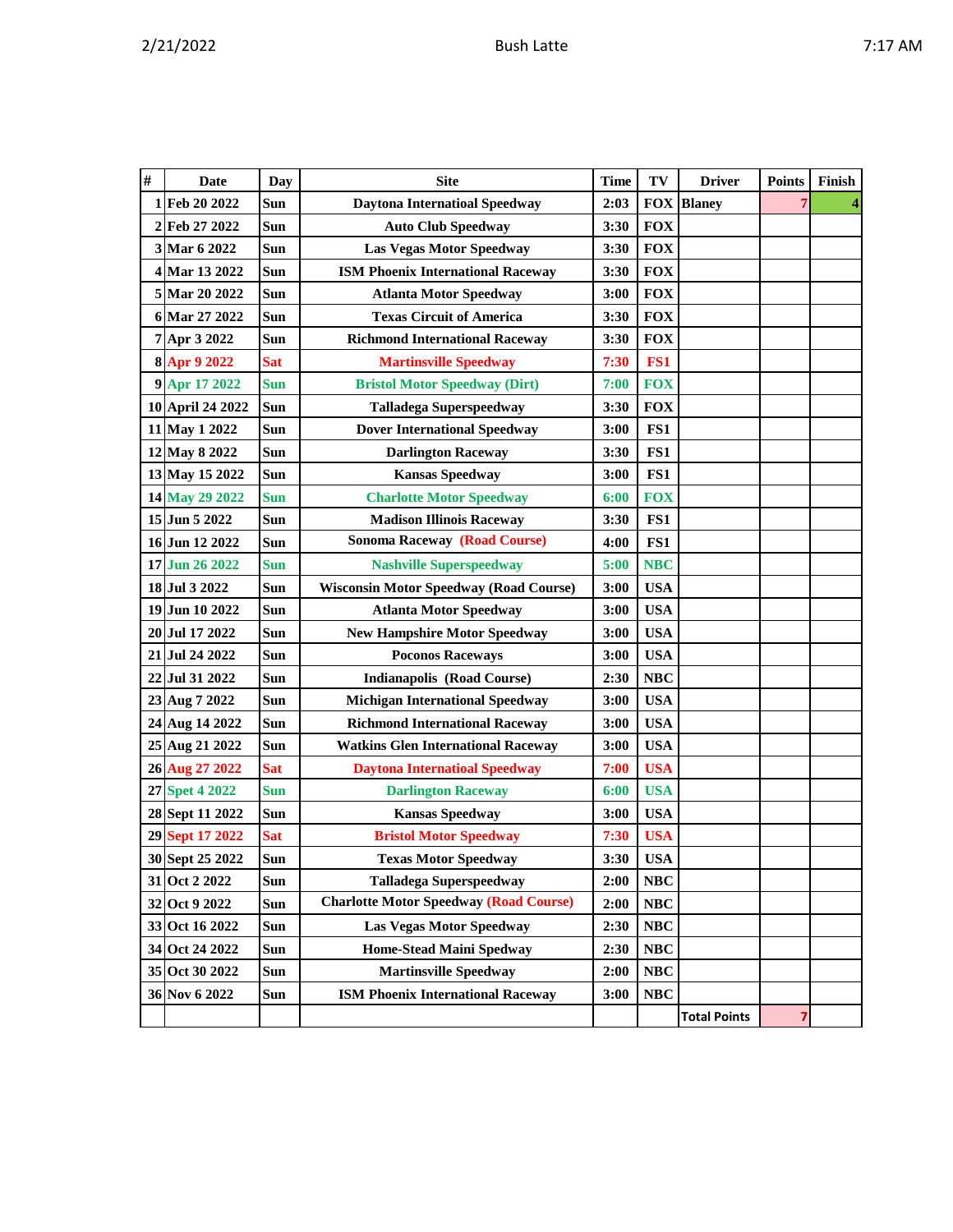| # | Date             | Day        | <b>Site</b>                                   | <b>Time</b> | TV         | <b>Driver</b>       | <b>Points</b> | Finish |
|---|------------------|------------|-----------------------------------------------|-------------|------------|---------------------|---------------|--------|
|   | 1 Feb 20 2022    | Sun        | <b>Daytona Internatioal Speedway</b>          | 2:03        |            | <b>FOX Blaney</b>   | 7             | 4      |
|   | 2 Feb 27 2022    | Sun        | <b>Auto Club Speedway</b>                     | 3:30        | <b>FOX</b> |                     |               |        |
|   | 3 Mar 6 2022     | Sun        | <b>Las Vegas Motor Speedway</b>               | 3:30        | <b>FOX</b> |                     |               |        |
|   | 4 Mar 13 2022    | Sun        | <b>ISM Phoenix International Raceway</b>      | 3:30        | <b>FOX</b> |                     |               |        |
|   | 5 Mar 20 2022    | Sun        | <b>Atlanta Motor Speedway</b>                 | 3:00        | <b>FOX</b> |                     |               |        |
|   | 6 Mar 27 2022    | Sun        | <b>Texas Circuit of America</b>               | 3:30        | <b>FOX</b> |                     |               |        |
|   | 7 Apr 3 2022     | Sun        | <b>Richmond International Raceway</b>         | 3:30        | <b>FOX</b> |                     |               |        |
|   | 8 Apr 9 2022     | Sat        | <b>Martinsville Speedway</b>                  | 7:30        | FS1        |                     |               |        |
|   | 9 Apr 17 2022    | <b>Sun</b> | <b>Bristol Motor Speedway (Dirt)</b>          | 7:00        | <b>FOX</b> |                     |               |        |
|   | 10 April 24 2022 | Sun        | <b>Talladega Superspeedway</b>                | 3:30        | <b>FOX</b> |                     |               |        |
|   | 11 May 1 2022    | Sun        | <b>Dover International Speedway</b>           | 3:00        | FS1        |                     |               |        |
|   | 12 May 8 2022    | Sun        | <b>Darlington Raceway</b>                     | 3:30        | FS1        |                     |               |        |
|   | 13 May 15 2022   | Sun        | <b>Kansas Speedway</b>                        | 3:00        | FS1        |                     |               |        |
|   | 14 May 29 2022   | <b>Sun</b> | <b>Charlotte Motor Speedway</b>               | 6:00        | <b>FOX</b> |                     |               |        |
|   | 15 Jun 5 2022    | Sun        | <b>Madison Illinois Raceway</b>               | 3:30        | FS1        |                     |               |        |
|   | 16 Jun 12 2022   | Sun        | <b>Sonoma Raceway (Road Course)</b>           | 4:00        | FS1        |                     |               |        |
|   | 17 Jun 26 2022   | <b>Sun</b> | <b>Nashville Superspeedway</b>                | 5:00        | <b>NBC</b> |                     |               |        |
|   | 18 Jul 3 2022    | Sun        | <b>Wisconsin Motor Speedway (Road Course)</b> | 3:00        | <b>USA</b> |                     |               |        |
|   | 19 Jun 10 2022   | Sun        | <b>Atlanta Motor Speedway</b>                 | 3:00        | <b>USA</b> |                     |               |        |
|   | 20 Jul 17 2022   | Sun        | <b>New Hampshire Motor Speedway</b>           | 3:00        | <b>USA</b> |                     |               |        |
|   | 21 Jul 24 2022   | Sun        | <b>Poconos Raceways</b>                       | 3:00        | <b>USA</b> |                     |               |        |
|   | 22 Jul 31 2022   | Sun        | <b>Indianapolis (Road Course)</b>             | 2:30        | NBC        |                     |               |        |
|   | 23 Aug 7 2022    | Sun        | <b>Michigan International Speedway</b>        | 3:00        | <b>USA</b> |                     |               |        |
|   | 24 Aug 14 2022   | Sun        | <b>Richmond International Raceway</b>         | 3:00        | <b>USA</b> |                     |               |        |
|   | 25 Aug 21 2022   | Sun        | <b>Watkins Glen International Raceway</b>     | 3:00        | <b>USA</b> |                     |               |        |
|   | 26 Aug 27 2022   | <b>Sat</b> | <b>Daytona Internatioal Speedway</b>          | 7:00        | <b>USA</b> |                     |               |        |
|   | 27 Spet 4 2022   | Sun        | <b>Darlington Raceway</b>                     | 6:00        | <b>USA</b> |                     |               |        |
|   | 28 Sept 11 2022  | Sun        | <b>Kansas Speedway</b>                        | 3:00        | <b>USA</b> |                     |               |        |
|   | 29 Sept 17 2022  | <b>Sat</b> | <b>Bristol Motor Speedway</b>                 | 7:30        | <b>USA</b> |                     |               |        |
|   | 30 Sept 25 2022  | Sun        | <b>Texas Motor Speedway</b>                   | 3:30        | <b>USA</b> |                     |               |        |
|   | 31 Oct 2 2022    | Sun        | <b>Talladega Superspeedway</b>                | 2:00        | NBC        |                     |               |        |
|   | 32 Oct 9 2022    | Sun        | <b>Charlotte Motor Speedway (Road Course)</b> | 2:00        | <b>NBC</b> |                     |               |        |
|   | 33 Oct 16 2022   | Sun        | <b>Las Vegas Motor Speedway</b>               | 2:30        | NBC        |                     |               |        |
|   | 34 Oct 24 2022   | Sun        | <b>Home-Stead Maini Spedway</b>               | 2:30        | NBC        |                     |               |        |
|   | 35 Oct 30 2022   | Sun        | <b>Martinsville Speedway</b>                  | 2:00        | NBC        |                     |               |        |
|   | 36 Nov 6 2022    | Sun        | <b>ISM Phoenix International Raceway</b>      | 3:00        | <b>NBC</b> |                     |               |        |
|   |                  |            |                                               |             |            | <b>Total Points</b> | 7             |        |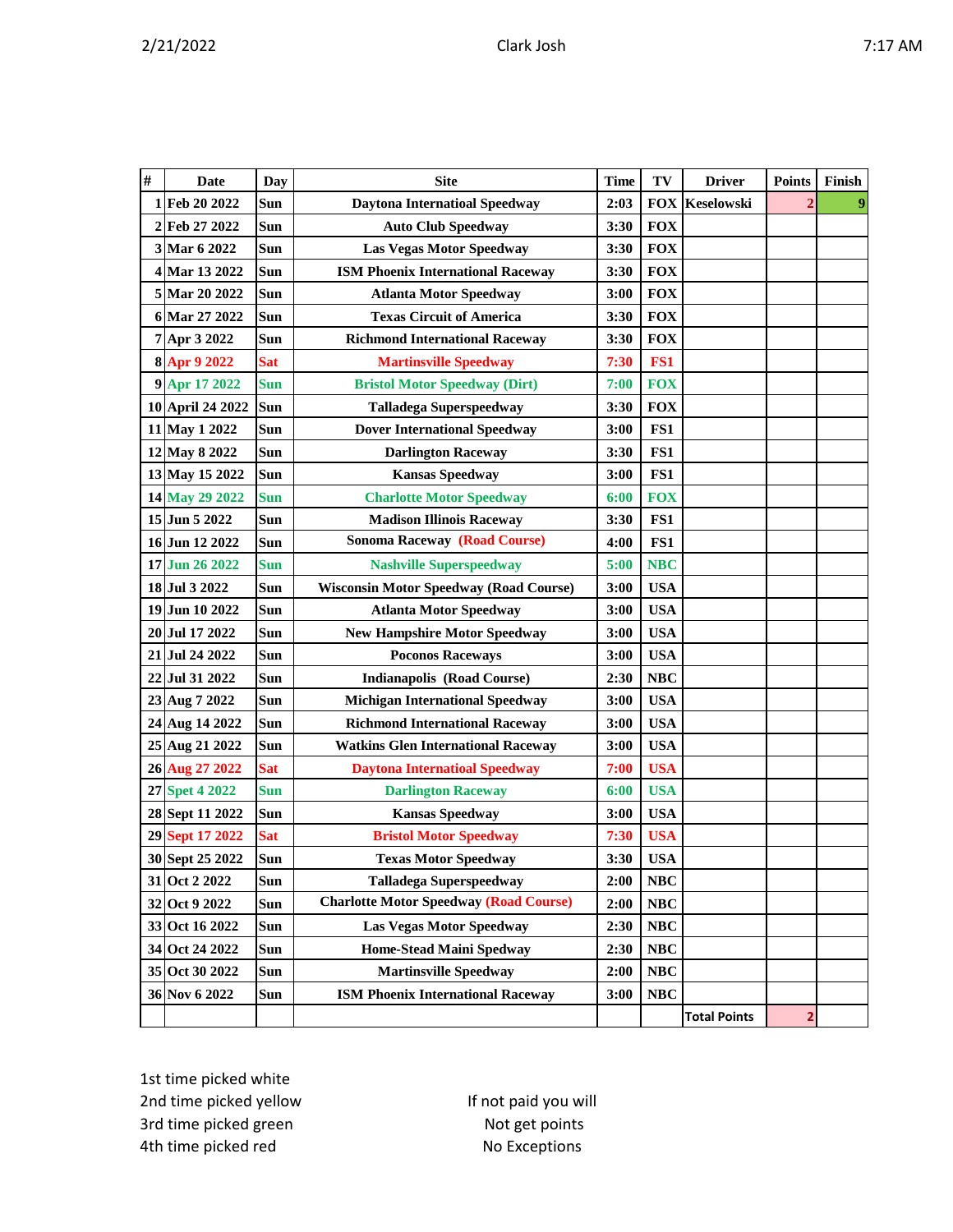| #  | <b>Date</b>        | <b>Day</b> | <b>Site</b>                                   | <b>Time</b> | TV              | <b>Driver</b>         | <b>Points</b> | Finish         |
|----|--------------------|------------|-----------------------------------------------|-------------|-----------------|-----------------------|---------------|----------------|
|    | 1 Feb 20 2022      | Sun        | <b>Daytona Internatioal Speedway</b>          | 2:03        |                 | <b>FOX Keselowski</b> |               | $\overline{9}$ |
|    | 2 Feb 27 2022      | Sun        | <b>Auto Club Speedway</b>                     | 3:30        | <b>FOX</b>      |                       |               |                |
|    | 3 Mar 6 2022       | Sun        | <b>Las Vegas Motor Speedway</b>               | 3:30        | <b>FOX</b>      |                       |               |                |
|    | 4 Mar 13 2022      | Sun        | <b>ISM Phoenix International Raceway</b>      | 3:30        | <b>FOX</b>      |                       |               |                |
|    | 5 Mar 20 2022      | Sun        | <b>Atlanta Motor Speedway</b>                 | 3:00        | <b>FOX</b>      |                       |               |                |
|    | 6 Mar 27 2022      | Sun        | <b>Texas Circuit of America</b>               | 3:30        | <b>FOX</b>      |                       |               |                |
|    | 7 Apr 3 2022       | Sun        | <b>Richmond International Raceway</b>         | 3:30        | <b>FOX</b>      |                       |               |                |
|    | 8 Apr 9 2022       | <b>Sat</b> | <b>Martinsville Speedway</b>                  | 7:30        | FS <sub>1</sub> |                       |               |                |
|    | 9 Apr 17 2022      | Sun        | <b>Bristol Motor Speedway (Dirt)</b>          | 7:00        | <b>FOX</b>      |                       |               |                |
|    | 10 April 24 2022   | Sun        | <b>Talladega Superspeedway</b>                | 3:30        | <b>FOX</b>      |                       |               |                |
| 11 | <b>May 1 2022</b>  | Sun        | <b>Dover International Speedway</b>           | 3:00        | FS1             |                       |               |                |
|    | 12 May 8 2022      | Sun        | <b>Darlington Raceway</b>                     | 3:30        | FS1             |                       |               |                |
|    | 13 May 15 2022     | Sun        | <b>Kansas Speedway</b>                        | 3:00        | FS1             |                       |               |                |
|    | 14 May 29 2022     | Sun        | <b>Charlotte Motor Speedway</b>               | 6:00        | <b>FOX</b>      |                       |               |                |
|    | 15 Jun 5 2022      | Sun        | <b>Madison Illinois Raceway</b>               | 3:30        | FS1             |                       |               |                |
|    | 16 Jun 12 2022     | Sun        | <b>Sonoma Raceway (Road Course)</b>           | 4:00        | FS1             |                       |               |                |
|    | 17 Jun 26 2022     | Sun        | <b>Nashville Superspeedway</b>                | 5:00        | <b>NBC</b>      |                       |               |                |
|    | 18 Jul 3 2022      | Sun        | <b>Wisconsin Motor Speedway (Road Course)</b> | 3:00        | <b>USA</b>      |                       |               |                |
|    | 19 Jun 10 2022     | Sun        | <b>Atlanta Motor Speedway</b>                 | 3:00        | <b>USA</b>      |                       |               |                |
|    | 20 Jul 17 2022     | Sun        | <b>New Hampshire Motor Speedway</b>           | 3:00        | <b>USA</b>      |                       |               |                |
| 21 | Jul 24 2022        | Sun        | <b>Poconos Raceways</b>                       | 3:00        | <b>USA</b>      |                       |               |                |
|    | 22 Jul 31 2022     | Sun        | <b>Indianapolis (Road Course)</b>             | 2:30        | <b>NBC</b>      |                       |               |                |
| 23 | Aug 7 2022         | Sun        | <b>Michigan International Speedway</b>        | 3:00        | <b>USA</b>      |                       |               |                |
| 24 | Aug 14 2022        | Sun        | <b>Richmond International Raceway</b>         | 3:00        | <b>USA</b>      |                       |               |                |
| 25 | Aug 21 2022        | Sun        | <b>Watkins Glen International Raceway</b>     | 3:00        | <b>USA</b>      |                       |               |                |
|    | 26 Aug 27 2022     | <b>Sat</b> | <b>Daytona Internatioal Speedway</b>          | 7:00        | <b>USA</b>      |                       |               |                |
| 27 | <b>Spet 4 2022</b> | Sun        | <b>Darlington Raceway</b>                     | 6:00        | <b>USA</b>      |                       |               |                |
|    | 28 Sept 11 2022    | Sun        | <b>Kansas Speedway</b>                        | 3:00        | <b>USA</b>      |                       |               |                |
|    | 29 Sept 17 2022    | <b>Sat</b> | <b>Bristol Motor Speedway</b>                 | 7:30        | <b>USA</b>      |                       |               |                |
|    | 30 Sept 25 2022    | Sun        | <b>Texas Motor Speedway</b>                   | 3:30        | <b>USA</b>      |                       |               |                |
|    | 31 Oct 2 2022      | Sun        | <b>Talladega Superspeedway</b>                | 2:00        | NBC             |                       |               |                |
|    | 32 Oct 9 2022      | Sun        | <b>Charlotte Motor Speedway (Road Course)</b> | 2:00        | NBC             |                       |               |                |
|    | 33 Oct 16 2022     | Sun        | Las Vegas Motor Speedway                      | 2:30        | <b>NBC</b>      |                       |               |                |
|    | 34 Oct 24 2022     | Sun        | <b>Home-Stead Maini Spedway</b>               | 2:30        | NBC             |                       |               |                |
|    | 35 Oct 30 2022     | Sun        | <b>Martinsville Speedway</b>                  | 2:00        | NBC             |                       |               |                |
|    | 36 Nov 6 2022      | Sun        | <b>ISM Phoenix International Raceway</b>      | 3:00        | <b>NBC</b>      |                       |               |                |
|    |                    |            |                                               |             |                 | <b>Total Points</b>   | 2             |                |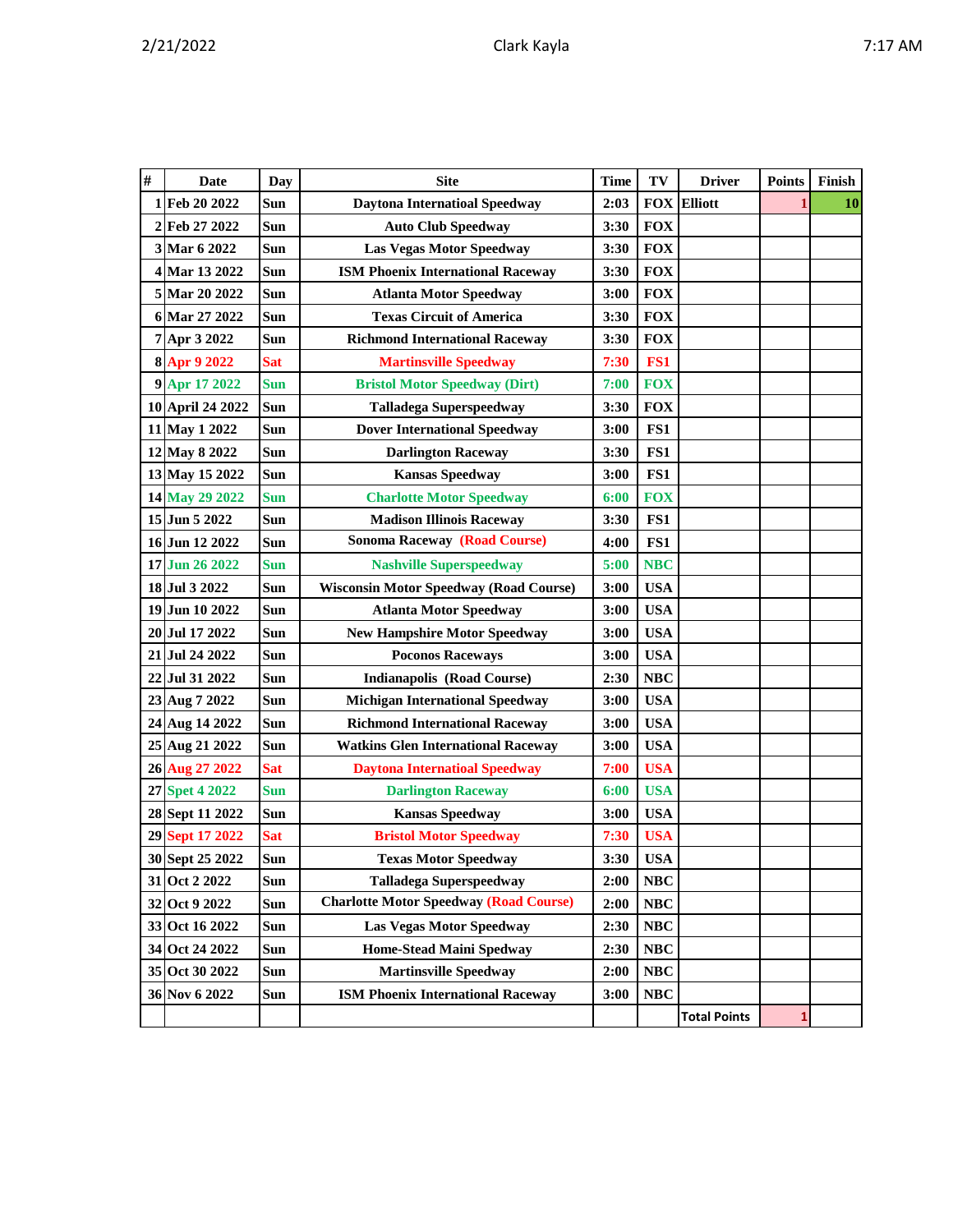| ۱N<br> | Ί |
|--------|---|
|--------|---|

| $\#$ | Date               | <b>Day</b> | <b>Site</b>                                   | <b>Time</b> | TV         | <b>Driver</b>       | <b>Points</b> | Finish |
|------|--------------------|------------|-----------------------------------------------|-------------|------------|---------------------|---------------|--------|
| 1    | Feb 20 2022        | Sun        | <b>Daytona Internatioal Speedway</b>          | 2:03        |            | <b>FOX Elliott</b>  |               | 10     |
| 2    | Feb 27 2022        | Sun        | <b>Auto Club Speedway</b>                     | 3:30        | <b>FOX</b> |                     |               |        |
|      | 3 Mar 6 2022       | Sun        | <b>Las Vegas Motor Speedway</b>               | 3:30        | <b>FOX</b> |                     |               |        |
|      | 4 Mar 13 2022      | Sun        | <b>ISM Phoenix International Raceway</b>      | 3:30        | <b>FOX</b> |                     |               |        |
|      | 5 Mar 20 2022      | Sun        | <b>Atlanta Motor Speedway</b>                 | 3:00        | <b>FOX</b> |                     |               |        |
|      | 6 Mar 27 2022      | <b>Sun</b> | <b>Texas Circuit of America</b>               | 3:30        | <b>FOX</b> |                     |               |        |
|      | 7 Apr 3 2022       | Sun        | <b>Richmond International Raceway</b>         | 3:30        | <b>FOX</b> |                     |               |        |
|      | 8 Apr 9 2022       | <b>Sat</b> | <b>Martinsville Speedway</b>                  | 7:30        | FS1        |                     |               |        |
|      | 9 Apr 17 2022      | <b>Sun</b> | <b>Bristol Motor Speedway (Dirt)</b>          | 7:00        | <b>FOX</b> |                     |               |        |
|      | 10 April 24 2022   | Sun        | <b>Talladega Superspeedway</b>                | 3:30        | <b>FOX</b> |                     |               |        |
|      | 11 May 1 2022      | Sun        | <b>Dover International Speedway</b>           | 3:00        | FS1        |                     |               |        |
|      | 12 May 8 2022      | Sun        | <b>Darlington Raceway</b>                     | 3:30        | FS1        |                     |               |        |
|      | 13 May 15 2022     | Sun        | <b>Kansas Speedway</b>                        | 3:00        | FS1        |                     |               |        |
|      | 14 May 29 2022     | <b>Sun</b> | <b>Charlotte Motor Speedway</b>               | 6:00        | <b>FOX</b> |                     |               |        |
|      | 15 Jun 5 2022      | Sun        | <b>Madison Illinois Raceway</b>               | 3:30        | FS1        |                     |               |        |
|      | 16 Jun 12 2022     | Sun        | <b>Sonoma Raceway (Road Course)</b>           | 4:00        | FS1        |                     |               |        |
|      | 17 Jun 26 2022     | <b>Sun</b> | <b>Nashville Superspeedway</b>                | 5:00        | <b>NBC</b> |                     |               |        |
|      | 18 Jul 3 2022      | Sun        | <b>Wisconsin Motor Speedway (Road Course)</b> | 3:00        | <b>USA</b> |                     |               |        |
|      | 19 Jun 10 2022     | Sun        | <b>Atlanta Motor Speedway</b>                 | 3:00        | <b>USA</b> |                     |               |        |
|      | 20 Jul 17 2022     | Sun        | <b>New Hampshire Motor Speedway</b>           | 3:00        | <b>USA</b> |                     |               |        |
|      | 21 Jul 24 2022     | Sun        | <b>Poconos Raceways</b>                       | 3:00        | <b>USA</b> |                     |               |        |
| 22   | Jul 31 2022        | Sun        | <b>Indianapolis (Road Course)</b>             | 2:30        | NBC        |                     |               |        |
|      | 23 Aug 7 2022      | Sun        | <b>Michigan International Speedway</b>        | 3:00        | <b>USA</b> |                     |               |        |
|      | 24 Aug 14 2022     | Sun        | <b>Richmond International Raceway</b>         | 3:00        | <b>USA</b> |                     |               |        |
|      | 25 Aug 21 2022     | <b>Sun</b> | <b>Watkins Glen International Raceway</b>     | 3:00        | <b>USA</b> |                     |               |        |
|      | 26 Aug 27 2022     | <b>Sat</b> | <b>Daytona Internatioal Speedway</b>          | 7:00        | <b>USA</b> |                     |               |        |
| 27   | <b>Spet 4 2022</b> | <b>Sun</b> | <b>Darlington Raceway</b>                     | 6:00        | <b>USA</b> |                     |               |        |
|      | 28 Sept 11 2022    | Sun        | <b>Kansas Speedway</b>                        | 3:00        | <b>USA</b> |                     |               |        |
|      | 29 Sept 17 2022    | <b>Sat</b> | <b>Bristol Motor Speedway</b>                 | 7:30        | <b>USA</b> |                     |               |        |
|      | 30 Sept 25 2022    | Sun        | <b>Texas Motor Speedway</b>                   | 3:30        | <b>USA</b> |                     |               |        |
|      | 31 Oct 2 2022      | Sun        | <b>Talladega Superspeedway</b>                | 2:00        | <b>NBC</b> |                     |               |        |
|      | 32 Oct 9 2022      | Sun        | <b>Charlotte Motor Speedway (Road Course)</b> | 2:00        | NBC        |                     |               |        |
|      | 33 Oct 16 2022     | Sun        | <b>Las Vegas Motor Speedway</b>               | 2:30        | NBC        |                     |               |        |
|      | 34 Oct 24 2022     | Sun        | <b>Home-Stead Maini Spedway</b>               | 2:30        | NBC        |                     |               |        |
|      | 35 Oct 30 2022     | Sun        | <b>Martinsville Speedway</b>                  | 2:00        | NBC        |                     |               |        |
|      | 36 Nov 6 2022      | Sun        | <b>ISM Phoenix International Raceway</b>      | 3:00        | <b>NBC</b> |                     |               |        |
|      |                    |            |                                               |             |            | <b>Total Points</b> | 1             |        |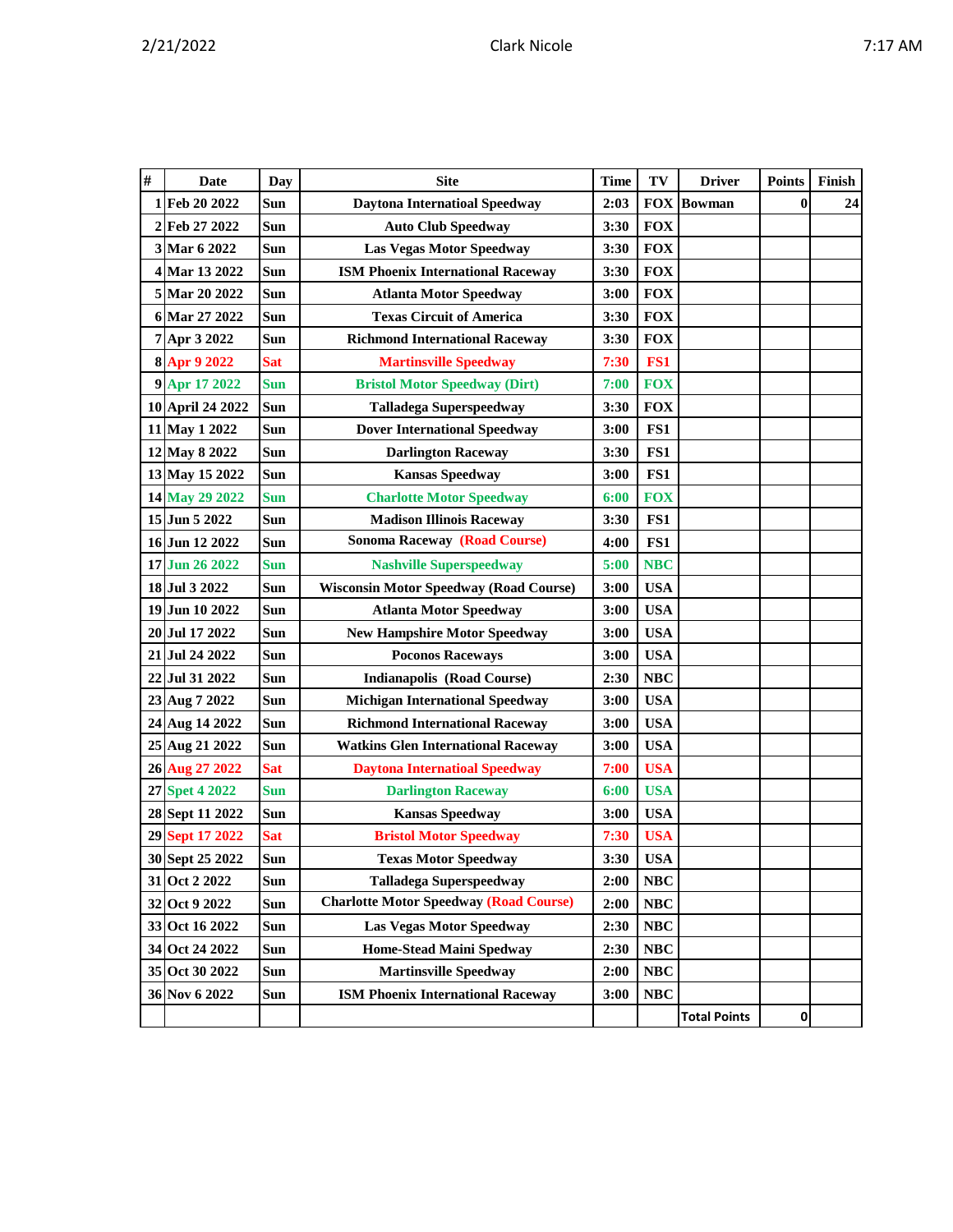|  | η<br>п<br>v |
|--|-------------|
|  |             |

| # | <b>Date</b>      | <b>Day</b> | <b>Site</b>                                   | <b>Time</b> | TV         | <b>Driver</b>       | <b>Points</b> | Finish |
|---|------------------|------------|-----------------------------------------------|-------------|------------|---------------------|---------------|--------|
|   | 1 Feb 20 2022    | Sun        | <b>Daytona Internatioal Speedway</b>          | 2:03        |            | <b>FOX Bowman</b>   | $\bf{0}$      | 24     |
|   | 2 Feb 27 2022    | Sun        | <b>Auto Club Speedway</b>                     | 3:30        | <b>FOX</b> |                     |               |        |
|   | 3 Mar 6 2022     | Sun        | <b>Las Vegas Motor Speedway</b>               | 3:30        | <b>FOX</b> |                     |               |        |
|   | 4 Mar 13 2022    | Sun        | <b>ISM Phoenix International Raceway</b>      | 3:30        | <b>FOX</b> |                     |               |        |
|   | 5 Mar 20 2022    | Sun        | <b>Atlanta Motor Speedway</b>                 | 3:00        | <b>FOX</b> |                     |               |        |
|   | 6 Mar 27 2022    | Sun        | <b>Texas Circuit of America</b>               | 3:30        | <b>FOX</b> |                     |               |        |
|   | 7 Apr 3 2022     | Sun        | <b>Richmond International Raceway</b>         | 3:30        | <b>FOX</b> |                     |               |        |
|   | 8 Apr 9 2022     | Sat        | <b>Martinsville Speedway</b>                  | 7:30        | FS1        |                     |               |        |
|   | 9 Apr 17 2022    | <b>Sun</b> | <b>Bristol Motor Speedway (Dirt)</b>          | 7:00        | <b>FOX</b> |                     |               |        |
|   | 10 April 24 2022 | Sun        | <b>Talladega Superspeedway</b>                | 3:30        | <b>FOX</b> |                     |               |        |
|   | 11 May 1 2022    | Sun        | <b>Dover International Speedway</b>           | 3:00        | FS1        |                     |               |        |
|   | 12 May 8 2022    | Sun        | <b>Darlington Raceway</b>                     | 3:30        | FS1        |                     |               |        |
|   | 13 May 15 2022   | Sun        | <b>Kansas Speedway</b>                        | 3:00        | FS1        |                     |               |        |
|   | 14 May 29 2022   | Sun        | <b>Charlotte Motor Speedway</b>               | 6:00        | <b>FOX</b> |                     |               |        |
|   | 15 Jun 5 2022    | Sun        | <b>Madison Illinois Raceway</b>               | 3:30        | FS1        |                     |               |        |
|   | 16 Jun 12 2022   | Sun        | <b>Sonoma Raceway (Road Course)</b>           | 4:00        | FS1        |                     |               |        |
|   | 17 Jun 26 2022   | <b>Sun</b> | <b>Nashville Superspeedway</b>                | 5:00        | <b>NBC</b> |                     |               |        |
|   | 18 Jul 3 2022    | Sun        | <b>Wisconsin Motor Speedway (Road Course)</b> | 3:00        | <b>USA</b> |                     |               |        |
|   | 19 Jun 10 2022   | Sun        | <b>Atlanta Motor Speedway</b>                 | 3:00        | <b>USA</b> |                     |               |        |
|   | 20 Jul 17 2022   | Sun        | <b>New Hampshire Motor Speedway</b>           | 3:00        | <b>USA</b> |                     |               |        |
|   | 21 Jul 24 2022   | Sun        | <b>Poconos Raceways</b>                       | 3:00        | <b>USA</b> |                     |               |        |
|   | 22 Jul 31 2022   | Sun        | <b>Indianapolis (Road Course)</b>             | 2:30        | <b>NBC</b> |                     |               |        |
|   | 23 Aug 7 2022    | Sun        | <b>Michigan International Speedway</b>        | 3:00        | <b>USA</b> |                     |               |        |
|   | 24 Aug 14 2022   | Sun        | <b>Richmond International Raceway</b>         | 3:00        | <b>USA</b> |                     |               |        |
|   | 25 Aug 21 2022   | Sun        | <b>Watkins Glen International Raceway</b>     | 3:00        | <b>USA</b> |                     |               |        |
|   | 26 Aug 27 2022   | <b>Sat</b> | <b>Daytona Internatioal Speedway</b>          | 7:00        | <b>USA</b> |                     |               |        |
|   | 27 Spet 4 2022   | Sun        | <b>Darlington Raceway</b>                     | 6:00        | <b>USA</b> |                     |               |        |
|   | 28 Sept 11 2022  | Sun        | <b>Kansas Speedway</b>                        | 3:00        | <b>USA</b> |                     |               |        |
|   | 29 Sept 17 2022  | <b>Sat</b> | <b>Bristol Motor Speedway</b>                 | 7:30        | <b>USA</b> |                     |               |        |
|   | 30 Sept 25 2022  | Sun        | <b>Texas Motor Speedway</b>                   | 3:30        | <b>USA</b> |                     |               |        |
|   | 31 Oct 2 2022    | Sun        | <b>Talladega Superspeedway</b>                | 2:00        | NBC        |                     |               |        |
|   | 32 Oct 9 2022    | Sun        | <b>Charlotte Motor Speedway (Road Course)</b> | 2:00        | <b>NBC</b> |                     |               |        |
|   | 33 Oct 16 2022   | Sun        | <b>Las Vegas Motor Speedway</b>               | 2:30        | NBC        |                     |               |        |
|   | 34 Oct 24 2022   | Sun        | <b>Home-Stead Maini Spedway</b>               | 2:30        | <b>NBC</b> |                     |               |        |
|   | 35 Oct 30 2022   | Sun        | <b>Martinsville Speedway</b>                  | 2:00        | NBC        |                     |               |        |
|   | 36 Nov 6 2022    | Sun        | <b>ISM Phoenix International Raceway</b>      | 3:00        | NBC        |                     |               |        |
|   |                  |            |                                               |             |            | <b>Total Points</b> | $\mathbf{0}$  |        |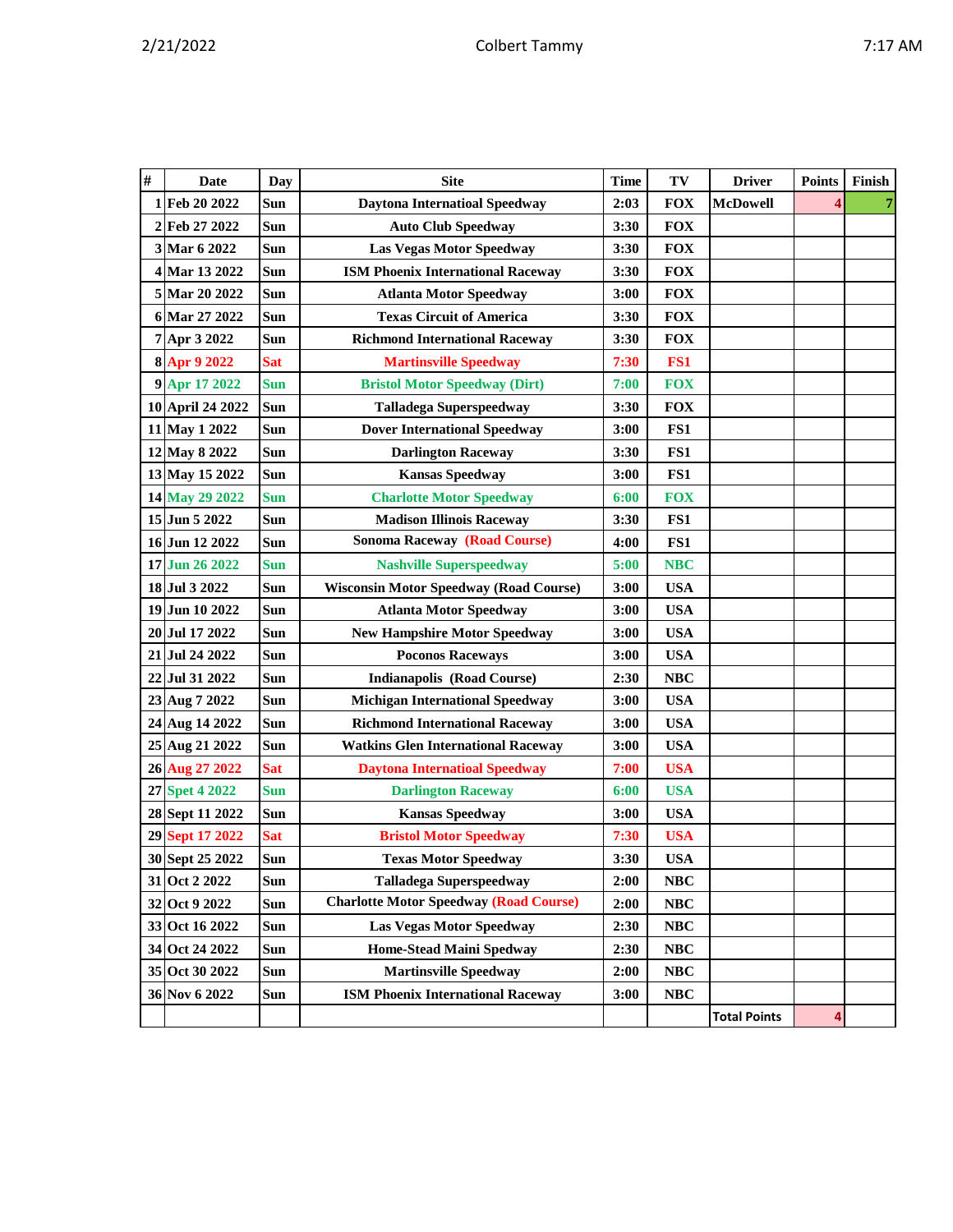|  |  |  |  | Л<br>ı<br>v |
|--|--|--|--|-------------|
|--|--|--|--|-------------|

| # | Date             | Day        | <b>Site</b>                                   | <b>Time</b> | TV         | <b>Driver</b>       | <b>Points</b> | Finish |
|---|------------------|------------|-----------------------------------------------|-------------|------------|---------------------|---------------|--------|
|   | 1 Feb 20 2022    | Sun        | <b>Daytona Internatioal Speedway</b>          | 2:03        | <b>FOX</b> | <b>McDowell</b>     |               |        |
|   | 2 Feb 27 2022    | Sun        | <b>Auto Club Speedway</b>                     | 3:30        | <b>FOX</b> |                     |               |        |
|   | 3 Mar 6 2022     | Sun        | <b>Las Vegas Motor Speedway</b>               | 3:30        | <b>FOX</b> |                     |               |        |
|   | 4 Mar 13 2022    | Sun        | <b>ISM Phoenix International Raceway</b>      | 3:30        | <b>FOX</b> |                     |               |        |
|   | 5 Mar 20 2022    | Sun        | <b>Atlanta Motor Speedway</b>                 | 3:00        | <b>FOX</b> |                     |               |        |
|   | 6 Mar 27 2022    | Sun        | <b>Texas Circuit of America</b>               | 3:30        | <b>FOX</b> |                     |               |        |
|   | 7 Apr 3 2022     | Sun        | <b>Richmond International Raceway</b>         | 3:30        | <b>FOX</b> |                     |               |        |
|   | 8 Apr 9 2022     | <b>Sat</b> | <b>Martinsville Speedway</b>                  | 7:30        | FS1        |                     |               |        |
|   | 9 Apr 17 2022    | <b>Sun</b> | <b>Bristol Motor Speedway (Dirt)</b>          | 7:00        | <b>FOX</b> |                     |               |        |
|   | 10 April 24 2022 | Sun        | <b>Talladega Superspeedway</b>                | 3:30        | <b>FOX</b> |                     |               |        |
|   | 11 May 1 2022    | Sun        | <b>Dover International Speedway</b>           | 3:00        | FS1        |                     |               |        |
|   | 12 May 8 2022    | Sun        | <b>Darlington Raceway</b>                     | 3:30        | FS1        |                     |               |        |
|   | 13 May 15 2022   | Sun        | <b>Kansas Speedway</b>                        | 3:00        | FS1        |                     |               |        |
|   | 14 May 29 2022   | <b>Sun</b> | <b>Charlotte Motor Speedway</b>               | 6:00        | <b>FOX</b> |                     |               |        |
|   | 15 Jun 5 2022    | Sun        | <b>Madison Illinois Raceway</b>               | 3:30        | FS1        |                     |               |        |
|   | 16 Jun 12 2022   | Sun        | <b>Sonoma Raceway (Road Course)</b>           | 4:00        | FS1        |                     |               |        |
|   | 17 Jun 26 2022   | Sun        | <b>Nashville Superspeedway</b>                | 5:00        | <b>NBC</b> |                     |               |        |
|   | 18 Jul 3 2022    | Sun        | <b>Wisconsin Motor Speedway (Road Course)</b> | 3:00        | <b>USA</b> |                     |               |        |
|   | 19 Jun 10 2022   | Sun        | <b>Atlanta Motor Speedway</b>                 | 3:00        | <b>USA</b> |                     |               |        |
|   | 20 Jul 17 2022   | Sun        | <b>New Hampshire Motor Speedway</b>           | 3:00        | <b>USA</b> |                     |               |        |
|   | 21 Jul 24 2022   | Sun        | <b>Poconos Raceways</b>                       | 3:00        | <b>USA</b> |                     |               |        |
|   | 22 Jul 31 2022   | Sun        | <b>Indianapolis (Road Course)</b>             | 2:30        | <b>NBC</b> |                     |               |        |
|   | 23 Aug 7 2022    | Sun        | <b>Michigan International Speedway</b>        | 3:00        | <b>USA</b> |                     |               |        |
|   | 24 Aug 14 2022   | Sun        | <b>Richmond International Raceway</b>         | 3:00        | <b>USA</b> |                     |               |        |
|   | 25 Aug 21 2022   | Sun        | <b>Watkins Glen International Raceway</b>     | 3:00        | <b>USA</b> |                     |               |        |
|   | 26 Aug 27 2022   | <b>Sat</b> | <b>Daytona Internatioal Speedway</b>          | 7:00        | <b>USA</b> |                     |               |        |
|   | 27 Spet 4 2022   | <b>Sun</b> | <b>Darlington Raceway</b>                     | 6:00        | <b>USA</b> |                     |               |        |
|   | 28 Sept 11 2022  | Sun        | <b>Kansas Speedway</b>                        | 3:00        | <b>USA</b> |                     |               |        |
|   | 29 Sept 17 2022  | <b>Sat</b> | <b>Bristol Motor Speedway</b>                 | 7:30        | <b>USA</b> |                     |               |        |
|   | 30 Sept 25 2022  | Sun        | <b>Texas Motor Speedway</b>                   | 3:30        | <b>USA</b> |                     |               |        |
|   | 31 Oct 2 2022    | Sun        | <b>Talladega Superspeedway</b>                | 2:00        | <b>NBC</b> |                     |               |        |
|   | 32 Oct 9 2022    | Sun        | <b>Charlotte Motor Speedway (Road Course)</b> | 2:00        | NBC        |                     |               |        |
|   | 33 Oct 16 2022   | Sun        | <b>Las Vegas Motor Speedway</b>               | 2:30        | <b>NBC</b> |                     |               |        |
|   | 34 Oct 24 2022   | Sun        | Home-Stead Maini Spedway                      | 2:30        | <b>NBC</b> |                     |               |        |
|   | 35 Oct 30 2022   | Sun        | <b>Martinsville Speedway</b>                  | 2:00        | $\bf NBC$  |                     |               |        |
|   | 36 Nov 6 2022    | Sun        | <b>ISM Phoenix International Raceway</b>      | 3:00        | NBC        |                     |               |        |
|   |                  |            |                                               |             |            | <b>Total Points</b> | 4             |        |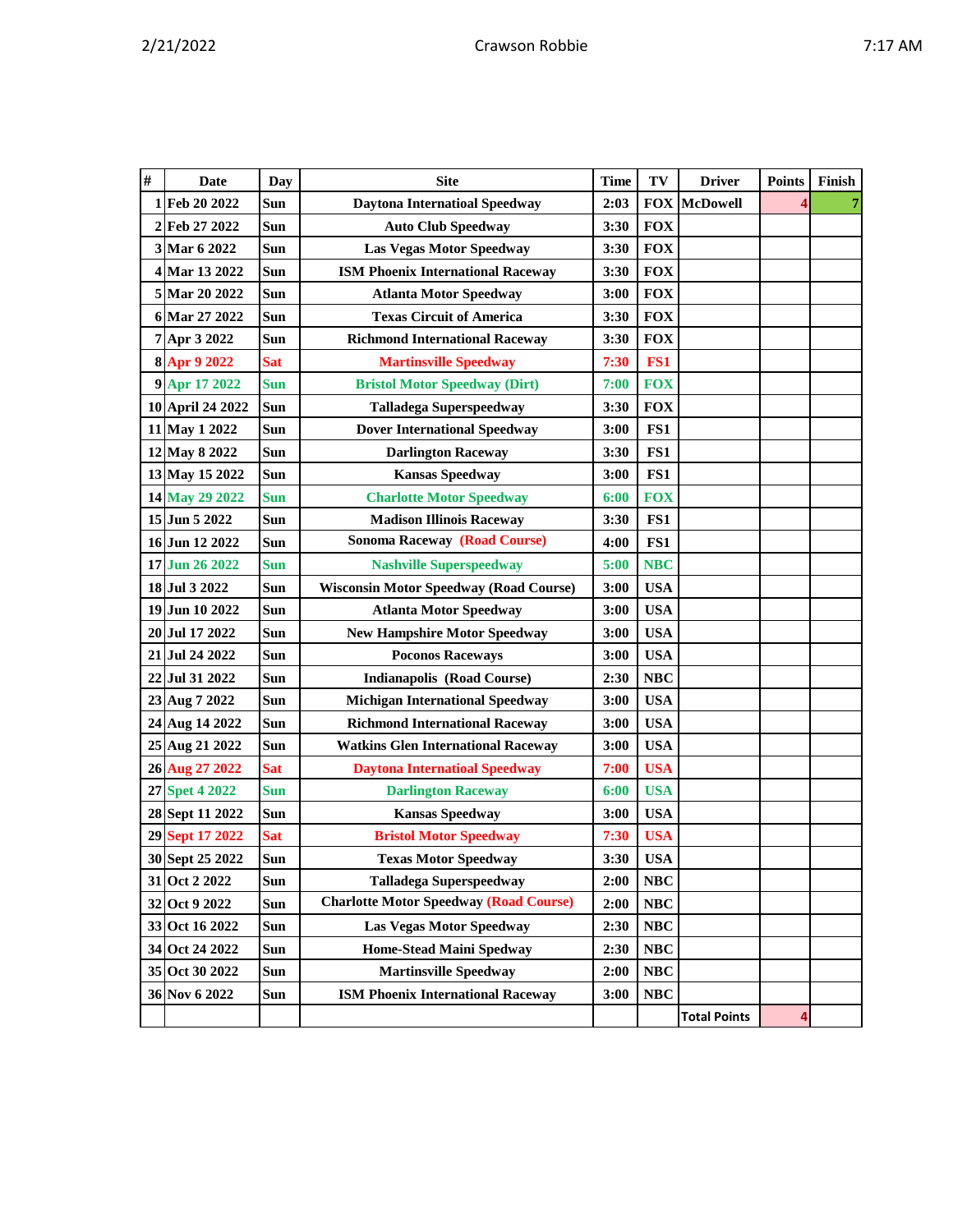| # | Date             | Day        | <b>Site</b>                                   | <b>Time</b> | TV         | <b>Driver</b>       | <b>Points</b> | Finish |
|---|------------------|------------|-----------------------------------------------|-------------|------------|---------------------|---------------|--------|
|   | 1 Feb 20 2022    | Sun        | <b>Daytona Internatioal Speedway</b>          | 2:03        | <b>FOX</b> | <b>McDowell</b>     |               |        |
|   | 2 Feb 27 2022    | Sun        | <b>Auto Club Speedway</b>                     | 3:30        | <b>FOX</b> |                     |               |        |
|   | 3 Mar 6 2022     | <b>Sun</b> | <b>Las Vegas Motor Speedway</b>               | 3:30        | <b>FOX</b> |                     |               |        |
|   | 4 Mar 13 2022    | Sun        | <b>ISM Phoenix International Raceway</b>      | 3:30        | <b>FOX</b> |                     |               |        |
|   | 5 Mar 20 2022    | Sun        | <b>Atlanta Motor Speedway</b>                 | 3:00        | <b>FOX</b> |                     |               |        |
|   | 6 Mar 27 2022    | Sun        | <b>Texas Circuit of America</b>               | 3:30        | <b>FOX</b> |                     |               |        |
|   | 7 Apr 3 2022     | Sun        | <b>Richmond International Raceway</b>         | 3:30        | <b>FOX</b> |                     |               |        |
|   | 8 Apr 9 2022     | <b>Sat</b> | <b>Martinsville Speedway</b>                  | 7:30        | FS1        |                     |               |        |
|   | 9 Apr 17 2022    | <b>Sun</b> | <b>Bristol Motor Speedway (Dirt)</b>          | 7:00        | <b>FOX</b> |                     |               |        |
|   | 10 April 24 2022 | Sun        | <b>Talladega Superspeedway</b>                | 3:30        | <b>FOX</b> |                     |               |        |
|   | 11 May 1 2022    | Sun        | <b>Dover International Speedway</b>           | 3:00        | FS1        |                     |               |        |
|   | 12 May 8 2022    | Sun        | <b>Darlington Raceway</b>                     | 3:30        | FS1        |                     |               |        |
|   | 13 May 15 2022   | Sun        | <b>Kansas Speedway</b>                        | 3:00        | FS1        |                     |               |        |
|   | 14 May 29 2022   | <b>Sun</b> | <b>Charlotte Motor Speedway</b>               | 6:00        | <b>FOX</b> |                     |               |        |
|   | 15 Jun 5 2022    | Sun        | <b>Madison Illinois Raceway</b>               | 3:30        | FS1        |                     |               |        |
|   | 16 Jun 12 2022   | <b>Sun</b> | <b>Sonoma Raceway (Road Course)</b>           | 4:00        | FS1        |                     |               |        |
|   | 17 Jun 26 2022   | <b>Sun</b> | <b>Nashville Superspeedway</b>                | 5:00        | <b>NBC</b> |                     |               |        |
|   | 18 Jul 3 2022    | Sun        | <b>Wisconsin Motor Speedway (Road Course)</b> | 3:00        | <b>USA</b> |                     |               |        |
|   | 19 Jun 10 2022   | Sun        | <b>Atlanta Motor Speedway</b>                 | 3:00        | <b>USA</b> |                     |               |        |
|   | 20 Jul 17 2022   | Sun        | <b>New Hampshire Motor Speedway</b>           | 3:00        | <b>USA</b> |                     |               |        |
|   | 21 Jul 24 2022   | Sun        | <b>Poconos Raceways</b>                       | 3:00        | <b>USA</b> |                     |               |        |
|   | 22 Jul 31 2022   | Sun        | <b>Indianapolis (Road Course)</b>             | 2:30        | <b>NBC</b> |                     |               |        |
|   | 23 Aug 7 2022    | Sun        | <b>Michigan International Speedway</b>        | 3:00        | <b>USA</b> |                     |               |        |
|   | 24 Aug 14 2022   | Sun        | <b>Richmond International Raceway</b>         | 3:00        | <b>USA</b> |                     |               |        |
|   | 25 Aug 21 2022   | Sun        | <b>Watkins Glen International Raceway</b>     | 3:00        | <b>USA</b> |                     |               |        |
|   | 26 Aug 27 2022   | <b>Sat</b> | <b>Daytona Internatioal Speedway</b>          | 7:00        | <b>USA</b> |                     |               |        |
|   | 27 Spet 4 2022   | <b>Sun</b> | <b>Darlington Raceway</b>                     | 6:00        | <b>USA</b> |                     |               |        |
|   | 28 Sept 11 2022  | Sun        | <b>Kansas Speedway</b>                        | 3:00        | <b>USA</b> |                     |               |        |
|   | 29 Sept 17 2022  | <b>Sat</b> | <b>Bristol Motor Speedway</b>                 | 7:30        | <b>USA</b> |                     |               |        |
|   | 30 Sept 25 2022  | Sun        | <b>Texas Motor Speedway</b>                   | 3:30        | <b>USA</b> |                     |               |        |
|   | 31 Oct 2 2022    | Sun        | <b>Talladega Superspeedway</b>                | 2:00        | <b>NBC</b> |                     |               |        |
|   | 32 Oct 9 2022    | Sun        | <b>Charlotte Motor Speedway (Road Course)</b> | 2:00        | <b>NBC</b> |                     |               |        |
|   | 33 Oct 16 2022   | Sun        | <b>Las Vegas Motor Speedway</b>               | 2:30        | NBC        |                     |               |        |
|   | 34 Oct 24 2022   | Sun        | <b>Home-Stead Maini Spedway</b>               | 2:30        | <b>NBC</b> |                     |               |        |
|   | 35 Oct 30 2022   | Sun        | <b>Martinsville Speedway</b>                  | 2:00        | <b>NBC</b> |                     |               |        |
|   | 36 Nov 6 2022    | Sun        | <b>ISM Phoenix International Raceway</b>      | 3:00        | <b>NBC</b> |                     |               |        |
|   |                  |            |                                               |             |            | <b>Total Points</b> | 4             |        |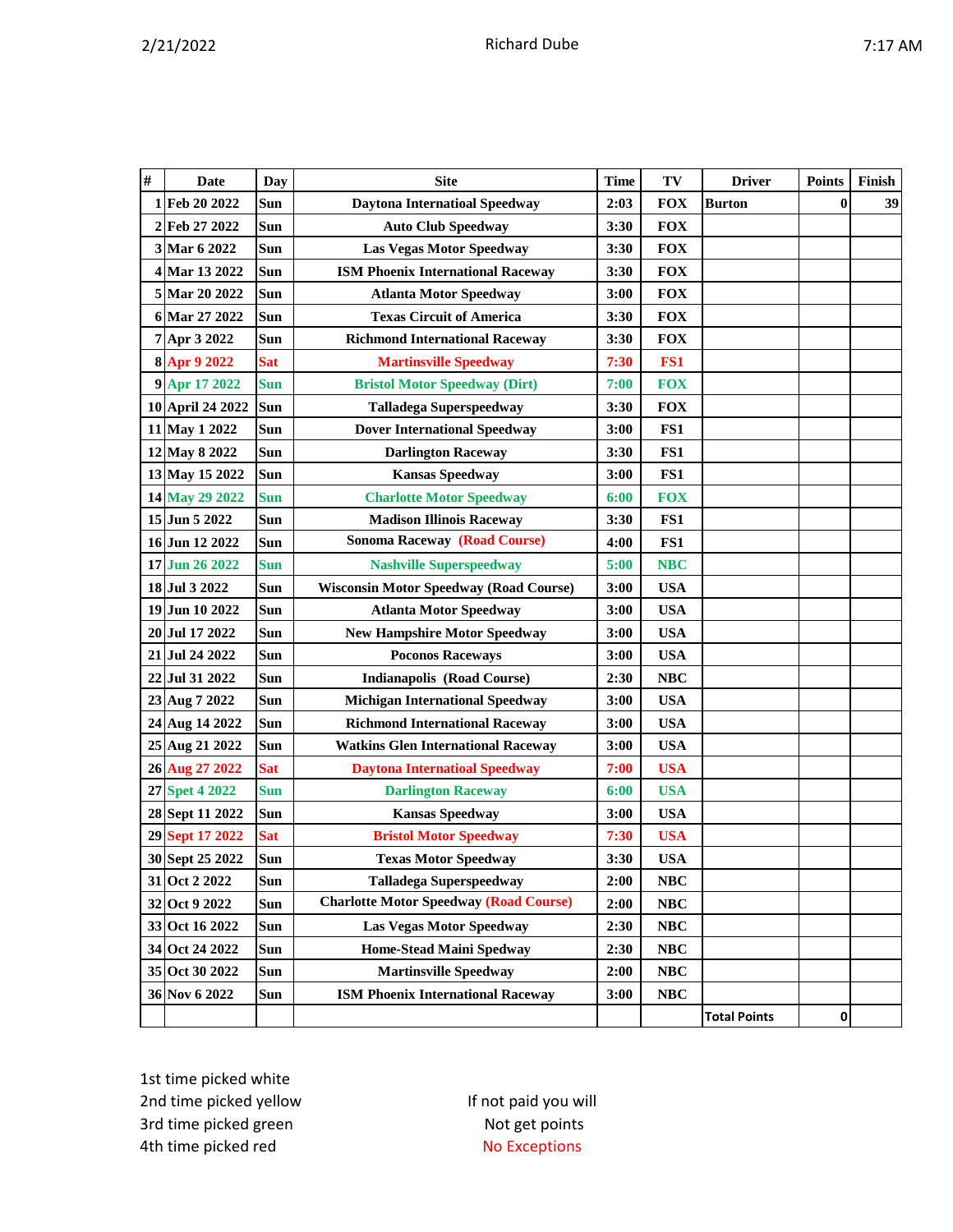|  |  | J |
|--|--|---|
|  |  |   |

| # | Date             | Day        | <b>Site</b>                                   | TV<br>Time         |                 | <b>Driver</b>       | <b>Points</b> | Finish |
|---|------------------|------------|-----------------------------------------------|--------------------|-----------------|---------------------|---------------|--------|
| 1 | Feb 20 2022      | Sun        | <b>Daytona Internatioal Speedway</b>          | 2:03               | <b>FOX</b>      | <b>Burton</b>       | $\bf{0}$      | 39     |
|   | 2 Feb 27 2022    | Sun        | <b>Auto Club Speedway</b>                     | 3:30               | <b>FOX</b>      |                     |               |        |
|   | 3 Mar 6 2022     | Sun        | <b>Las Vegas Motor Speedway</b>               | 3:30               | <b>FOX</b>      |                     |               |        |
|   | 4 Mar 13 2022    | Sun        | <b>ISM Phoenix International Raceway</b>      | 3:30               | <b>FOX</b>      |                     |               |        |
|   | 5 Mar 20 2022    | Sun        | <b>Atlanta Motor Speedway</b>                 | 3:00               | <b>FOX</b>      |                     |               |        |
|   | 6 Mar 27 2022    | Sun        | <b>Texas Circuit of America</b>               | 3:30               | <b>FOX</b>      |                     |               |        |
|   | 7 Apr 3 2022     | Sun        | <b>Richmond International Raceway</b>         | 3:30               | <b>FOX</b>      |                     |               |        |
|   | 8 Apr 9 2022     | <b>Sat</b> | <b>Martinsville Speedway</b>                  | 7:30               | FS <sub>1</sub> |                     |               |        |
|   | 9 Apr 17 2022    | <b>Sun</b> | <b>Bristol Motor Speedway (Dirt)</b>          | 7:00               | <b>FOX</b>      |                     |               |        |
|   | 10 April 24 2022 | <b>Sun</b> | <b>Talladega Superspeedway</b>                | 3:30               | <b>FOX</b>      |                     |               |        |
|   | 11 May 1 2022    | Sun        | <b>Dover International Speedway</b>           | 3:00               | FS1             |                     |               |        |
|   | 12 May 8 2022    | Sun        | <b>Darlington Raceway</b>                     | 3:30               | FS1             |                     |               |        |
|   | 13 May 15 2022   | Sun        | <b>Kansas Speedway</b>                        | 3:00               | FS1             |                     |               |        |
|   | 14 May 29 2022   | <b>Sun</b> | <b>Charlotte Motor Speedway</b>               | 6:00               | <b>FOX</b>      |                     |               |        |
|   | 15 Jun 5 2022    | Sun        | <b>Madison Illinois Raceway</b>               | 3:30               | FS1             |                     |               |        |
|   | 16 Jun 12 2022   | Sun        | <b>Sonoma Raceway (Road Course)</b>           | 4:00               | FS1             |                     |               |        |
|   | 17 Jun 26 2022   | <b>Sun</b> | <b>Nashville Superspeedway</b>                | 5:00               | <b>NBC</b>      |                     |               |        |
|   | 18 Jul 3 2022    | Sun        | <b>Wisconsin Motor Speedway (Road Course)</b> | 3:00               | <b>USA</b>      |                     |               |        |
|   | 19 Jun 10 2022   | Sun        | <b>Atlanta Motor Speedway</b>                 | 3:00               | <b>USA</b>      |                     |               |        |
|   | 20 Jul 17 2022   | Sun        | <b>New Hampshire Motor Speedway</b>           | 3:00               | <b>USA</b>      |                     |               |        |
|   | 21 Jul 24 2022   | Sun        | <b>Poconos Raceways</b>                       | 3:00               | <b>USA</b>      |                     |               |        |
|   | 22 Jul 31 2022   | Sun        | <b>Indianapolis (Road Course)</b>             | 2:30               | NBC             |                     |               |        |
|   | 23 Aug 7 2022    | Sun        | <b>Michigan International Speedway</b>        | 3:00               | <b>USA</b>      |                     |               |        |
|   | 24 Aug 14 2022   | Sun        | <b>Richmond International Raceway</b>         | 3:00               | <b>USA</b>      |                     |               |        |
|   | 25 Aug 21 2022   | Sun        | <b>Watkins Glen International Raceway</b>     | 3:00               | <b>USA</b>      |                     |               |        |
|   | 26 Aug 27 2022   | <b>Sat</b> | <b>Daytona Internatioal Speedway</b>          | 7:00               | <b>USA</b>      |                     |               |        |
|   | 27 Spet 4 2022   | Sun        | <b>Darlington Raceway</b>                     | 6:00               | <b>USA</b>      |                     |               |        |
|   | 28 Sept 11 2022  | Sun        | <b>Kansas Speedway</b>                        | 3:00               | <b>USA</b>      |                     |               |        |
|   | 29 Sept 17 2022  | <b>Sat</b> | <b>Bristol Motor Speedway</b>                 | 7:30               | <b>USA</b>      |                     |               |        |
|   | 30 Sept 25 2022  | Sun        | <b>Texas Motor Speedway</b>                   | 3:30               | <b>USA</b>      |                     |               |        |
|   | 31 Oct 2 2022    | <b>Sun</b> | <b>Talladega Superspeedway</b>                | 2:00<br><b>NBC</b> |                 |                     |               |        |
|   | 32 Oct 9 2022    | Sun        | <b>Charlotte Motor Speedway (Road Course)</b> | 2:00<br><b>NBC</b> |                 |                     |               |        |
|   | 33 Oct 16 2022   | <b>Sun</b> | Las Vegas Motor Speedway                      | 2:30               | NBC             |                     |               |        |
|   | 34 Oct 24 2022   | Sun        | <b>Home-Stead Maini Spedway</b>               | 2:30               | <b>NBC</b>      |                     |               |        |
|   | 35 Oct 30 2022   | Sun        | <b>Martinsville Speedway</b>                  | 2:00               | $\bf NBC$       |                     |               |        |
|   | 36 Nov 6 2022    | Sun        | <b>ISM Phoenix International Raceway</b>      | 3:00               | NBC             |                     |               |        |
|   |                  |            |                                               |                    |                 | <b>Total Points</b> | 0             |        |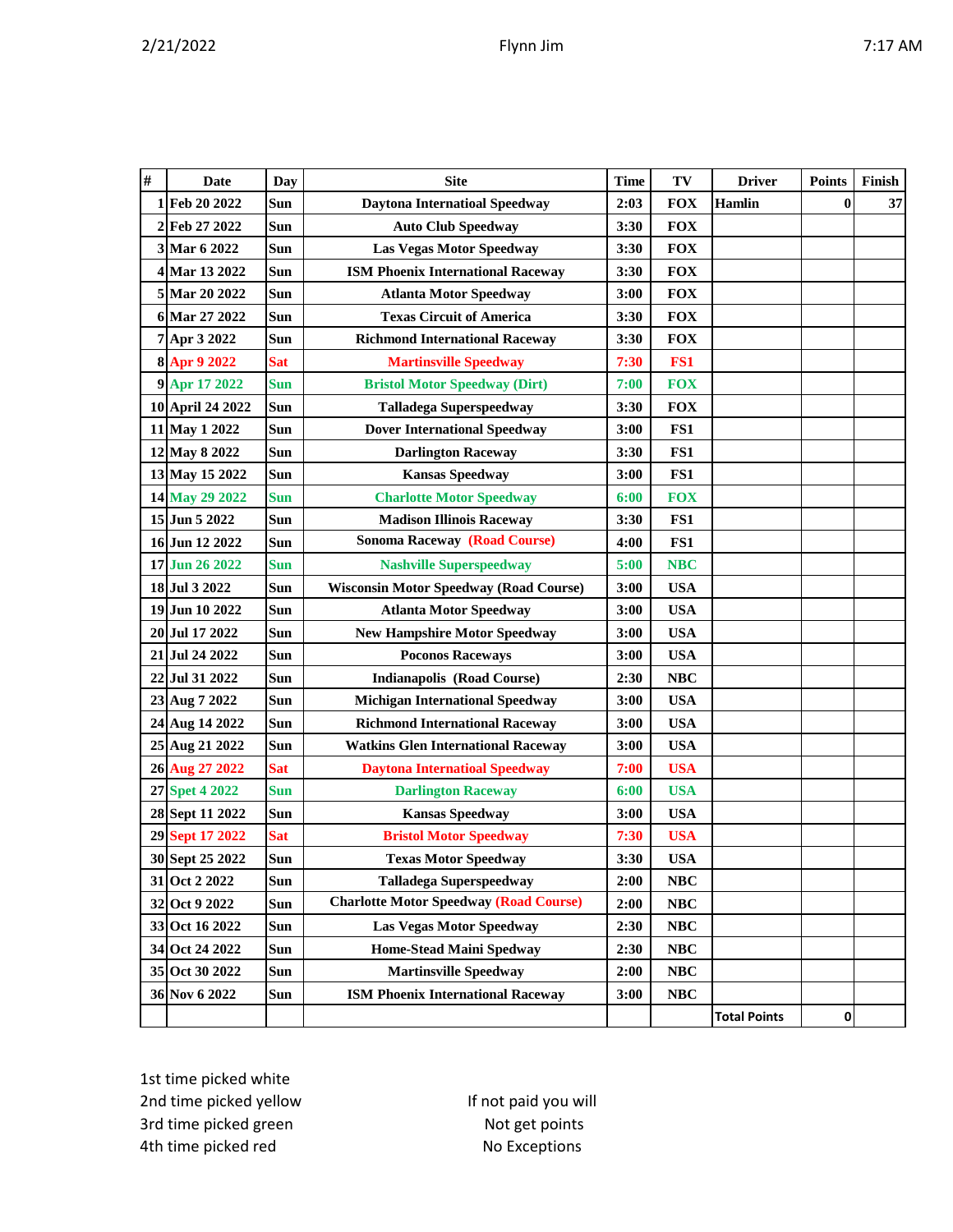| #  | <b>Date</b>         | Day        | <b>Site</b>                                   | <b>Time</b> | TV         | <b>Driver</b>       | <b>Points</b> | Finish |
|----|---------------------|------------|-----------------------------------------------|-------------|------------|---------------------|---------------|--------|
|    | 1 Feb 20 2022       | Sun        | <b>Daytona Internatioal Speedway</b>          | 2:03        | <b>FOX</b> | <b>Hamlin</b>       | $\bf{0}$      | 37     |
|    | 2 Feb 27 2022       | Sun        | <b>Auto Club Speedway</b><br>3:30             |             | <b>FOX</b> |                     |               |        |
|    | 3 Mar 6 2022        | Sun        | <b>Las Vegas Motor Speedway</b>               | 3:30        | <b>FOX</b> |                     |               |        |
|    | 4 Mar 13 2022       | Sun        | <b>ISM Phoenix International Raceway</b>      | 3:30        | <b>FOX</b> |                     |               |        |
|    | 5 Mar 20 2022       | Sun        | <b>Atlanta Motor Speedway</b>                 | 3:00        | <b>FOX</b> |                     |               |        |
|    | 6 Mar 27 2022       | Sun        | <b>Texas Circuit of America</b>               | 3:30        | <b>FOX</b> |                     |               |        |
|    | 7 Apr 3 2022        | Sun        | <b>Richmond International Raceway</b>         | 3:30        | <b>FOX</b> |                     |               |        |
|    | 8 Apr 9 2022        | <b>Sat</b> | <b>Martinsville Speedway</b>                  | 7:30        | FS1        |                     |               |        |
|    | 9 Apr 17 2022       | <b>Sun</b> | <b>Bristol Motor Speedway (Dirt)</b>          | 7:00        | <b>FOX</b> |                     |               |        |
|    | 10 April 24 2022    | Sun        | <b>Talladega Superspeedway</b>                | 3:30        | <b>FOX</b> |                     |               |        |
|    | 11 May 1 2022       | Sun        | <b>Dover International Speedway</b>           | 3:00        | FS1        |                     |               |        |
|    | 12 May 8 2022       | Sun        | <b>Darlington Raceway</b>                     | 3:30        | FS1        |                     |               |        |
|    | 13 May 15 2022      | Sun        | <b>Kansas Speedway</b>                        | 3:00        | FS1        |                     |               |        |
|    | 14 May 29 2022      | <b>Sun</b> | <b>Charlotte Motor Speedway</b>               | 6:00        | <b>FOX</b> |                     |               |        |
|    | 15 Jun 5 2022       | Sun        | <b>Madison Illinois Raceway</b>               | 3:30        | FS1        |                     |               |        |
|    | 16 Jun 12 2022      | Sun        | <b>Sonoma Raceway (Road Course)</b>           | 4:00        | FS1        |                     |               |        |
|    | 17 Jun 26 2022      | <b>Sun</b> | <b>Nashville Superspeedway</b>                | 5:00        | <b>NBC</b> |                     |               |        |
|    | 18 Jul 3 2022       | Sun        | <b>Wisconsin Motor Speedway (Road Course)</b> | 3:00        | <b>USA</b> |                     |               |        |
|    | 19 Jun 10 2022      | Sun        | <b>Atlanta Motor Speedway</b>                 | 3:00        | <b>USA</b> |                     |               |        |
|    | 20 Jul 17 2022      | <b>Sun</b> | <b>New Hampshire Motor Speedway</b>           | 3:00        | <b>USA</b> |                     |               |        |
|    | 21 Jul 24 2022      | Sun        | <b>Poconos Raceways</b>                       | 3:00        | <b>USA</b> |                     |               |        |
|    | 22 Jul 31 2022      | Sun        | <b>Indianapolis (Road Course)</b>             | 2:30        | <b>NBC</b> |                     |               |        |
|    | 23 Aug 7 2022       | Sun        | <b>Michigan International Speedway</b>        | 3:00        | <b>USA</b> |                     |               |        |
|    | 24 Aug 14 2022      | Sun        | <b>Richmond International Raceway</b>         | 3:00        | <b>USA</b> |                     |               |        |
|    | 25 Aug 21 2022      | Sun        | <b>Watkins Glen International Raceway</b>     | 3:00        | <b>USA</b> |                     |               |        |
|    | 26 Aug 27 2022      | <b>Sat</b> | <b>Daytona Internatioal Speedway</b>          | 7:00        | <b>USA</b> |                     |               |        |
|    | 27 Spet 4 2022      | <b>Sun</b> | <b>Darlington Raceway</b>                     | 6:00        | <b>USA</b> |                     |               |        |
|    | 28 Sept 11 2022     | Sun        | <b>Kansas Speedway</b>                        | 3:00        | <b>USA</b> |                     |               |        |
| 29 | <b>Sept 17 2022</b> | <b>Sat</b> | <b>Bristol Motor Speedway</b>                 | 7:30        | <b>USA</b> |                     |               |        |
|    | 30 Sept 25 2022     | Sun        | <b>Texas Motor Speedway</b>                   | 3:30        | <b>USA</b> |                     |               |        |
|    | 31 Oct 2 2022       | Sun        | <b>Talladega Superspeedway</b>                | 2:00        | NBC        |                     |               |        |
|    | 32 Oct 9 2022       | Sun        | <b>Charlotte Motor Speedway (Road Course)</b> | 2:00        | NBC        |                     |               |        |
|    | 33 Oct 16 2022      | Sun        | <b>Las Vegas Motor Speedway</b>               | 2:30        | NBC        |                     |               |        |
|    | 34 Oct 24 2022      | Sun        | <b>Home-Stead Maini Spedway</b>               | 2:30        | NBC        |                     |               |        |
|    | 35 Oct 30 2022      | Sun        | <b>Martinsville Speedway</b>                  | 2:00        | NBC        |                     |               |        |
|    | 36 Nov 6 2022       | Sun        | <b>ISM Phoenix International Raceway</b>      | 3:00        | NBC        |                     |               |        |
|    |                     |            |                                               |             |            | <b>Total Points</b> | $\pmb{0}$     |        |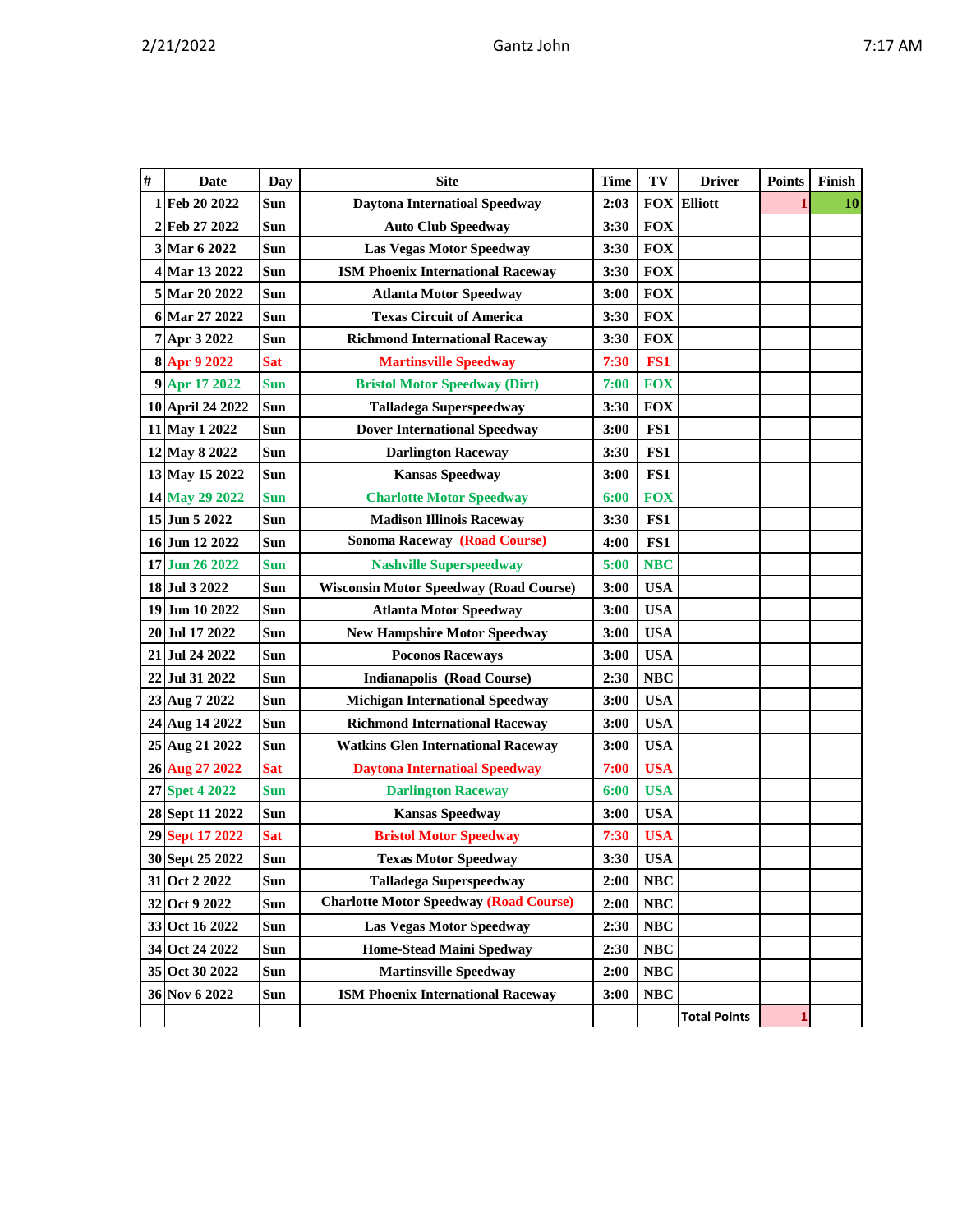|--|

| $\#$           | <b>Date</b>      | <b>Day</b> | <b>Site</b>                                   | <b>Time</b> | TV         | <b>Driver</b>       | <b>Points</b> | Finish |
|----------------|------------------|------------|-----------------------------------------------|-------------|------------|---------------------|---------------|--------|
|                | 1 Feb 20 2022    | Sun        | <b>Daytona Internatioal Speedway</b>          | 2:03        |            | <b>FOX Elliott</b>  |               | 10     |
| $\overline{2}$ | Feb 27 2022      | Sun        | <b>Auto Club Speedway</b>                     | 3:30        | <b>FOX</b> |                     |               |        |
|                | 3 Mar 6 2022     | Sun        | <b>Las Vegas Motor Speedway</b>               | 3:30        | <b>FOX</b> |                     |               |        |
|                | 4 Mar 13 2022    | Sun        | <b>ISM Phoenix International Raceway</b>      | 3:30        | <b>FOX</b> |                     |               |        |
|                | 5 Mar 20 2022    | Sun        | <b>Atlanta Motor Speedway</b>                 | 3:00        | <b>FOX</b> |                     |               |        |
|                | 6 Mar 27 2022    | Sun        | <b>Texas Circuit of America</b>               | 3:30        | <b>FOX</b> |                     |               |        |
|                | 7 Apr 3 2022     | Sun        | <b>Richmond International Raceway</b>         | 3:30        | <b>FOX</b> |                     |               |        |
|                | 8 Apr 9 2022     | <b>Sat</b> | <b>Martinsville Speedway</b>                  | 7:30        | FS1        |                     |               |        |
|                | 9 Apr 17 2022    | <b>Sun</b> | <b>Bristol Motor Speedway (Dirt)</b>          | 7:00        | <b>FOX</b> |                     |               |        |
|                | 10 April 24 2022 | Sun        | <b>Talladega Superspeedway</b>                | 3:30        | <b>FOX</b> |                     |               |        |
|                | 11 May 1 2022    | Sun        | <b>Dover International Speedway</b>           | 3:00        | FS1        |                     |               |        |
|                | 12 May 8 2022    | Sun        | <b>Darlington Raceway</b>                     | 3:30        | FS1        |                     |               |        |
|                | 13 May 15 2022   | Sun        | <b>Kansas Speedway</b>                        | 3:00        | FS1        |                     |               |        |
|                | 14 May 29 2022   | <b>Sun</b> | <b>Charlotte Motor Speedway</b>               | 6:00        | <b>FOX</b> |                     |               |        |
|                | 15 Jun 5 2022    | Sun        | <b>Madison Illinois Raceway</b>               | 3:30        | FS1        |                     |               |        |
|                | 16 Jun 12 2022   | Sun        | <b>Sonoma Raceway (Road Course)</b>           | 4:00        | FS1        |                     |               |        |
|                | 17 Jun 26 2022   | <b>Sun</b> | <b>Nashville Superspeedway</b>                | 5:00        | <b>NBC</b> |                     |               |        |
|                | 18 Jul 3 2022    | Sun        | <b>Wisconsin Motor Speedway (Road Course)</b> | 3:00        | <b>USA</b> |                     |               |        |
|                | 19 Jun 10 2022   | Sun        | <b>Atlanta Motor Speedway</b>                 | 3:00        | <b>USA</b> |                     |               |        |
|                | 20 Jul 17 2022   | Sun        | <b>New Hampshire Motor Speedway</b>           | 3:00        | <b>USA</b> |                     |               |        |
|                | 21 Jul 24 2022   | Sun        | <b>Poconos Raceways</b>                       | 3:00        | <b>USA</b> |                     |               |        |
|                | 22 Jul 31 2022   | Sun        | <b>Indianapolis (Road Course)</b>             | 2:30        | <b>NBC</b> |                     |               |        |
|                | 23 Aug 7 2022    | Sun        | <b>Michigan International Speedway</b>        | 3:00        | <b>USA</b> |                     |               |        |
|                | 24 Aug 14 2022   | Sun        | <b>Richmond International Raceway</b>         | 3:00        | <b>USA</b> |                     |               |        |
|                | 25 Aug 21 2022   | Sun        | <b>Watkins Glen International Raceway</b>     | 3:00        | <b>USA</b> |                     |               |        |
|                | 26 Aug 27 2022   | <b>Sat</b> | <b>Daytona Internatioal Speedway</b>          | 7:00        | <b>USA</b> |                     |               |        |
|                | 27 Spet 4 2022   | <b>Sun</b> | <b>Darlington Raceway</b>                     | 6:00        | <b>USA</b> |                     |               |        |
|                | 28 Sept 11 2022  | Sun        | <b>Kansas Speedway</b>                        | 3:00        | <b>USA</b> |                     |               |        |
|                | 29 Sept 17 2022  | <b>Sat</b> | <b>Bristol Motor Speedway</b>                 | 7:30        | <b>USA</b> |                     |               |        |
|                | 30 Sept 25 2022  | Sun        | <b>Texas Motor Speedway</b>                   | 3:30        | <b>USA</b> |                     |               |        |
|                | 31 Oct 2 2022    | Sun        | <b>Talladega Superspeedway</b>                | 2:00        | <b>NBC</b> |                     |               |        |
|                | 32 Oct 9 2022    | Sun        | <b>Charlotte Motor Speedway (Road Course)</b> | 2:00        | NBC        |                     |               |        |
|                | 33 Oct 16 2022   | Sun        | <b>Las Vegas Motor Speedway</b>               | 2:30        | <b>NBC</b> |                     |               |        |
|                | 34 Oct 24 2022   | Sun        | <b>Home-Stead Maini Spedway</b>               | 2:30        | NBC        |                     |               |        |
|                | 35 Oct 30 2022   | Sun        | <b>Martinsville Speedway</b>                  | 2:00        | NBC        |                     |               |        |
|                | 36 Nov 6 2022    | Sun        | <b>ISM Phoenix International Raceway</b>      | 3:00        | <b>NBC</b> |                     |               |        |
|                |                  |            |                                               |             |            | <b>Total Points</b> | 1             |        |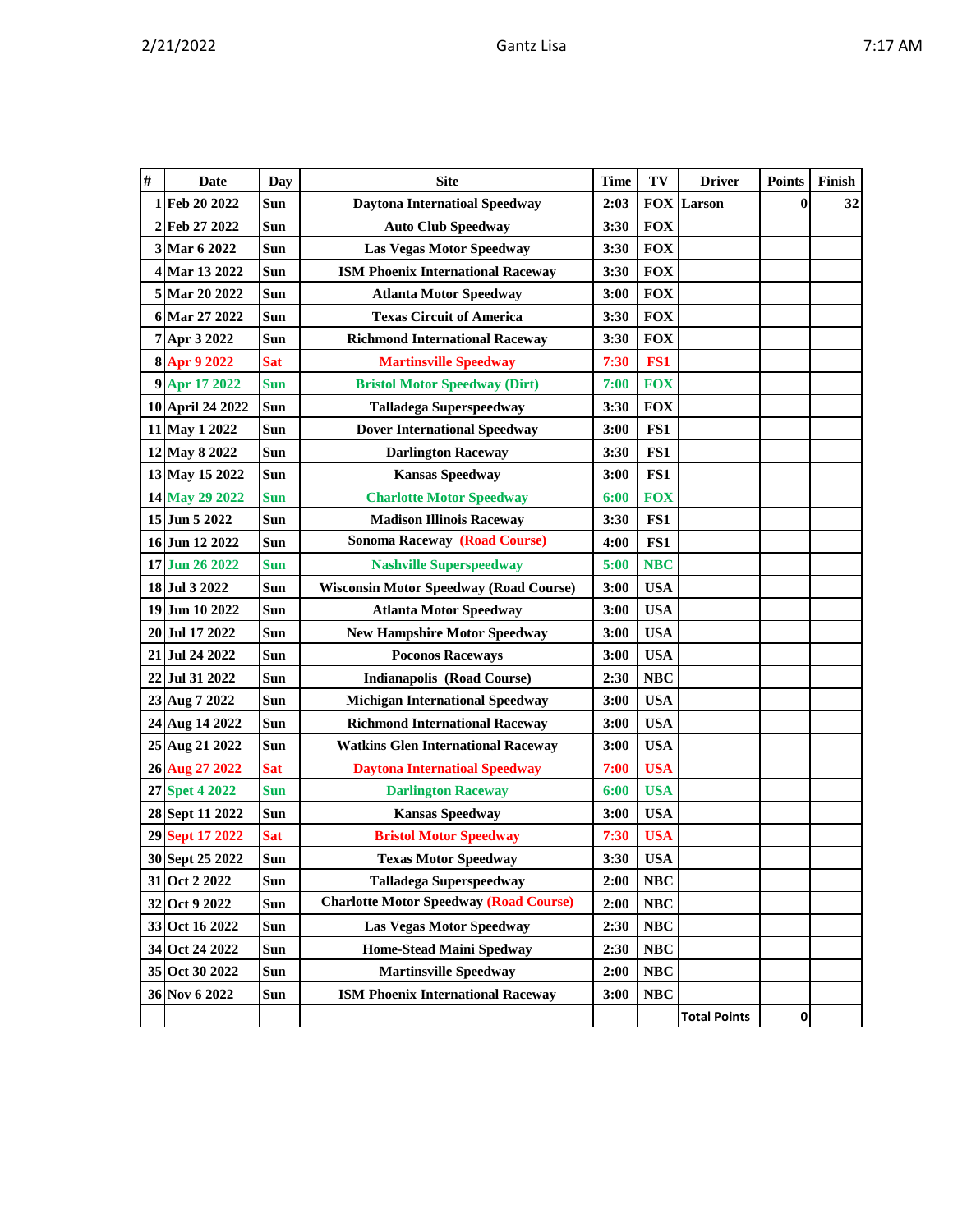| # | Date             | Day        | <b>Site</b>                                   | <b>Time</b> | TV         | <b>Driver</b>       | <b>Points</b> | Finish |
|---|------------------|------------|-----------------------------------------------|-------------|------------|---------------------|---------------|--------|
|   | 1 Feb 20 2022    | Sun        | 2:03<br><b>Daytona Internatioal Speedway</b>  |             |            | <b>FOX</b> Larson   | 0             | 32     |
|   | 2 Feb 27 2022    | Sun        | <b>Auto Club Speedway</b>                     | 3:30        | <b>FOX</b> |                     |               |        |
|   | 3 Mar 6 2022     | Sun        | <b>Las Vegas Motor Speedway</b>               | 3:30        | <b>FOX</b> |                     |               |        |
|   | 4 Mar 13 2022    | Sun        | <b>ISM Phoenix International Raceway</b>      | 3:30        | <b>FOX</b> |                     |               |        |
|   | 5 Mar 20 2022    | Sun        | <b>Atlanta Motor Speedway</b>                 | 3:00        | <b>FOX</b> |                     |               |        |
|   | 6 Mar 27 2022    | Sun        | <b>Texas Circuit of America</b>               | 3:30        | <b>FOX</b> |                     |               |        |
|   | 7 Apr 3 2022     | Sun        | <b>Richmond International Raceway</b>         | 3:30        | <b>FOX</b> |                     |               |        |
|   | 8 Apr 9 2022     | Sat        | <b>Martinsville Speedway</b>                  | 7:30        | FS1        |                     |               |        |
|   | 9 Apr 17 2022    | <b>Sun</b> | <b>Bristol Motor Speedway (Dirt)</b>          | 7:00        | <b>FOX</b> |                     |               |        |
|   | 10 April 24 2022 | Sun        | <b>Talladega Superspeedway</b>                | 3:30        | <b>FOX</b> |                     |               |        |
|   | 11 May 1 2022    | Sun        | <b>Dover International Speedway</b>           | 3:00        | FS1        |                     |               |        |
|   | 12 May 8 2022    | Sun        | <b>Darlington Raceway</b>                     | 3:30        | FS1        |                     |               |        |
|   | 13 May 15 2022   | Sun        | <b>Kansas Speedway</b>                        | 3:00        | FS1        |                     |               |        |
|   | 14 May 29 2022   | <b>Sun</b> | <b>Charlotte Motor Speedway</b>               | 6:00        | <b>FOX</b> |                     |               |        |
|   | 15 Jun 5 2022    | Sun        | <b>Madison Illinois Raceway</b>               | 3:30        | FS1        |                     |               |        |
|   | 16 Jun 12 2022   | Sun        | <b>Sonoma Raceway (Road Course)</b>           | 4:00        | FS1        |                     |               |        |
|   | 17 Jun 26 2022   | <b>Sun</b> | <b>Nashville Superspeedway</b>                | 5:00        | <b>NBC</b> |                     |               |        |
|   | 18 Jul 3 2022    | Sun        | <b>Wisconsin Motor Speedway (Road Course)</b> | 3:00        | <b>USA</b> |                     |               |        |
|   | 19 Jun 10 2022   | Sun        | <b>Atlanta Motor Speedway</b>                 | 3:00        | <b>USA</b> |                     |               |        |
|   | 20 Jul 17 2022   | Sun        | <b>New Hampshire Motor Speedway</b>           | 3:00        | <b>USA</b> |                     |               |        |
|   | 21 Jul 24 2022   | Sun        | <b>Poconos Raceways</b>                       | 3:00        | <b>USA</b> |                     |               |        |
|   | 22 Jul 31 2022   | Sun        | <b>Indianapolis (Road Course)</b>             | 2:30        | <b>NBC</b> |                     |               |        |
|   | 23 Aug 7 2022    | Sun        | <b>Michigan International Speedway</b>        | 3:00        | <b>USA</b> |                     |               |        |
|   | 24 Aug 14 2022   | Sun        | <b>Richmond International Raceway</b>         | 3:00        | <b>USA</b> |                     |               |        |
|   | 25 Aug 21 2022   | Sun        | <b>Watkins Glen International Raceway</b>     | 3:00        | <b>USA</b> |                     |               |        |
|   | 26 Aug 27 2022   | <b>Sat</b> | <b>Daytona Internatioal Speedway</b>          | 7:00        | <b>USA</b> |                     |               |        |
|   | 27 Spet 4 2022   | <b>Sun</b> | <b>Darlington Raceway</b>                     | 6:00        | <b>USA</b> |                     |               |        |
|   | 28 Sept 11 2022  | Sun        | <b>Kansas Speedway</b>                        | 3:00        | <b>USA</b> |                     |               |        |
|   | 29 Sept 17 2022  | <b>Sat</b> | <b>Bristol Motor Speedway</b>                 | 7:30        | <b>USA</b> |                     |               |        |
|   | 30 Sept 25 2022  | Sun        | <b>Texas Motor Speedway</b>                   | 3:30        | <b>USA</b> |                     |               |        |
|   | 31 Oct 2 2022    | Sun        | <b>Talladega Superspeedway</b>                | 2:00        | <b>NBC</b> |                     |               |        |
|   | 32 Oct 9 2022    | Sun        | <b>Charlotte Motor Speedway (Road Course)</b> | 2:00        | <b>NBC</b> |                     |               |        |
|   | 33 Oct 16 2022   | Sun        | <b>Las Vegas Motor Speedway</b>               | 2:30        | NBC        |                     |               |        |
|   | 34 Oct 24 2022   | Sun        | <b>Home-Stead Maini Spedway</b>               | 2:30        | NBC        |                     |               |        |
|   | 35 Oct 30 2022   | Sun        | <b>Martinsville Speedway</b>                  | 2:00        | NBC        |                     |               |        |
|   | 36 Nov 6 2022    | Sun        | <b>ISM Phoenix International Raceway</b>      | 3:00        | <b>NBC</b> |                     |               |        |
|   |                  |            |                                               |             |            | <b>Total Points</b> | 0             |        |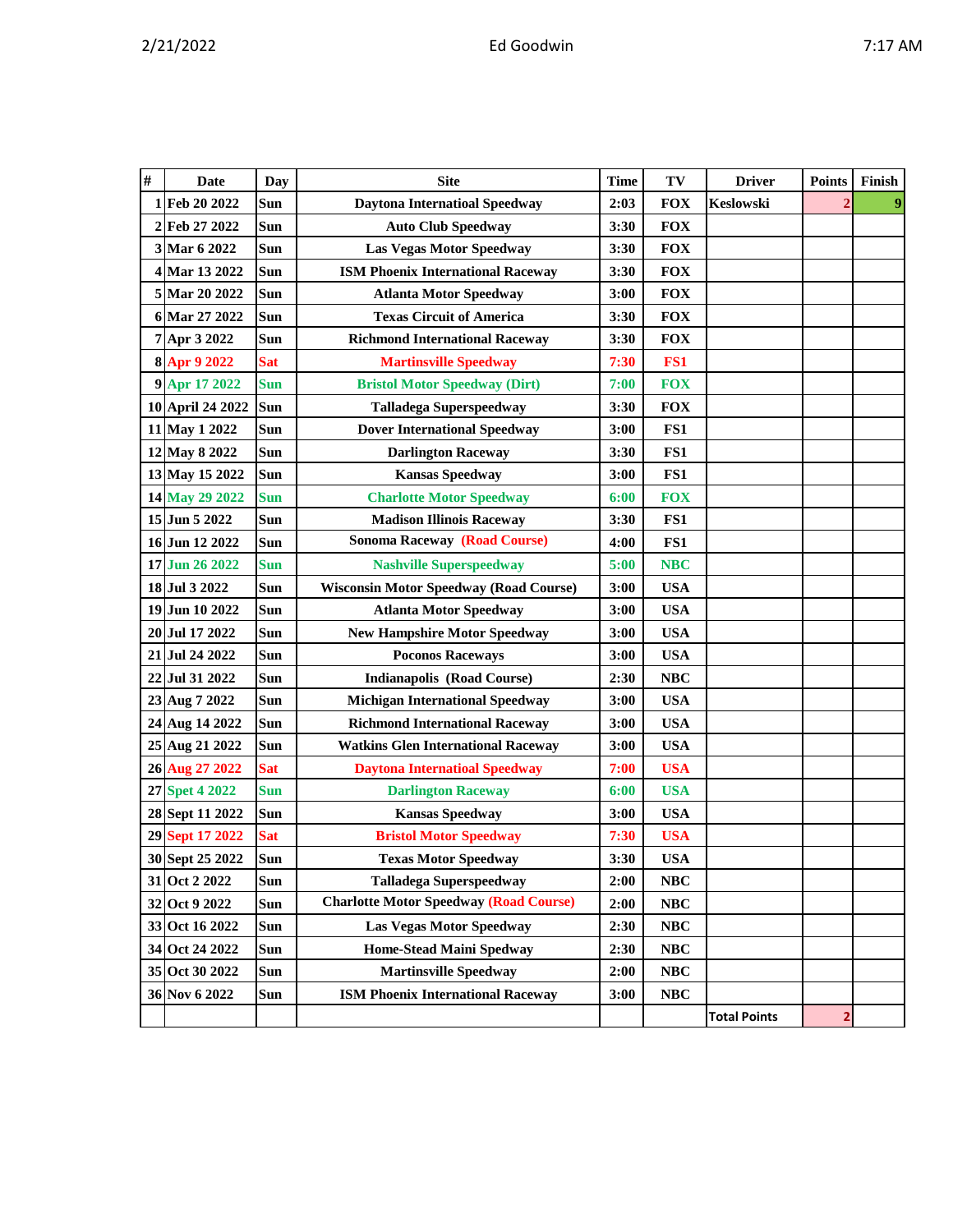|  |  |  |  | ١<br>۰. |
|--|--|--|--|---------|
|--|--|--|--|---------|

| # | <b>Date</b>      | Day        | <b>Site</b>                                   | <b>Time</b>        |            | <b>Driver</b>       | <b>Points</b> | Finish |
|---|------------------|------------|-----------------------------------------------|--------------------|------------|---------------------|---------------|--------|
| 1 | Feb 20 2022      | Sun        | <b>Daytona Internatioal Speedway</b>          | 2:03               | <b>FOX</b> | <b>Keslowski</b>    |               |        |
|   | 2 Feb 27 2022    | Sun        | <b>Auto Club Speedway</b>                     | 3:30               | <b>FOX</b> |                     |               |        |
|   | 3 Mar 6 2022     | Sun        | <b>Las Vegas Motor Speedway</b>               | 3:30               | <b>FOX</b> |                     |               |        |
|   | 4 Mar 13 2022    | Sun        | <b>ISM Phoenix International Raceway</b>      | 3:30               | <b>FOX</b> |                     |               |        |
|   | 5 Mar 20 2022    | Sun        | <b>Atlanta Motor Speedway</b>                 | 3:00               | <b>FOX</b> |                     |               |        |
|   | 6 Mar 27 2022    | <b>Sun</b> | <b>Texas Circuit of America</b>               | 3:30               | <b>FOX</b> |                     |               |        |
|   | 7 Apr 3 2022     | Sun        | <b>Richmond International Raceway</b>         | 3:30               | <b>FOX</b> |                     |               |        |
|   | 8 Apr 9 2022     | <b>Sat</b> | <b>Martinsville Speedway</b>                  | 7:30               | FS1        |                     |               |        |
|   | 9 Apr 17 2022    | <b>Sun</b> | <b>Bristol Motor Speedway (Dirt)</b>          | 7:00               | <b>FOX</b> |                     |               |        |
|   | 10 April 24 2022 | <b>Sun</b> | <b>Talladega Superspeedway</b>                | 3:30               | <b>FOX</b> |                     |               |        |
|   | 11 May 1 2022    | Sun        | <b>Dover International Speedway</b>           | 3:00               | FS1        |                     |               |        |
|   | 12 May 8 2022    | Sun        | <b>Darlington Raceway</b>                     | 3:30               | FS1        |                     |               |        |
|   | 13 May 15 2022   | Sun        | <b>Kansas Speedway</b>                        | 3:00               | FS1        |                     |               |        |
|   | 14 May 29 2022   | <b>Sun</b> | <b>Charlotte Motor Speedway</b>               | 6:00               | <b>FOX</b> |                     |               |        |
|   | 15 Jun 5 2022    | Sun        | <b>Madison Illinois Raceway</b>               | 3:30               | FS1        |                     |               |        |
|   | 16 Jun 12 2022   | Sun        | <b>Sonoma Raceway (Road Course)</b>           | 4:00               | FS1        |                     |               |        |
|   | 17 Jun 26 2022   | <b>Sun</b> | <b>Nashville Superspeedway</b>                | 5:00               | <b>NBC</b> |                     |               |        |
|   | 18 Jul 3 2022    | Sun        | <b>Wisconsin Motor Speedway (Road Course)</b> | 3:00               | <b>USA</b> |                     |               |        |
|   | 19 Jun 10 2022   | Sun        | <b>Atlanta Motor Speedway</b>                 | 3:00               | <b>USA</b> |                     |               |        |
|   | 20 Jul 17 2022   | Sun        | <b>New Hampshire Motor Speedway</b>           | 3:00               | <b>USA</b> |                     |               |        |
|   | 21 Jul 24 2022   | Sun        | 3:00<br><b>Poconos Raceways</b>               |                    | <b>USA</b> |                     |               |        |
|   | 22 Jul 31 2022   | Sun        | <b>Indianapolis (Road Course)</b><br>2:30     |                    | <b>NBC</b> |                     |               |        |
|   | 23 Aug 7 2022    | Sun        | <b>Michigan International Speedway</b>        | <b>USA</b><br>3:00 |            |                     |               |        |
|   | 24 Aug 14 2022   | Sun        | <b>Richmond International Raceway</b>         | 3:00               | <b>USA</b> |                     |               |        |
|   | 25 Aug 21 2022   | Sun        | <b>Watkins Glen International Raceway</b>     | 3:00               | <b>USA</b> |                     |               |        |
|   | 26 Aug 27 2022   | <b>Sat</b> | <b>Daytona Internatioal Speedway</b>          | 7:00               | <b>USA</b> |                     |               |        |
|   | 27 Spet 4 2022   | <b>Sun</b> | <b>Darlington Raceway</b>                     | 6:00               | <b>USA</b> |                     |               |        |
|   | 28 Sept 11 2022  | Sun        | <b>Kansas Speedway</b>                        | 3:00               | <b>USA</b> |                     |               |        |
|   | 29 Sept 17 2022  | <b>Sat</b> | <b>Bristol Motor Speedway</b>                 | 7:30               | <b>USA</b> |                     |               |        |
|   | 30 Sept 25 2022  | Sun        | <b>Texas Motor Speedway</b>                   | 3:30               | <b>USA</b> |                     |               |        |
|   | 31 Oct 2 2022    | <b>Sun</b> | <b>Talladega Superspeedway</b>                | 2:00               | <b>NBC</b> |                     |               |        |
|   | 32 Oct 9 2022    | Sun        | <b>Charlotte Motor Speedway (Road Course)</b> | 2:00               | <b>NBC</b> |                     |               |        |
|   | 33 Oct 16 2022   | <b>Sun</b> | <b>Las Vegas Motor Speedway</b>               | 2:30               | <b>NBC</b> |                     |               |        |
|   | 34 Oct 24 2022   | Sun        | <b>Home-Stead Maini Spedway</b>               | 2:30               | $\bf NBC$  |                     |               |        |
|   | 35 Oct 30 2022   | <b>Sun</b> | <b>Martinsville Speedway</b>                  | 2:00               | $\bf NBC$  |                     |               |        |
|   | 36 Nov 6 2022    | Sun        | <b>ISM Phoenix International Raceway</b>      | 3:00               | NBC        |                     |               |        |
|   |                  |            |                                               |                    |            | <b>Total Points</b> | 2             |        |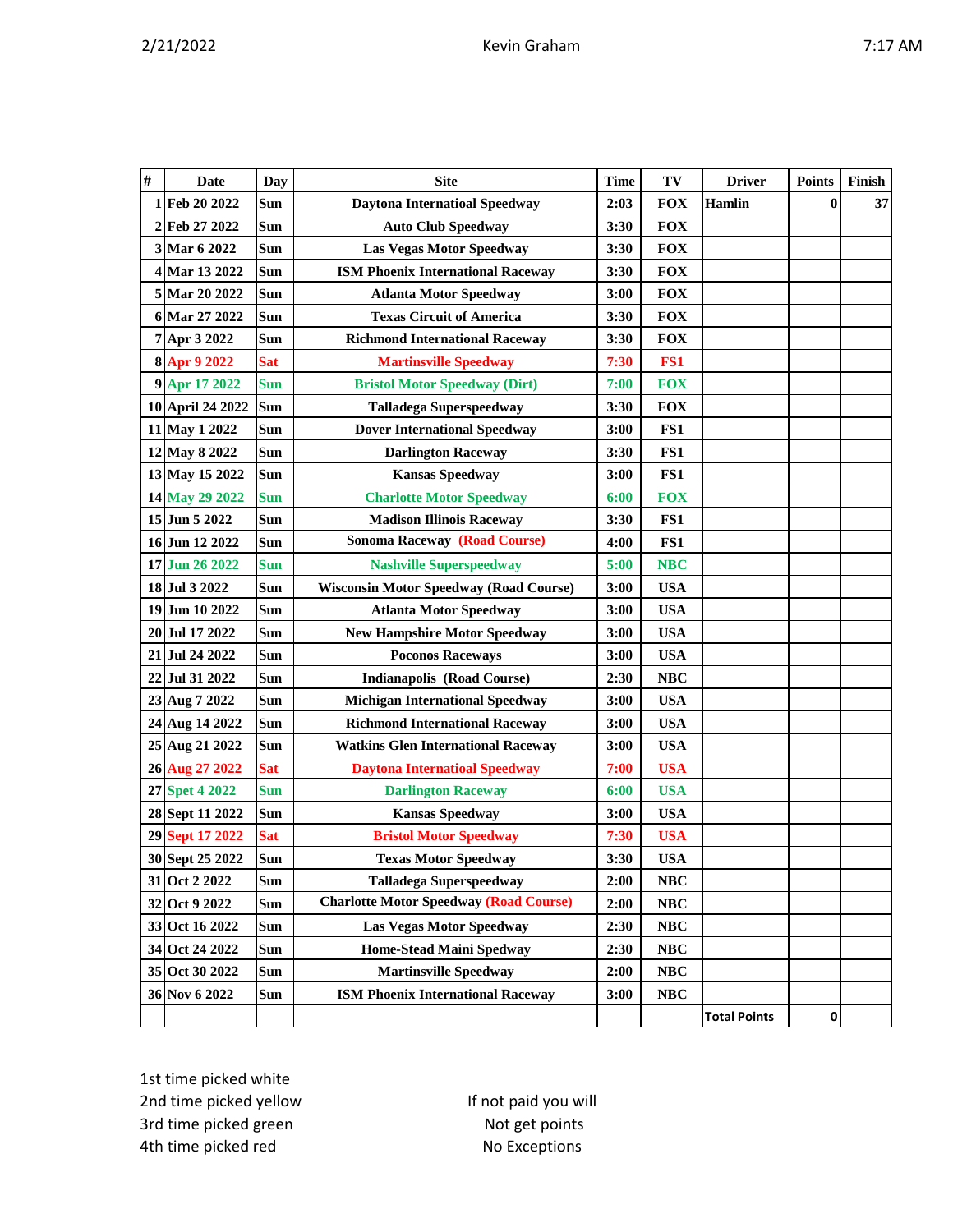| # | <b>Date</b>      | Day        | <b>Site</b>                                   | <b>Time</b> | TV         | <b>Driver</b>       | <b>Points</b> | Finish |
|---|------------------|------------|-----------------------------------------------|-------------|------------|---------------------|---------------|--------|
|   | 1 Feb 20 2022    | Sun        | <b>Daytona Internatioal Speedway</b>          | 2:03        | <b>FOX</b> | <b>Hamlin</b>       | $\bf{0}$      | $37\,$ |
|   | 2 Feb 27 2022    | Sun        | <b>Auto Club Speedway</b>                     | 3:30        | <b>FOX</b> |                     |               |        |
|   | 3 Mar 6 2022     | <b>Sun</b> | <b>Las Vegas Motor Speedway</b>               | 3:30        | <b>FOX</b> |                     |               |        |
|   | 4 Mar 13 2022    | Sun        | <b>ISM Phoenix International Raceway</b>      | 3:30        | <b>FOX</b> |                     |               |        |
|   | 5 Mar 20 2022    | Sun        | <b>Atlanta Motor Speedway</b>                 | 3:00        | <b>FOX</b> |                     |               |        |
|   | 6 Mar 27 2022    | Sun        | <b>Texas Circuit of America</b>               | 3:30        | <b>FOX</b> |                     |               |        |
|   | 7 Apr 3 2022     | Sun        | <b>Richmond International Raceway</b>         | 3:30        | <b>FOX</b> |                     |               |        |
|   | 8 Apr 9 2022     | <b>Sat</b> | <b>Martinsville Speedway</b>                  | 7:30        | FS1        |                     |               |        |
|   | 9 Apr 17 2022    | <b>Sun</b> | <b>Bristol Motor Speedway (Dirt)</b>          | 7:00        | <b>FOX</b> |                     |               |        |
|   | 10 April 24 2022 | Sun        | <b>Talladega Superspeedway</b>                | 3:30        | <b>FOX</b> |                     |               |        |
|   | 11 May 1 2022    | Sun        | <b>Dover International Speedway</b>           | 3:00        | FS1        |                     |               |        |
|   | 12 May 8 2022    | Sun        | <b>Darlington Raceway</b>                     | 3:30        | FS1        |                     |               |        |
|   | 13 May 15 2022   | Sun        | <b>Kansas Speedway</b>                        | 3:00        | FS1        |                     |               |        |
|   | 14 May 29 2022   | <b>Sun</b> | <b>Charlotte Motor Speedway</b>               | 6:00        | <b>FOX</b> |                     |               |        |
|   | 15 Jun 5 2022    | Sun        | <b>Madison Illinois Raceway</b>               | 3:30        | FS1        |                     |               |        |
|   | 16 Jun 12 2022   | Sun        | <b>Sonoma Raceway (Road Course)</b>           | 4:00        | FS1        |                     |               |        |
|   | 17 Jun 26 2022   | <b>Sun</b> | <b>Nashville Superspeedway</b>                | 5:00        | <b>NBC</b> |                     |               |        |
|   | 18 Jul 3 2022    | Sun        | <b>Wisconsin Motor Speedway (Road Course)</b> | 3:00        | <b>USA</b> |                     |               |        |
|   | 19 Jun 10 2022   | Sun        | <b>Atlanta Motor Speedway</b>                 | 3:00        | <b>USA</b> |                     |               |        |
|   | 20 Jul 17 2022   | <b>Sun</b> | <b>New Hampshire Motor Speedway</b>           | 3:00        | <b>USA</b> |                     |               |        |
|   | 21 Jul 24 2022   | Sun        | <b>Poconos Raceways</b>                       | 3:00        | <b>USA</b> |                     |               |        |
|   | 22 Jul 31 2022   | Sun        | <b>Indianapolis (Road Course)</b>             | 2:30        | <b>NBC</b> |                     |               |        |
|   | 23 Aug 7 2022    | Sun        | <b>Michigan International Speedway</b>        | 3:00        | <b>USA</b> |                     |               |        |
|   | 24 Aug 14 2022   | Sun        | <b>Richmond International Raceway</b>         | 3:00        | <b>USA</b> |                     |               |        |
|   | 25 Aug 21 2022   | Sun        | <b>Watkins Glen International Raceway</b>     | 3:00        | <b>USA</b> |                     |               |        |
|   | 26 Aug 27 2022   | <b>Sat</b> | <b>Daytona Internatioal Speedway</b>          | 7:00        | <b>USA</b> |                     |               |        |
|   | 27 Spet 4 2022   | <b>Sun</b> | <b>Darlington Raceway</b>                     | 6:00        | <b>USA</b> |                     |               |        |
|   | 28 Sept 11 2022  | Sun        | <b>Kansas Speedway</b>                        | 3:00        | <b>USA</b> |                     |               |        |
|   | 29 Sept 17 2022  | <b>Sat</b> | <b>Bristol Motor Speedway</b>                 | 7:30        | <b>USA</b> |                     |               |        |
|   | 30 Sept 25 2022  | Sun        | <b>Texas Motor Speedway</b>                   | 3:30        | <b>USA</b> |                     |               |        |
|   | 31 Oct 2 2022    | Sun        | <b>Talladega Superspeedway</b>                | 2:00        | NBC        |                     |               |        |
|   | 32 Oct 9 2022    | Sun        | <b>Charlotte Motor Speedway (Road Course)</b> | 2:00        | $\bf NBC$  |                     |               |        |
|   | 33 Oct 16 2022   | Sun        | <b>Las Vegas Motor Speedway</b>               | 2:30        | $\bf NBC$  |                     |               |        |
|   | 34 Oct 24 2022   | Sun        | <b>Home-Stead Maini Spedway</b>               | 2:30        | NBC        |                     |               |        |
|   | 35 Oct 30 2022   | Sun        | <b>Martinsville Speedway</b>                  | 2:00        | NBC        |                     |               |        |
|   | 36 Nov 6 2022    | Sun        | <b>ISM Phoenix International Raceway</b>      | 3:00        | <b>NBC</b> |                     |               |        |
|   |                  |            |                                               |             |            | <b>Total Points</b> | 0             |        |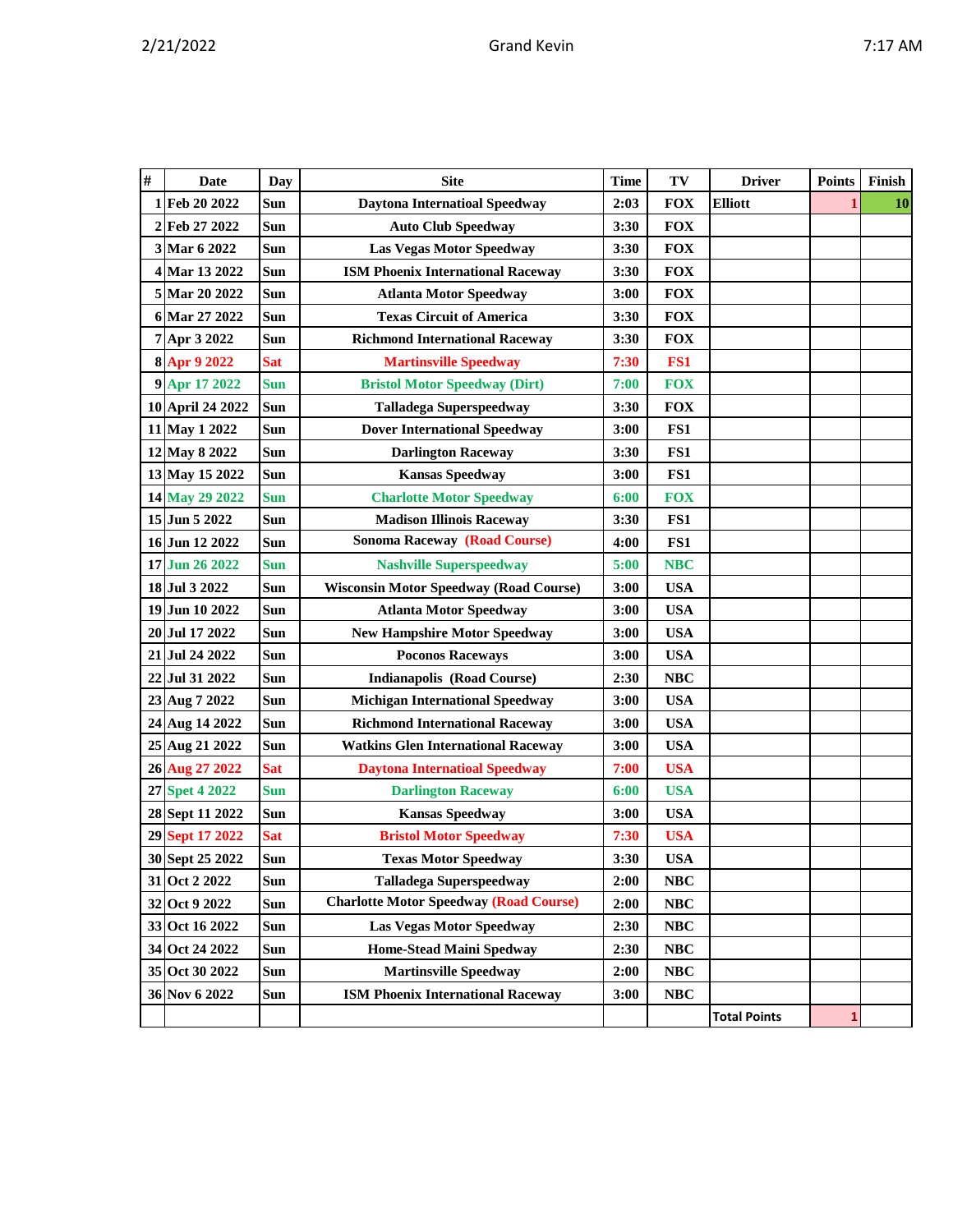|  | η<br>п<br>v |
|--|-------------|
|  |             |

| #  | <b>Date</b>      | Day        | <b>Site</b>                                   | <b>Time</b> | TV         | <b>Driver</b>       | <b>Points</b> | Finish    |
|----|------------------|------------|-----------------------------------------------|-------------|------------|---------------------|---------------|-----------|
|    | 1 Feb 20 2022    | Sun        | <b>Daytona Internatioal Speedway</b>          | 2:03        | <b>FOX</b> | <b>Elliott</b>      |               | <b>10</b> |
|    | 2Feb 27 2022     | Sun        | <b>Auto Club Speedway</b>                     | 3:30        | <b>FOX</b> |                     |               |           |
|    | 3 Mar 6 2022     | Sun        | <b>Las Vegas Motor Speedway</b>               | 3:30        | <b>FOX</b> |                     |               |           |
|    | 4 Mar 13 2022    | Sun        | <b>ISM Phoenix International Raceway</b>      | 3:30        | <b>FOX</b> |                     |               |           |
|    | 5 Mar 20 2022    | Sun        | <b>Atlanta Motor Speedway</b>                 | 3:00        | <b>FOX</b> |                     |               |           |
|    | 6 Mar 27 2022    | Sun        | <b>Texas Circuit of America</b>               | 3:30        | <b>FOX</b> |                     |               |           |
|    | 7 Apr 3 2022     | Sun        | <b>Richmond International Raceway</b>         | 3:30        | <b>FOX</b> |                     |               |           |
|    | 8 Apr 9 2022     | <b>Sat</b> | <b>Martinsville Speedway</b>                  | 7:30        | FS1        |                     |               |           |
|    | 9 Apr 17 2022    | <b>Sun</b> | <b>Bristol Motor Speedway (Dirt)</b>          | 7:00        | <b>FOX</b> |                     |               |           |
|    | 10 April 24 2022 | <b>Sun</b> | <b>Talladega Superspeedway</b>                | 3:30        | <b>FOX</b> |                     |               |           |
|    | 11 May 1 2022    | Sun        | <b>Dover International Speedway</b>           | 3:00        | FS1        |                     |               |           |
|    | 12 May 8 2022    | Sun        | <b>Darlington Raceway</b>                     | 3:30        | FS1        |                     |               |           |
|    | 13 May 15 2022   | Sun        | <b>Kansas Speedway</b>                        | 3:00        | FS1        |                     |               |           |
|    | 14 May 29 2022   | <b>Sun</b> | <b>Charlotte Motor Speedway</b>               | 6:00        | <b>FOX</b> |                     |               |           |
|    | 15 Jun 5 2022    | Sun        | <b>Madison Illinois Raceway</b>               | 3:30        | FS1        |                     |               |           |
|    | 16 Jun 12 2022   | Sun        | <b>Sonoma Raceway (Road Course)</b>           | 4:00        | FS1        |                     |               |           |
|    | 17 Jun 26 2022   | <b>Sun</b> | <b>Nashville Superspeedway</b>                | 5:00        | <b>NBC</b> |                     |               |           |
|    | 18 Jul 3 2022    | Sun        | <b>Wisconsin Motor Speedway (Road Course)</b> | 3:00        | <b>USA</b> |                     |               |           |
|    | 19 Jun 10 2022   | Sun        | <b>Atlanta Motor Speedway</b>                 | 3:00        | <b>USA</b> |                     |               |           |
|    | 20 Jul 17 2022   | Sun        | <b>New Hampshire Motor Speedway</b>           | 3:00        | <b>USA</b> |                     |               |           |
|    | 21 Jul 24 2022   | Sun        | <b>Poconos Raceways</b>                       | 3:00        | <b>USA</b> |                     |               |           |
| 22 | Jul 31 2022      | Sun        | <b>Indianapolis (Road Course)</b>             | 2:30        | <b>NBC</b> |                     |               |           |
|    | 23 Aug 7 2022    | Sun        | <b>Michigan International Speedway</b>        | 3:00        | <b>USA</b> |                     |               |           |
|    | 24 Aug 14 2022   | Sun        | <b>Richmond International Raceway</b>         | 3:00        | <b>USA</b> |                     |               |           |
|    | 25 Aug 21 2022   | Sun        | <b>Watkins Glen International Raceway</b>     | 3:00        | <b>USA</b> |                     |               |           |
|    | 26 Aug 27 2022   | <b>Sat</b> | <b>Daytona Internatioal Speedway</b>          | 7:00        | <b>USA</b> |                     |               |           |
|    | 27 Spet 4 2022   | <b>Sun</b> | <b>Darlington Raceway</b>                     | 6:00        | <b>USA</b> |                     |               |           |
|    | 28 Sept 11 2022  | Sun        | <b>Kansas Speedway</b>                        | 3:00        | <b>USA</b> |                     |               |           |
|    | 29 Sept 17 2022  | <b>Sat</b> | <b>Bristol Motor Speedway</b>                 | 7:30        | <b>USA</b> |                     |               |           |
|    | 30 Sept 25 2022  | Sun        | <b>Texas Motor Speedway</b>                   | 3:30        | <b>USA</b> |                     |               |           |
|    | 31 Oct 2 2022    | Sun        | <b>Talladega Superspeedway</b>                | 2:00        | <b>NBC</b> |                     |               |           |
|    | 32 Oct 9 2022    | Sun        | <b>Charlotte Motor Speedway (Road Course)</b> | 2:00        | <b>NBC</b> |                     |               |           |
|    | 33 Oct 16 2022   | Sun        | <b>Las Vegas Motor Speedway</b>               | 2:30        | <b>NBC</b> |                     |               |           |
|    | 34 Oct 24 2022   | Sun        | <b>Home-Stead Maini Spedway</b>               | 2:30        | <b>NBC</b> |                     |               |           |
|    | 35 Oct 30 2022   | Sun        | <b>Martinsville Speedway</b>                  | 2:00        | <b>NBC</b> |                     |               |           |
|    | 36 Nov 6 2022    | Sun        | <b>ISM Phoenix International Raceway</b>      | 3:00        | <b>NBC</b> |                     |               |           |
|    |                  |            |                                               |             |            | <b>Total Points</b> | 1             |           |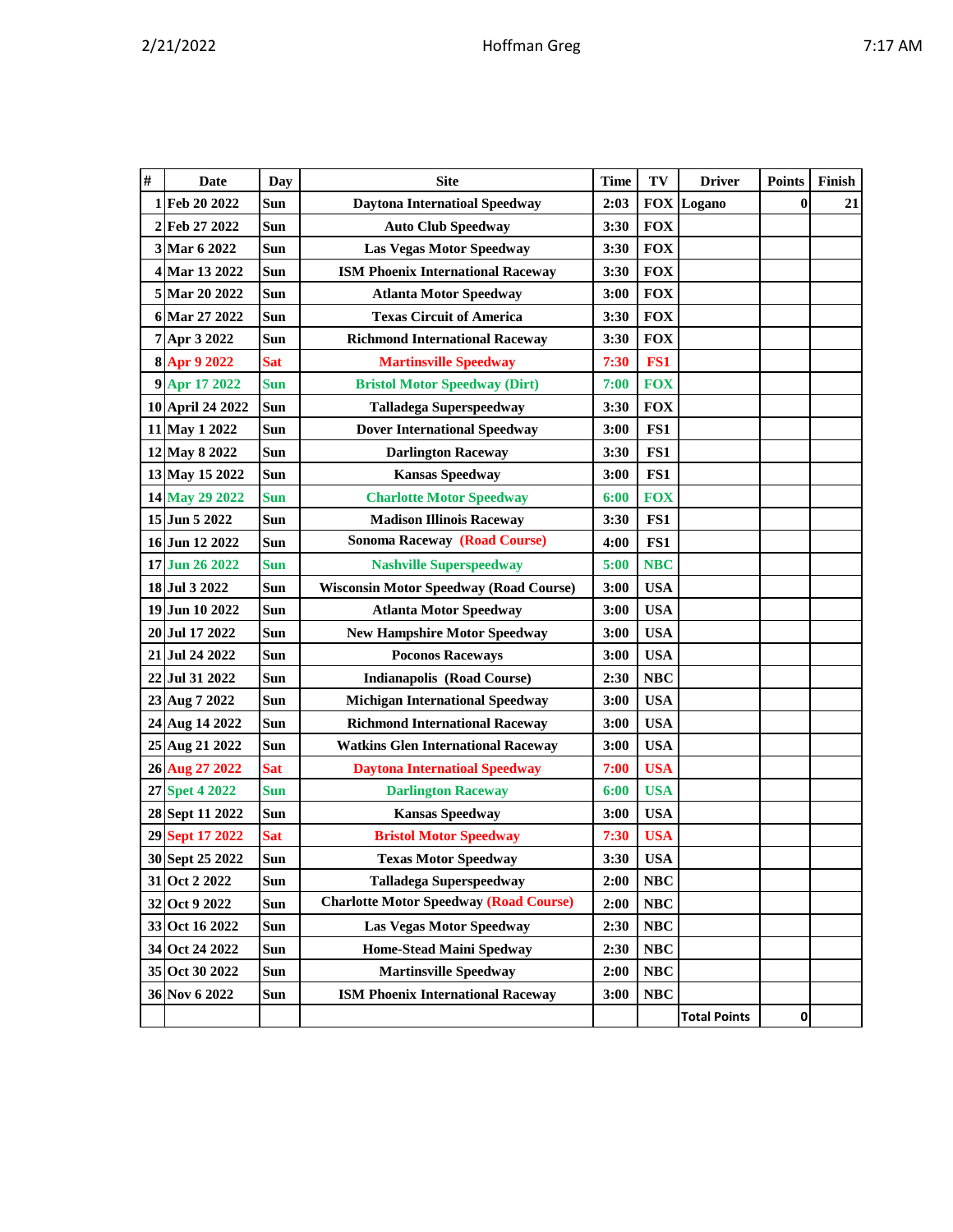| # | Date             |            | <b>Site</b>                                   | <b>Time</b>  | TV                       | <b>Driver</b> | <b>Points</b> | Finish |
|---|------------------|------------|-----------------------------------------------|--------------|--------------------------|---------------|---------------|--------|
|   | 1 Feb 20 2022    | Day<br>Sun | <b>Daytona Internatioal Speedway</b>          | 2:03         | <b>FOX</b>               | Logano        | $\bf{0}$      | 21     |
|   | 2 Feb 27 2022    | Sun        | <b>Auto Club Speedway</b>                     | 3:30         | <b>FOX</b>               |               |               |        |
|   | 3 Mar 6 2022     | Sun        | Las Vegas Motor Speedway                      | 3:30         | <b>FOX</b>               |               |               |        |
|   | 4 Mar 13 2022    | Sun        |                                               |              |                          |               |               |        |
|   | 5 Mar 20 2022    | Sun        | <b>ISM Phoenix International Raceway</b>      | 3:30<br>3:00 | <b>FOX</b><br><b>FOX</b> |               |               |        |
|   |                  |            | <b>Atlanta Motor Speedway</b>                 |              |                          |               |               |        |
|   | 6 Mar 27 2022    | <b>Sun</b> | <b>Texas Circuit of America</b>               | 3:30         | <b>FOX</b>               |               |               |        |
|   | 7 Apr 3 2022     | Sun        | <b>Richmond International Raceway</b>         | 3:30         | <b>FOX</b>               |               |               |        |
|   | 8 Apr 9 2022     | Sat        | <b>Martinsville Speedway</b>                  | 7:30         | FS1                      |               |               |        |
|   | 9 Apr 17 2022    | <b>Sun</b> | <b>Bristol Motor Speedway (Dirt)</b>          | 7:00         | <b>FOX</b>               |               |               |        |
|   | 10 April 24 2022 | Sun        | Talladega Superspeedway                       | 3:30         | <b>FOX</b>               |               |               |        |
|   | 11 May 1 2022    | <b>Sun</b> | <b>Dover International Speedway</b>           | 3:00         | FS1                      |               |               |        |
|   | 12 May 8 2022    | Sun        | <b>Darlington Raceway</b>                     | 3:30         | FS1                      |               |               |        |
|   | 13 May 15 2022   | Sun        | <b>Kansas Speedway</b>                        | 3:00         | FS1                      |               |               |        |
|   | 14 May 29 2022   | <b>Sun</b> | <b>Charlotte Motor Speedway</b>               | 6:00         | <b>FOX</b>               |               |               |        |
|   | 15 Jun 5 2022    | Sun        | <b>Madison Illinois Raceway</b>               | 3:30         | FS1                      |               |               |        |
|   | 16 Jun 12 2022   | <b>Sun</b> | <b>Sonoma Raceway (Road Course)</b>           | 4:00         | FS1                      |               |               |        |
|   | 17 Jun 26 2022   | Sun        | <b>Nashville Superspeedway</b>                | 5:00         | <b>NBC</b>               |               |               |        |
|   | 18 Jul 3 2022    | Sun        | <b>Wisconsin Motor Speedway (Road Course)</b> | 3:00         | <b>USA</b>               |               |               |        |
|   | 19 Jun 10 2022   | Sun        | <b>Atlanta Motor Speedway</b>                 | 3:00         | <b>USA</b>               |               |               |        |
|   | 20 Jul 17 2022   | Sun        | <b>New Hampshire Motor Speedway</b>           | 3:00         | <b>USA</b>               |               |               |        |
|   | 21 Jul 24 2022   | Sun        | <b>Poconos Raceways</b>                       | 3:00         | <b>USA</b>               |               |               |        |
|   | 22 Jul 31 2022   | Sun        | <b>Indianapolis (Road Course)</b>             | 2:30         | <b>NBC</b>               |               |               |        |
|   | 23 Aug 7 2022    | Sun        | <b>Michigan International Speedway</b>        | 3:00         | <b>USA</b>               |               |               |        |
|   | 24 Aug 14 2022   | Sun        | <b>Richmond International Raceway</b>         | 3:00         | <b>USA</b>               |               |               |        |
|   | 25 Aug 21 2022   | Sun        | <b>Watkins Glen International Raceway</b>     | 3:00         | <b>USA</b>               |               |               |        |
|   | 26 Aug 27 2022   | <b>Sat</b> | <b>Daytona Internatioal Speedway</b>          | 7:00         | <b>USA</b>               |               |               |        |
|   | 27 Spet 4 2022   | <b>Sun</b> | <b>Darlington Raceway</b>                     | 6:00         | <b>USA</b>               |               |               |        |
|   | 28 Sept 11 2022  | Sun        | <b>Kansas Speedway</b>                        | 3:00         | <b>USA</b>               |               |               |        |
|   | 29 Sept 17 2022  | Sat        | <b>Bristol Motor Speedway</b>                 | 7:30         | <b>USA</b>               |               |               |        |
|   | 30 Sept 25 2022  | Sun        | <b>Texas Motor Speedway</b>                   | 3:30         | <b>USA</b>               |               |               |        |
|   | 31 Oct 2 2022    | Sun        | <b>Talladega Superspeedway</b>                | 2:00         | <b>NBC</b>               |               |               |        |
|   | 32 Oct 9 2022    | Sun        | <b>Charlotte Motor Speedway (Road Course)</b> | 2:00         | <b>NBC</b>               |               |               |        |

**Total Points 0**

 **Oct 16 2022 Sun Las Vegas Motor Speedway 2:30 NBC Oct 24 2022 Sun Home-Stead Maini Spedway 2:30 NBC Oct 30 2022 Sun Martinsville Speedway 2:00 NBC Nov 6 2022 Sun ISM Phoenix International Raceway 3:00 NBC**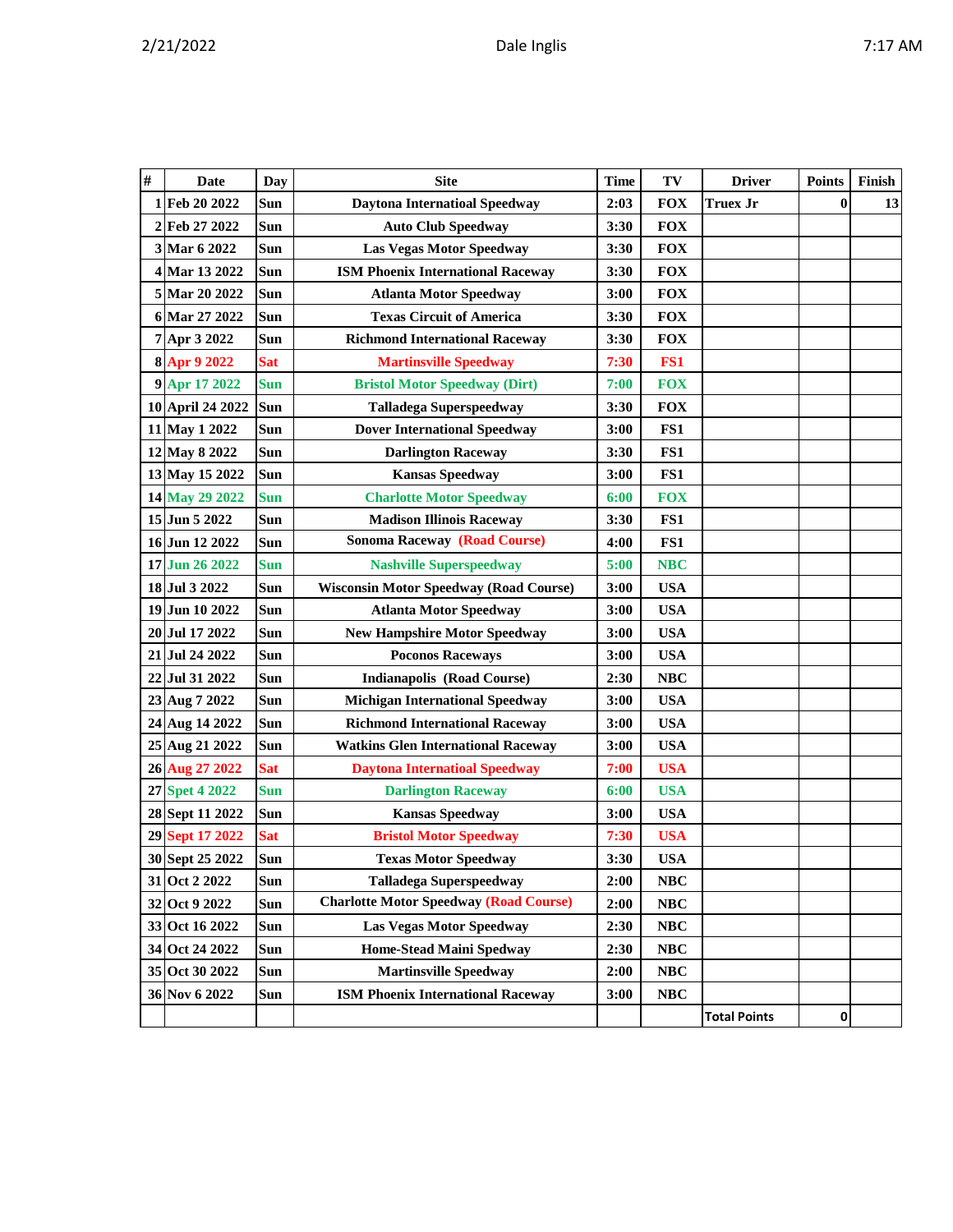| # | <b>Date</b>      | Day        | <b>Site</b>                                   | <b>Time</b> | TV         | <b>Driver</b>       | <b>Points</b> | Finish |
|---|------------------|------------|-----------------------------------------------|-------------|------------|---------------------|---------------|--------|
|   | 1 Feb 20 2022    | Sun        | <b>Daytona Internatioal Speedway</b>          | 2:03        | <b>FOX</b> | <b>Truex Jr</b>     | $\bf{0}$      | 13     |
|   | 2 Feb 27 2022    | Sun        | <b>Auto Club Speedway</b>                     | 3:30        | <b>FOX</b> |                     |               |        |
|   | 3 Mar 6 2022     | Sun        | <b>Las Vegas Motor Speedway</b>               | 3:30        | <b>FOX</b> |                     |               |        |
|   | 4 Mar 13 2022    | Sun        | <b>ISM Phoenix International Raceway</b>      | 3:30        | <b>FOX</b> |                     |               |        |
|   | 5 Mar 20 2022    | Sun        | <b>Atlanta Motor Speedway</b>                 | 3:00        | <b>FOX</b> |                     |               |        |
|   | 6 Mar 27 2022    | Sun        | <b>Texas Circuit of America</b>               | 3:30        | <b>FOX</b> |                     |               |        |
|   | 7 Apr 3 2022     | Sun        | <b>Richmond International Raceway</b>         | 3:30        | <b>FOX</b> |                     |               |        |
|   | 8 Apr 9 2022     | <b>Sat</b> | <b>Martinsville Speedway</b>                  | 7:30        | FS1        |                     |               |        |
|   | 9 Apr 17 2022    | <b>Sun</b> | <b>Bristol Motor Speedway (Dirt)</b>          | 7:00        | <b>FOX</b> |                     |               |        |
|   | 10 April 24 2022 | Sun        | <b>Talladega Superspeedway</b>                | 3:30        | <b>FOX</b> |                     |               |        |
|   | 11 May 1 2022    | Sun        | <b>Dover International Speedway</b>           | 3:00        | FS1        |                     |               |        |
|   | 12 May 8 2022    | Sun        | <b>Darlington Raceway</b>                     | 3:30        | FS1        |                     |               |        |
|   | 13 May 15 2022   | Sun        | <b>Kansas Speedway</b>                        | 3:00        | FS1        |                     |               |        |
|   | 14 May 29 2022   | <b>Sun</b> | <b>Charlotte Motor Speedway</b>               | 6:00        | <b>FOX</b> |                     |               |        |
|   | 15 Jun 5 2022    | Sun        | <b>Madison Illinois Raceway</b>               | 3:30        | FS1        |                     |               |        |
|   | 16 Jun 12 2022   | Sun        | <b>Sonoma Raceway (Road Course)</b>           | 4:00        | FS1        |                     |               |        |
|   | 17 Jun 26 2022   | Sun        | <b>Nashville Superspeedway</b>                | 5:00        | <b>NBC</b> |                     |               |        |
|   | 18 Jul 3 2022    | Sun        | <b>Wisconsin Motor Speedway (Road Course)</b> | 3:00        | <b>USA</b> |                     |               |        |
|   | 19 Jun 10 2022   | Sun        | <b>Atlanta Motor Speedway</b>                 | 3:00        | <b>USA</b> |                     |               |        |
|   | 20 Jul 17 2022   | <b>Sun</b> | <b>New Hampshire Motor Speedway</b>           | 3:00        | <b>USA</b> |                     |               |        |
|   | 21 Jul 24 2022   | Sun        | <b>Poconos Raceways</b>                       | 3:00        | <b>USA</b> |                     |               |        |
|   | 22 Jul 31 2022   | Sun        | <b>Indianapolis (Road Course)</b>             | 2:30        | <b>NBC</b> |                     |               |        |
|   | 23 Aug 7 2022    | Sun        | <b>Michigan International Speedway</b>        | 3:00        | <b>USA</b> |                     |               |        |
|   | 24 Aug 14 2022   | Sun        | <b>Richmond International Raceway</b>         | 3:00        | <b>USA</b> |                     |               |        |
|   | 25 Aug 21 2022   | Sun        | <b>Watkins Glen International Raceway</b>     | 3:00        | <b>USA</b> |                     |               |        |
|   | 26 Aug 27 2022   | <b>Sat</b> | <b>Daytona Internatioal Speedway</b>          | 7:00        | <b>USA</b> |                     |               |        |
|   | 27 Spet 4 2022   | Sun        | <b>Darlington Raceway</b>                     | 6:00        | <b>USA</b> |                     |               |        |
|   | 28 Sept 11 2022  | Sun        | <b>Kansas Speedway</b>                        | 3:00        | <b>USA</b> |                     |               |        |
|   | 29 Sept 17 2022  | <b>Sat</b> | <b>Bristol Motor Speedway</b>                 | 7:30        | <b>USA</b> |                     |               |        |
|   | 30 Sept 25 2022  | Sun        | <b>Texas Motor Speedway</b>                   | 3:30        | <b>USA</b> |                     |               |        |
|   | 31 Oct 2 2022    | Sun        | <b>Talladega Superspeedway</b>                | 2:00        | NBC        |                     |               |        |
|   | 32 Oct 9 2022    | Sun        | <b>Charlotte Motor Speedway (Road Course)</b> | 2:00        | NBC        |                     |               |        |
|   | 33 Oct 16 2022   | Sun        | Las Vegas Motor Speedway                      | 2:30        | NBC        |                     |               |        |
|   | 34 Oct 24 2022   | Sun        | <b>Home-Stead Maini Spedway</b>               | 2:30        | $\bf NBC$  |                     |               |        |
|   | 35 Oct 30 2022   | Sun        | <b>Martinsville Speedway</b>                  | 2:00        | <b>NBC</b> |                     |               |        |
|   | 36 Nov 6 2022    | Sun        | <b>ISM Phoenix International Raceway</b>      | 3:00        | <b>NBC</b> |                     |               |        |
|   |                  |            |                                               |             |            | <b>Total Points</b> | 0             |        |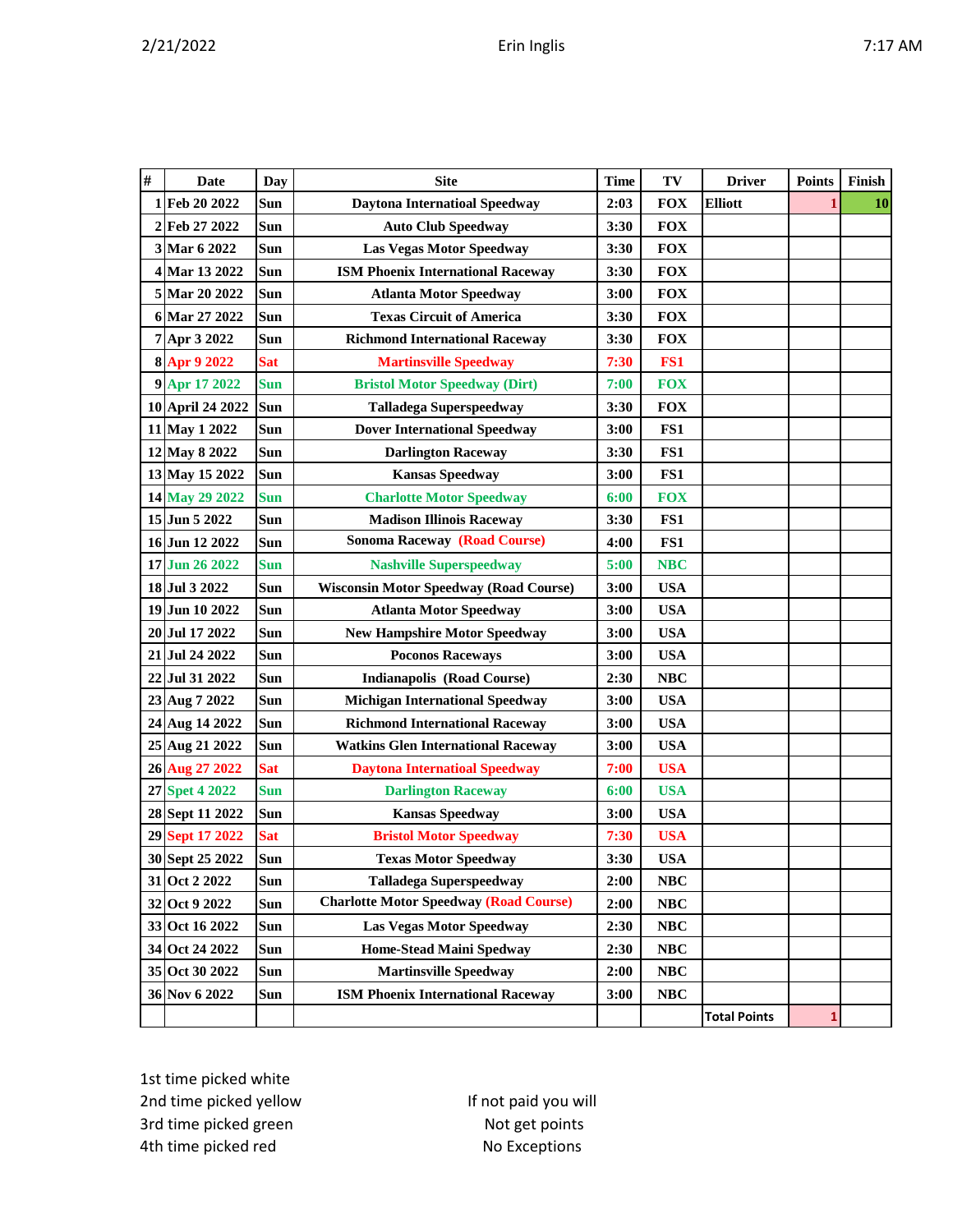| # | <b>Date</b>      | <b>Day</b> | <b>Site</b>                                   | <b>Time</b> | TV         | <b>Driver</b>       | <b>Points</b> | Finish    |
|---|------------------|------------|-----------------------------------------------|-------------|------------|---------------------|---------------|-----------|
|   | 1 Feb 20 2022    | Sun        | <b>Daytona Internatioal Speedway</b>          | 2:03        | <b>FOX</b> | <b>Elliott</b>      | 1             | <b>10</b> |
|   | 2 Feb 27 2022    | Sun        | <b>Auto Club Speedway</b>                     | 3:30        | <b>FOX</b> |                     |               |           |
|   | 3 Mar 6 2022     | Sun        | <b>Las Vegas Motor Speedway</b>               | 3:30        | <b>FOX</b> |                     |               |           |
|   | 4 Mar 13 2022    | Sun        | <b>ISM Phoenix International Raceway</b>      | 3:30        | <b>FOX</b> |                     |               |           |
|   | 5 Mar 20 2022    | Sun        | <b>Atlanta Motor Speedway</b>                 | 3:00        | <b>FOX</b> |                     |               |           |
|   | 6 Mar 27 2022    | Sun        | <b>Texas Circuit of America</b>               | 3:30        | <b>FOX</b> |                     |               |           |
|   | 7 Apr 3 2022     | Sun        | <b>Richmond International Raceway</b>         | 3:30        | <b>FOX</b> |                     |               |           |
|   | 8 Apr 9 2022     | <b>Sat</b> | <b>Martinsville Speedway</b>                  | 7:30        | FS1        |                     |               |           |
|   | 9 Apr 17 2022    | <b>Sun</b> | <b>Bristol Motor Speedway (Dirt)</b>          | 7:00        | <b>FOX</b> |                     |               |           |
|   | 10 April 24 2022 | Sun        | <b>Talladega Superspeedway</b>                | 3:30        | <b>FOX</b> |                     |               |           |
|   | 11 May 1 2022    | Sun        | <b>Dover International Speedway</b>           | 3:00        | FS1        |                     |               |           |
|   | 12 May 8 2022    | Sun        | <b>Darlington Raceway</b>                     | 3:30        | FS1        |                     |               |           |
|   | 13 May 15 2022   | Sun        | <b>Kansas Speedway</b>                        | 3:00        | FS1        |                     |               |           |
|   | 14 May 29 2022   | <b>Sun</b> | <b>Charlotte Motor Speedway</b>               | 6:00        | <b>FOX</b> |                     |               |           |
|   | 15 Jun 5 2022    | Sun        | <b>Madison Illinois Raceway</b>               | 3:30        | FS1        |                     |               |           |
|   | 16 Jun 12 2022   | Sun        | <b>Sonoma Raceway (Road Course)</b>           | 4:00        | FS1        |                     |               |           |
|   | 17 Jun 26 2022   | <b>Sun</b> | <b>Nashville Superspeedway</b>                | 5:00        | <b>NBC</b> |                     |               |           |
|   | 18 Jul 3 2022    | Sun        | <b>Wisconsin Motor Speedway (Road Course)</b> | 3:00        | <b>USA</b> |                     |               |           |
|   | 19 Jun 10 2022   | Sun        | <b>Atlanta Motor Speedway</b>                 | 3:00        | <b>USA</b> |                     |               |           |
|   | 20 Jul 17 2022   | Sun        | <b>New Hampshire Motor Speedway</b>           | 3:00        | <b>USA</b> |                     |               |           |
|   | 21 Jul 24 2022   | Sun        | <b>Poconos Raceways</b>                       | 3:00        | <b>USA</b> |                     |               |           |
|   | 22 Jul 31 2022   | Sun        | <b>Indianapolis (Road Course)</b>             | 2:30        | <b>NBC</b> |                     |               |           |
|   | 23 Aug 7 2022    | Sun        | <b>Michigan International Speedway</b>        | 3:00        | <b>USA</b> |                     |               |           |
|   | 24 Aug 14 2022   | Sun        | <b>Richmond International Raceway</b>         | 3:00        | <b>USA</b> |                     |               |           |
|   | 25 Aug 21 2022   | Sun        | <b>Watkins Glen International Raceway</b>     | 3:00        | <b>USA</b> |                     |               |           |
|   | 26 Aug 27 2022   | <b>Sat</b> | <b>Daytona Internatioal Speedway</b>          | 7:00        | <b>USA</b> |                     |               |           |
|   | 27 Spet 4 2022   | <b>Sun</b> | <b>Darlington Raceway</b>                     | 6:00        | <b>USA</b> |                     |               |           |
|   | 28 Sept 11 2022  | Sun        | <b>Kansas Speedway</b>                        | 3:00        | <b>USA</b> |                     |               |           |
|   | 29 Sept 17 2022  | <b>Sat</b> | <b>Bristol Motor Speedway</b>                 | 7:30        | <b>USA</b> |                     |               |           |
|   | 30 Sept 25 2022  | Sun        | <b>Texas Motor Speedway</b>                   | 3:30        | <b>USA</b> |                     |               |           |
|   | 31 Oct 2 2022    | Sun        | <b>Talladega Superspeedway</b>                | 2:00        | NBC        |                     |               |           |
|   | 32 Oct 9 2022    | Sun        | <b>Charlotte Motor Speedway (Road Course)</b> | 2:00        | NBC        |                     |               |           |
|   | 33 Oct 16 2022   | Sun        | <b>Las Vegas Motor Speedway</b>               | 2:30        | NBC        |                     |               |           |
|   | 34 Oct 24 2022   | Sun        | <b>Home-Stead Maini Spedway</b>               | 2:30        | NBC        |                     |               |           |
|   | 35 Oct 30 2022   | Sun        | <b>Martinsville Speedway</b>                  | 2:00        | NBC        |                     |               |           |
|   | 36 Nov 6 2022    | Sun        | <b>ISM Phoenix International Raceway</b>      | 3:00        | NBC        |                     |               |           |
|   |                  |            |                                               |             |            | <b>Total Points</b> | 1             |           |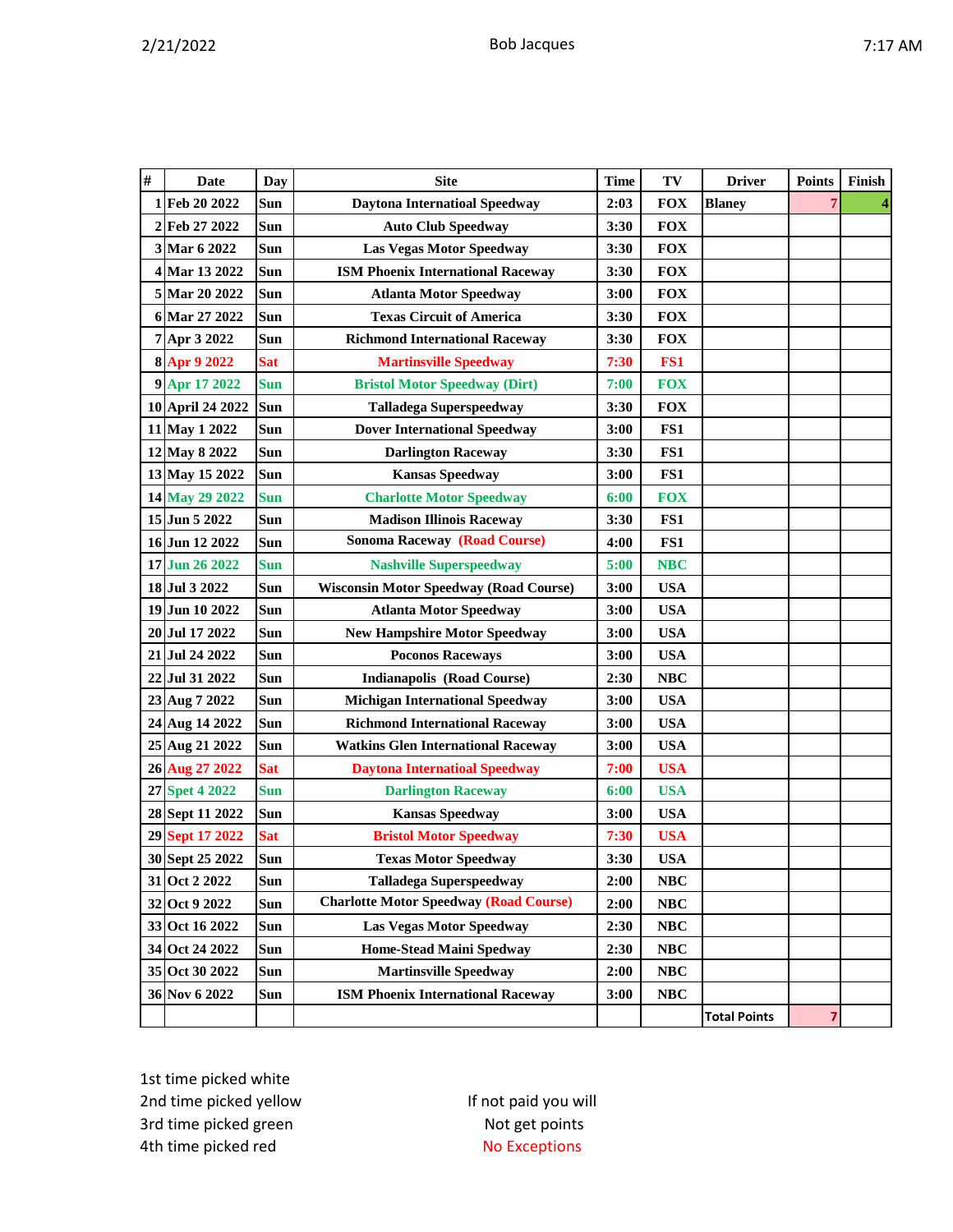| # | <b>Date</b>      | <b>Day</b> | <b>Site</b><br>TV<br><b>Driver</b><br><b>Time</b> |      | <b>Points</b> | Finish              |   |   |
|---|------------------|------------|---------------------------------------------------|------|---------------|---------------------|---|---|
|   | 1 Feb 20 2022    | Sun        | <b>Daytona Internatioal Speedway</b>              | 2:03 | <b>FOX</b>    | <b>Blaney</b>       | 7 | 4 |
|   | 2 Feb 27 2022    | Sun        | <b>Auto Club Speedway</b>                         | 3:30 | <b>FOX</b>    |                     |   |   |
|   | 3 Mar 6 2022     | Sun        | <b>Las Vegas Motor Speedway</b>                   | 3:30 | <b>FOX</b>    |                     |   |   |
|   | 4 Mar 13 2022    | Sun        | <b>ISM Phoenix International Raceway</b>          | 3:30 | <b>FOX</b>    |                     |   |   |
|   | 5 Mar 20 2022    | Sun        | <b>Atlanta Motor Speedway</b>                     | 3:00 | <b>FOX</b>    |                     |   |   |
|   | 6 Mar 27 2022    | Sun        | <b>Texas Circuit of America</b>                   | 3:30 | <b>FOX</b>    |                     |   |   |
|   | 7 Apr 3 2022     | Sun        | <b>Richmond International Raceway</b>             | 3:30 | <b>FOX</b>    |                     |   |   |
|   | 8 Apr 9 2022     | <b>Sat</b> | <b>Martinsville Speedway</b>                      | 7:30 | FS1           |                     |   |   |
|   | 9 Apr 17 2022    | <b>Sun</b> | <b>Bristol Motor Speedway (Dirt)</b>              | 7:00 | <b>FOX</b>    |                     |   |   |
|   | 10 April 24 2022 | Sun        | <b>Talladega Superspeedway</b>                    | 3:30 | <b>FOX</b>    |                     |   |   |
|   | 11 May 1 2022    | Sun        | <b>Dover International Speedway</b>               | 3:00 | FS1           |                     |   |   |
|   | 12 May 8 2022    | Sun        | <b>Darlington Raceway</b>                         | 3:30 | FS1           |                     |   |   |
|   | 13 May 15 2022   | Sun        | <b>Kansas Speedway</b>                            | 3:00 | FS1           |                     |   |   |
|   | 14 May 29 2022   | <b>Sun</b> | <b>Charlotte Motor Speedway</b>                   | 6:00 | <b>FOX</b>    |                     |   |   |
|   | 15 Jun 5 2022    | Sun        | <b>Madison Illinois Raceway</b>                   | 3:30 | FS1           |                     |   |   |
|   | 16 Jun 12 2022   | Sun        | <b>Sonoma Raceway (Road Course)</b>               | 4:00 | FS1           |                     |   |   |
|   | 17 Jun 26 2022   | <b>Sun</b> | <b>Nashville Superspeedway</b>                    | 5:00 | <b>NBC</b>    |                     |   |   |
|   | 18 Jul 3 2022    | <b>Sun</b> | <b>Wisconsin Motor Speedway (Road Course)</b>     | 3:00 | <b>USA</b>    |                     |   |   |
|   | 19 Jun 10 2022   | <b>Sun</b> | <b>Atlanta Motor Speedway</b>                     | 3:00 | <b>USA</b>    |                     |   |   |
|   | 20 Jul 17 2022   | Sun        | <b>New Hampshire Motor Speedway</b>               | 3:00 | <b>USA</b>    |                     |   |   |
|   | 21 Jul 24 2022   | Sun        | <b>Poconos Raceways</b>                           | 3:00 | <b>USA</b>    |                     |   |   |
|   | 22 Jul 31 2022   | <b>Sun</b> | <b>Indianapolis (Road Course)</b>                 | 2:30 | <b>NBC</b>    |                     |   |   |
|   | 23 Aug 7 2022    | Sun        | <b>Michigan International Speedway</b>            | 3:00 | <b>USA</b>    |                     |   |   |
|   | 24 Aug 14 2022   | Sun        | <b>Richmond International Raceway</b>             | 3:00 | <b>USA</b>    |                     |   |   |
|   | 25 Aug 21 2022   | Sun        | <b>Watkins Glen International Raceway</b>         | 3:00 | <b>USA</b>    |                     |   |   |
|   | 26 Aug 27 2022   | <b>Sat</b> | <b>Daytona Internatioal Speedway</b>              | 7:00 | <b>USA</b>    |                     |   |   |
|   | 27 Spet 4 2022   | <b>Sun</b> | <b>Darlington Raceway</b>                         | 6:00 | <b>USA</b>    |                     |   |   |
|   | 28 Sept 11 2022  | Sun        | <b>Kansas Speedway</b>                            | 3:00 | <b>USA</b>    |                     |   |   |
|   | 29 Sept 17 2022  | <b>Sat</b> | <b>Bristol Motor Speedway</b>                     | 7:30 | <b>USA</b>    |                     |   |   |
|   | 30 Sept 25 2022  | Sun        | <b>Texas Motor Speedway</b>                       | 3:30 | <b>USA</b>    |                     |   |   |
|   | 31 Oct 2 2022    | Sun        | <b>Talladega Superspeedway</b>                    | 2:00 | NBC           |                     |   |   |
|   | 32 Oct 9 2022    | Sun        | <b>Charlotte Motor Speedway (Road Course)</b>     | 2:00 | NBC           |                     |   |   |
|   | 33 Oct 16 2022   | Sun        | <b>Las Vegas Motor Speedway</b>                   | 2:30 | NBC           |                     |   |   |
|   | 34 Oct 24 2022   | Sun        | <b>Home-Stead Maini Spedway</b>                   | 2:30 | NBC           |                     |   |   |
|   | 35 Oct 30 2022   | Sun        | <b>Martinsville Speedway</b>                      | 2:00 | NBC           |                     |   |   |
|   | 36 Nov 6 2022    | Sun        | <b>ISM Phoenix International Raceway</b>          | 3:00 | NBC           |                     |   |   |
|   |                  |            |                                                   |      |               | <b>Total Points</b> | 7 |   |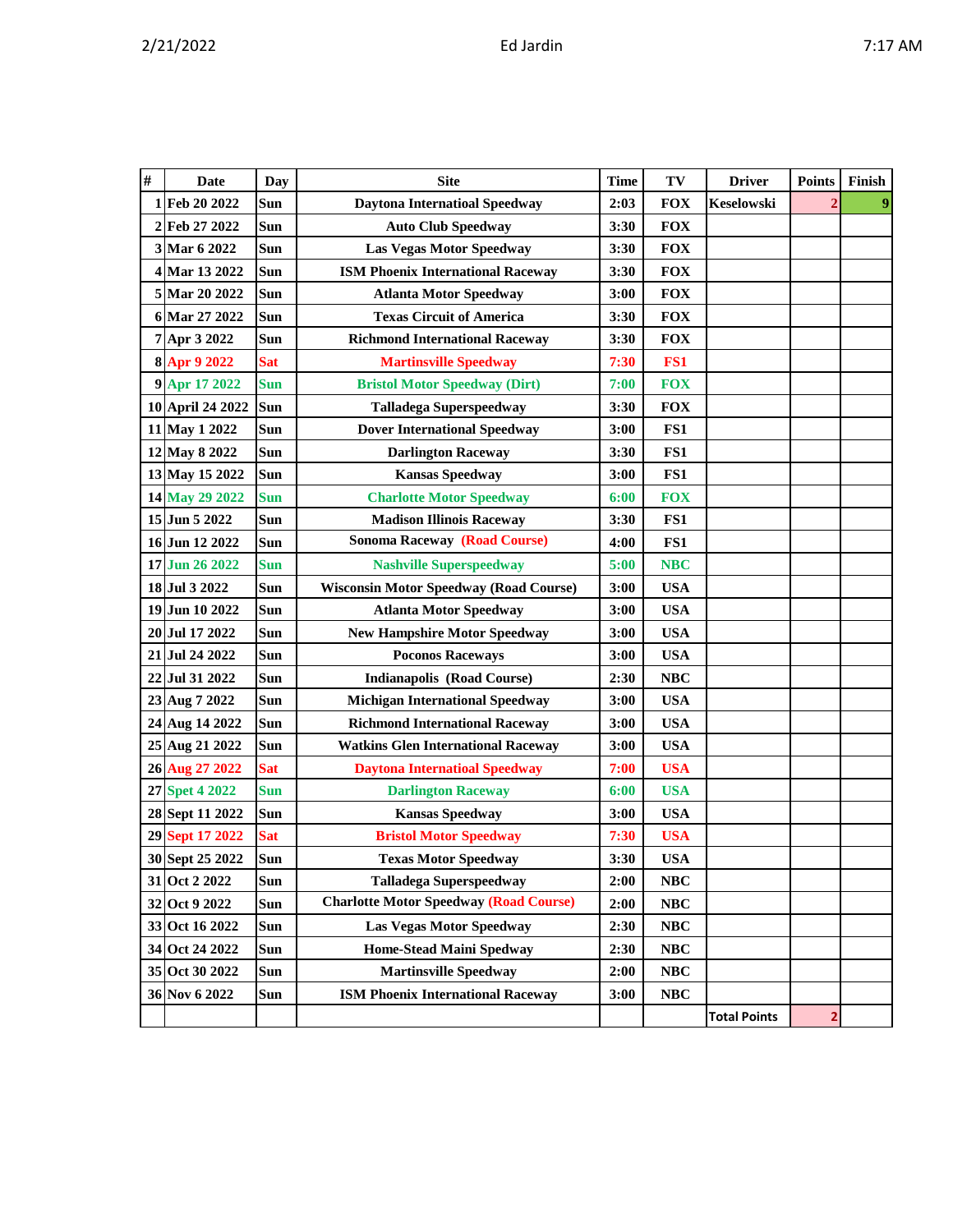|  |  |  |  | ١<br>۰. |
|--|--|--|--|---------|
|--|--|--|--|---------|

| # | <b>Date</b>      | <b>Day</b> | <b>Site</b>                                   | <b>Time</b> | TV         | <b>Driver</b>       | <b>Points</b>  | Finish |
|---|------------------|------------|-----------------------------------------------|-------------|------------|---------------------|----------------|--------|
|   | 1 Feb 20 2022    | Sun        | <b>Daytona Internatioal Speedway</b>          | 2:03        | <b>FOX</b> | Keselowski          | $\overline{2}$ | 9      |
|   | 2 Feb 27 2022    | Sun        | <b>Auto Club Speedway</b>                     | 3:30        | <b>FOX</b> |                     |                |        |
|   | 3 Mar 6 2022     | Sun        | <b>Las Vegas Motor Speedway</b>               | 3:30        | <b>FOX</b> |                     |                |        |
|   | 4 Mar 13 2022    | Sun        | <b>ISM Phoenix International Raceway</b>      | 3:30        | <b>FOX</b> |                     |                |        |
|   | 5 Mar 20 2022    | Sun        | <b>Atlanta Motor Speedway</b>                 | 3:00        | <b>FOX</b> |                     |                |        |
|   | 6 Mar 27 2022    | <b>Sun</b> | <b>Texas Circuit of America</b>               | 3:30        | <b>FOX</b> |                     |                |        |
|   | 7 Apr 3 2022     | Sun        | <b>Richmond International Raceway</b>         | 3:30        | <b>FOX</b> |                     |                |        |
|   | 8 Apr 9 2022     | <b>Sat</b> | <b>Martinsville Speedway</b>                  | 7:30        | FS1        |                     |                |        |
|   | 9 Apr 17 2022    | <b>Sun</b> | <b>Bristol Motor Speedway (Dirt)</b>          | 7:00        | <b>FOX</b> |                     |                |        |
|   | 10 April 24 2022 | Sun        | <b>Talladega Superspeedway</b>                | 3:30        | <b>FOX</b> |                     |                |        |
|   | 11 May 1 2022    | Sun        | <b>Dover International Speedway</b>           | 3:00        | FS1        |                     |                |        |
|   | 12 May 8 2022    | Sun        | <b>Darlington Raceway</b>                     | 3:30        | FS1        |                     |                |        |
|   | 13 May 15 2022   | Sun        | <b>Kansas Speedway</b>                        | 3:00        | FS1        |                     |                |        |
|   | 14 May 29 2022   | <b>Sun</b> | <b>Charlotte Motor Speedway</b>               | 6:00        | <b>FOX</b> |                     |                |        |
|   | 15 Jun 5 2022    | Sun        | <b>Madison Illinois Raceway</b>               | 3:30        | FS1        |                     |                |        |
|   | 16 Jun 12 2022   | Sun        | <b>Sonoma Raceway (Road Course)</b>           | 4:00        | FS1        |                     |                |        |
|   | 17 Jun 26 2022   | <b>Sun</b> | <b>Nashville Superspeedway</b>                | 5:00        | <b>NBC</b> |                     |                |        |
|   | 18 Jul 3 2022    | Sun        | <b>Wisconsin Motor Speedway (Road Course)</b> | 3:00        | <b>USA</b> |                     |                |        |
|   | 19 Jun 10 2022   | Sun        | <b>Atlanta Motor Speedway</b>                 | 3:00        | <b>USA</b> |                     |                |        |
|   | 20 Jul 17 2022   | <b>Sun</b> | <b>New Hampshire Motor Speedway</b>           | 3:00        | <b>USA</b> |                     |                |        |
|   | 21 Jul 24 2022   | Sun        | <b>Poconos Raceways</b>                       | 3:00        | <b>USA</b> |                     |                |        |
|   | 22 Jul 31 2022   | Sun        | <b>Indianapolis (Road Course)</b>             | 2:30        | NBC        |                     |                |        |
|   | 23 Aug 7 2022    | Sun        | <b>Michigan International Speedway</b>        | 3:00        | <b>USA</b> |                     |                |        |
|   | 24 Aug 14 2022   | Sun        | <b>Richmond International Raceway</b>         | 3:00        | <b>USA</b> |                     |                |        |
|   | 25 Aug 21 2022   | Sun        | <b>Watkins Glen International Raceway</b>     | 3:00        | <b>USA</b> |                     |                |        |
|   | 26 Aug 27 2022   | <b>Sat</b> | <b>Daytona Internatioal Speedway</b>          | 7:00        | <b>USA</b> |                     |                |        |
|   | 27 Spet 4 2022   | <b>Sun</b> | <b>Darlington Raceway</b>                     | 6:00        | <b>USA</b> |                     |                |        |
|   | 28 Sept 11 2022  | Sun        | <b>Kansas Speedway</b>                        | 3:00        | <b>USA</b> |                     |                |        |
|   | 29 Sept 17 2022  | <b>Sat</b> | <b>Bristol Motor Speedway</b>                 | 7:30        | <b>USA</b> |                     |                |        |
|   | 30 Sept 25 2022  | Sun        | <b>Texas Motor Speedway</b>                   | 3:30        | <b>USA</b> |                     |                |        |
|   | 31 Oct 2 2022    | Sun        | <b>Talladega Superspeedway</b>                | 2:00        | <b>NBC</b> |                     |                |        |
|   | 32 Oct 9 2022    | Sun        | <b>Charlotte Motor Speedway (Road Course)</b> | 2:00        | NBC        |                     |                |        |
|   | 33 Oct 16 2022   | Sun        | Las Vegas Motor Speedway                      | 2:30        | NBC        |                     |                |        |
|   | 34 Oct 24 2022   | Sun        | <b>Home-Stead Maini Spedway</b>               | 2:30        | NBC        |                     |                |        |
|   | 35 Oct 30 2022   | Sun        | <b>Martinsville Speedway</b>                  | 2:00        | <b>NBC</b> |                     |                |        |
|   | 36 Nov 6 2022    | <b>Sun</b> | <b>ISM Phoenix International Raceway</b>      | 3:00        | NBC        |                     |                |        |
|   |                  |            |                                               |             |            | <b>Total Points</b> | 2              |        |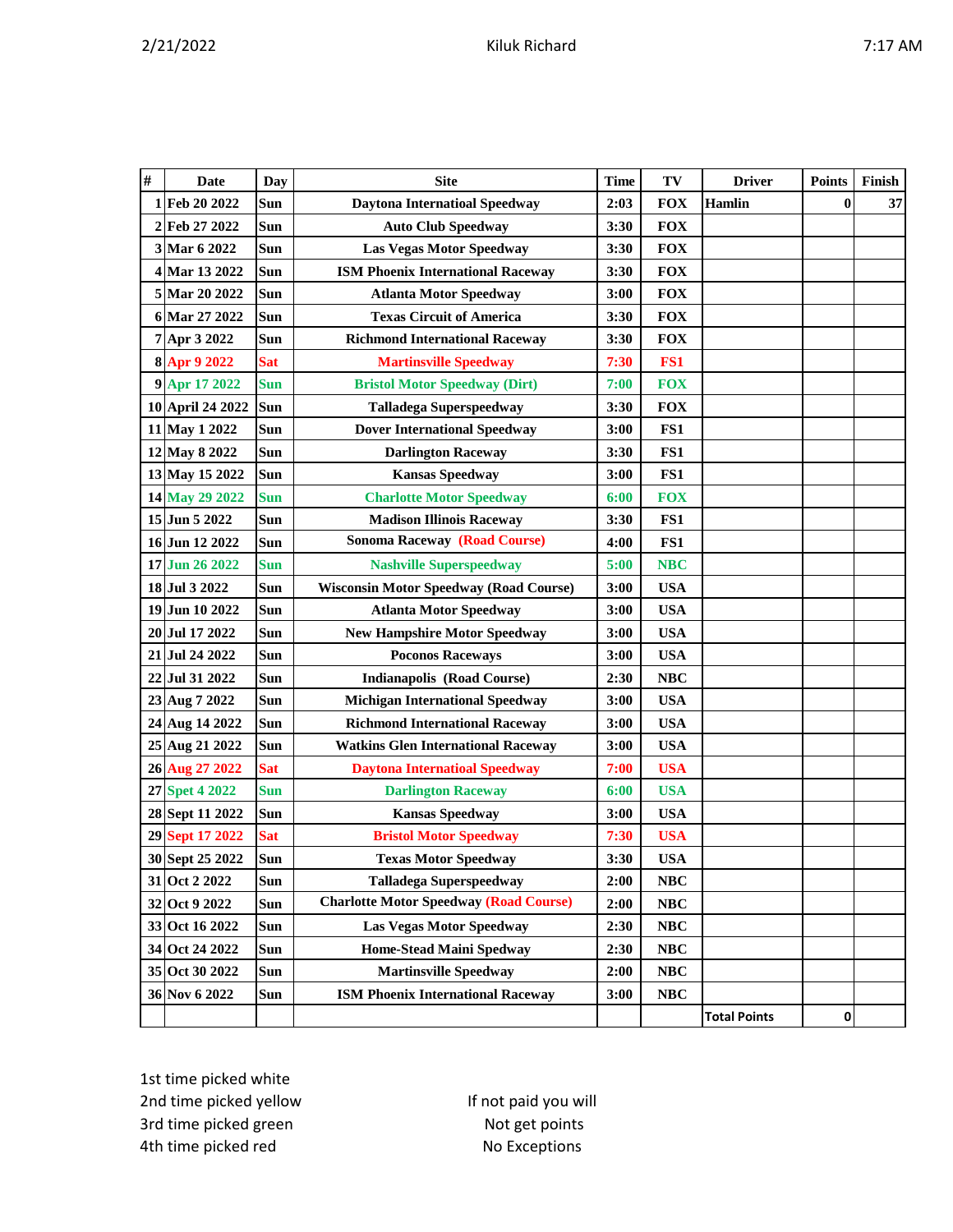|--|--|--|--|

| # | <b>Date</b>      | <b>Day</b> | <b>Site</b>                                   | <b>Time</b> | TV         | <b>Driver</b>       | <b>Points</b> | Finish |
|---|------------------|------------|-----------------------------------------------|-------------|------------|---------------------|---------------|--------|
|   | 1Feb 20 2022     | Sun        | <b>Daytona Internatioal Speedway</b>          | 2:03        | <b>FOX</b> | Hamlin              | $\bf{0}$      | 37     |
|   | 2 Feb 27 2022    | Sun        | <b>Auto Club Speedway</b>                     | 3:30        | <b>FOX</b> |                     |               |        |
|   | 3 Mar 6 2022     | Sun        | Las Vegas Motor Speedway                      | 3:30        | <b>FOX</b> |                     |               |        |
|   | 4 Mar 13 2022    | Sun        | <b>ISM Phoenix International Raceway</b>      | 3:30        | <b>FOX</b> |                     |               |        |
|   | 5 Mar 20 2022    | Sun        | <b>Atlanta Motor Speedway</b>                 | 3:00        | <b>FOX</b> |                     |               |        |
|   | 6 Mar 27 2022    | Sun        | <b>Texas Circuit of America</b>               | 3:30        | <b>FOX</b> |                     |               |        |
|   | 7 Apr 3 2022     | Sun        | <b>Richmond International Raceway</b>         | 3:30        | <b>FOX</b> |                     |               |        |
|   | 8 Apr 9 2022     | <b>Sat</b> | <b>Martinsville Speedway</b>                  | 7:30        | FS1        |                     |               |        |
|   | 9 Apr 17 2022    | <b>Sun</b> | <b>Bristol Motor Speedway (Dirt)</b>          | 7:00        | <b>FOX</b> |                     |               |        |
|   | 10 April 24 2022 | Sun        | <b>Talladega Superspeedway</b>                | 3:30        | <b>FOX</b> |                     |               |        |
|   | 11 May 1 2022    | Sun        | <b>Dover International Speedway</b>           | 3:00        | FS1        |                     |               |        |
|   | 12 May 8 2022    | Sun        | <b>Darlington Raceway</b>                     | 3:30        | FS1        |                     |               |        |
|   | 13 May 15 2022   | Sun        | <b>Kansas Speedway</b>                        | 3:00        | FS1        |                     |               |        |
|   | 14 May 29 2022   | <b>Sun</b> | <b>Charlotte Motor Speedway</b>               | 6:00        | <b>FOX</b> |                     |               |        |
|   | 15 Jun 5 2022    | <b>Sun</b> | <b>Madison Illinois Raceway</b>               | 3:30        | FS1        |                     |               |        |
|   | 16 Jun 12 2022   | Sun        | <b>Sonoma Raceway (Road Course)</b>           | 4:00        | FS1        |                     |               |        |
|   | 17 Jun 26 2022   | <b>Sun</b> | <b>Nashville Superspeedway</b>                | 5:00        | <b>NBC</b> |                     |               |        |
|   | 18 Jul 3 2022    | Sun        | <b>Wisconsin Motor Speedway (Road Course)</b> | 3:00        | <b>USA</b> |                     |               |        |
|   | 19 Jun 10 2022   | Sun        | <b>Atlanta Motor Speedway</b>                 | 3:00        | <b>USA</b> |                     |               |        |
|   | 20 Jul 17 2022   | <b>Sun</b> | <b>New Hampshire Motor Speedway</b>           | 3:00        | <b>USA</b> |                     |               |        |
|   | 21 Jul 24 2022   | Sun        | <b>Poconos Raceways</b>                       | 3:00        | <b>USA</b> |                     |               |        |
|   | 22 Jul 31 2022   | Sun        | <b>Indianapolis (Road Course)</b>             | 2:30        | <b>NBC</b> |                     |               |        |
|   | 23 Aug 7 2022    | Sun        | <b>Michigan International Speedway</b>        | 3:00        | <b>USA</b> |                     |               |        |
|   | 24 Aug 14 2022   | Sun        | <b>Richmond International Raceway</b>         | 3:00        | <b>USA</b> |                     |               |        |
|   | 25 Aug 21 2022   | Sun        | <b>Watkins Glen International Raceway</b>     | 3:00        | <b>USA</b> |                     |               |        |
|   | 26 Aug 27 2022   | <b>Sat</b> | <b>Daytona Internatioal Speedway</b>          | 7:00        | <b>USA</b> |                     |               |        |
|   | 27 Spet 4 2022   | <b>Sun</b> | <b>Darlington Raceway</b>                     | 6:00        | <b>USA</b> |                     |               |        |
|   | 28 Sept 11 2022  | Sun        | <b>Kansas Speedway</b>                        | 3:00        | <b>USA</b> |                     |               |        |
|   | 29 Sept 17 2022  | <b>Sat</b> | <b>Bristol Motor Speedway</b>                 | 7:30        | <b>USA</b> |                     |               |        |
|   | 30 Sept 25 2022  | Sun        | <b>Texas Motor Speedway</b>                   | 3:30        | <b>USA</b> |                     |               |        |
|   | 31 Oct 2 2022    | Sun        | <b>Talladega Superspeedway</b>                | 2:00        | NBC        |                     |               |        |
|   | 32 Oct 9 2022    | Sun        | <b>Charlotte Motor Speedway (Road Course)</b> | 2:00        | NBC        |                     |               |        |
|   | 33 Oct 16 2022   | <b>Sun</b> | <b>Las Vegas Motor Speedway</b>               | 2:30        | NBC        |                     |               |        |
|   | 34 Oct 24 2022   | Sun        | Home-Stead Maini Spedway                      | 2:30        | <b>NBC</b> |                     |               |        |
|   | 35 Oct 30 2022   | Sun        | <b>Martinsville Speedway</b>                  | 2:00        | NBC        |                     |               |        |
|   | 36 Nov 6 2022    | <b>Sun</b> | <b>ISM Phoenix International Raceway</b>      | 3:00        | <b>NBC</b> |                     |               |        |
|   |                  |            |                                               |             |            | <b>Total Points</b> | 0             |        |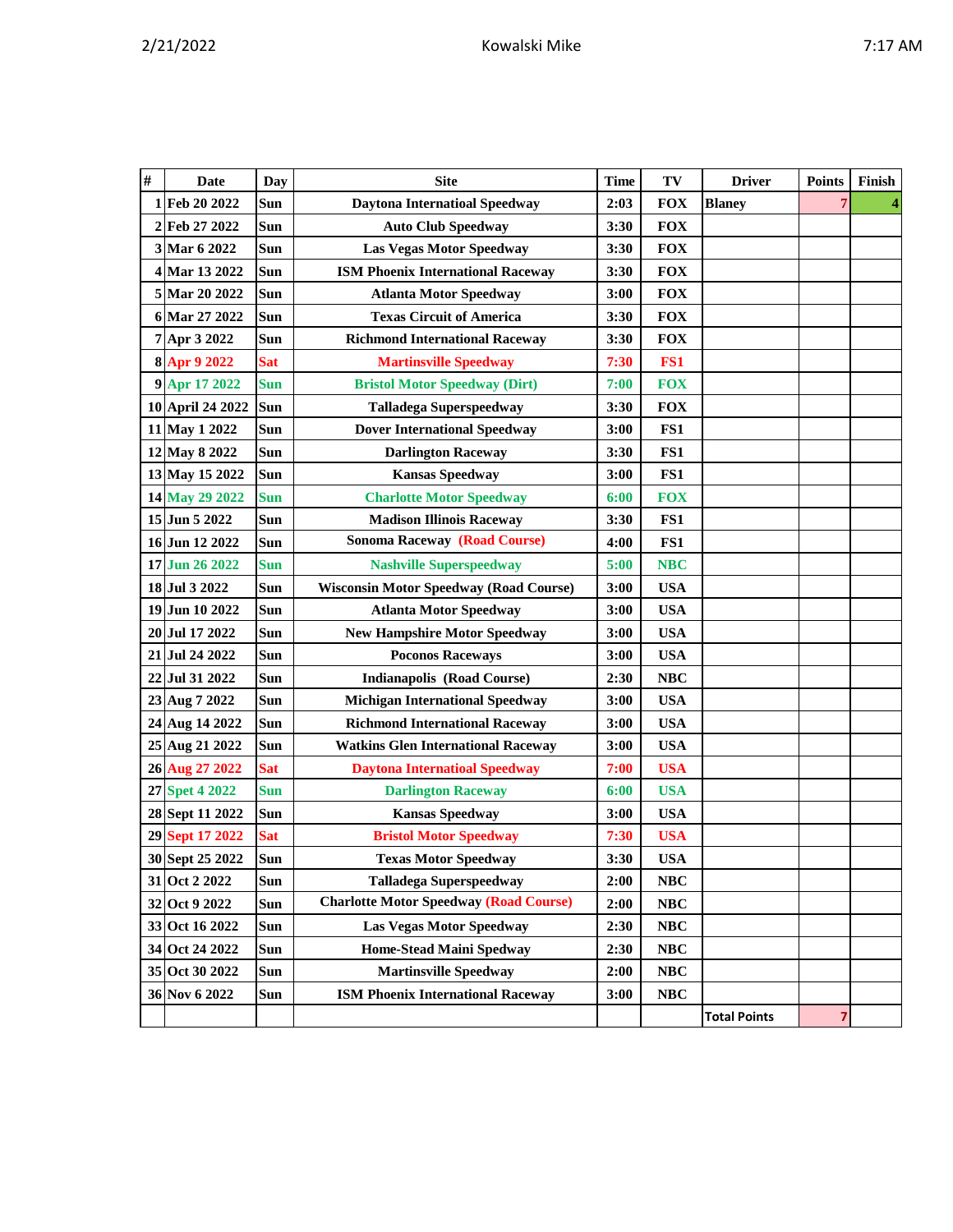|  |  |  |  | ١<br>۰. |
|--|--|--|--|---------|
|--|--|--|--|---------|

| #        | Date             | <b>Day</b> | <b>Site</b>                                   | Time | TV         | <b>Driver</b>       | <b>Points</b> | Finish |
|----------|------------------|------------|-----------------------------------------------|------|------------|---------------------|---------------|--------|
| 1        | Feb 20 2022      | Sun        | <b>Daytona Internatioal Speedway</b>          | 2:03 | <b>FOX</b> | <b>Blaney</b>       |               |        |
|          | 2 Feb 27 2022    | Sun        | <b>Auto Club Speedway</b>                     | 3:30 | <b>FOX</b> |                     |               |        |
|          | 3 Mar 6 2022     | Sun        | Las Vegas Motor Speedway                      | 3:30 | <b>FOX</b> |                     |               |        |
|          | 4 Mar 13 2022    | Sun        | <b>ISM Phoenix International Raceway</b>      | 3:30 | <b>FOX</b> |                     |               |        |
|          | 5 Mar 20 2022    | Sun        | <b>Atlanta Motor Speedway</b>                 | 3:00 | <b>FOX</b> |                     |               |        |
|          | 6 Mar 27 2022    | <b>Sun</b> | <b>Texas Circuit of America</b>               | 3:30 | <b>FOX</b> |                     |               |        |
|          | 7 Apr 3 2022     | Sun        | <b>Richmond International Raceway</b>         | 3:30 | <b>FOX</b> |                     |               |        |
| $\bf{8}$ | Apr 9 2022       | <b>Sat</b> | <b>Martinsville Speedway</b>                  | 7:30 | FS1        |                     |               |        |
|          | 9 Apr 17 2022    | <b>Sun</b> | <b>Bristol Motor Speedway (Dirt)</b>          | 7:00 | <b>FOX</b> |                     |               |        |
|          | 10 April 24 2022 | Sun        | <b>Talladega Superspeedway</b>                | 3:30 | <b>FOX</b> |                     |               |        |
|          | 11 May 1 2022    | Sun        | <b>Dover International Speedway</b>           | 3:00 | FS1        |                     |               |        |
|          | 12 May 8 2022    | Sun        | <b>Darlington Raceway</b>                     | 3:30 | FS1        |                     |               |        |
|          | 13 May 15 2022   | Sun        | <b>Kansas Speedway</b>                        | 3:00 | FS1        |                     |               |        |
|          | 14 May 29 2022   | <b>Sun</b> | <b>Charlotte Motor Speedway</b>               | 6:00 | <b>FOX</b> |                     |               |        |
|          | 15 Jun 5 2022    | Sun        | <b>Madison Illinois Raceway</b>               | 3:30 | FS1        |                     |               |        |
|          | 16 Jun 12 2022   | Sun        | <b>Sonoma Raceway (Road Course)</b>           | 4:00 | FS1        |                     |               |        |
|          | 17 Jun 26 2022   | <b>Sun</b> | <b>Nashville Superspeedway</b>                | 5:00 | <b>NBC</b> |                     |               |        |
|          | 18 Jul 3 2022    | Sun        | <b>Wisconsin Motor Speedway (Road Course)</b> | 3:00 | <b>USA</b> |                     |               |        |
|          | 19 Jun 10 2022   | Sun        | <b>Atlanta Motor Speedway</b>                 | 3:00 | <b>USA</b> |                     |               |        |
|          | 20 Jul 17 2022   | Sun        | <b>New Hampshire Motor Speedway</b>           | 3:00 | <b>USA</b> |                     |               |        |
|          | 21 Jul 24 2022   | Sun        | <b>Poconos Raceways</b>                       | 3:00 | <b>USA</b> |                     |               |        |
|          | 22 Jul 31 2022   | Sun        | <b>Indianapolis (Road Course)</b>             | 2:30 | <b>NBC</b> |                     |               |        |
|          | 23 Aug 7 2022    | Sun        | <b>Michigan International Speedway</b>        | 3:00 | <b>USA</b> |                     |               |        |
|          | 24 Aug 14 2022   | Sun        | <b>Richmond International Raceway</b>         | 3:00 | <b>USA</b> |                     |               |        |
|          | 25 Aug 21 2022   | Sun        | <b>Watkins Glen International Raceway</b>     | 3:00 | <b>USA</b> |                     |               |        |
|          | 26 Aug 27 2022   | <b>Sat</b> | <b>Daytona Internatioal Speedway</b>          | 7:00 | <b>USA</b> |                     |               |        |
|          | 27 Spet 4 2022   | <b>Sun</b> | <b>Darlington Raceway</b>                     | 6:00 | <b>USA</b> |                     |               |        |
|          | 28 Sept 11 2022  | Sun        | <b>Kansas Speedway</b>                        | 3:00 | <b>USA</b> |                     |               |        |
|          | 29 Sept 17 2022  | <b>Sat</b> | <b>Bristol Motor Speedway</b>                 | 7:30 | <b>USA</b> |                     |               |        |
|          | 30 Sept 25 2022  | Sun        | <b>Texas Motor Speedway</b>                   | 3:30 | <b>USA</b> |                     |               |        |
|          | 31 Oct 2 2022    | <b>Sun</b> | <b>Talladega Superspeedway</b>                | 2:00 | <b>NBC</b> |                     |               |        |
|          | 32 Oct 9 2022    | Sun        | <b>Charlotte Motor Speedway (Road Course)</b> | 2:00 | <b>NBC</b> |                     |               |        |
|          | 33 Oct 16 2022   | Sun        | <b>Las Vegas Motor Speedway</b>               | 2:30 | NBC        |                     |               |        |
|          | 34 Oct 24 2022   | Sun        | <b>Home-Stead Maini Spedway</b>               | 2:30 | <b>NBC</b> |                     |               |        |
|          | 35 Oct 30 2022   | Sun        | <b>Martinsville Speedway</b>                  | 2:00 | NBC        |                     |               |        |
|          | 36 Nov 6 2022    | Sun        | <b>ISM Phoenix International Raceway</b>      | 3:00 | <b>NBC</b> |                     |               |        |
|          |                  |            |                                               |      |            | <b>Total Points</b> | 7             |        |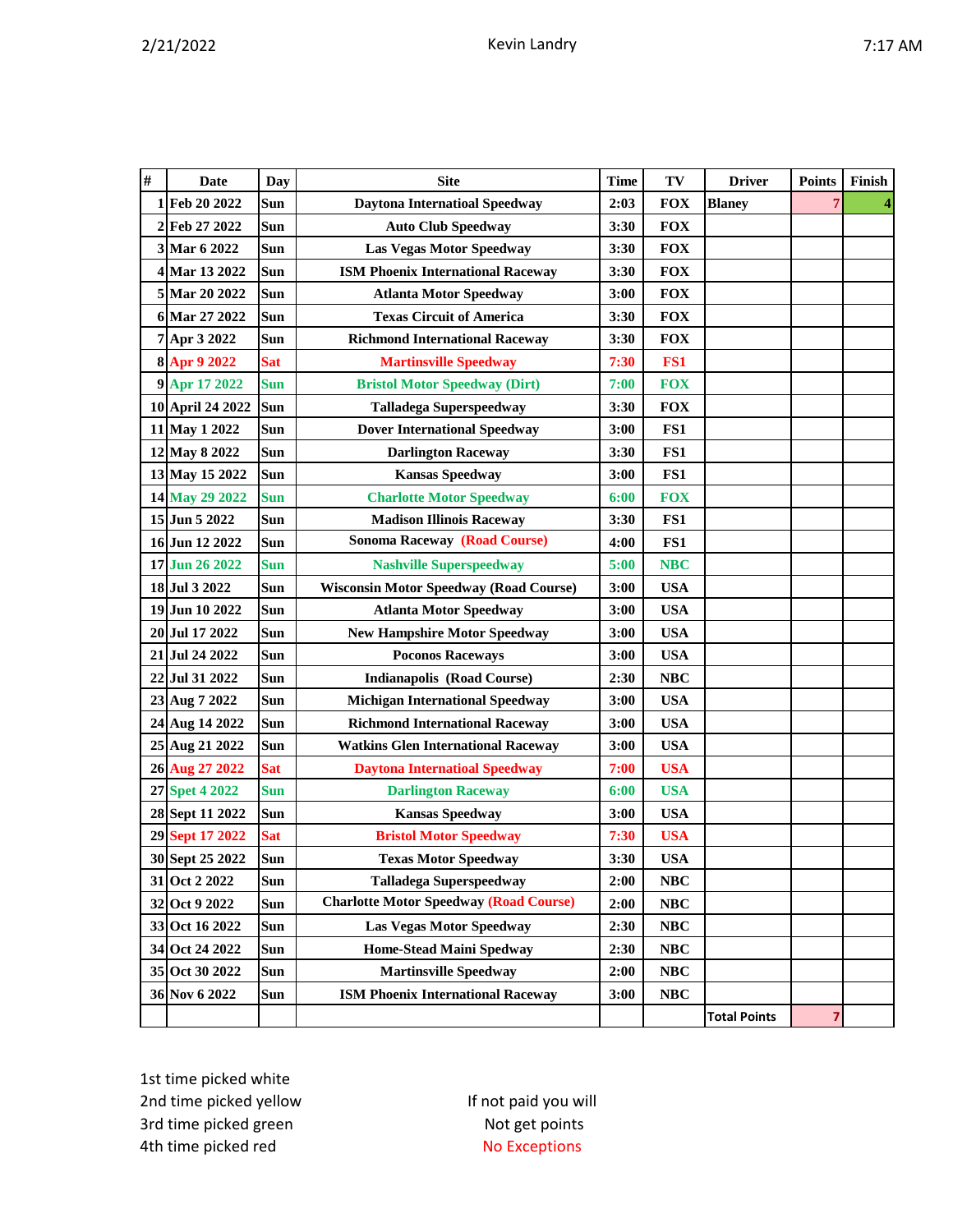| # | <b>Date</b>      | Day        | <b>Site</b>                                   | <b>Time</b> | TV         | <b>Driver</b>       | <b>Points</b> | Finish |
|---|------------------|------------|-----------------------------------------------|-------------|------------|---------------------|---------------|--------|
| 1 | Feb 20 2022      | Sun        | <b>Daytona Internatioal Speedway</b>          | 2:03        | <b>FOX</b> | <b>Blaney</b>       | 7             |        |
| 2 | Feb 27 2022      | Sun        | <b>Auto Club Speedway</b>                     | 3:30        | <b>FOX</b> |                     |               |        |
|   | 3 Mar 6 2022     | Sun        | <b>Las Vegas Motor Speedway</b>               | 3:30        | <b>FOX</b> |                     |               |        |
| 4 | Mar 13 2022      | Sun        | <b>ISM Phoenix International Raceway</b>      | 3:30        | <b>FOX</b> |                     |               |        |
|   | 5 Mar 20 2022    | <b>Sun</b> | <b>Atlanta Motor Speedway</b>                 | 3:00        | <b>FOX</b> |                     |               |        |
|   | 6 Mar 27 2022    | Sun        | <b>Texas Circuit of America</b>               | 3:30        | <b>FOX</b> |                     |               |        |
|   | 7 Apr 3 2022     | <b>Sun</b> | <b>Richmond International Raceway</b>         | 3:30        | <b>FOX</b> |                     |               |        |
|   | 8 Apr 9 2022     | <b>Sat</b> | <b>Martinsville Speedway</b>                  | 7:30        | FS1        |                     |               |        |
|   | 9 Apr 17 2022    | <b>Sun</b> | <b>Bristol Motor Speedway (Dirt)</b>          | 7:00        | <b>FOX</b> |                     |               |        |
|   | 10 April 24 2022 | <b>Sun</b> | <b>Talladega Superspeedway</b>                | 3:30        | <b>FOX</b> |                     |               |        |
|   | 11 May 1 2022    | Sun        | <b>Dover International Speedway</b>           | 3:00        | FS1        |                     |               |        |
|   | 12 May 8 2022    | Sun        | <b>Darlington Raceway</b>                     | 3:30        | FS1        |                     |               |        |
|   | 13 May 15 2022   | Sun        | <b>Kansas Speedway</b>                        | 3:00        | FS1        |                     |               |        |
|   | 14 May 29 2022   | <b>Sun</b> | <b>Charlotte Motor Speedway</b>               | 6:00        | <b>FOX</b> |                     |               |        |
|   | 15 Jun 5 2022    | Sun        | <b>Madison Illinois Raceway</b>               | 3:30        | FS1        |                     |               |        |
|   | 16 Jun 12 2022   | Sun        | <b>Sonoma Raceway (Road Course)</b>           | 4:00        | FS1        |                     |               |        |
|   | 17 Jun 26 2022   | <b>Sun</b> | <b>Nashville Superspeedway</b>                | 5:00        | <b>NBC</b> |                     |               |        |
|   | 18 Jul 3 2022    | Sun        | <b>Wisconsin Motor Speedway (Road Course)</b> | 3:00        | <b>USA</b> |                     |               |        |
|   | 19 Jun 10 2022   | Sun        | <b>Atlanta Motor Speedway</b>                 | 3:00        | <b>USA</b> |                     |               |        |
|   | 20 Jul 17 2022   | Sun        | <b>New Hampshire Motor Speedway</b>           | 3:00        | <b>USA</b> |                     |               |        |
|   | 21 Jul 24 2022   | Sun        | <b>Poconos Raceways</b>                       | 3:00        | <b>USA</b> |                     |               |        |
|   | 22 Jul 31 2022   | Sun        | <b>Indianapolis (Road Course)</b>             | 2:30        | <b>NBC</b> |                     |               |        |
|   | 23 Aug 7 2022    | Sun        | <b>Michigan International Speedway</b>        | 3:00        | <b>USA</b> |                     |               |        |
|   | 24 Aug 14 2022   | Sun        | <b>Richmond International Raceway</b>         | 3:00        | <b>USA</b> |                     |               |        |
|   | 25 Aug 21 2022   | Sun        | <b>Watkins Glen International Raceway</b>     | 3:00        | <b>USA</b> |                     |               |        |
|   | 26 Aug 27 2022   | <b>Sat</b> | <b>Daytona Internatioal Speedway</b>          | 7:00        | <b>USA</b> |                     |               |        |
|   | 27 Spet 4 2022   | <b>Sun</b> | <b>Darlington Raceway</b>                     | 6:00        | <b>USA</b> |                     |               |        |
|   | 28 Sept 11 2022  | Sun        | <b>Kansas Speedway</b>                        | 3:00        | <b>USA</b> |                     |               |        |
|   | 29 Sept 17 2022  | <b>Sat</b> | <b>Bristol Motor Speedway</b>                 | 7:30        | <b>USA</b> |                     |               |        |
|   | 30 Sept 25 2022  | Sun        | <b>Texas Motor Speedway</b>                   | 3:30        | <b>USA</b> |                     |               |        |
|   | 31 Oct 2 2022    | Sun        | <b>Talladega Superspeedway</b>                | 2:00        | <b>NBC</b> |                     |               |        |
|   | 32 Oct 9 2022    | Sun        | <b>Charlotte Motor Speedway (Road Course)</b> | 2:00        | <b>NBC</b> |                     |               |        |
|   | 33 Oct 16 2022   | Sun        | <b>Las Vegas Motor Speedway</b>               | 2:30        | NBC        |                     |               |        |
|   | 34 Oct 24 2022   | Sun        | <b>Home-Stead Maini Spedway</b>               | 2:30        | NBC        |                     |               |        |
|   | 35 Oct 30 2022   | Sun        | <b>Martinsville Speedway</b>                  | 2:00        | NBC        |                     |               |        |
|   | 36 Nov 6 2022    | Sun        | <b>ISM Phoenix International Raceway</b>      | 3:00        | NBC        |                     |               |        |
|   |                  |            |                                               |             |            | <b>Total Points</b> | 7             |        |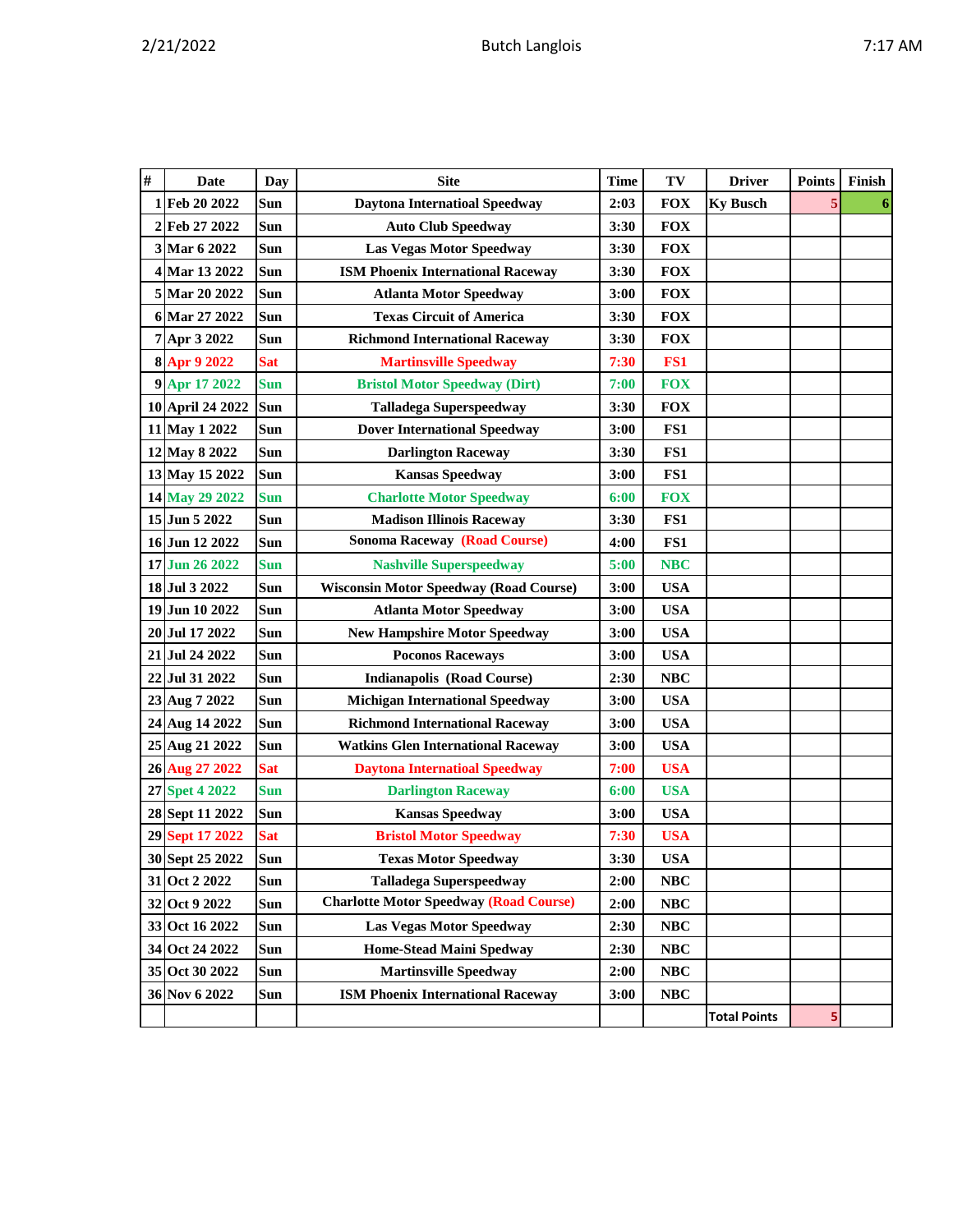|  | η<br>יי<br>п |
|--|--------------|
|--|--------------|

| # | <b>Date</b>      | Day        | <b>Site</b>                                   | <b>Time</b> | TV         | <b>Driver</b>       | <b>Points</b> | Finish |
|---|------------------|------------|-----------------------------------------------|-------------|------------|---------------------|---------------|--------|
| 1 | Feb 20 2022      | Sun        | <b>Daytona Internatioal Speedway</b>          | 2:03        | <b>FOX</b> | <b>Ky Busch</b>     | 5             | 6      |
|   | 2 Feb 27 2022    | Sun        | <b>Auto Club Speedway</b>                     | 3:30        | <b>FOX</b> |                     |               |        |
|   | 3 Mar 6 2022     | <b>Sun</b> | <b>Las Vegas Motor Speedway</b>               | 3:30        | <b>FOX</b> |                     |               |        |
|   | 4 Mar 13 2022    | Sun        | <b>ISM Phoenix International Raceway</b>      | 3:30        | <b>FOX</b> |                     |               |        |
|   | 5 Mar 20 2022    | Sun        | <b>Atlanta Motor Speedway</b>                 | 3:00        | <b>FOX</b> |                     |               |        |
|   | 6 Mar 27 2022    | Sun        | <b>Texas Circuit of America</b>               | 3:30        | <b>FOX</b> |                     |               |        |
|   | 7 Apr 3 2022     | Sun        | <b>Richmond International Raceway</b>         | 3:30        | <b>FOX</b> |                     |               |        |
|   | 8 Apr 9 2022     | <b>Sat</b> | <b>Martinsville Speedway</b>                  | 7:30        | FS1        |                     |               |        |
|   | 9 Apr 17 2022    | <b>Sun</b> | <b>Bristol Motor Speedway (Dirt)</b>          | 7:00        | <b>FOX</b> |                     |               |        |
|   | 10 April 24 2022 | Sun        | <b>Talladega Superspeedway</b>                | 3:30        | <b>FOX</b> |                     |               |        |
|   | 11 May 1 2022    | Sun        | <b>Dover International Speedway</b>           | 3:00        | FS1        |                     |               |        |
|   | 12 May 8 2022    | Sun        | <b>Darlington Raceway</b>                     | 3:30        | FS1        |                     |               |        |
|   | 13 May 15 2022   | Sun        | <b>Kansas Speedway</b>                        | 3:00        | FS1        |                     |               |        |
|   | 14 May 29 2022   | <b>Sun</b> | <b>Charlotte Motor Speedway</b>               | 6:00        | <b>FOX</b> |                     |               |        |
|   | 15 Jun 5 2022    | Sun        | <b>Madison Illinois Raceway</b>               | 3:30        | FS1        |                     |               |        |
|   | 16 Jun 12 2022   | Sun        | <b>Sonoma Raceway (Road Course)</b>           | 4:00        | FS1        |                     |               |        |
|   | 17 Jun 26 2022   | <b>Sun</b> | <b>Nashville Superspeedway</b>                | 5:00        | <b>NBC</b> |                     |               |        |
|   | 18 Jul 3 2022    | Sun        | <b>Wisconsin Motor Speedway (Road Course)</b> | 3:00        | <b>USA</b> |                     |               |        |
|   | 19 Jun 10 2022   | <b>Sun</b> | <b>Atlanta Motor Speedway</b>                 | 3:00        | <b>USA</b> |                     |               |        |
|   | 20 Jul 17 2022   | <b>Sun</b> | <b>New Hampshire Motor Speedway</b>           | 3:00        | <b>USA</b> |                     |               |        |
|   | 21 Jul 24 2022   | Sun        | <b>Poconos Raceways</b>                       | 3:00        | <b>USA</b> |                     |               |        |
|   | 22 Jul 31 2022   | Sun        | <b>Indianapolis (Road Course)</b>             | 2:30        | <b>NBC</b> |                     |               |        |
|   | 23 Aug 7 2022    | Sun        | <b>Michigan International Speedway</b>        | 3:00        | <b>USA</b> |                     |               |        |
|   | 24 Aug 14 2022   | Sun        | <b>Richmond International Raceway</b>         | 3:00        | <b>USA</b> |                     |               |        |
|   | 25 Aug 21 2022   | <b>Sun</b> | <b>Watkins Glen International Raceway</b>     | 3:00        | <b>USA</b> |                     |               |        |
|   | 26 Aug 27 2022   | <b>Sat</b> | <b>Daytona Internatioal Speedway</b>          | 7:00        | <b>USA</b> |                     |               |        |
|   | 27 Spet 4 2022   | <b>Sun</b> | <b>Darlington Raceway</b>                     | 6:00        | <b>USA</b> |                     |               |        |
|   | 28 Sept 11 2022  | Sun        | <b>Kansas Speedway</b>                        | 3:00        | <b>USA</b> |                     |               |        |
|   | 29 Sept 17 2022  | <b>Sat</b> | <b>Bristol Motor Speedway</b>                 | 7:30        | <b>USA</b> |                     |               |        |
|   | 30 Sept 25 2022  | Sun        | <b>Texas Motor Speedway</b>                   | 3:30        | <b>USA</b> |                     |               |        |
|   | 31 Oct 2 2022    | Sun        | <b>Talladega Superspeedway</b>                | 2:00        | <b>NBC</b> |                     |               |        |
|   | 32 Oct 9 2022    | Sun        | <b>Charlotte Motor Speedway (Road Course)</b> | 2:00        | <b>NBC</b> |                     |               |        |
|   | 33 Oct 16 2022   | <b>Sun</b> | <b>Las Vegas Motor Speedway</b>               | 2:30        | <b>NBC</b> |                     |               |        |
|   | 34 Oct 24 2022   | Sun        | <b>Home-Stead Maini Spedway</b>               | 2:30        | $\bf NBC$  |                     |               |        |
|   | 35 Oct 30 2022   | Sun        | <b>Martinsville Speedway</b>                  | 2:00        | $\bf NBC$  |                     |               |        |
|   | 36 Nov 6 2022    | <b>Sun</b> | <b>ISM Phoenix International Raceway</b>      | 3:00        | <b>NBC</b> |                     |               |        |
|   |                  |            |                                               |             |            | <b>Total Points</b> | 5             |        |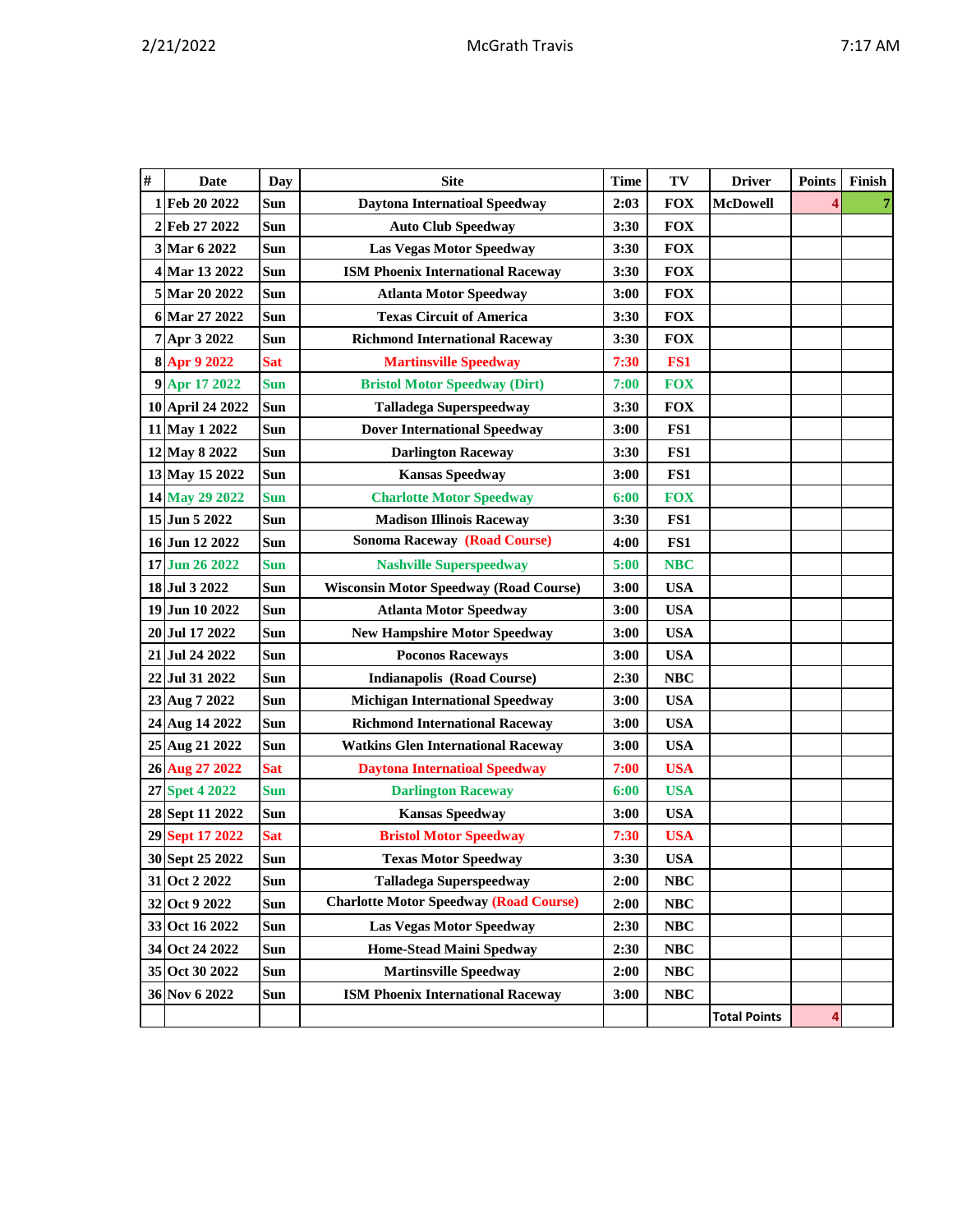|  |  | AM |
|--|--|----|
|  |  |    |

| # | <b>Date</b>      | Day        | <b>Site</b>                                   | <b>Time</b> | TV         | <b>Driver</b>       | <b>Points</b> | Finish |
|---|------------------|------------|-----------------------------------------------|-------------|------------|---------------------|---------------|--------|
|   | 1 Feb 20 2022    | Sun        | <b>Daytona Internatioal Speedway</b>          | 2:03        | <b>FOX</b> | <b>McDowell</b>     |               | 7      |
|   | 2 Feb 27 2022    | Sun        | <b>Auto Club Speedway</b>                     | 3:30        | <b>FOX</b> |                     |               |        |
|   | 3 Mar 6 2022     | Sun        | <b>Las Vegas Motor Speedway</b>               | 3:30        | <b>FOX</b> |                     |               |        |
|   | 4 Mar 13 2022    | Sun        | <b>ISM Phoenix International Raceway</b>      | 3:30        | <b>FOX</b> |                     |               |        |
|   | 5 Mar 20 2022    | Sun        | <b>Atlanta Motor Speedway</b>                 | 3:00        | <b>FOX</b> |                     |               |        |
|   | 6 Mar 27 2022    | Sun        | <b>Texas Circuit of America</b>               | 3:30        | <b>FOX</b> |                     |               |        |
|   | 7 Apr 3 2022     | <b>Sun</b> | <b>Richmond International Raceway</b>         | 3:30        | <b>FOX</b> |                     |               |        |
|   | 8 Apr 9 2022     | <b>Sat</b> | <b>Martinsville Speedway</b>                  | 7:30        | FS1        |                     |               |        |
|   | 9 Apr 17 2022    | <b>Sun</b> | <b>Bristol Motor Speedway (Dirt)</b>          | 7:00        | <b>FOX</b> |                     |               |        |
|   | 10 April 24 2022 | <b>Sun</b> | <b>Talladega Superspeedway</b>                | 3:30        | <b>FOX</b> |                     |               |        |
|   | 11 May 1 2022    | Sun        | <b>Dover International Speedway</b>           | 3:00        | FS1        |                     |               |        |
|   | 12 May 8 2022    | <b>Sun</b> | <b>Darlington Raceway</b>                     | 3:30        | FS1        |                     |               |        |
|   | 13 May 15 2022   | Sun        | <b>Kansas Speedway</b>                        | 3:00        | FS1        |                     |               |        |
|   | 14 May 29 2022   | <b>Sun</b> | <b>Charlotte Motor Speedway</b>               | 6:00        | <b>FOX</b> |                     |               |        |
|   | 15 Jun 5 2022    | Sun        | <b>Madison Illinois Raceway</b>               | 3:30        | FS1        |                     |               |        |
|   | 16 Jun 12 2022   | Sun        | <b>Sonoma Raceway (Road Course)</b>           | 4:00        | FS1        |                     |               |        |
|   | 17 Jun 26 2022   | <b>Sun</b> | <b>Nashville Superspeedway</b>                | 5:00        | <b>NBC</b> |                     |               |        |
|   | 18 Jul 3 2022    | Sun        | <b>Wisconsin Motor Speedway (Road Course)</b> | 3:00        | <b>USA</b> |                     |               |        |
|   | 19 Jun 10 2022   | <b>Sun</b> | <b>Atlanta Motor Speedway</b>                 | 3:00        | <b>USA</b> |                     |               |        |
|   | 20 Jul 17 2022   | Sun        | <b>New Hampshire Motor Speedway</b>           | 3:00        | <b>USA</b> |                     |               |        |
|   | 21 Jul 24 2022   | Sun        | <b>Poconos Raceways</b>                       | 3:00        | <b>USA</b> |                     |               |        |
|   | 22 Jul 31 2022   | Sun        | <b>Indianapolis (Road Course)</b>             | 2:30        | <b>NBC</b> |                     |               |        |
|   | 23 Aug 7 2022    | Sun        | <b>Michigan International Speedway</b>        | 3:00        | <b>USA</b> |                     |               |        |
|   | 24 Aug 14 2022   | Sun        | <b>Richmond International Raceway</b>         | 3:00        | <b>USA</b> |                     |               |        |
|   | 25 Aug 21 2022   | Sun        | <b>Watkins Glen International Raceway</b>     | 3:00        | <b>USA</b> |                     |               |        |
|   | 26 Aug 27 2022   | <b>Sat</b> | <b>Daytona Internatioal Speedway</b>          | 7:00        | <b>USA</b> |                     |               |        |
|   | 27 Spet 4 2022   | <b>Sun</b> | <b>Darlington Raceway</b>                     | 6:00        | <b>USA</b> |                     |               |        |
|   | 28 Sept 11 2022  | Sun        | <b>Kansas Speedway</b>                        | 3:00        | <b>USA</b> |                     |               |        |
|   | 29 Sept 17 2022  | <b>Sat</b> | <b>Bristol Motor Speedway</b>                 | 7:30        | <b>USA</b> |                     |               |        |
|   | 30 Sept 25 2022  | Sun        | <b>Texas Motor Speedway</b>                   | 3:30        | <b>USA</b> |                     |               |        |
|   | 31 Oct 2 2022    | Sun        | <b>Talladega Superspeedway</b>                | 2:00        | NBC        |                     |               |        |
|   | 32 Oct 9 2022    | Sun        | <b>Charlotte Motor Speedway (Road Course)</b> | 2:00        | NBC        |                     |               |        |
|   | 33 Oct 16 2022   | Sun        | <b>Las Vegas Motor Speedway</b>               | 2:30        | <b>NBC</b> |                     |               |        |
|   | 34 Oct 24 2022   | Sun        | <b>Home-Stead Maini Spedway</b>               | 2:30        | <b>NBC</b> |                     |               |        |
|   | 35 Oct 30 2022   | Sun        | <b>Martinsville Speedway</b>                  | 2:00        | <b>NBC</b> |                     |               |        |
|   | 36 Nov 6 2022    | Sun        | <b>ISM Phoenix International Raceway</b>      | 3:00        | <b>NBC</b> |                     |               |        |
|   |                  |            |                                               |             |            | <b>Total Points</b> | 4             |        |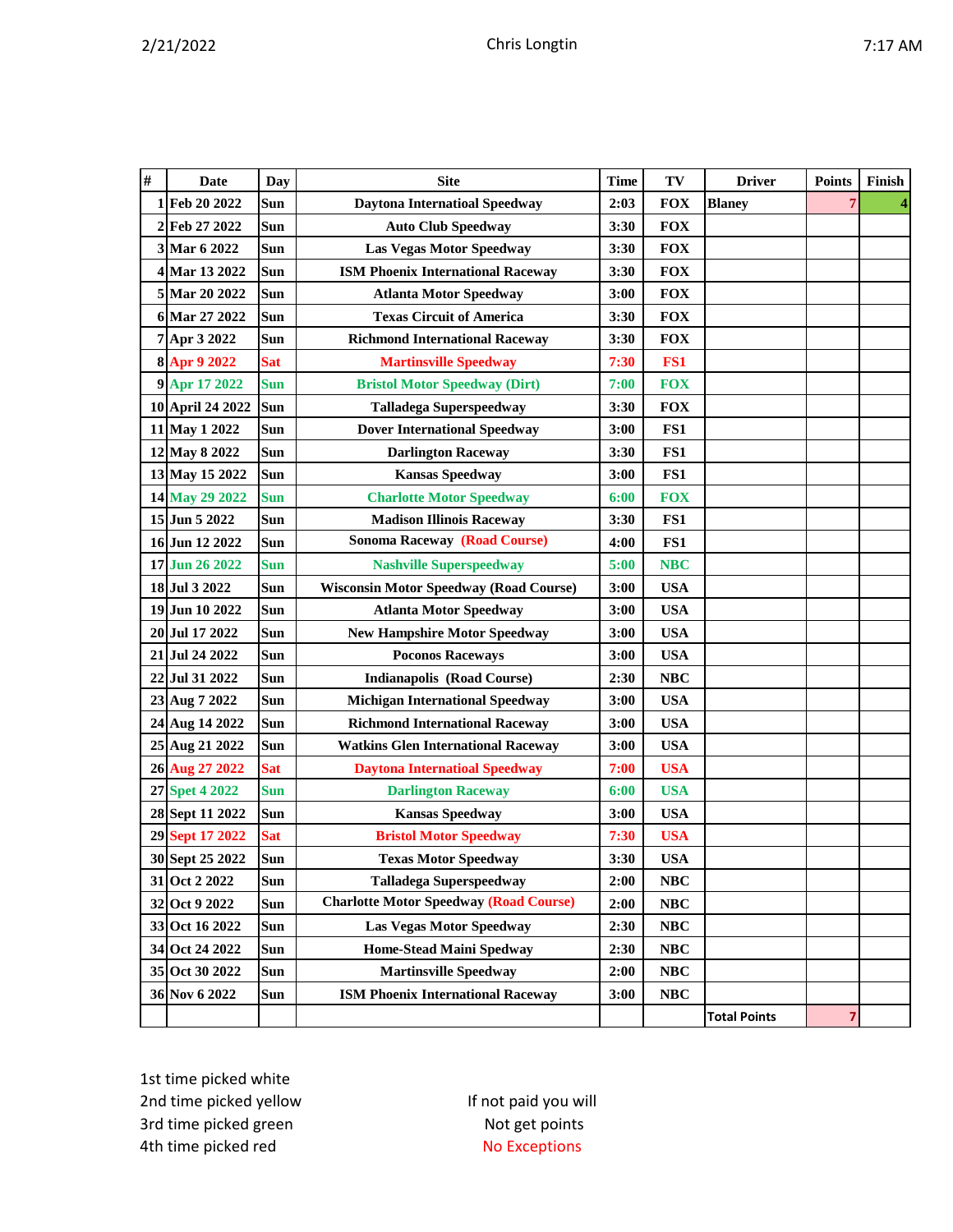| #  | Date             | <b>Day</b> | <b>Site</b>                                   | <b>Time</b> | TV         | <b>Driver</b>       | <b>Points</b> | Finish |
|----|------------------|------------|-----------------------------------------------|-------------|------------|---------------------|---------------|--------|
|    | 1 Feb 20 2022    | Sun        | <b>Daytona Internatioal Speedway</b>          | 2:03        | <b>FOX</b> | <b>Blaney</b>       |               |        |
| 2  | Feb 27 2022      | Sun        | <b>Auto Club Speedway</b>                     | 3:30        | <b>FOX</b> |                     |               |        |
|    | 3 Mar 6 2022     | Sun        | <b>Las Vegas Motor Speedway</b>               | 3:30        | <b>FOX</b> |                     |               |        |
|    | 4 Mar 13 2022    | Sun        | <b>ISM Phoenix International Raceway</b>      | 3:30        | <b>FOX</b> |                     |               |        |
|    | 5 Mar 20 2022    | <b>Sun</b> | <b>Atlanta Motor Speedway</b>                 | 3:00        | <b>FOX</b> |                     |               |        |
| 6  | Mar 27 2022      | Sun        | <b>Texas Circuit of America</b>               | 3:30        | <b>FOX</b> |                     |               |        |
|    | 7 Apr 3 2022     | Sun        | <b>Richmond International Raceway</b>         | 3:30        | <b>FOX</b> |                     |               |        |
|    | 8 Apr 9 2022     | <b>Sat</b> | <b>Martinsville Speedway</b>                  | 7:30        | FS1        |                     |               |        |
|    | 9 Apr 17 2022    | <b>Sun</b> | <b>Bristol Motor Speedway (Dirt)</b>          | 7:00        | <b>FOX</b> |                     |               |        |
|    | 10 April 24 2022 | Sun        | <b>Talladega Superspeedway</b>                | 3:30        | <b>FOX</b> |                     |               |        |
|    | 11 May 1 2022    | Sun        | <b>Dover International Speedway</b>           | 3:00        | FS1        |                     |               |        |
|    | 12 May 8 2022    | Sun        | <b>Darlington Raceway</b>                     | 3:30        | FS1        |                     |               |        |
|    | 13 May 15 2022   | Sun        | <b>Kansas Speedway</b>                        | 3:00        | FS1        |                     |               |        |
|    | 14 May 29 2022   | <b>Sun</b> | <b>Charlotte Motor Speedway</b>               | 6:00        | <b>FOX</b> |                     |               |        |
|    | 15 Jun 5 2022    | Sun        | <b>Madison Illinois Raceway</b>               | 3:30        | FS1        |                     |               |        |
|    | 16 Jun 12 2022   | Sun        | <b>Sonoma Raceway (Road Course)</b>           | 4:00        | FS1        |                     |               |        |
|    | 17 Jun 26 2022   | <b>Sun</b> | <b>Nashville Superspeedway</b>                | 5:00        | <b>NBC</b> |                     |               |        |
|    | 18 Jul 3 2022    | Sun        | <b>Wisconsin Motor Speedway (Road Course)</b> | 3:00        | <b>USA</b> |                     |               |        |
|    | 19 Jun 10 2022   | Sun        | <b>Atlanta Motor Speedway</b>                 | 3:00        | <b>USA</b> |                     |               |        |
| 20 | Jul 17 2022      | Sun        | <b>New Hampshire Motor Speedway</b>           | 3:00        | <b>USA</b> |                     |               |        |
|    | 21 Jul 24 2022   | Sun        | <b>Poconos Raceways</b>                       | 3:00        | <b>USA</b> |                     |               |        |
| 22 | Jul 31 2022      | Sun        | <b>Indianapolis (Road Course)</b>             | 2:30        | <b>NBC</b> |                     |               |        |
|    | 23 Aug 7 2022    | Sun        | <b>Michigan International Speedway</b>        | 3:00        | <b>USA</b> |                     |               |        |
|    | 24 Aug 14 2022   | Sun        | <b>Richmond International Raceway</b>         | 3:00        | <b>USA</b> |                     |               |        |
| 25 | Aug 21 2022      | Sun        | <b>Watkins Glen International Raceway</b>     | 3:00        | <b>USA</b> |                     |               |        |
|    | 26 Aug 27 2022   | <b>Sat</b> | <b>Daytona Internatioal Speedway</b>          | 7:00        | <b>USA</b> |                     |               |        |
|    | 27 Spet 4 2022   | Sun        | <b>Darlington Raceway</b>                     | 6:00        | <b>USA</b> |                     |               |        |
|    | 28 Sept 11 2022  | Sun        | <b>Kansas Speedway</b>                        | 3:00        | <b>USA</b> |                     |               |        |
|    | 29 Sept 17 2022  | <b>Sat</b> | <b>Bristol Motor Speedway</b>                 | 7:30        | <b>USA</b> |                     |               |        |
|    | 30 Sept 25 2022  | Sun        | <b>Texas Motor Speedway</b>                   | 3:30        | <b>USA</b> |                     |               |        |
|    | 31 Oct 2 2022    | Sun        | <b>Talladega Superspeedway</b>                | 2:00        | NBC        |                     |               |        |
|    | 32 Oct 9 2022    | Sun        | <b>Charlotte Motor Speedway (Road Course)</b> | 2:00        | NBC        |                     |               |        |
|    | 33 Oct 16 2022   | Sun        | <b>Las Vegas Motor Speedway</b>               | 2:30        | NBC        |                     |               |        |
|    | 34 Oct 24 2022   | Sun        | <b>Home-Stead Maini Spedway</b>               | 2:30        | NBC        |                     |               |        |
|    | 35 Oct 30 2022   | Sun        | <b>Martinsville Speedway</b>                  | 2:00        | NBC        |                     |               |        |
|    | 36 Nov 6 2022    | Sun        | <b>ISM Phoenix International Raceway</b>      | 3:00        | NBC        |                     |               |        |
|    |                  |            |                                               |             |            | <b>Total Points</b> | 7             |        |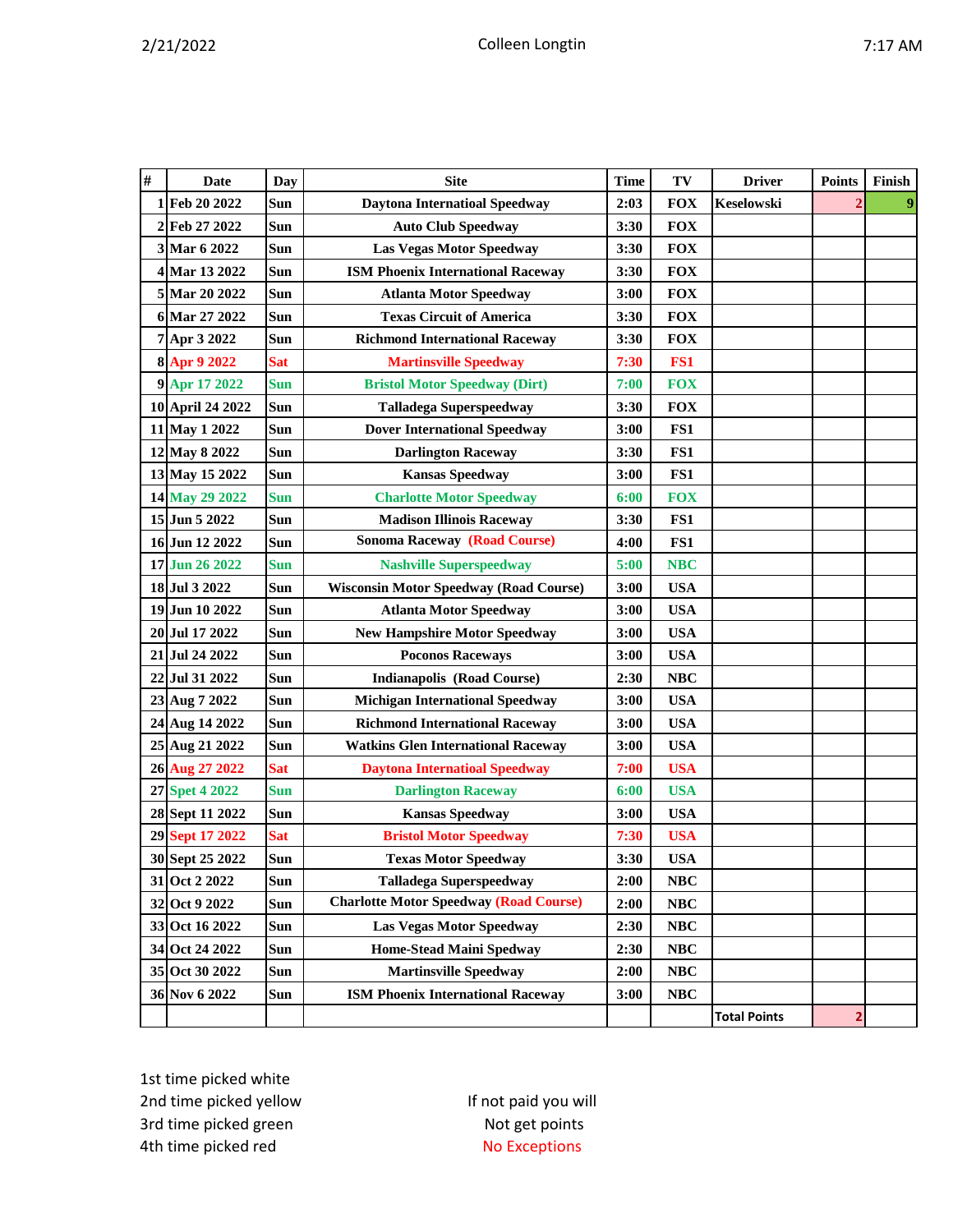| #  | Date               | Day        | <b>Site</b>                                   | Time | TV         | <b>Driver</b>       | <b>Points</b>  | Finish |
|----|--------------------|------------|-----------------------------------------------|------|------------|---------------------|----------------|--------|
|    | 1 Feb 20 2022      | Sun        | <b>Daytona Internatioal Speedway</b>          | 2:03 | <b>FOX</b> | <b>Keselowski</b>   |                |        |
| 2  | Feb 27 2022        | Sun        | <b>Auto Club Speedway</b>                     | 3:30 | <b>FOX</b> |                     |                |        |
|    | 3 Mar 6 2022       | Sun        | <b>Las Vegas Motor Speedway</b>               | 3:30 | <b>FOX</b> |                     |                |        |
|    | 4 Mar 13 2022      | Sun        | <b>ISM Phoenix International Raceway</b>      | 3:30 | <b>FOX</b> |                     |                |        |
|    | 5 Mar 20 2022      | Sun        | <b>Atlanta Motor Speedway</b>                 | 3:00 | <b>FOX</b> |                     |                |        |
|    | 6 Mar 27 2022      | <b>Sun</b> | <b>Texas Circuit of America</b>               | 3:30 | <b>FOX</b> |                     |                |        |
|    | 7 Apr 3 2022       | <b>Sun</b> | <b>Richmond International Raceway</b>         | 3:30 | <b>FOX</b> |                     |                |        |
|    | 8 Apr 9 2022       | <b>Sat</b> | <b>Martinsville Speedway</b>                  | 7:30 | FS1        |                     |                |        |
|    | 9 Apr 17 2022      | <b>Sun</b> | <b>Bristol Motor Speedway (Dirt)</b>          | 7:00 | <b>FOX</b> |                     |                |        |
|    | 10 April 24 2022   | Sun        | <b>Talladega Superspeedway</b>                | 3:30 | <b>FOX</b> |                     |                |        |
|    | 11 May 1 2022      | Sun        | <b>Dover International Speedway</b>           | 3:00 | FS1        |                     |                |        |
|    | 12 May 8 2022      | <b>Sun</b> | <b>Darlington Raceway</b>                     | 3:30 | FS1        |                     |                |        |
|    | 13 May 15 2022     | Sun        | <b>Kansas Speedway</b>                        | 3:00 | FS1        |                     |                |        |
|    | 14 May 29 2022     | <b>Sun</b> | <b>Charlotte Motor Speedway</b>               | 6:00 | <b>FOX</b> |                     |                |        |
|    | 15 Jun 5 2022      | Sun        | <b>Madison Illinois Raceway</b>               | 3:30 | FS1        |                     |                |        |
|    | 16 Jun 12 2022     | Sun        | <b>Sonoma Raceway (Road Course)</b>           | 4:00 | FS1        |                     |                |        |
|    | 17 Jun 26 2022     | <b>Sun</b> | <b>Nashville Superspeedway</b>                | 5:00 | <b>NBC</b> |                     |                |        |
|    | 18 Jul 3 2022      | Sun        | <b>Wisconsin Motor Speedway (Road Course)</b> | 3:00 | <b>USA</b> |                     |                |        |
|    | 19 Jun 10 2022     | <b>Sun</b> | <b>Atlanta Motor Speedway</b>                 | 3:00 | <b>USA</b> |                     |                |        |
|    | 20 Jul 17 2022     | Sun        | <b>New Hampshire Motor Speedway</b>           | 3:00 | <b>USA</b> |                     |                |        |
|    | 21 Jul 24 2022     | Sun        | <b>Poconos Raceways</b>                       | 3:00 | <b>USA</b> |                     |                |        |
| 22 | Jul 31 2022        | Sun        | <b>Indianapolis (Road Course)</b>             | 2:30 | <b>NBC</b> |                     |                |        |
|    | 23 Aug 7 2022      | Sun        | <b>Michigan International Speedway</b>        | 3:00 | <b>USA</b> |                     |                |        |
|    | 24 Aug 14 2022     | Sun        | <b>Richmond International Raceway</b>         | 3:00 | <b>USA</b> |                     |                |        |
|    | 25 Aug 21 2022     | Sun        | <b>Watkins Glen International Raceway</b>     | 3:00 | <b>USA</b> |                     |                |        |
|    | 26 Aug 27 2022     | <b>Sat</b> | <b>Daytona Internatioal Speedway</b>          | 7:00 | <b>USA</b> |                     |                |        |
| 27 | <b>Spet 4 2022</b> | <b>Sun</b> | <b>Darlington Raceway</b>                     | 6:00 | <b>USA</b> |                     |                |        |
|    | 28 Sept 11 2022    | Sun        | <b>Kansas Speedway</b>                        | 3:00 | <b>USA</b> |                     |                |        |
|    | 29 Sept 17 2022    | <b>Sat</b> | <b>Bristol Motor Speedway</b>                 | 7:30 | <b>USA</b> |                     |                |        |
|    | 30 Sept 25 2022    | Sun        | <b>Texas Motor Speedway</b>                   | 3:30 | <b>USA</b> |                     |                |        |
|    | 31 Oct 2 2022      | Sun        | <b>Talladega Superspeedway</b>                | 2:00 | <b>NBC</b> |                     |                |        |
|    | 32 Oct 9 2022      | Sun        | <b>Charlotte Motor Speedway (Road Course)</b> | 2:00 | <b>NBC</b> |                     |                |        |
|    | 33 Oct 16 2022     | Sun        | <b>Las Vegas Motor Speedway</b>               | 2:30 | <b>NBC</b> |                     |                |        |
|    | 34 Oct 24 2022     | Sun        | <b>Home-Stead Maini Spedway</b>               | 2:30 | <b>NBC</b> |                     |                |        |
|    | 35 Oct 30 2022     | Sun        | <b>Martinsville Speedway</b>                  | 2:00 | NBC        |                     |                |        |
|    | 36 Nov 6 2022      | Sun        | <b>ISM Phoenix International Raceway</b>      | 3:00 | NBC        |                     |                |        |
|    |                    |            |                                               |      |            | <b>Total Points</b> | $\overline{2}$ |        |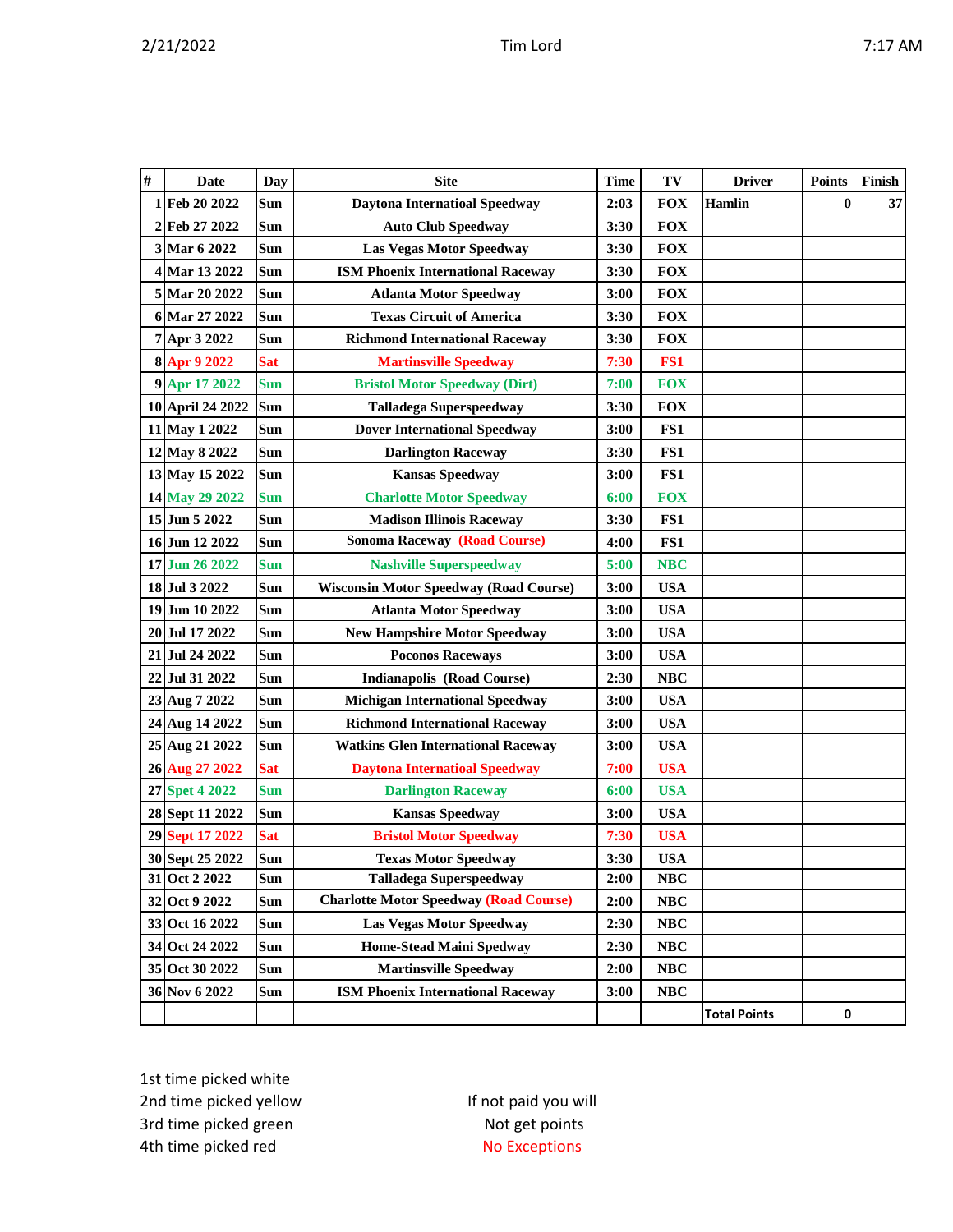| # | <b>Date</b>      | Day        | <b>Site</b>                                   | <b>Time</b> | TV         | <b>Driver</b>       | <b>Points</b> | Finish |
|---|------------------|------------|-----------------------------------------------|-------------|------------|---------------------|---------------|--------|
|   | 1Feb 20 2022     | Sun        | <b>Daytona Internatioal Speedway</b>          | 2:03        | <b>FOX</b> | <b>Hamlin</b>       | $\bf{0}$      | 37     |
|   | 2 Feb 27 2022    | Sun        | <b>Auto Club Speedway</b>                     | 3:30        | <b>FOX</b> |                     |               |        |
|   | 3 Mar 6 2022     | Sun        | <b>Las Vegas Motor Speedway</b>               | 3:30        | <b>FOX</b> |                     |               |        |
|   | 4 Mar 13 2022    | Sun        | <b>ISM Phoenix International Raceway</b>      | 3:30        | <b>FOX</b> |                     |               |        |
|   | 5 Mar 20 2022    | Sun        | <b>Atlanta Motor Speedway</b>                 | 3:00        | <b>FOX</b> |                     |               |        |
|   | 6 Mar 27 2022    | <b>Sun</b> | <b>Texas Circuit of America</b>               | 3:30        | <b>FOX</b> |                     |               |        |
|   | 7 Apr 3 2022     | Sun        | <b>Richmond International Raceway</b>         | 3:30        | <b>FOX</b> |                     |               |        |
|   | 8 Apr 9 2022     | <b>Sat</b> | <b>Martinsville Speedway</b>                  | 7:30        | FS1        |                     |               |        |
|   | 9 Apr 17 2022    | <b>Sun</b> | <b>Bristol Motor Speedway (Dirt)</b>          | 7:00        | <b>FOX</b> |                     |               |        |
|   | 10 April 24 2022 | Sun        | <b>Talladega Superspeedway</b>                | 3:30        | <b>FOX</b> |                     |               |        |
|   | 11 May 1 2022    | Sun        | <b>Dover International Speedway</b>           | 3:00        | FS1        |                     |               |        |
|   | 12 May 8 2022    | Sun        | <b>Darlington Raceway</b>                     | 3:30        | FS1        |                     |               |        |
|   | 13 May 15 2022   | Sun        | <b>Kansas Speedway</b>                        | 3:00        | FS1        |                     |               |        |
|   | 14 May 29 2022   | <b>Sun</b> | <b>Charlotte Motor Speedway</b>               | 6:00        | <b>FOX</b> |                     |               |        |
|   | 15 Jun 5 2022    | Sun        | <b>Madison Illinois Raceway</b>               | 3:30        | FS1        |                     |               |        |
|   | 16 Jun 12 2022   | Sun        | <b>Sonoma Raceway (Road Course)</b>           | 4:00        | FS1        |                     |               |        |
|   | 17 Jun 26 2022   | <b>Sun</b> | <b>Nashville Superspeedway</b>                | 5:00        | <b>NBC</b> |                     |               |        |
|   | 18 Jul 3 2022    | Sun        | <b>Wisconsin Motor Speedway (Road Course)</b> | 3:00        | <b>USA</b> |                     |               |        |
|   | 19 Jun 10 2022   | Sun        | <b>Atlanta Motor Speedway</b>                 | 3:00        | <b>USA</b> |                     |               |        |
|   | 20 Jul 17 2022   | Sun        | <b>New Hampshire Motor Speedway</b>           | 3:00        | <b>USA</b> |                     |               |        |
|   | 21 Jul 24 2022   | Sun        | <b>Poconos Raceways</b>                       | 3:00        | <b>USA</b> |                     |               |        |
|   | 22 Jul 31 2022   | Sun        | <b>Indianapolis (Road Course)</b>             | 2:30        | <b>NBC</b> |                     |               |        |
|   | 23 Aug 7 2022    | Sun        | <b>Michigan International Speedway</b>        | 3:00        | <b>USA</b> |                     |               |        |
|   | 24 Aug 14 2022   | Sun        | <b>Richmond International Raceway</b>         | 3:00        | <b>USA</b> |                     |               |        |
|   | 25 Aug 21 2022   | <b>Sun</b> | <b>Watkins Glen International Raceway</b>     | 3:00        | <b>USA</b> |                     |               |        |
|   | 26 Aug 27 2022   | <b>Sat</b> | <b>Daytona Internatioal Speedway</b>          | 7:00        | <b>USA</b> |                     |               |        |
|   | 27 Spet 4 2022   | <b>Sun</b> | <b>Darlington Raceway</b>                     | 6:00        | <b>USA</b> |                     |               |        |
|   | 28 Sept 11 2022  | Sun        | <b>Kansas Speedway</b>                        | 3:00        | <b>USA</b> |                     |               |        |
|   | 29 Sept 17 2022  | <b>Sat</b> | <b>Bristol Motor Speedway</b>                 | 7:30        | <b>USA</b> |                     |               |        |
|   | 30 Sept 25 2022  | Sun        | <b>Texas Motor Speedway</b>                   | 3:30        | <b>USA</b> |                     |               |        |
|   | 31 Oct 2 2022    | Sun        | <b>Talladega Superspeedway</b>                | 2:00        | NBC        |                     |               |        |
|   | 32 Oct 9 2022    | Sun        | <b>Charlotte Motor Speedway (Road Course)</b> | 2:00        | NBC        |                     |               |        |
|   | 33 Oct 16 2022   | Sun        | <b>Las Vegas Motor Speedway</b>               | 2:30        | NBC        |                     |               |        |
|   | 34 Oct 24 2022   | Sun        | <b>Home-Stead Maini Spedway</b>               | 2:30        | NBC        |                     |               |        |
|   | 35 Oct 30 2022   | Sun        | <b>Martinsville Speedway</b>                  | 2:00        | NBC        |                     |               |        |
|   | 36 Nov 6 2022    | Sun        | <b>ISM Phoenix International Raceway</b>      | 3:00        | NBC        |                     |               |        |
|   |                  |            |                                               |             |            | <b>Total Points</b> | $\mathbf{0}$  |        |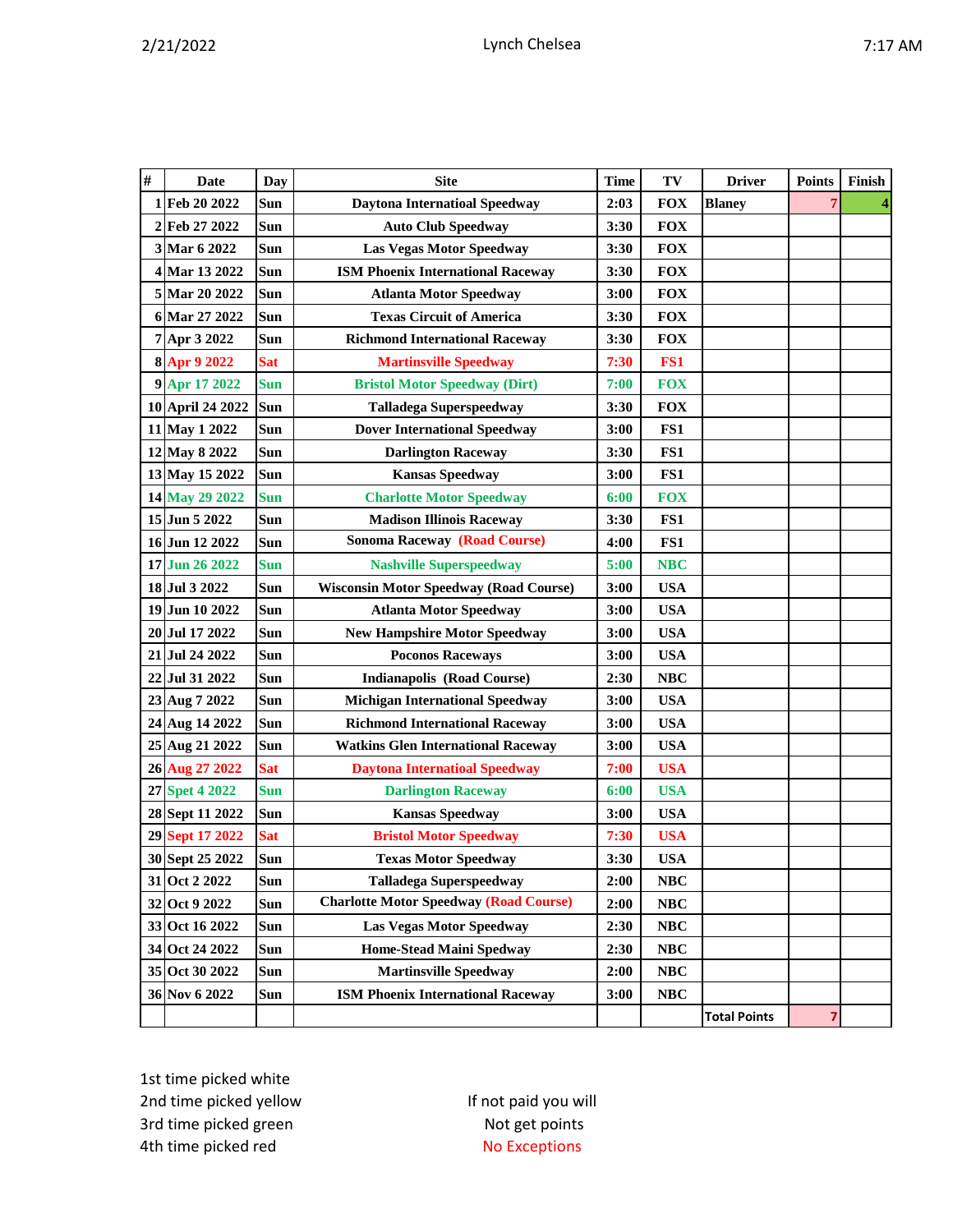| # | <b>Date</b>      | Day        | <b>Site</b>                                   | <b>Time</b> | TV         | <b>Driver</b>       | <b>Points</b> | Finish |
|---|------------------|------------|-----------------------------------------------|-------------|------------|---------------------|---------------|--------|
| 1 | Feb 20 2022      | Sun        | <b>Daytona Internatioal Speedway</b>          | 2:03        | <b>FOX</b> | <b>Blaney</b>       | 7             | 4      |
|   | 2 Feb 27 2022    | Sun        | <b>Auto Club Speedway</b>                     | 3:30        | <b>FOX</b> |                     |               |        |
|   | 3 Mar 6 2022     | <b>Sun</b> | Las Vegas Motor Speedway                      | 3:30        | <b>FOX</b> |                     |               |        |
|   | 4 Mar 13 2022    | Sun        | <b>ISM Phoenix International Raceway</b>      | 3:30        | <b>FOX</b> |                     |               |        |
|   | 5 Mar 20 2022    | Sun        | <b>Atlanta Motor Speedway</b>                 | 3:00        | <b>FOX</b> |                     |               |        |
|   | 6 Mar 27 2022    | Sun        | <b>Texas Circuit of America</b>               | 3:30        | <b>FOX</b> |                     |               |        |
|   | 7 Apr 3 2022     | Sun        | <b>Richmond International Raceway</b>         | 3:30        | <b>FOX</b> |                     |               |        |
|   | 8 Apr 9 2022     | <b>Sat</b> | <b>Martinsville Speedway</b>                  | 7:30        | FS1        |                     |               |        |
|   | 9 Apr 17 2022    | <b>Sun</b> | <b>Bristol Motor Speedway (Dirt)</b>          | 7:00        | <b>FOX</b> |                     |               |        |
|   | 10 April 24 2022 | Sun        | <b>Talladega Superspeedway</b>                | 3:30        | <b>FOX</b> |                     |               |        |
|   | 11 May 1 2022    | Sun        | <b>Dover International Speedway</b>           | 3:00        | FS1        |                     |               |        |
|   | 12 May 8 2022    | <b>Sun</b> | <b>Darlington Raceway</b>                     | 3:30        | FS1        |                     |               |        |
|   | 13 May 15 2022   | Sun        | <b>Kansas Speedway</b>                        | 3:00        | FS1        |                     |               |        |
|   | 14 May 29 2022   | <b>Sun</b> | <b>Charlotte Motor Speedway</b>               | 6:00        | <b>FOX</b> |                     |               |        |
|   | 15 Jun 5 2022    | Sun        | <b>Madison Illinois Raceway</b>               | 3:30        | FS1        |                     |               |        |
|   | 16 Jun 12 2022   | <b>Sun</b> | <b>Sonoma Raceway (Road Course)</b>           | 4:00        | FS1        |                     |               |        |
|   | 17 Jun 26 2022   | <b>Sun</b> | <b>Nashville Superspeedway</b>                | 5:00        | <b>NBC</b> |                     |               |        |
|   | 18 Jul 3 2022    | Sun        | <b>Wisconsin Motor Speedway (Road Course)</b> | 3:00        | <b>USA</b> |                     |               |        |
|   | 19 Jun 10 2022   | Sun        | <b>Atlanta Motor Speedway</b>                 | 3:00        | <b>USA</b> |                     |               |        |
|   | 20 Jul 17 2022   | Sun        | <b>New Hampshire Motor Speedway</b>           | 3:00        | <b>USA</b> |                     |               |        |
|   | 21 Jul 24 2022   | Sun        | <b>Poconos Raceways</b>                       | 3:00        | <b>USA</b> |                     |               |        |
|   | 22 Jul 31 2022   | Sun        | <b>Indianapolis (Road Course)</b>             | 2:30        | <b>NBC</b> |                     |               |        |
|   | 23 Aug 7 2022    | Sun        | <b>Michigan International Speedway</b>        | 3:00        | <b>USA</b> |                     |               |        |
|   | 24 Aug 14 2022   | Sun        | <b>Richmond International Raceway</b>         | 3:00        | <b>USA</b> |                     |               |        |
|   | 25 Aug 21 2022   | Sun        | <b>Watkins Glen International Raceway</b>     | 3:00        | <b>USA</b> |                     |               |        |
|   | 26 Aug 27 2022   | <b>Sat</b> | <b>Daytona Internatioal Speedway</b>          | 7:00        | <b>USA</b> |                     |               |        |
|   | 27 Spet 4 2022   | <b>Sun</b> | <b>Darlington Raceway</b>                     | 6:00        | <b>USA</b> |                     |               |        |
|   | 28 Sept 11 2022  | Sun        | <b>Kansas Speedway</b>                        | 3:00        | <b>USA</b> |                     |               |        |
|   | 29 Sept 17 2022  | <b>Sat</b> | <b>Bristol Motor Speedway</b>                 | 7:30        | <b>USA</b> |                     |               |        |
|   | 30 Sept 25 2022  | Sun        | <b>Texas Motor Speedway</b>                   | 3:30        | <b>USA</b> |                     |               |        |
|   | 31 Oct 2 2022    | Sun        | <b>Talladega Superspeedway</b>                | 2:00        | <b>NBC</b> |                     |               |        |
|   | 32 Oct 9 2022    | Sun        | <b>Charlotte Motor Speedway (Road Course)</b> | 2:00        | <b>NBC</b> |                     |               |        |
|   | 33 Oct 16 2022   | Sun        | Las Vegas Motor Speedway                      | 2:30        | NBC        |                     |               |        |
|   | 34 Oct 24 2022   | Sun        | Home-Stead Maini Spedway                      | 2:30        | NBC        |                     |               |        |
|   | 35 Oct 30 2022   | Sun        | <b>Martinsville Speedway</b>                  | 2:00        | $\bf NBC$  |                     |               |        |
|   | 36 Nov 6 2022    | Sun        | <b>ISM Phoenix International Raceway</b>      | 3:00        | NBC        |                     |               |        |
|   |                  |            |                                               |             |            | <b>Total Points</b> | 7             |        |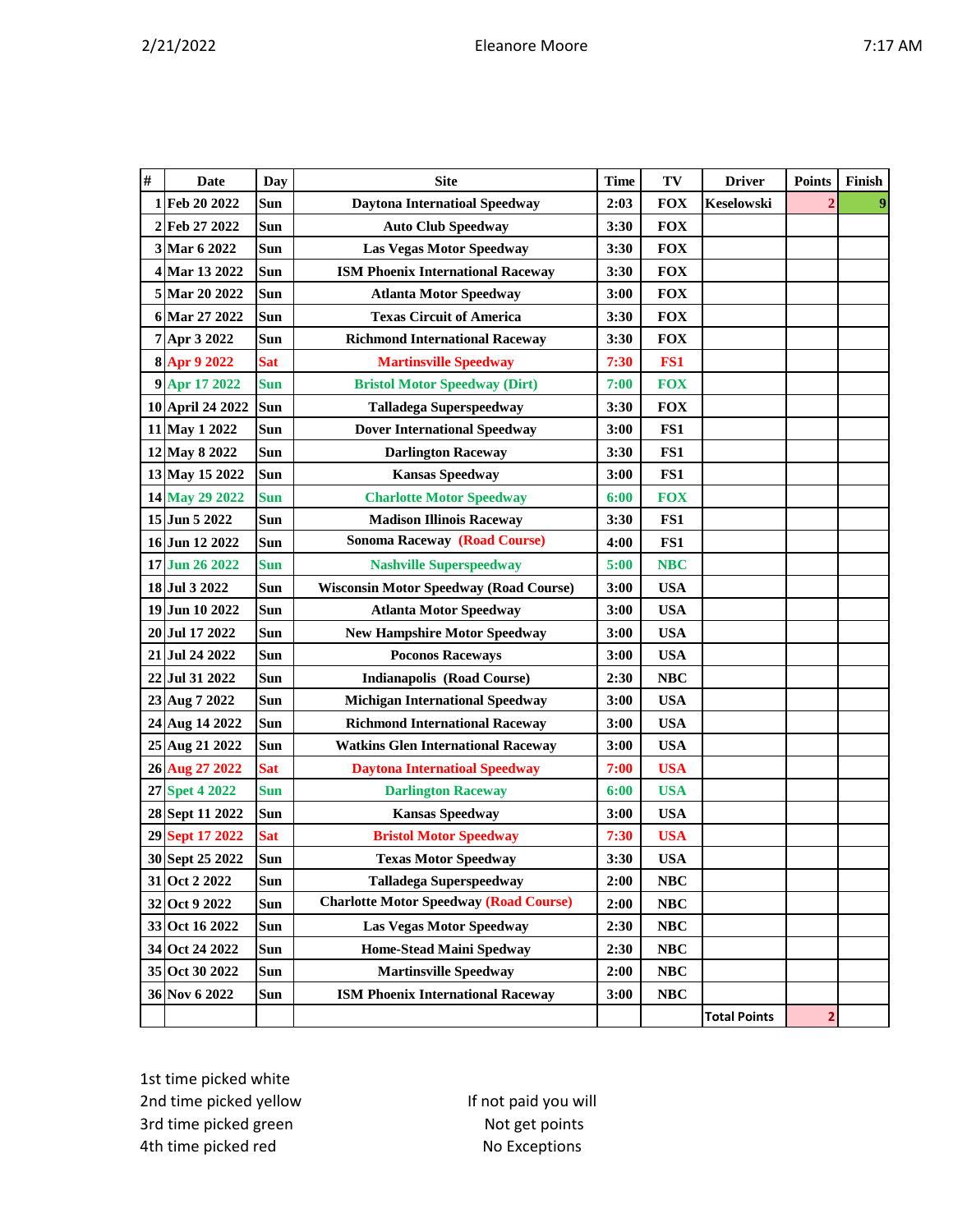| $\#$ | <b>Date</b>      | <b>Day</b> | <b>Site</b>                                   | <b>Time</b> | TV         | <b>Driver</b>       | <b>Points</b> | Finish |
|------|------------------|------------|-----------------------------------------------|-------------|------------|---------------------|---------------|--------|
|      | 1 Feb 20 2022    | Sun        | <b>Daytona Internatioal Speedway</b>          | 2:03        | <b>FOX</b> | Keselowski          |               | 9      |
|      | 2 Feb 27 2022    | Sun        | <b>Auto Club Speedway</b>                     | 3:30        | <b>FOX</b> |                     |               |        |
|      | 3 Mar 6 2022     | Sun        | <b>Las Vegas Motor Speedway</b>               | 3:30        | <b>FOX</b> |                     |               |        |
|      | 4 Mar 13 2022    | Sun        | <b>ISM Phoenix International Raceway</b>      | 3:30        | <b>FOX</b> |                     |               |        |
|      | 5 Mar 20 2022    | Sun        | <b>Atlanta Motor Speedway</b>                 | 3:00        | <b>FOX</b> |                     |               |        |
|      | 6 Mar 27 2022    | <b>Sun</b> | <b>Texas Circuit of America</b>               | 3:30        | <b>FOX</b> |                     |               |        |
|      | 7 Apr 3 2022     | Sun        | <b>Richmond International Raceway</b>         | 3:30        | <b>FOX</b> |                     |               |        |
|      | 8 Apr 9 2022     | <b>Sat</b> | <b>Martinsville Speedway</b>                  | 7:30        | FS1        |                     |               |        |
|      | 9 Apr 17 2022    | <b>Sun</b> | <b>Bristol Motor Speedway (Dirt)</b>          | 7:00        | <b>FOX</b> |                     |               |        |
|      | 10 April 24 2022 | Sun        | <b>Talladega Superspeedway</b>                | 3:30        | <b>FOX</b> |                     |               |        |
|      | 11 May 1 2022    | Sun        | <b>Dover International Speedway</b>           | 3:00        | FS1        |                     |               |        |
|      | 12 May 8 2022    | Sun        | <b>Darlington Raceway</b>                     | 3:30        | FS1        |                     |               |        |
|      | 13 May 15 2022   | Sun        | <b>Kansas Speedway</b>                        | 3:00        | FS1        |                     |               |        |
|      | 14 May 29 2022   | <b>Sun</b> | <b>Charlotte Motor Speedway</b>               | 6:00        | <b>FOX</b> |                     |               |        |
|      | 15 Jun 5 2022    | <b>Sun</b> | <b>Madison Illinois Raceway</b>               | 3:30        | FS1        |                     |               |        |
|      | 16 Jun 12 2022   | Sun        | <b>Sonoma Raceway (Road Course)</b>           | 4:00        | FS1        |                     |               |        |
|      | 17 Jun 26 2022   | <b>Sun</b> | <b>Nashville Superspeedway</b>                | 5:00        | <b>NBC</b> |                     |               |        |
|      | 18 Jul 3 2022    | Sun        | <b>Wisconsin Motor Speedway (Road Course)</b> | 3:00        | <b>USA</b> |                     |               |        |
|      | 19 Jun 10 2022   | <b>Sun</b> | <b>Atlanta Motor Speedway</b>                 | 3:00        | <b>USA</b> |                     |               |        |
|      | 20 Jul 17 2022   | Sun        | <b>New Hampshire Motor Speedway</b>           | 3:00        | <b>USA</b> |                     |               |        |
|      | 21 Jul 24 2022   | Sun        | <b>Poconos Raceways</b>                       | 3:00        | <b>USA</b> |                     |               |        |
|      | 22 Jul 31 2022   | Sun        | <b>Indianapolis (Road Course)</b>             | 2:30        | <b>NBC</b> |                     |               |        |
|      | 23 Aug 7 2022    | Sun        | <b>Michigan International Speedway</b>        | 3:00        | <b>USA</b> |                     |               |        |
|      | 24 Aug 14 2022   | Sun        | <b>Richmond International Raceway</b>         | 3:00        | <b>USA</b> |                     |               |        |
|      | 25 Aug 21 2022   | Sun        | <b>Watkins Glen International Raceway</b>     | 3:00        | <b>USA</b> |                     |               |        |
|      | 26 Aug 27 2022   | <b>Sat</b> | <b>Daytona Internatioal Speedway</b>          | 7:00        | <b>USA</b> |                     |               |        |
|      | 27 Spet 4 2022   | <b>Sun</b> | <b>Darlington Raceway</b>                     | 6:00        | <b>USA</b> |                     |               |        |
|      | 28 Sept 11 2022  | Sun        | <b>Kansas Speedway</b>                        | 3:00        | <b>USA</b> |                     |               |        |
|      | 29 Sept 17 2022  | <b>Sat</b> | <b>Bristol Motor Speedway</b>                 | 7:30        | <b>USA</b> |                     |               |        |
|      | 30 Sept 25 2022  | Sun        | <b>Texas Motor Speedway</b>                   | 3:30        | <b>USA</b> |                     |               |        |
|      | 31 Oct 2 2022    | Sun        | <b>Talladega Superspeedway</b>                | 2:00        | NBC        |                     |               |        |
|      | 32 Oct 9 2022    | Sun        | <b>Charlotte Motor Speedway (Road Course)</b> | 2:00        | $\bf NBC$  |                     |               |        |
|      | 33 Oct 16 2022   | Sun        | <b>Las Vegas Motor Speedway</b>               | 2:30        | NBC        |                     |               |        |
|      | 34 Oct 24 2022   | Sun        | <b>Home-Stead Maini Spedway</b>               | 2:30        | NBC        |                     |               |        |
|      | 35 Oct 30 2022   | Sun        | <b>Martinsville Speedway</b>                  | 2:00        | <b>NBC</b> |                     |               |        |
|      | 36 Nov 6 2022    | Sun        | <b>ISM Phoenix International Raceway</b>      | 3:00        | NBC        |                     |               |        |
|      |                  |            |                                               |             |            | <b>Total Points</b> | 2             |        |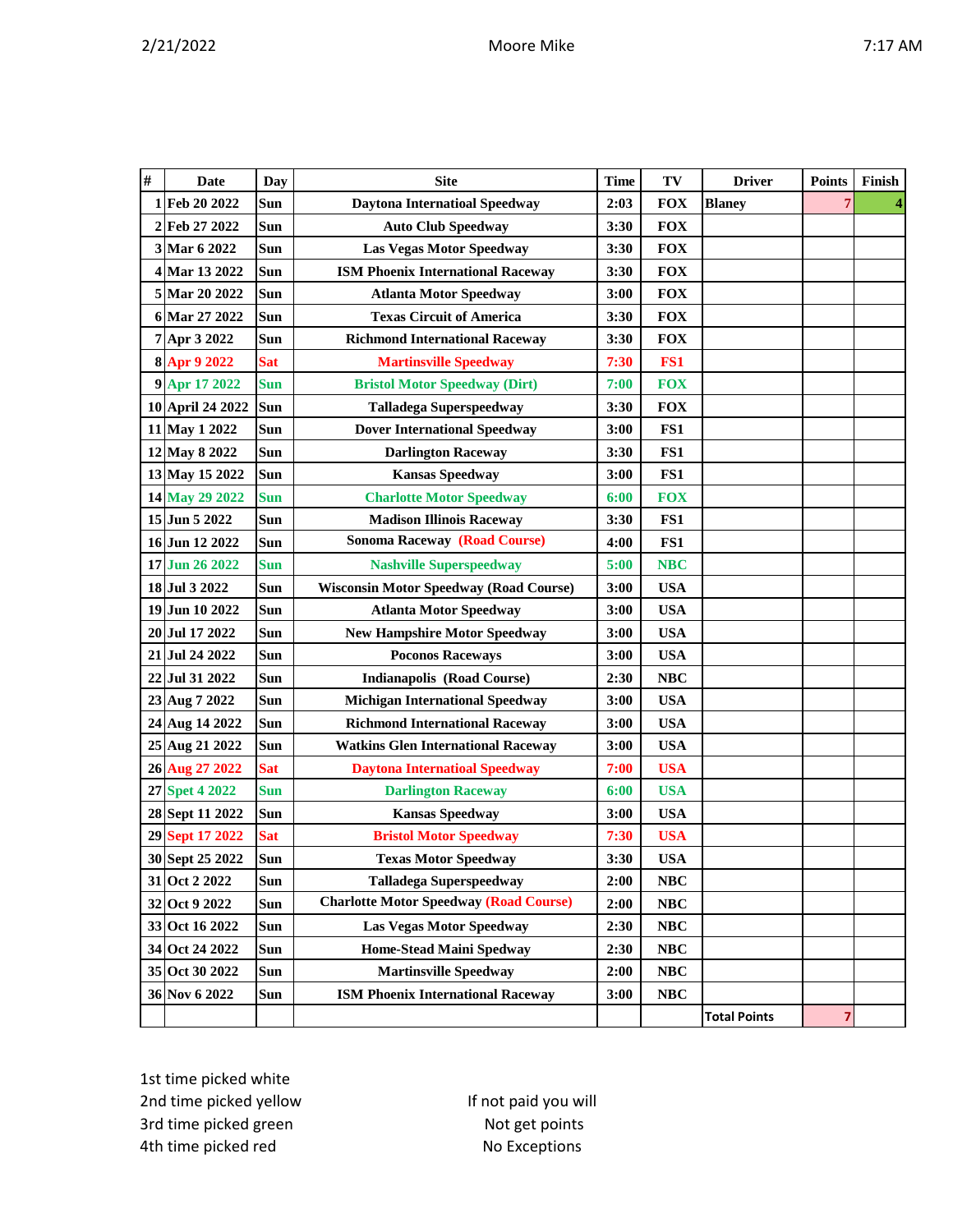| $\#$ | <b>Date</b>      | <b>Day</b> | <b>Site</b>                                   | <b>Time</b> | TV         | <b>Driver</b>       | <b>Points</b> | Finish |
|------|------------------|------------|-----------------------------------------------|-------------|------------|---------------------|---------------|--------|
|      | 1 Feb 20 2022    | Sun        | <b>Daytona Internatioal Speedway</b>          | 2:03        | <b>FOX</b> | <b>Blaney</b>       | 7             |        |
|      | 2 Feb 27 2022    | Sun        | <b>Auto Club Speedway</b>                     | 3:30        | <b>FOX</b> |                     |               |        |
|      | 3 Mar 6 2022     | Sun        | <b>Las Vegas Motor Speedway</b>               | 3:30        | <b>FOX</b> |                     |               |        |
|      | 4 Mar 13 2022    | Sun        | <b>ISM Phoenix International Raceway</b>      | 3:30        | <b>FOX</b> |                     |               |        |
|      | 5 Mar 20 2022    | Sun        | <b>Atlanta Motor Speedway</b>                 | 3:00        | <b>FOX</b> |                     |               |        |
|      | 6 Mar 27 2022    | Sun        | <b>Texas Circuit of America</b>               | 3:30        | <b>FOX</b> |                     |               |        |
|      | 7 Apr 3 2022     | Sun        | <b>Richmond International Raceway</b>         | 3:30        | <b>FOX</b> |                     |               |        |
|      | 8 Apr 9 2022     | <b>Sat</b> | <b>Martinsville Speedway</b>                  | 7:30        | FS1        |                     |               |        |
|      | 9 Apr 17 2022    | <b>Sun</b> | <b>Bristol Motor Speedway (Dirt)</b>          | 7:00        | <b>FOX</b> |                     |               |        |
|      | 10 April 24 2022 | Sun        | <b>Talladega Superspeedway</b>                | 3:30        | <b>FOX</b> |                     |               |        |
|      | 11 May 1 2022    | Sun        | <b>Dover International Speedway</b>           | 3:00        | FS1        |                     |               |        |
|      | 12 May 8 2022    | Sun        | <b>Darlington Raceway</b>                     | 3:30        | FS1        |                     |               |        |
|      | 13 May 15 2022   | Sun        | <b>Kansas Speedway</b>                        | 3:00        | FS1        |                     |               |        |
|      | 14 May 29 2022   | <b>Sun</b> | <b>Charlotte Motor Speedway</b>               | 6:00        | <b>FOX</b> |                     |               |        |
|      | 15 Jun 5 2022    | Sun        | <b>Madison Illinois Raceway</b>               | 3:30        | FS1        |                     |               |        |
|      | 16 Jun 12 2022   | Sun        | <b>Sonoma Raceway (Road Course)</b>           | 4:00        | FS1        |                     |               |        |
|      | 17 Jun 26 2022   | <b>Sun</b> | <b>Nashville Superspeedway</b>                | 5:00        | <b>NBC</b> |                     |               |        |
|      | 18 Jul 3 2022    | Sun        | <b>Wisconsin Motor Speedway (Road Course)</b> | 3:00        | <b>USA</b> |                     |               |        |
|      | 19 Jun 10 2022   | Sun        | <b>Atlanta Motor Speedway</b>                 | 3:00        | <b>USA</b> |                     |               |        |
|      | 20 Jul 17 2022   | Sun        | <b>New Hampshire Motor Speedway</b>           | 3:00        | <b>USA</b> |                     |               |        |
|      | 21 Jul 24 2022   | Sun        | <b>Poconos Raceways</b>                       | 3:00        | <b>USA</b> |                     |               |        |
|      | 22 Jul 31 2022   | Sun        | <b>Indianapolis (Road Course)</b>             | 2:30        | <b>NBC</b> |                     |               |        |
|      | 23 Aug 7 2022    | Sun        | <b>Michigan International Speedway</b>        | 3:00        | <b>USA</b> |                     |               |        |
|      | 24 Aug 14 2022   | Sun        | <b>Richmond International Raceway</b>         | 3:00        | <b>USA</b> |                     |               |        |
|      | 25 Aug 21 2022   | Sun        | <b>Watkins Glen International Raceway</b>     | 3:00        | <b>USA</b> |                     |               |        |
|      | 26 Aug 27 2022   | <b>Sat</b> | <b>Daytona Internatioal Speedway</b>          | 7:00        | <b>USA</b> |                     |               |        |
|      | 27 Spet 4 2022   | <b>Sun</b> | <b>Darlington Raceway</b>                     | 6:00        | <b>USA</b> |                     |               |        |
|      | 28 Sept 11 2022  | Sun        | <b>Kansas Speedway</b>                        | 3:00        | <b>USA</b> |                     |               |        |
|      | 29 Sept 17 2022  | <b>Sat</b> | <b>Bristol Motor Speedway</b>                 | 7:30        | <b>USA</b> |                     |               |        |
|      | 30 Sept 25 2022  | Sun        | <b>Texas Motor Speedway</b>                   | 3:30        | <b>USA</b> |                     |               |        |
|      | 31 Oct 2 2022    | Sun        | <b>Talladega Superspeedway</b>                | 2:00        | NBC        |                     |               |        |
|      | 32 Oct 9 2022    | Sun        | <b>Charlotte Motor Speedway (Road Course)</b> | 2:00        | <b>NBC</b> |                     |               |        |
|      | 33 Oct 16 2022   | Sun        | <b>Las Vegas Motor Speedway</b>               | 2:30        | NBC        |                     |               |        |
|      | 34 Oct 24 2022   | Sun        | <b>Home-Stead Maini Spedway</b>               | 2:30        | NBC        |                     |               |        |
|      | 35 Oct 30 2022   | Sun        | <b>Martinsville Speedway</b>                  | 2:00        | <b>NBC</b> |                     |               |        |
|      | 36 Nov 6 2022    | Sun        | <b>ISM Phoenix International Raceway</b>      | 3:00        | NBC        |                     |               |        |
|      |                  |            |                                               |             |            | <b>Total Points</b> | 7             |        |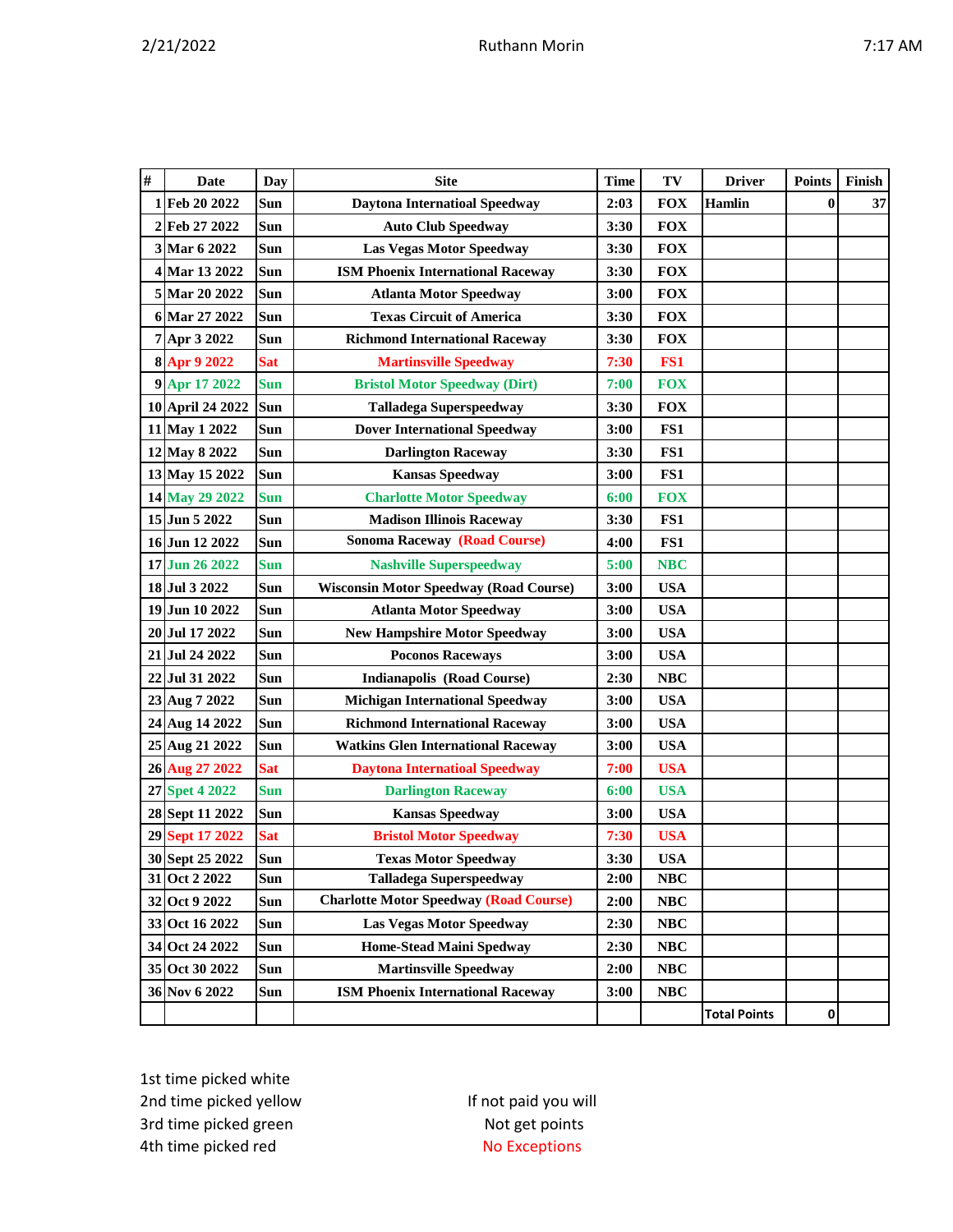|--|

| $\#$ | <b>Date</b>      | Day        | <b>Site</b>                                   | <b>Time</b> | TV         | <b>Driver</b>       | <b>Points</b> | Finish |
|------|------------------|------------|-----------------------------------------------|-------------|------------|---------------------|---------------|--------|
|      | 1 Feb 20 2022    | Sun        | <b>Daytona Internatioal Speedway</b>          | 2:03        | <b>FOX</b> | Hamlin              | $\bf{0}$      | 37     |
|      | 2 Feb 27 2022    | <b>Sun</b> | <b>Auto Club Speedway</b>                     | 3:30        | <b>FOX</b> |                     |               |        |
|      | 3 Mar 6 2022     | Sun        | <b>Las Vegas Motor Speedway</b>               | 3:30        | <b>FOX</b> |                     |               |        |
|      | 4 Mar 13 2022    | Sun        | <b>ISM Phoenix International Raceway</b>      | 3:30        | <b>FOX</b> |                     |               |        |
|      | 5 Mar 20 2022    | Sun        | <b>Atlanta Motor Speedway</b>                 | 3:00        | <b>FOX</b> |                     |               |        |
|      | 6 Mar 27 2022    | <b>Sun</b> | <b>Texas Circuit of America</b>               | 3:30        | <b>FOX</b> |                     |               |        |
|      | 7 Apr 3 2022     | Sun        | <b>Richmond International Raceway</b>         | 3:30        | <b>FOX</b> |                     |               |        |
|      | 8 Apr 9 2022     | <b>Sat</b> | <b>Martinsville Speedway</b>                  | 7:30        | FS1        |                     |               |        |
|      | 9 Apr 17 2022    | <b>Sun</b> | <b>Bristol Motor Speedway (Dirt)</b>          | 7:00        | <b>FOX</b> |                     |               |        |
|      | 10 April 24 2022 | Sun        | <b>Talladega Superspeedway</b>                | 3:30        | <b>FOX</b> |                     |               |        |
|      | 11 May 1 2022    | Sun        | <b>Dover International Speedway</b>           | 3:00        | FS1        |                     |               |        |
|      | 12 May 8 2022    | Sun        | <b>Darlington Raceway</b>                     | 3:30        | FS1        |                     |               |        |
|      | 13 May 15 2022   | Sun        | <b>Kansas Speedway</b>                        | 3:00        | FS1        |                     |               |        |
|      | 14 May 29 2022   | <b>Sun</b> | <b>Charlotte Motor Speedway</b>               | 6:00        | <b>FOX</b> |                     |               |        |
|      | 15 Jun 5 2022    | Sun        | <b>Madison Illinois Raceway</b>               | 3:30        | FS1        |                     |               |        |
|      | 16 Jun 12 2022   | Sun        | <b>Sonoma Raceway (Road Course)</b>           | 4:00        | FS1        |                     |               |        |
|      | 17 Jun 26 2022   | Sun        | <b>Nashville Superspeedway</b>                | 5:00        | <b>NBC</b> |                     |               |        |
|      | 18 Jul 3 2022    | Sun        | <b>Wisconsin Motor Speedway (Road Course)</b> | 3:00        | <b>USA</b> |                     |               |        |
|      | 19 Jun 10 2022   | <b>Sun</b> | <b>Atlanta Motor Speedway</b>                 | 3:00        | <b>USA</b> |                     |               |        |
|      | 20 Jul 17 2022   | Sun        | <b>New Hampshire Motor Speedway</b>           | 3:00        | <b>USA</b> |                     |               |        |
|      | 21 Jul 24 2022   | Sun        | <b>Poconos Raceways</b>                       | 3:00        | <b>USA</b> |                     |               |        |
|      | 22 Jul 31 2022   | Sun        | <b>Indianapolis (Road Course)</b>             | 2:30        | <b>NBC</b> |                     |               |        |
|      | 23 Aug 7 2022    | Sun        | <b>Michigan International Speedway</b>        | 3:00        | <b>USA</b> |                     |               |        |
|      | 24 Aug 14 2022   | <b>Sun</b> | <b>Richmond International Raceway</b>         | 3:00        | <b>USA</b> |                     |               |        |
|      | 25 Aug 21 2022   | Sun        | <b>Watkins Glen International Raceway</b>     | 3:00        | <b>USA</b> |                     |               |        |
|      | 26 Aug 27 2022   | <b>Sat</b> | <b>Daytona Internatioal Speedway</b>          | 7:00        | <b>USA</b> |                     |               |        |
|      | 27 Spet 4 2022   | <b>Sun</b> | <b>Darlington Raceway</b>                     | 6:00        | <b>USA</b> |                     |               |        |
|      | 28 Sept 11 2022  | Sun        | <b>Kansas Speedway</b>                        | 3:00        | <b>USA</b> |                     |               |        |
|      | 29 Sept 17 2022  | <b>Sat</b> | <b>Bristol Motor Speedway</b>                 | 7:30        | <b>USA</b> |                     |               |        |
|      | 30 Sept 25 2022  | Sun        | <b>Texas Motor Speedway</b>                   | 3:30        | <b>USA</b> |                     |               |        |
|      | 31 Oct 2 2022    | Sun        | <b>Talladega Superspeedway</b>                | 2:00        | $\bf NBC$  |                     |               |        |
|      | 32 Oct 9 2022    | Sun        | <b>Charlotte Motor Speedway (Road Course)</b> | 2:00        | $\bf NBC$  |                     |               |        |
|      | 33 Oct 16 2022   | Sun        | <b>Las Vegas Motor Speedway</b>               | 2:30        | NBC        |                     |               |        |
|      | 34 Oct 24 2022   | Sun        | <b>Home-Stead Maini Spedway</b>               | 2:30        | <b>NBC</b> |                     |               |        |
|      | 35 Oct 30 2022   | Sun        | <b>Martinsville Speedway</b>                  | 2:00        | <b>NBC</b> |                     |               |        |
|      | 36 Nov 6 2022    | Sun        | <b>ISM Phoenix International Raceway</b>      | 3:00        | NBC        |                     |               |        |
|      |                  |            |                                               |             |            | <b>Total Points</b> | 0             |        |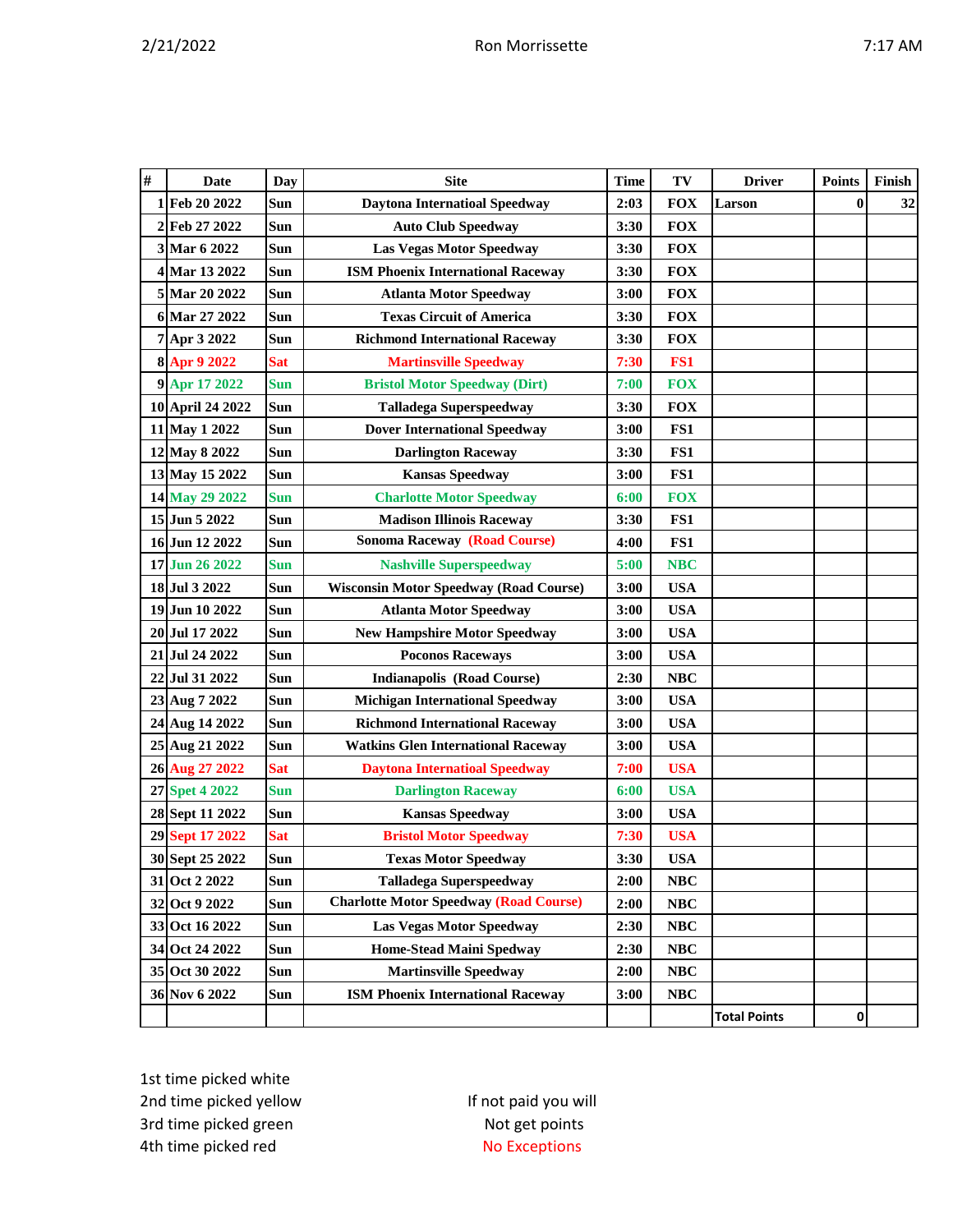|--|

| $\#$ | Date             | <b>Day</b> | <b>Site</b>                                   | <b>Time</b> | TV         | <b>Driver</b>       | <b>Points</b> | Finish |
|------|------------------|------------|-----------------------------------------------|-------------|------------|---------------------|---------------|--------|
|      | 1 Feb 20 2022    | Sun        | <b>Daytona Internatioal Speedway</b>          | 2:03        | <b>FOX</b> | Larson              | 0             | 32     |
|      | 2 Feb 27 2022    | Sun        | <b>Auto Club Speedway</b>                     | 3:30        | <b>FOX</b> |                     |               |        |
|      | 3 Mar 6 2022     | Sun        | <b>Las Vegas Motor Speedway</b>               | 3:30        | <b>FOX</b> |                     |               |        |
|      | 4 Mar 13 2022    | Sun        | <b>ISM Phoenix International Raceway</b>      | 3:30        | <b>FOX</b> |                     |               |        |
|      | 5 Mar 20 2022    | Sun        | <b>Atlanta Motor Speedway</b>                 | 3:00        | <b>FOX</b> |                     |               |        |
|      | 6 Mar 27 2022    | Sun        | <b>Texas Circuit of America</b>               | 3:30        | <b>FOX</b> |                     |               |        |
|      | 7 Apr 3 2022     | Sun        | <b>Richmond International Raceway</b>         | 3:30        | <b>FOX</b> |                     |               |        |
|      | 8 Apr 9 2022     | <b>Sat</b> | <b>Martinsville Speedway</b>                  | 7:30        | FS1        |                     |               |        |
|      | 9 Apr 17 2022    | <b>Sun</b> | <b>Bristol Motor Speedway (Dirt)</b>          | 7:00        | <b>FOX</b> |                     |               |        |
|      | 10 April 24 2022 | Sun        | <b>Talladega Superspeedway</b>                | 3:30        | <b>FOX</b> |                     |               |        |
|      | 11 May 1 2022    | Sun        | <b>Dover International Speedway</b>           | 3:00        | FS1        |                     |               |        |
|      | 12 May 8 2022    | Sun        | <b>Darlington Raceway</b>                     | 3:30        | FS1        |                     |               |        |
|      | 13 May 15 2022   | Sun        | <b>Kansas Speedway</b>                        | 3:00        | FS1        |                     |               |        |
|      | 14 May 29 2022   | <b>Sun</b> | <b>Charlotte Motor Speedway</b>               | 6:00        | <b>FOX</b> |                     |               |        |
|      | 15 Jun 5 2022    | Sun        | <b>Madison Illinois Raceway</b>               | 3:30        | FS1        |                     |               |        |
|      | 16 Jun 12 2022   | Sun        | <b>Sonoma Raceway (Road Course)</b>           | 4:00        | FS1        |                     |               |        |
|      | 17 Jun 26 2022   | Sun        | <b>Nashville Superspeedway</b>                | 5:00        | <b>NBC</b> |                     |               |        |
|      | 18 Jul 3 2022    | Sun        | <b>Wisconsin Motor Speedway (Road Course)</b> | 3:00        | <b>USA</b> |                     |               |        |
|      | 19 Jun 10 2022   | Sun        | <b>Atlanta Motor Speedway</b>                 | 3:00        | <b>USA</b> |                     |               |        |
|      | 20 Jul 17 2022   | Sun        | <b>New Hampshire Motor Speedway</b>           | 3:00        | <b>USA</b> |                     |               |        |
|      | 21 Jul 24 2022   | Sun        | <b>Poconos Raceways</b>                       | 3:00        | <b>USA</b> |                     |               |        |
|      | 22 Jul 31 2022   | Sun        | <b>Indianapolis (Road Course)</b>             | 2:30        | <b>NBC</b> |                     |               |        |
|      | 23 Aug 7 2022    | Sun        | <b>Michigan International Speedway</b>        | 3:00        | <b>USA</b> |                     |               |        |
|      | 24 Aug 14 2022   | Sun        | <b>Richmond International Raceway</b>         | 3:00        | <b>USA</b> |                     |               |        |
|      | 25 Aug 21 2022   | Sun        | <b>Watkins Glen International Raceway</b>     | 3:00        | <b>USA</b> |                     |               |        |
|      | 26 Aug 27 2022   | <b>Sat</b> | <b>Daytona Internatioal Speedway</b>          | 7:00        | <b>USA</b> |                     |               |        |
|      | 27 Spet 4 2022   | <b>Sun</b> | <b>Darlington Raceway</b>                     | 6:00        | <b>USA</b> |                     |               |        |
|      | 28 Sept 11 2022  | Sun        | <b>Kansas Speedway</b>                        | 3:00        | <b>USA</b> |                     |               |        |
|      | 29 Sept 17 2022  | <b>Sat</b> | <b>Bristol Motor Speedway</b>                 | 7:30        | <b>USA</b> |                     |               |        |
|      | 30 Sept 25 2022  | Sun        | <b>Texas Motor Speedway</b>                   | 3:30        | <b>USA</b> |                     |               |        |
|      | 31 Oct 2 2022    | Sun        | <b>Talladega Superspeedway</b>                | 2:00        | NBC        |                     |               |        |
|      | 32 Oct 9 2022    | Sun        | <b>Charlotte Motor Speedway (Road Course)</b> | 2:00        | $\bf NBC$  |                     |               |        |
|      | 33 Oct 16 2022   | Sun        | <b>Las Vegas Motor Speedway</b>               | 2:30        | NBC        |                     |               |        |
|      | 34 Oct 24 2022   | Sun        | <b>Home-Stead Maini Spedway</b>               | 2:30        | NBC        |                     |               |        |
|      | 35 Oct 30 2022   | Sun        | <b>Martinsville Speedway</b>                  | 2:00        | NBC        |                     |               |        |
|      | 36 Nov 6 2022    | Sun        | <b>ISM Phoenix International Raceway</b>      | 3:00        | <b>NBC</b> |                     |               |        |
|      |                  |            |                                               |             |            | <b>Total Points</b> | 0             |        |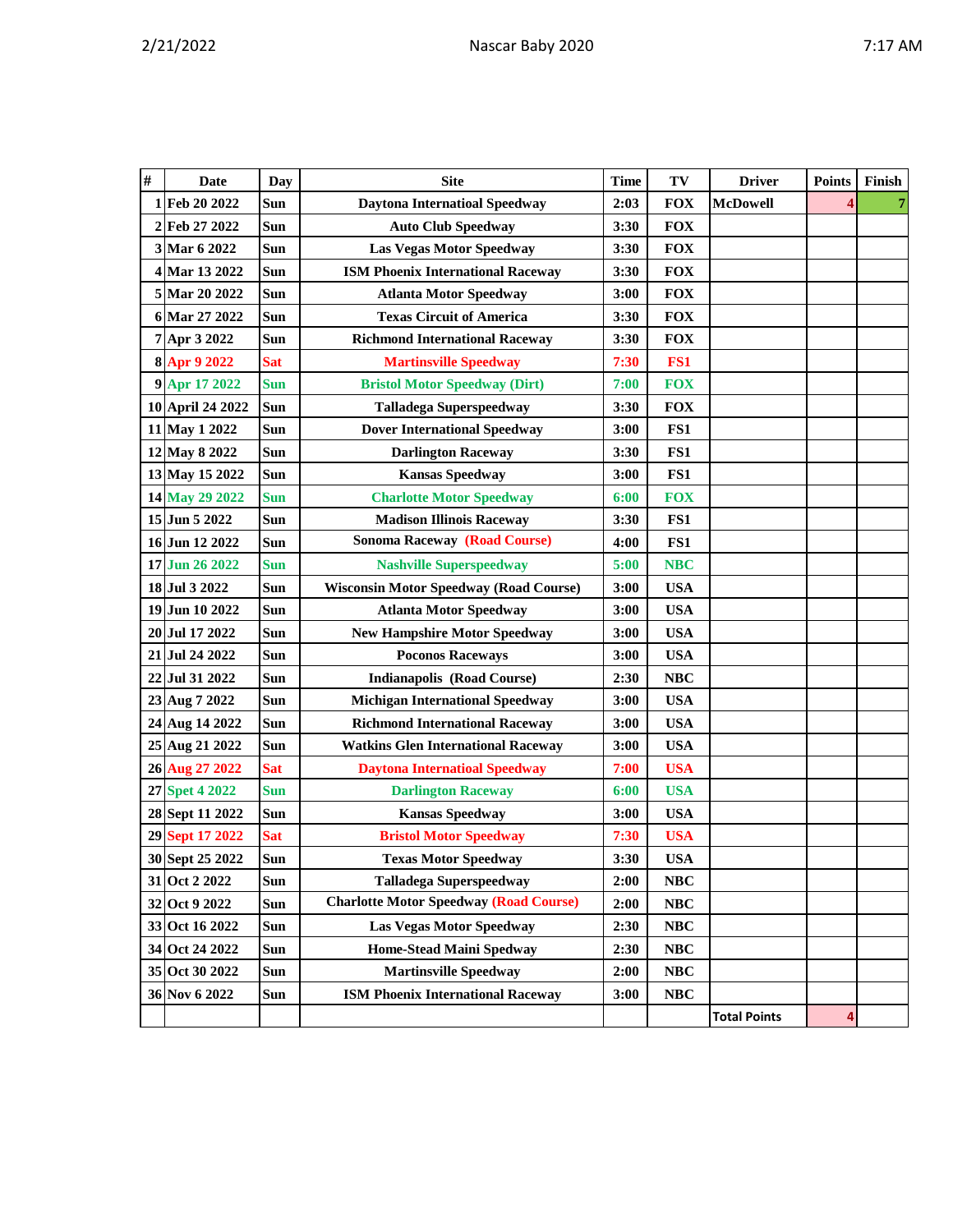|  | ., | ٦M<br>Λ |
|--|----|---------|
|  |    |         |

| # | <b>Date</b>      | Day        | <b>Site</b>                                   | <b>Time</b> | TV         | <b>Driver</b>       | <b>Points</b> | Finish |
|---|------------------|------------|-----------------------------------------------|-------------|------------|---------------------|---------------|--------|
| 1 | Feb 20 2022      | Sun        | <b>Daytona Internatioal Speedway</b>          | 2:03        | <b>FOX</b> | <b>McDowell</b>     |               |        |
|   | 2 Feb 27 2022    | Sun        | <b>Auto Club Speedway</b>                     | 3:30        | <b>FOX</b> |                     |               |        |
|   | 3 Mar 6 2022     | Sun        | <b>Las Vegas Motor Speedway</b>               | 3:30        | <b>FOX</b> |                     |               |        |
|   | 4 Mar 13 2022    | Sun        | <b>ISM Phoenix International Raceway</b>      | 3:30        | <b>FOX</b> |                     |               |        |
|   | 5 Mar 20 2022    | Sun        | <b>Atlanta Motor Speedway</b>                 | 3:00        | <b>FOX</b> |                     |               |        |
|   | 6 Mar 27 2022    | Sun        | <b>Texas Circuit of America</b>               | 3:30        | <b>FOX</b> |                     |               |        |
|   | 7 Apr 3 2022     | Sun        | <b>Richmond International Raceway</b>         | 3:30        | <b>FOX</b> |                     |               |        |
|   | 8 Apr 9 2022     | <b>Sat</b> | <b>Martinsville Speedway</b>                  | 7:30        | FS1        |                     |               |        |
|   | 9 Apr 17 2022    | <b>Sun</b> | <b>Bristol Motor Speedway (Dirt)</b>          | 7:00        | <b>FOX</b> |                     |               |        |
|   | 10 April 24 2022 | Sun        | <b>Talladega Superspeedway</b>                | 3:30        | <b>FOX</b> |                     |               |        |
|   | 11 May 1 2022    | Sun        | <b>Dover International Speedway</b>           | 3:00        | FS1        |                     |               |        |
|   | 12 May 8 2022    | Sun        | <b>Darlington Raceway</b>                     | 3:30        | FS1        |                     |               |        |
|   | 13 May 15 2022   | Sun        | <b>Kansas Speedway</b>                        | 3:00        | FS1        |                     |               |        |
|   | 14 May 29 2022   | <b>Sun</b> | <b>Charlotte Motor Speedway</b>               | 6:00        | <b>FOX</b> |                     |               |        |
|   | 15 Jun 5 2022    | Sun        | <b>Madison Illinois Raceway</b>               | 3:30        | FS1        |                     |               |        |
|   | 16 Jun 12 2022   | Sun        | <b>Sonoma Raceway (Road Course)</b>           | 4:00        | FS1        |                     |               |        |
|   | 17 Jun 26 2022   | <b>Sun</b> | <b>Nashville Superspeedway</b>                | 5:00        | <b>NBC</b> |                     |               |        |
|   | 18 Jul 3 2022    | Sun        | <b>Wisconsin Motor Speedway (Road Course)</b> | 3:00        | <b>USA</b> |                     |               |        |
|   | 19 Jun 10 2022   | <b>Sun</b> | <b>Atlanta Motor Speedway</b>                 | 3:00        | <b>USA</b> |                     |               |        |
|   | 20 Jul 17 2022   | Sun        | <b>New Hampshire Motor Speedway</b>           | 3:00        | <b>USA</b> |                     |               |        |
|   | 21 Jul 24 2022   | <b>Sun</b> | <b>Poconos Raceways</b>                       | 3:00        | <b>USA</b> |                     |               |        |
|   | 22 Jul 31 2022   | Sun        | <b>Indianapolis (Road Course)</b>             | 2:30        | <b>NBC</b> |                     |               |        |
|   | 23 Aug 7 2022    | Sun        | <b>Michigan International Speedway</b>        | 3:00        | <b>USA</b> |                     |               |        |
|   | 24 Aug 14 2022   | Sun        | <b>Richmond International Raceway</b>         | 3:00        | <b>USA</b> |                     |               |        |
|   | 25 Aug 21 2022   | Sun        | <b>Watkins Glen International Raceway</b>     | 3:00        | <b>USA</b> |                     |               |        |
|   | 26 Aug 27 2022   | <b>Sat</b> | <b>Daytona Internatioal Speedway</b>          | 7:00        | <b>USA</b> |                     |               |        |
|   | 27 Spet 4 2022   | <b>Sun</b> | <b>Darlington Raceway</b>                     | 6:00        | <b>USA</b> |                     |               |        |
|   | 28 Sept 11 2022  | Sun        | <b>Kansas Speedway</b>                        | 3:00        | <b>USA</b> |                     |               |        |
|   | 29 Sept 17 2022  | <b>Sat</b> | <b>Bristol Motor Speedway</b>                 | 7:30        | <b>USA</b> |                     |               |        |
|   | 30 Sept 25 2022  | Sun        | <b>Texas Motor Speedway</b>                   | 3:30        | <b>USA</b> |                     |               |        |
|   | 31 Oct 2 2022    | Sun        | <b>Talladega Superspeedway</b>                | 2:00        | <b>NBC</b> |                     |               |        |
|   | 32 Oct 9 2022    | Sun        | <b>Charlotte Motor Speedway (Road Course)</b> | 2:00        | <b>NBC</b> |                     |               |        |
|   | 33 Oct 16 2022   | Sun        | <b>Las Vegas Motor Speedway</b>               | 2:30        | <b>NBC</b> |                     |               |        |
|   | 34 Oct 24 2022   | Sun        | <b>Home-Stead Maini Spedway</b>               | 2:30        | <b>NBC</b> |                     |               |        |
|   | 35 Oct 30 2022   | Sun        | <b>Martinsville Speedway</b>                  | 2:00        | NBC        |                     |               |        |
|   | 36 Nov 6 2022    | Sun        | <b>ISM Phoenix International Raceway</b>      | 3:00        | $\bf NBC$  |                     |               |        |
|   |                  |            |                                               |             |            | <b>Total Points</b> | 4             |        |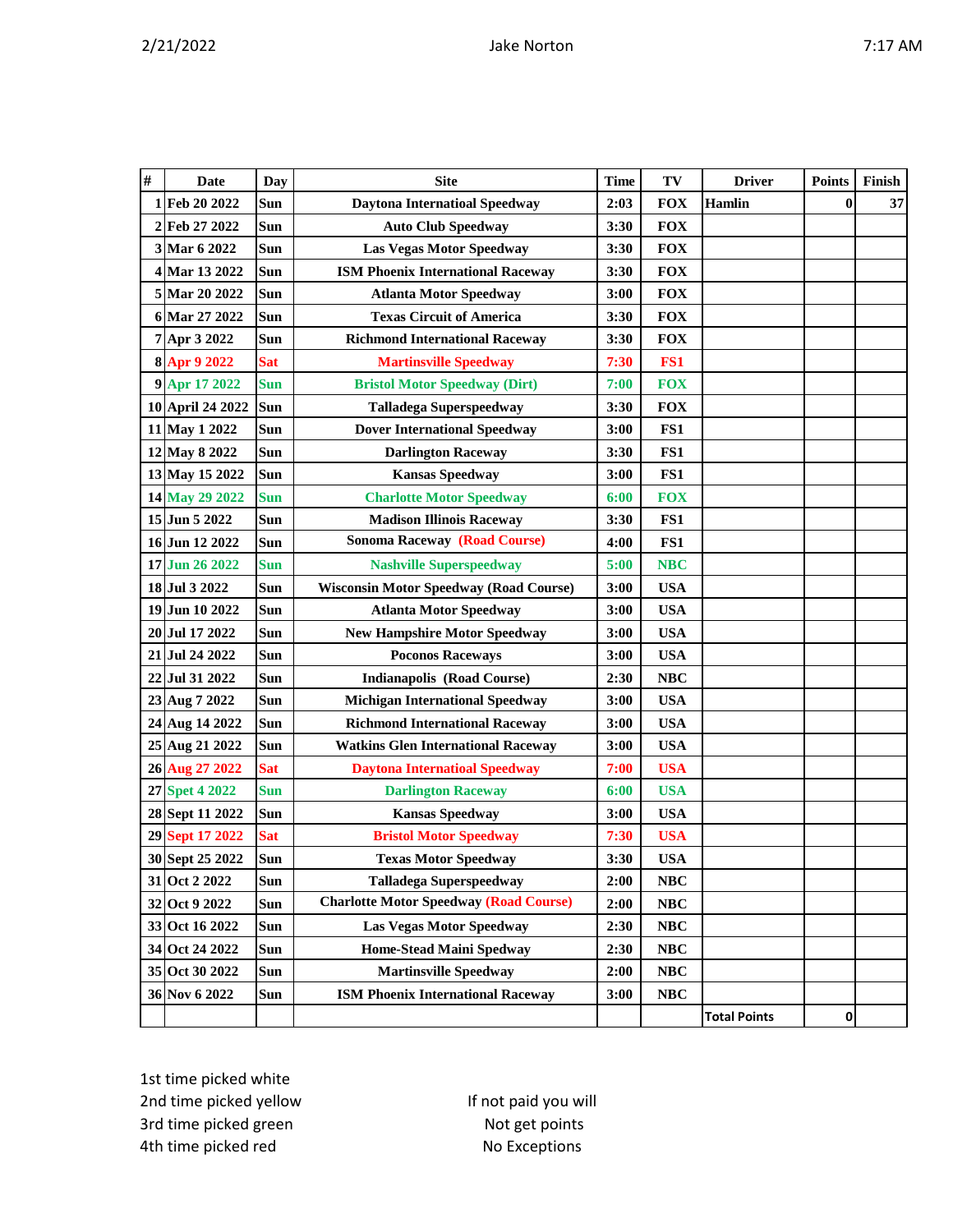| # | <b>Date</b>      | Day        | <b>Site</b>                                   | <b>Time</b> | TV         | <b>Driver</b>       | <b>Points</b> | Finish |
|---|------------------|------------|-----------------------------------------------|-------------|------------|---------------------|---------------|--------|
|   | 1 Feb 20 2022    | Sun        | <b>Daytona Internatioal Speedway</b>          | 2:03        | <b>FOX</b> | <b>Hamlin</b>       | $\bf{0}$      | 37     |
|   | 2 Feb 27 2022    | Sun        | <b>Auto Club Speedway</b>                     | 3:30        | <b>FOX</b> |                     |               |        |
|   | 3 Mar 6 2022     | Sun        | <b>Las Vegas Motor Speedway</b>               | 3:30        | <b>FOX</b> |                     |               |        |
|   | 4 Mar 13 2022    | Sun        | <b>ISM Phoenix International Raceway</b>      | 3:30        | <b>FOX</b> |                     |               |        |
|   | 5 Mar 20 2022    | Sun        | <b>Atlanta Motor Speedway</b>                 | 3:00        | <b>FOX</b> |                     |               |        |
|   | 6 Mar 27 2022    | Sun        | <b>Texas Circuit of America</b>               | 3:30        | <b>FOX</b> |                     |               |        |
|   | 7 Apr 3 2022     | Sun        | <b>Richmond International Raceway</b>         | 3:30        | <b>FOX</b> |                     |               |        |
|   | 8 Apr 9 2022     | <b>Sat</b> | <b>Martinsville Speedway</b>                  | 7:30        | FS1        |                     |               |        |
|   | 9 Apr 17 2022    | <b>Sun</b> | <b>Bristol Motor Speedway (Dirt)</b>          | 7:00        | <b>FOX</b> |                     |               |        |
|   | 10 April 24 2022 | Sun        | <b>Talladega Superspeedway</b>                | 3:30        | <b>FOX</b> |                     |               |        |
|   | 11 May 1 2022    | Sun        | <b>Dover International Speedway</b>           | 3:00        | FS1        |                     |               |        |
|   | 12 May 8 2022    | Sun        | <b>Darlington Raceway</b>                     | 3:30        | FS1        |                     |               |        |
|   | 13 May 15 2022   | Sun        | <b>Kansas Speedway</b>                        | 3:00        | FS1        |                     |               |        |
|   | 14 May 29 2022   | <b>Sun</b> | <b>Charlotte Motor Speedway</b>               | 6:00        | <b>FOX</b> |                     |               |        |
|   | 15 Jun 5 2022    | Sun        | <b>Madison Illinois Raceway</b>               | 3:30        | FS1        |                     |               |        |
|   | 16 Jun 12 2022   | Sun        | <b>Sonoma Raceway (Road Course)</b>           | 4:00        | FS1        |                     |               |        |
|   | 17 Jun 26 2022   | <b>Sun</b> | <b>Nashville Superspeedway</b>                | 5:00        | <b>NBC</b> |                     |               |        |
|   | 18 Jul 3 2022    | Sun        | <b>Wisconsin Motor Speedway (Road Course)</b> | 3:00        | <b>USA</b> |                     |               |        |
|   | 19 Jun 10 2022   | Sun        | <b>Atlanta Motor Speedway</b>                 | 3:00        | <b>USA</b> |                     |               |        |
|   | 20 Jul 17 2022   | Sun        | <b>New Hampshire Motor Speedway</b>           | 3:00        | <b>USA</b> |                     |               |        |
|   | 21 Jul 24 2022   | Sun        | <b>Poconos Raceways</b>                       | 3:00        | <b>USA</b> |                     |               |        |
|   | 22 Jul 31 2022   | Sun        | <b>Indianapolis (Road Course)</b>             | 2:30        | <b>NBC</b> |                     |               |        |
|   | 23 Aug 7 2022    | Sun        | <b>Michigan International Speedway</b>        | 3:00        | <b>USA</b> |                     |               |        |
|   | 24 Aug 14 2022   | Sun        | <b>Richmond International Raceway</b>         | 3:00        | <b>USA</b> |                     |               |        |
|   | 25 Aug 21 2022   | Sun        | <b>Watkins Glen International Raceway</b>     | 3:00        | <b>USA</b> |                     |               |        |
|   | 26 Aug 27 2022   | <b>Sat</b> | <b>Daytona Internatioal Speedway</b>          | 7:00        | <b>USA</b> |                     |               |        |
|   | 27 Spet 4 2022   | <b>Sun</b> | <b>Darlington Raceway</b>                     | 6:00        | <b>USA</b> |                     |               |        |
|   | 28 Sept 11 2022  | Sun        | <b>Kansas Speedway</b>                        | 3:00        | <b>USA</b> |                     |               |        |
|   | 29 Sept 17 2022  | <b>Sat</b> | <b>Bristol Motor Speedway</b>                 | 7:30        | <b>USA</b> |                     |               |        |
|   | 30 Sept 25 2022  | Sun        | <b>Texas Motor Speedway</b>                   | 3:30        | <b>USA</b> |                     |               |        |
|   | 31 Oct 2 2022    | Sun        | <b>Talladega Superspeedway</b>                | 2:00        | NBC        |                     |               |        |
|   | 32 Oct 9 2022    | Sun        | <b>Charlotte Motor Speedway (Road Course)</b> | 2:00        | NBC        |                     |               |        |
|   | 33 Oct 16 2022   | Sun        | <b>Las Vegas Motor Speedway</b>               | 2:30        | NBC        |                     |               |        |
|   | 34 Oct 24 2022   | Sun        | <b>Home-Stead Maini Spedway</b>               | 2:30        | NBC        |                     |               |        |
|   | 35 Oct 30 2022   | Sun        | <b>Martinsville Speedway</b>                  | 2:00        | <b>NBC</b> |                     |               |        |
|   | 36 Nov 6 2022    | Sun        | <b>ISM Phoenix International Raceway</b>      | 3:00        | <b>NBC</b> |                     |               |        |
|   |                  |            |                                               |             |            | <b>Total Points</b> | 0             |        |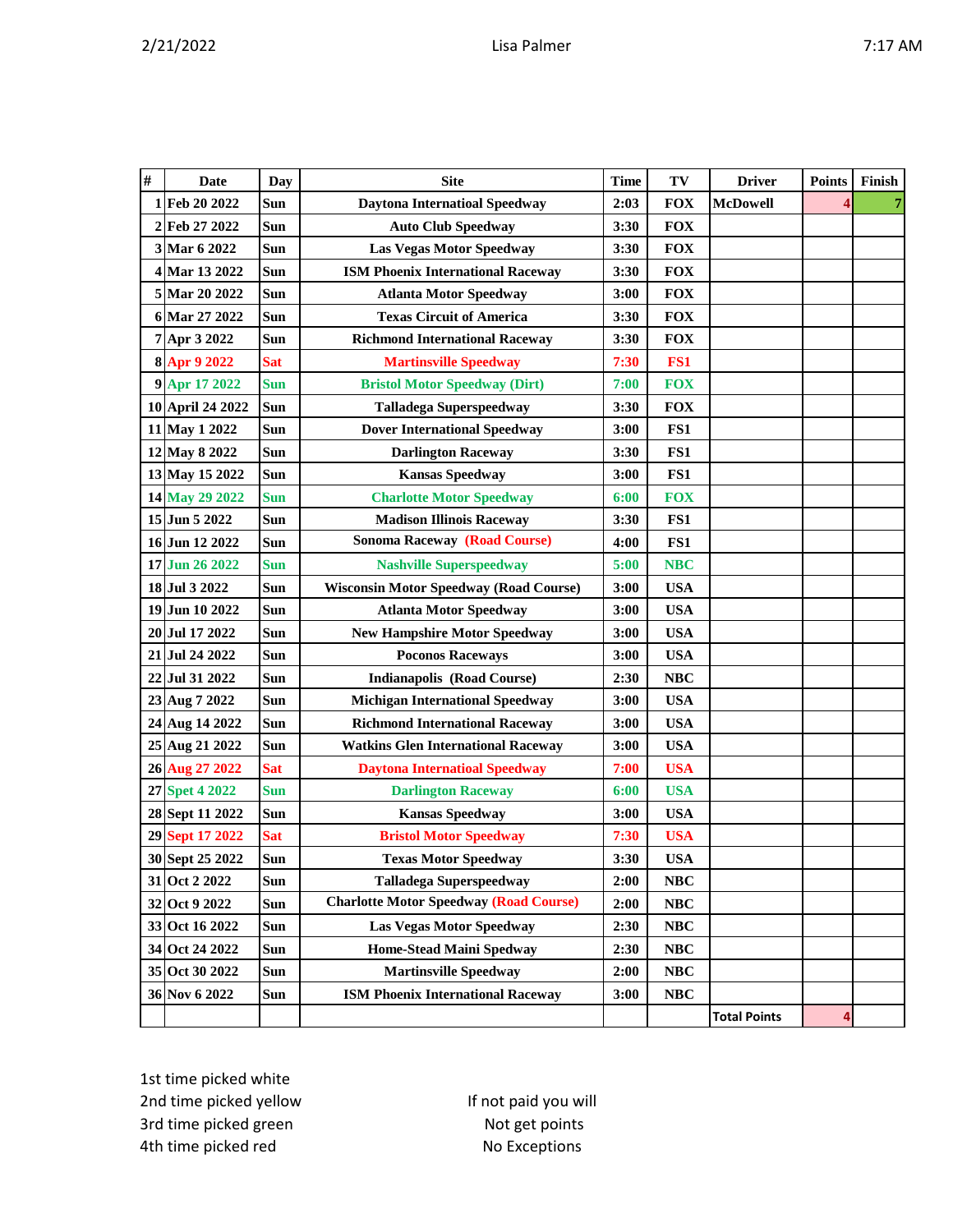| # | Date             | Day        | <b>Site</b>                                   | <b>Time</b> | TV         | <b>Driver</b>       | <b>Points</b> | Finish |
|---|------------------|------------|-----------------------------------------------|-------------|------------|---------------------|---------------|--------|
| 1 | Feb 20 2022      | Sun        | <b>Daytona Internatioal Speedway</b>          | 2:03        | <b>FOX</b> | <b>McDowell</b>     |               |        |
| 2 | Feb 27 2022      | Sun        | <b>Auto Club Speedway</b>                     | 3:30        | <b>FOX</b> |                     |               |        |
|   | 3 Mar 6 2022     | Sun        | <b>Las Vegas Motor Speedway</b>               | 3:30        | <b>FOX</b> |                     |               |        |
|   | 4 Mar 13 2022    | Sun        | <b>ISM Phoenix International Raceway</b>      | 3:30        | <b>FOX</b> |                     |               |        |
|   | 5 Mar 20 2022    | Sun        | <b>Atlanta Motor Speedway</b>                 | 3:00        | <b>FOX</b> |                     |               |        |
|   | 6 Mar 27 2022    | Sun        | <b>Texas Circuit of America</b>               | 3:30        | <b>FOX</b> |                     |               |        |
|   | 7 Apr 3 2022     | Sun        | <b>Richmond International Raceway</b>         | 3:30        | <b>FOX</b> |                     |               |        |
|   | 8 Apr 9 2022     | <b>Sat</b> | <b>Martinsville Speedway</b>                  | 7:30        | FS1        |                     |               |        |
|   | 9 Apr 17 2022    | <b>Sun</b> | <b>Bristol Motor Speedway (Dirt)</b>          | 7:00        | <b>FOX</b> |                     |               |        |
|   | 10 April 24 2022 | Sun        | <b>Talladega Superspeedway</b>                | 3:30        | <b>FOX</b> |                     |               |        |
|   | 11 May 1 2022    | Sun        | <b>Dover International Speedway</b>           | 3:00        | FS1        |                     |               |        |
|   | 12 May 8 2022    | Sun        | <b>Darlington Raceway</b>                     | 3:30        | FS1        |                     |               |        |
|   | 13 May 15 2022   | Sun        | <b>Kansas Speedway</b>                        | 3:00        | FS1        |                     |               |        |
|   | 14 May 29 2022   | <b>Sun</b> | <b>Charlotte Motor Speedway</b>               | 6:00        | <b>FOX</b> |                     |               |        |
|   | 15 Jun 5 2022    | Sun        | <b>Madison Illinois Raceway</b>               | 3:30        | FS1        |                     |               |        |
|   | 16 Jun 12 2022   | Sun        | <b>Sonoma Raceway (Road Course)</b>           | 4:00        | FS1        |                     |               |        |
|   | 17 Jun 26 2022   | <b>Sun</b> | <b>Nashville Superspeedway</b>                | 5:00        | <b>NBC</b> |                     |               |        |
|   | 18 Jul 3 2022    | Sun        | <b>Wisconsin Motor Speedway (Road Course)</b> | 3:00        | <b>USA</b> |                     |               |        |
|   | 19 Jun 10 2022   | Sun        | <b>Atlanta Motor Speedway</b>                 | 3:00        | <b>USA</b> |                     |               |        |
|   | 20 Jul 17 2022   | Sun        | <b>New Hampshire Motor Speedway</b>           | 3:00        | <b>USA</b> |                     |               |        |
|   | 21 Jul 24 2022   | Sun        | <b>Poconos Raceways</b>                       | 3:00        | <b>USA</b> |                     |               |        |
|   | 22 Jul 31 2022   | Sun        | <b>Indianapolis (Road Course)</b>             | 2:30        | <b>NBC</b> |                     |               |        |
|   | 23 Aug 7 2022    | Sun        | <b>Michigan International Speedway</b>        | 3:00        | <b>USA</b> |                     |               |        |
|   | 24 Aug 14 2022   | Sun        | <b>Richmond International Raceway</b>         | 3:00        | <b>USA</b> |                     |               |        |
|   | 25 Aug 21 2022   | Sun        | <b>Watkins Glen International Raceway</b>     | 3:00        | <b>USA</b> |                     |               |        |
|   | 26 Aug 27 2022   | <b>Sat</b> | <b>Daytona Internatioal Speedway</b>          | 7:00        | <b>USA</b> |                     |               |        |
|   | 27 Spet 4 2022   | <b>Sun</b> | <b>Darlington Raceway</b>                     | 6:00        | <b>USA</b> |                     |               |        |
|   | 28 Sept 11 2022  | Sun        | <b>Kansas Speedway</b>                        | 3:00        | <b>USA</b> |                     |               |        |
|   | 29 Sept 17 2022  | <b>Sat</b> | <b>Bristol Motor Speedway</b>                 | 7:30        | <b>USA</b> |                     |               |        |
|   | 30 Sept 25 2022  | Sun        | <b>Texas Motor Speedway</b>                   | 3:30        | <b>USA</b> |                     |               |        |
|   | 31 Oct 2 2022    | Sun        | <b>Talladega Superspeedway</b>                | 2:00        | <b>NBC</b> |                     |               |        |
|   | 32 Oct 9 2022    | Sun        | <b>Charlotte Motor Speedway (Road Course)</b> | 2:00        | <b>NBC</b> |                     |               |        |
|   | 33 Oct 16 2022   | Sun        | <b>Las Vegas Motor Speedway</b>               | 2:30        | <b>NBC</b> |                     |               |        |
|   | 34 Oct 24 2022   | Sun        | <b>Home-Stead Maini Spedway</b>               | 2:30        | NBC        |                     |               |        |
|   | 35 Oct 30 2022   | Sun        | <b>Martinsville Speedway</b>                  | 2:00        | NBC        |                     |               |        |
|   | 36 Nov 6 2022    | Sun        | <b>ISM Phoenix International Raceway</b>      | 3:00        | NBC        |                     |               |        |
|   |                  |            |                                               |             |            | <b>Total Points</b> | 4             |        |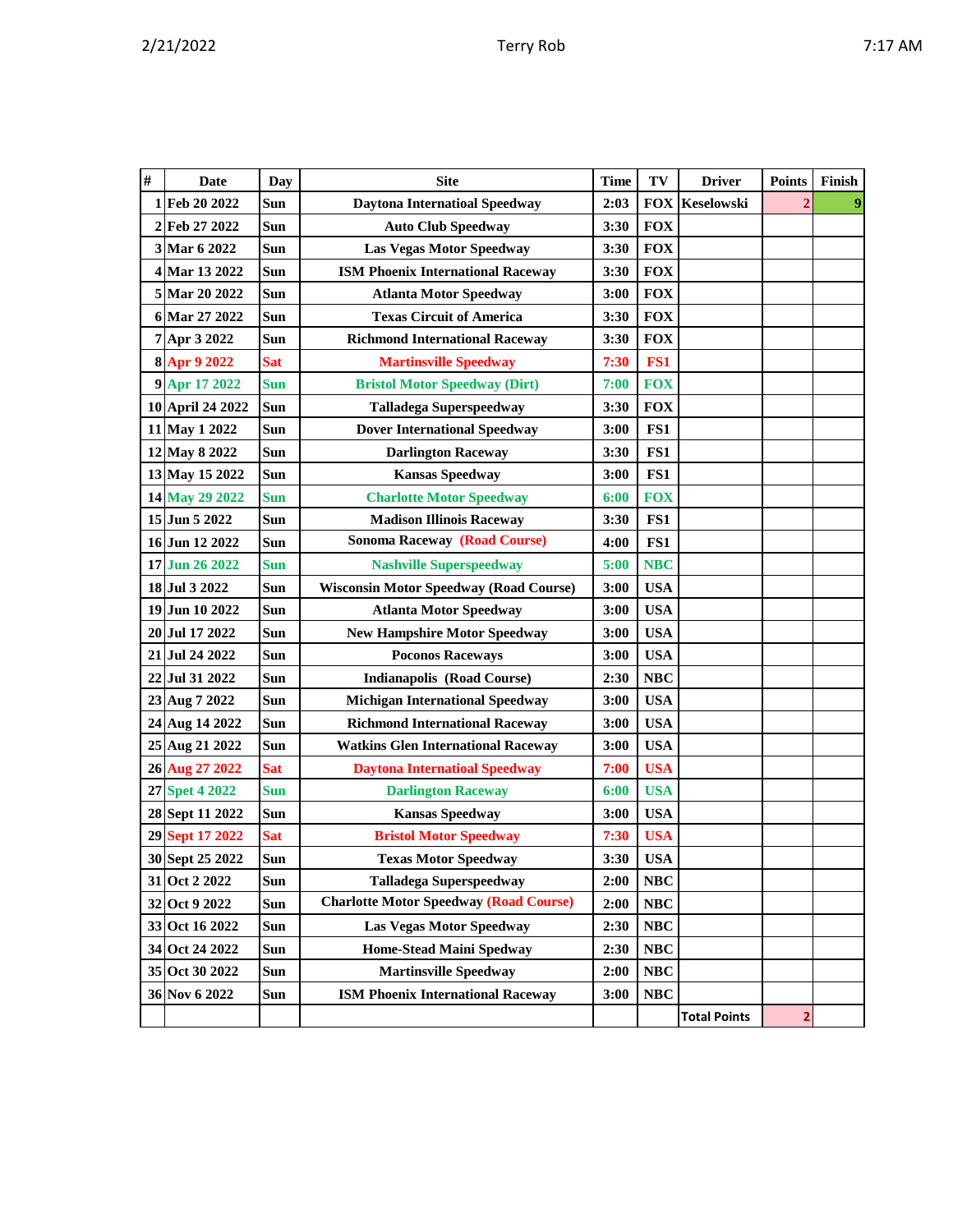| # | Date             | Day        | <b>Site</b>                                   | <b>Time</b> | TV         | <b>Driver</b>       | <b>Points</b>  | Finish           |
|---|------------------|------------|-----------------------------------------------|-------------|------------|---------------------|----------------|------------------|
|   | 1 Feb 20 2022    | Sun        | <b>Daytona Internatioal Speedway</b>          | 2:03        | <b>FOX</b> | Keselowski          | $\overline{2}$ | $\boldsymbol{9}$ |
|   | 2 Feb 27 2022    | Sun        | <b>Auto Club Speedway</b>                     | 3:30        | <b>FOX</b> |                     |                |                  |
|   | 3 Mar 6 2022     | Sun        | <b>Las Vegas Motor Speedway</b>               | 3:30        | <b>FOX</b> |                     |                |                  |
|   | 4 Mar 13 2022    | Sun        | <b>ISM Phoenix International Raceway</b>      | 3:30        | <b>FOX</b> |                     |                |                  |
|   | 5 Mar 20 2022    | Sun        | <b>Atlanta Motor Speedway</b>                 | 3:00        | <b>FOX</b> |                     |                |                  |
|   | 6 Mar 27 2022    | Sun        | <b>Texas Circuit of America</b>               | 3:30        | <b>FOX</b> |                     |                |                  |
|   | 7 Apr 3 2022     | Sun        | <b>Richmond International Raceway</b>         | 3:30        | <b>FOX</b> |                     |                |                  |
|   | 8 Apr 9 2022     | <b>Sat</b> | <b>Martinsville Speedway</b>                  | 7:30        | FS1        |                     |                |                  |
|   | 9 Apr 17 2022    | Sun        | <b>Bristol Motor Speedway (Dirt)</b>          | 7:00        | <b>FOX</b> |                     |                |                  |
|   | 10 April 24 2022 | Sun        | <b>Talladega Superspeedway</b>                | 3:30        | <b>FOX</b> |                     |                |                  |
|   | 11 May 1 2022    | Sun        | <b>Dover International Speedway</b>           | 3:00        | FS1        |                     |                |                  |
|   | 12 May 8 2022    | Sun        | <b>Darlington Raceway</b>                     | 3:30        | FS1        |                     |                |                  |
|   | 13 May 15 2022   | Sun        | <b>Kansas Speedway</b>                        | 3:00        | FS1        |                     |                |                  |
|   | 14 May 29 2022   | Sun        | <b>Charlotte Motor Speedway</b>               | 6:00        | <b>FOX</b> |                     |                |                  |
|   | 15 Jun 5 2022    | Sun        | <b>Madison Illinois Raceway</b>               | 3:30        | FS1        |                     |                |                  |
|   | 16 Jun 12 2022   | Sun        | <b>Sonoma Raceway (Road Course)</b>           | 4:00        | FS1        |                     |                |                  |
|   | 17 Jun 26 2022   | <b>Sun</b> | <b>Nashville Superspeedway</b>                | 5:00        | <b>NBC</b> |                     |                |                  |
|   | 18 Jul 3 2022    | Sun        | <b>Wisconsin Motor Speedway (Road Course)</b> | 3:00        | <b>USA</b> |                     |                |                  |
|   | 19 Jun 10 2022   | Sun        | <b>Atlanta Motor Speedway</b>                 | 3:00        | <b>USA</b> |                     |                |                  |
|   | 20 Jul 17 2022   | Sun        | <b>New Hampshire Motor Speedway</b>           | 3:00        | <b>USA</b> |                     |                |                  |
|   | 21 Jul 24 2022   | Sun        | <b>Poconos Raceways</b>                       | 3:00        | <b>USA</b> |                     |                |                  |
|   | 22 Jul 31 2022   | Sun        | <b>Indianapolis (Road Course)</b>             | 2:30        | <b>NBC</b> |                     |                |                  |
|   | 23 Aug 7 2022    | Sun        | <b>Michigan International Speedway</b>        | 3:00        | <b>USA</b> |                     |                |                  |
|   | 24 Aug 14 2022   | Sun        | <b>Richmond International Raceway</b>         | 3:00        | <b>USA</b> |                     |                |                  |
|   | 25 Aug 21 2022   | Sun        | <b>Watkins Glen International Raceway</b>     | 3:00        | <b>USA</b> |                     |                |                  |
|   | 26 Aug 27 2022   | <b>Sat</b> | <b>Daytona Internatioal Speedway</b>          | 7:00        | <b>USA</b> |                     |                |                  |
|   | 27 Spet 4 2022   | <b>Sun</b> | <b>Darlington Raceway</b>                     | 6:00        | <b>USA</b> |                     |                |                  |
|   | 28 Sept 11 2022  | Sun        | <b>Kansas Speedway</b>                        | 3:00        | <b>USA</b> |                     |                |                  |
|   | 29 Sept 17 2022  | <b>Sat</b> | <b>Bristol Motor Speedway</b>                 | 7:30        | <b>USA</b> |                     |                |                  |
|   | 30 Sept 25 2022  | Sun        | <b>Texas Motor Speedway</b>                   | 3:30        | <b>USA</b> |                     |                |                  |
|   | 31 Oct 2 2022    | Sun        | <b>Talladega Superspeedway</b>                | 2:00        | <b>NBC</b> |                     |                |                  |
|   | 32 Oct 9 2022    | Sun        | <b>Charlotte Motor Speedway (Road Course)</b> | 2:00        | NBC        |                     |                |                  |
|   | 33 Oct 16 2022   | Sun        | <b>Las Vegas Motor Speedway</b>               | 2:30        | NBC        |                     |                |                  |
|   | 34 Oct 24 2022   | Sun        | <b>Home-Stead Maini Spedway</b>               | 2:30        | NBC        |                     |                |                  |
|   | 35 Oct 30 2022   | Sun        | <b>Martinsville Speedway</b>                  | 2:00        | NBC        |                     |                |                  |
|   | 36 Nov 6 2022    | Sun        | <b>ISM Phoenix International Raceway</b>      | 3:00        | <b>NBC</b> |                     |                |                  |
|   |                  |            |                                               |             |            | <b>Total Points</b> | 2              |                  |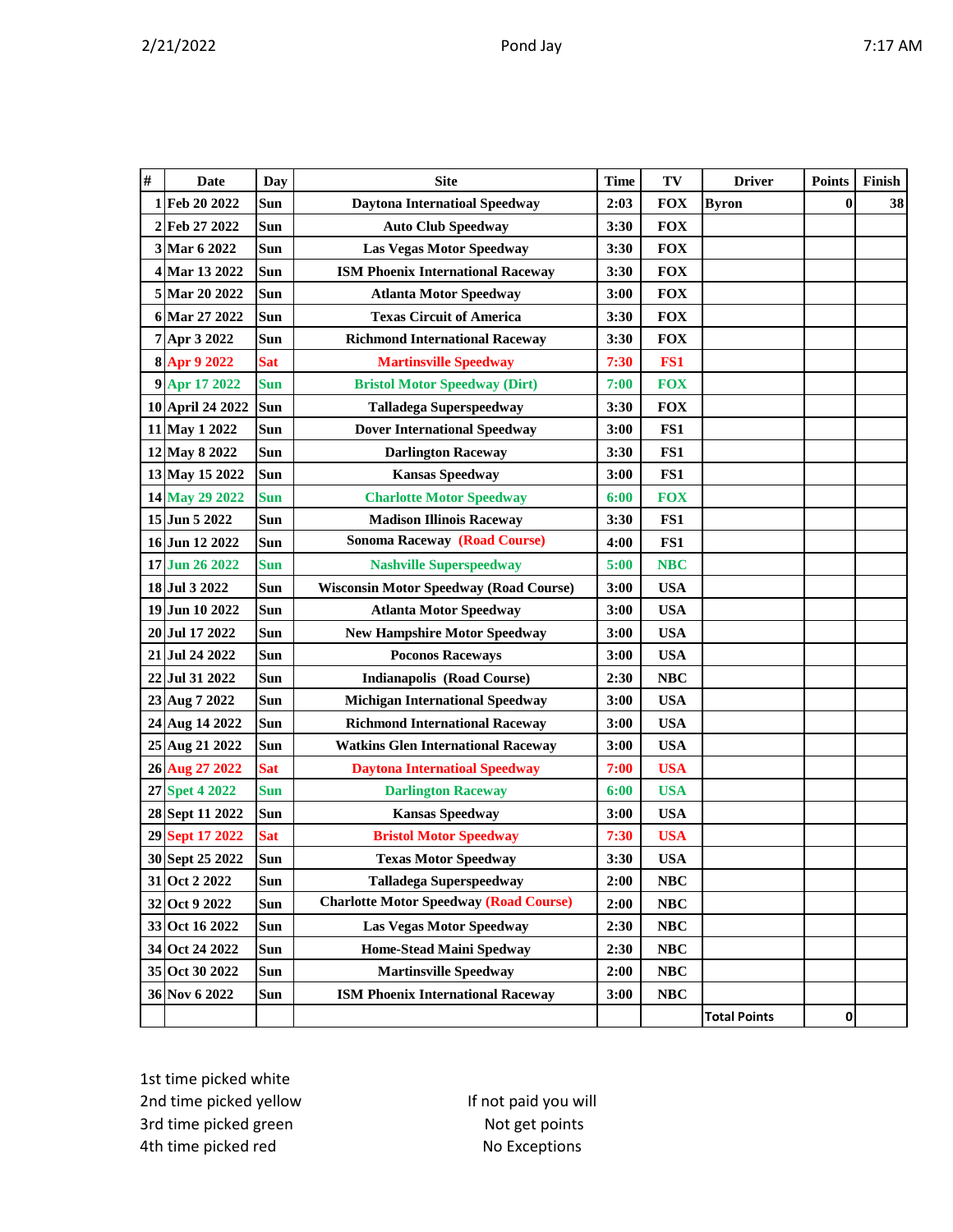| $\#$ | <b>Date</b>      | Day        | <b>Site</b>                                   | <b>Time</b> | TV         | <b>Driver</b>       | <b>Points</b> | Finish |
|------|------------------|------------|-----------------------------------------------|-------------|------------|---------------------|---------------|--------|
|      | 1Feb 20 2022     | Sun        | <b>Daytona Internatioal Speedway</b>          | 2:03        | <b>FOX</b> | <b>Byron</b>        | $\bf{0}$      | 38     |
|      | 2 Feb 27 2022    | Sun        | <b>Auto Club Speedway</b>                     | 3:30        | <b>FOX</b> |                     |               |        |
|      | 3 Mar 6 2022     | Sun        | <b>Las Vegas Motor Speedway</b>               | 3:30        | <b>FOX</b> |                     |               |        |
|      | 4 Mar 13 2022    | Sun        | <b>ISM Phoenix International Raceway</b>      | 3:30        | <b>FOX</b> |                     |               |        |
|      | 5 Mar 20 2022    | Sun        | <b>Atlanta Motor Speedway</b>                 | 3:00        | <b>FOX</b> |                     |               |        |
|      | 6 Mar 27 2022    | Sun        | <b>Texas Circuit of America</b>               | 3:30        | <b>FOX</b> |                     |               |        |
|      | 7 Apr 3 2022     | Sun        | <b>Richmond International Raceway</b>         | 3:30        | <b>FOX</b> |                     |               |        |
|      | 8 Apr 9 2022     | <b>Sat</b> | <b>Martinsville Speedway</b>                  | 7:30        | FS1        |                     |               |        |
|      | 9 Apr 17 2022    | <b>Sun</b> | <b>Bristol Motor Speedway (Dirt)</b>          | 7:00        | <b>FOX</b> |                     |               |        |
|      | 10 April 24 2022 | Sun        | <b>Talladega Superspeedway</b>                | 3:30        | <b>FOX</b> |                     |               |        |
|      | 11 May 1 2022    | Sun        | <b>Dover International Speedway</b>           | 3:00        | FS1        |                     |               |        |
|      | 12 May 8 2022    | Sun        | <b>Darlington Raceway</b>                     | 3:30        | FS1        |                     |               |        |
|      | 13 May 15 2022   | <b>Sun</b> | <b>Kansas Speedway</b>                        | 3:00        | FS1        |                     |               |        |
|      | 14 May 29 2022   | <b>Sun</b> | <b>Charlotte Motor Speedway</b>               | 6:00        | <b>FOX</b> |                     |               |        |
|      | 15 Jun 5 2022    | Sun        | <b>Madison Illinois Raceway</b>               | 3:30        | FS1        |                     |               |        |
|      | 16 Jun 12 2022   | Sun        | <b>Sonoma Raceway (Road Course)</b>           | 4:00        | FS1        |                     |               |        |
|      | 17 Jun 26 2022   | <b>Sun</b> | <b>Nashville Superspeedway</b>                | 5:00        | <b>NBC</b> |                     |               |        |
|      | 18 Jul 3 2022    | Sun        | <b>Wisconsin Motor Speedway (Road Course)</b> | 3:00        | <b>USA</b> |                     |               |        |
|      | 19 Jun 10 2022   | Sun        | <b>Atlanta Motor Speedway</b>                 | 3:00        | <b>USA</b> |                     |               |        |
|      | 20 Jul 17 2022   | Sun        | <b>New Hampshire Motor Speedway</b>           | 3:00        | <b>USA</b> |                     |               |        |
|      | 21 Jul 24 2022   | Sun        | <b>Poconos Raceways</b>                       | 3:00        | <b>USA</b> |                     |               |        |
|      | 22 Jul 31 2022   | Sun        | <b>Indianapolis (Road Course)</b>             | 2:30        | <b>NBC</b> |                     |               |        |
|      | 23 Aug 7 2022    | Sun        | <b>Michigan International Speedway</b>        | 3:00        | <b>USA</b> |                     |               |        |
|      | 24 Aug 14 2022   | Sun        | <b>Richmond International Raceway</b>         | 3:00        | <b>USA</b> |                     |               |        |
|      | 25 Aug 21 2022   | Sun        | <b>Watkins Glen International Raceway</b>     | 3:00        | <b>USA</b> |                     |               |        |
|      | 26 Aug 27 2022   | <b>Sat</b> | <b>Daytona Internatioal Speedway</b>          | 7:00        | <b>USA</b> |                     |               |        |
|      | 27 Spet 4 2022   | <b>Sun</b> | <b>Darlington Raceway</b>                     | 6:00        | <b>USA</b> |                     |               |        |
|      | 28 Sept 11 2022  | Sun        | <b>Kansas Speedway</b>                        | 3:00        | <b>USA</b> |                     |               |        |
|      | 29 Sept 17 2022  | <b>Sat</b> | <b>Bristol Motor Speedway</b>                 | 7:30        | <b>USA</b> |                     |               |        |
|      | 30 Sept 25 2022  | Sun        | <b>Texas Motor Speedway</b>                   | 3:30        | <b>USA</b> |                     |               |        |
|      | 31 Oct 2 2022    | Sun        | <b>Talladega Superspeedway</b>                | 2:00        | NBC        |                     |               |        |
|      | 32 Oct 9 2022    | Sun        | <b>Charlotte Motor Speedway (Road Course)</b> | 2:00        | NBC        |                     |               |        |
|      | 33 Oct 16 2022   | Sun        | Las Vegas Motor Speedway                      | 2:30        | NBC        |                     |               |        |
|      | 34 Oct 24 2022   | Sun        | <b>Home-Stead Maini Spedway</b>               | 2:30        | NBC        |                     |               |        |
|      | 35 Oct 30 2022   | Sun        | <b>Martinsville Speedway</b>                  | 2:00        | NBC        |                     |               |        |
|      | 36 Nov 6 2022    | Sun        | <b>ISM Phoenix International Raceway</b>      | 3:00        | NBC        |                     |               |        |
|      |                  |            |                                               |             |            | <b>Total Points</b> | $\pmb{0}$     |        |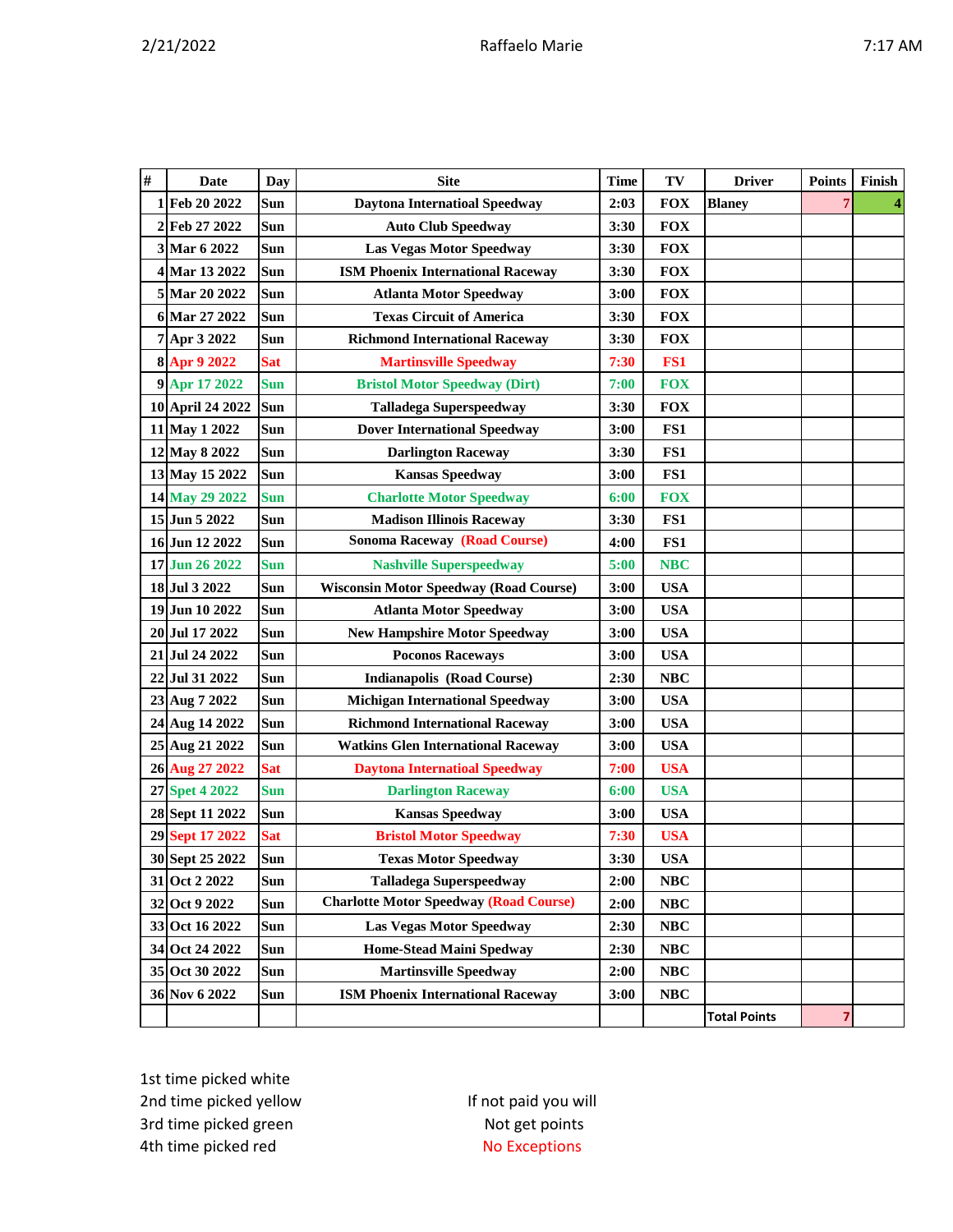| $\#$         | Date             | Day        | <b>Site</b>                                   | Time | TV              | <b>Driver</b>       | <b>Points</b> | Finish |
|--------------|------------------|------------|-----------------------------------------------|------|-----------------|---------------------|---------------|--------|
| 1            | Feb 20 2022      | Sun        | <b>Daytona Internatioal Speedway</b>          | 2:03 | <b>FOX</b>      | <b>Blaney</b>       |               |        |
| 2            | Feb 27 2022      | Sun        | <b>Auto Club Speedway</b>                     | 3:30 | <b>FOX</b>      |                     |               |        |
| $\mathbf{3}$ | Mar 6 2022       | Sun        | <b>Las Vegas Motor Speedway</b>               | 3:30 | <b>FOX</b>      |                     |               |        |
|              | 4 Mar 13 2022    | Sun        | <b>ISM Phoenix International Raceway</b>      | 3:30 | <b>FOX</b>      |                     |               |        |
|              | 5 Mar 20 2022    | Sun        | <b>Atlanta Motor Speedway</b>                 | 3:00 | <b>FOX</b>      |                     |               |        |
|              | 6 Mar 27 2022    | <b>Sun</b> | <b>Texas Circuit of America</b>               | 3:30 | <b>FOX</b>      |                     |               |        |
|              | 7 Apr 3 2022     | <b>Sun</b> | <b>Richmond International Raceway</b>         | 3:30 | <b>FOX</b>      |                     |               |        |
|              | 8 Apr 9 2022     | <b>Sat</b> | <b>Martinsville Speedway</b>                  | 7:30 | FS <sub>1</sub> |                     |               |        |
|              | 9 Apr 17 2022    | <b>Sun</b> | <b>Bristol Motor Speedway (Dirt)</b>          | 7:00 | <b>FOX</b>      |                     |               |        |
|              | 10 April 24 2022 | Sun        | <b>Talladega Superspeedway</b>                | 3:30 | <b>FOX</b>      |                     |               |        |
|              | 11 May 1 2022    | Sun        | <b>Dover International Speedway</b>           | 3:00 | FS1             |                     |               |        |
|              | 12 May 8 2022    | Sun        | <b>Darlington Raceway</b>                     | 3:30 | FS1             |                     |               |        |
|              | 13 May 15 2022   | <b>Sun</b> | <b>Kansas Speedway</b>                        | 3:00 | FS1             |                     |               |        |
|              | 14 May 29 2022   | <b>Sun</b> | <b>Charlotte Motor Speedway</b>               | 6:00 | <b>FOX</b>      |                     |               |        |
|              | 15 Jun 5 2022    | Sun        | <b>Madison Illinois Raceway</b>               | 3:30 | FS1             |                     |               |        |
|              | 16 Jun 12 2022   | Sun        | <b>Sonoma Raceway (Road Course)</b>           | 4:00 | FS1             |                     |               |        |
|              | 17 Jun 26 2022   | <b>Sun</b> | <b>Nashville Superspeedway</b>                | 5:00 | <b>NBC</b>      |                     |               |        |
|              | 18 Jul 3 2022    | Sun        | <b>Wisconsin Motor Speedway (Road Course)</b> | 3:00 | <b>USA</b>      |                     |               |        |
|              | 19 Jun 10 2022   | <b>Sun</b> | <b>Atlanta Motor Speedway</b>                 | 3:00 | <b>USA</b>      |                     |               |        |
|              | 20 Jul 17 2022   | Sun        | <b>New Hampshire Motor Speedway</b>           | 3:00 | <b>USA</b>      |                     |               |        |
|              | 21 Jul 24 2022   | Sun        | <b>Poconos Raceways</b>                       | 3:00 | <b>USA</b>      |                     |               |        |
| 22           | Jul 31 2022      | Sun        | <b>Indianapolis (Road Course)</b>             | 2:30 | NBC             |                     |               |        |
|              | 23 Aug 7 2022    | Sun        | <b>Michigan International Speedway</b>        | 3:00 | <b>USA</b>      |                     |               |        |
|              | 24 Aug 14 2022   | Sun        | <b>Richmond International Raceway</b>         | 3:00 | <b>USA</b>      |                     |               |        |
|              | 25 Aug 21 2022   | Sun        | <b>Watkins Glen International Raceway</b>     | 3:00 | <b>USA</b>      |                     |               |        |
|              | 26 Aug 27 2022   | <b>Sat</b> | <b>Daytona Internatioal Speedway</b>          | 7:00 | <b>USA</b>      |                     |               |        |
|              | 27 Spet 4 2022   | <b>Sun</b> | <b>Darlington Raceway</b>                     | 6:00 | <b>USA</b>      |                     |               |        |
|              | 28 Sept 11 2022  | Sun        | <b>Kansas Speedway</b>                        | 3:00 | <b>USA</b>      |                     |               |        |
|              | 29 Sept 17 2022  | <b>Sat</b> | <b>Bristol Motor Speedway</b>                 | 7:30 | <b>USA</b>      |                     |               |        |
|              | 30 Sept 25 2022  | Sun        | <b>Texas Motor Speedway</b>                   | 3:30 | <b>USA</b>      |                     |               |        |
|              | 31 Oct 2 2022    | Sun        | <b>Talladega Superspeedway</b>                | 2:00 | <b>NBC</b>      |                     |               |        |
|              | 32 Oct 9 2022    | Sun        | <b>Charlotte Motor Speedway (Road Course)</b> | 2:00 | <b>NBC</b>      |                     |               |        |
|              | 33 Oct 16 2022   | Sun        | <b>Las Vegas Motor Speedway</b>               | 2:30 | <b>NBC</b>      |                     |               |        |
|              | 34 Oct 24 2022   | Sun        | <b>Home-Stead Maini Spedway</b>               | 2:30 | <b>NBC</b>      |                     |               |        |
|              | 35 Oct 30 2022   | Sun        | <b>Martinsville Speedway</b>                  | 2:00 | NBC             |                     |               |        |
|              | 36 Nov 6 2022    | Sun        | <b>ISM Phoenix International Raceway</b>      | 3:00 | NBC             |                     |               |        |
|              |                  |            |                                               |      |                 | <b>Total Points</b> | 7             |        |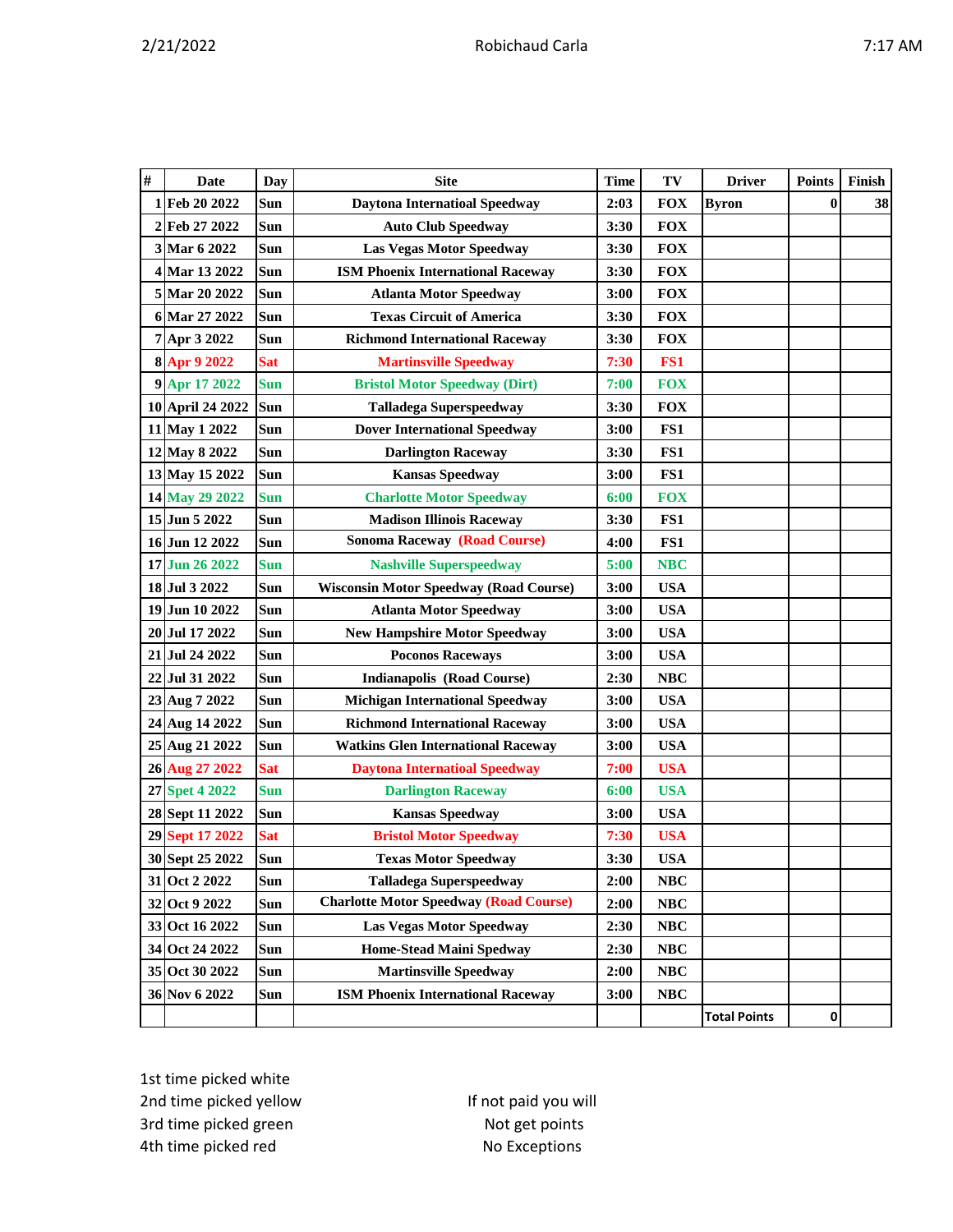|--|

| $\#$ | <b>Date</b>      | Day        | <b>Site</b>                                   | <b>Time</b> | TV         | <b>Driver</b>       | <b>Points</b> | Finish |
|------|------------------|------------|-----------------------------------------------|-------------|------------|---------------------|---------------|--------|
|      | 1 Feb 20 2022    | Sun        | <b>Daytona Internatioal Speedway</b>          | 2:03        | <b>FOX</b> | <b>Byron</b>        | $\bf{0}$      | 38     |
|      | 2 Feb 27 2022    | Sun        | <b>Auto Club Speedway</b>                     | 3:30        | <b>FOX</b> |                     |               |        |
|      | 3 Mar 6 2022     | <b>Sun</b> | <b>Las Vegas Motor Speedway</b>               | 3:30        | <b>FOX</b> |                     |               |        |
|      | 4 Mar 13 2022    | Sun        | <b>ISM Phoenix International Raceway</b>      | 3:30        | <b>FOX</b> |                     |               |        |
|      | 5 Mar 20 2022    | Sun        | <b>Atlanta Motor Speedway</b>                 | 3:00        | <b>FOX</b> |                     |               |        |
|      | 6 Mar 27 2022    | Sun        | <b>Texas Circuit of America</b>               | 3:30        | <b>FOX</b> |                     |               |        |
|      | 7 Apr 3 2022     | Sun        | <b>Richmond International Raceway</b>         | 3:30        | <b>FOX</b> |                     |               |        |
|      | 8 Apr 9 2022     | <b>Sat</b> | <b>Martinsville Speedway</b>                  | 7:30        | FS1        |                     |               |        |
|      | 9 Apr 17 2022    | <b>Sun</b> | <b>Bristol Motor Speedway (Dirt)</b>          | 7:00        | <b>FOX</b> |                     |               |        |
|      | 10 April 24 2022 | Sun        | <b>Talladega Superspeedway</b>                | 3:30        | <b>FOX</b> |                     |               |        |
|      | 11 May 1 2022    | Sun        | <b>Dover International Speedway</b>           | 3:00        | FS1        |                     |               |        |
|      | 12 May 8 2022    | Sun        | <b>Darlington Raceway</b>                     | 3:30        | FS1        |                     |               |        |
|      | 13 May 15 2022   | Sun        | <b>Kansas Speedway</b>                        | 3:00        | FS1        |                     |               |        |
|      | 14 May 29 2022   | <b>Sun</b> | <b>Charlotte Motor Speedway</b>               | 6:00        | <b>FOX</b> |                     |               |        |
|      | 15 Jun 5 2022    | Sun        | <b>Madison Illinois Raceway</b>               | 3:30        | FS1        |                     |               |        |
|      | 16 Jun 12 2022   | Sun        | <b>Sonoma Raceway (Road Course)</b>           | 4:00        | FS1        |                     |               |        |
|      | 17 Jun 26 2022   | <b>Sun</b> | <b>Nashville Superspeedway</b>                | 5:00        | <b>NBC</b> |                     |               |        |
|      | 18 Jul 3 2022    | Sun        | <b>Wisconsin Motor Speedway (Road Course)</b> | 3:00        | <b>USA</b> |                     |               |        |
|      | 19 Jun 10 2022   | Sun        | <b>Atlanta Motor Speedway</b>                 | 3:00        | <b>USA</b> |                     |               |        |
|      | 20 Jul 17 2022   | Sun        | <b>New Hampshire Motor Speedway</b>           | 3:00        | <b>USA</b> |                     |               |        |
|      | 21 Jul 24 2022   | Sun        | <b>Poconos Raceways</b>                       | 3:00        | <b>USA</b> |                     |               |        |
|      | 22 Jul 31 2022   | <b>Sun</b> | <b>Indianapolis (Road Course)</b>             | 2:30        | <b>NBC</b> |                     |               |        |
|      | 23 Aug 7 2022    | Sun        | <b>Michigan International Speedway</b>        | 3:00        | <b>USA</b> |                     |               |        |
|      | 24 Aug 14 2022   | Sun        | <b>Richmond International Raceway</b>         | 3:00        | <b>USA</b> |                     |               |        |
|      | 25 Aug 21 2022   | Sun        | <b>Watkins Glen International Raceway</b>     | 3:00        | <b>USA</b> |                     |               |        |
|      | 26 Aug 27 2022   | <b>Sat</b> | <b>Daytona Internatioal Speedway</b>          | 7:00        | <b>USA</b> |                     |               |        |
|      | 27 Spet 4 2022   | <b>Sun</b> | <b>Darlington Raceway</b>                     | 6:00        | <b>USA</b> |                     |               |        |
|      | 28 Sept 11 2022  | Sun        | <b>Kansas Speedway</b>                        | 3:00        | <b>USA</b> |                     |               |        |
|      | 29 Sept 17 2022  | <b>Sat</b> | <b>Bristol Motor Speedway</b>                 | 7:30        | <b>USA</b> |                     |               |        |
|      | 30 Sept 25 2022  | Sun        | <b>Texas Motor Speedway</b>                   | 3:30        | <b>USA</b> |                     |               |        |
|      | 31 Oct 2 2022    | Sun        | <b>Talladega Superspeedway</b>                | 2:00        | <b>NBC</b> |                     |               |        |
|      | 32 Oct 9 2022    | Sun        | <b>Charlotte Motor Speedway (Road Course)</b> | 2:00        | <b>NBC</b> |                     |               |        |
|      | 33 Oct 16 2022   | Sun        | Las Vegas Motor Speedway                      | 2:30        | NBC        |                     |               |        |
|      | 34 Oct 24 2022   | Sun        | <b>Home-Stead Maini Spedway</b>               | 2:30        | NBC        |                     |               |        |
|      | 35 Oct 30 2022   | Sun        | <b>Martinsville Speedway</b>                  | 2:00        | NBC        |                     |               |        |
|      | 36 Nov 6 2022    | Sun        | <b>ISM Phoenix International Raceway</b>      | 3:00        | <b>NBC</b> |                     |               |        |
|      |                  |            |                                               |             |            | <b>Total Points</b> | $\pmb{0}$     |        |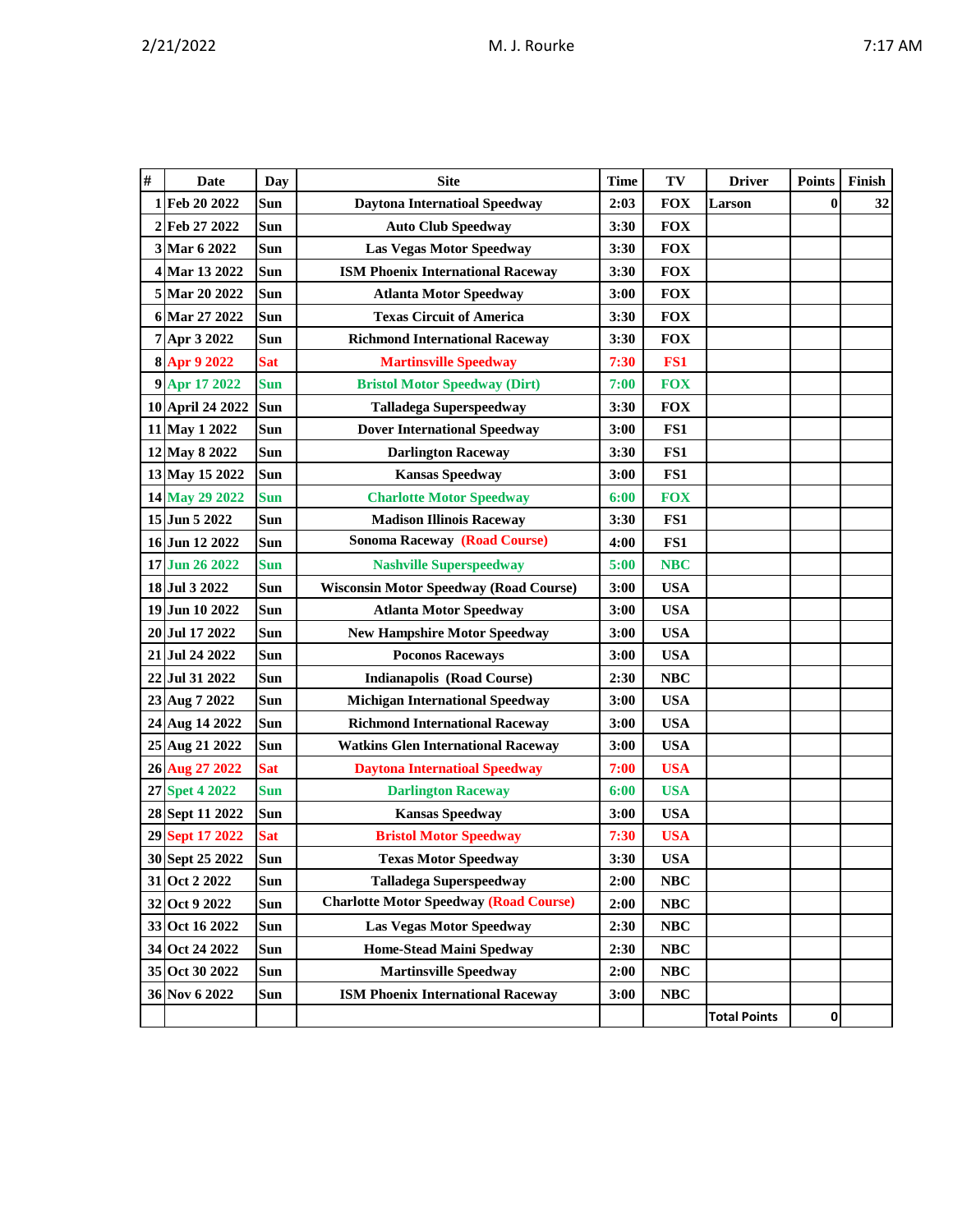| $\#$ | <b>Date</b>      | <b>Day</b> | <b>Site</b>                                   | <b>Time</b> | TV         | <b>Driver</b>       | <b>Points</b> | Finish |
|------|------------------|------------|-----------------------------------------------|-------------|------------|---------------------|---------------|--------|
|      | 1 Feb 20 2022    | <b>Sun</b> | <b>Daytona Internatioal Speedway</b>          | 2:03        | <b>FOX</b> | Larson              | $\bf{0}$      | 32     |
|      | 2 Feb 27 2022    | Sun        | <b>Auto Club Speedway</b>                     | 3:30        | <b>FOX</b> |                     |               |        |
|      | 3 Mar 6 2022     | Sun        | Las Vegas Motor Speedway                      | 3:30        | <b>FOX</b> |                     |               |        |
|      | 4 Mar 13 2022    | <b>Sun</b> | <b>ISM Phoenix International Raceway</b>      | 3:30        | <b>FOX</b> |                     |               |        |
|      | 5 Mar 20 2022    | Sun        | <b>Atlanta Motor Speedway</b>                 | 3:00        | <b>FOX</b> |                     |               |        |
|      | 6 Mar 27 2022    | Sun        | <b>Texas Circuit of America</b>               | 3:30        | <b>FOX</b> |                     |               |        |
|      | 7 Apr 3 2022     | <b>Sun</b> | <b>Richmond International Raceway</b>         | 3:30        | <b>FOX</b> |                     |               |        |
|      | 8 Apr 9 2022     | <b>Sat</b> | <b>Martinsville Speedway</b>                  | 7:30        | FS1        |                     |               |        |
|      | 9 Apr 17 2022    | <b>Sun</b> | <b>Bristol Motor Speedway (Dirt)</b>          | 7:00        | <b>FOX</b> |                     |               |        |
|      | 10 April 24 2022 | Sun        | <b>Talladega Superspeedway</b>                | 3:30        | <b>FOX</b> |                     |               |        |
|      | 11 May 1 2022    | Sun        | <b>Dover International Speedway</b>           | 3:00        | FS1        |                     |               |        |
|      | 12 May 8 2022    | Sun        | <b>Darlington Raceway</b>                     | 3:30        | FS1        |                     |               |        |
|      | 13 May 15 2022   | Sun        | <b>Kansas Speedway</b>                        | 3:00        | FS1        |                     |               |        |
|      | 14 May 29 2022   | <b>Sun</b> | <b>Charlotte Motor Speedway</b>               | 6:00        | <b>FOX</b> |                     |               |        |
|      | 15 Jun 5 2022    | Sun        | <b>Madison Illinois Raceway</b>               | 3:30        | FS1        |                     |               |        |
|      | 16 Jun 12 2022   | <b>Sun</b> | <b>Sonoma Raceway (Road Course)</b>           | 4:00        | FS1        |                     |               |        |
|      | 17 Jun 26 2022   | <b>Sun</b> | <b>Nashville Superspeedway</b>                | 5:00        | <b>NBC</b> |                     |               |        |
|      | 18 Jul 3 2022    | <b>Sun</b> | <b>Wisconsin Motor Speedway (Road Course)</b> | 3:00        | <b>USA</b> |                     |               |        |
|      | 19 Jun 10 2022   | Sun        | <b>Atlanta Motor Speedway</b>                 | 3:00        | <b>USA</b> |                     |               |        |
|      | 20 Jul 17 2022   | Sun        | <b>New Hampshire Motor Speedway</b>           | 3:00        | <b>USA</b> |                     |               |        |
|      | 21 Jul 24 2022   | Sun        | <b>Poconos Raceways</b>                       | 3:00        | <b>USA</b> |                     |               |        |
|      | 22 Jul 31 2022   | Sun        | <b>Indianapolis (Road Course)</b>             | 2:30        | NBC        |                     |               |        |
|      | 23 Aug 7 2022    | Sun        | <b>Michigan International Speedway</b>        | 3:00        | <b>USA</b> |                     |               |        |
|      | 24 Aug 14 2022   | Sun        | <b>Richmond International Raceway</b>         | 3:00        | <b>USA</b> |                     |               |        |
|      | 25 Aug 21 2022   | Sun        | <b>Watkins Glen International Raceway</b>     | 3:00        | <b>USA</b> |                     |               |        |
|      | 26 Aug 27 2022   | <b>Sat</b> | <b>Daytona Internatioal Speedway</b>          | 7:00        | <b>USA</b> |                     |               |        |
|      | 27 Spet 4 2022   | <b>Sun</b> | <b>Darlington Raceway</b>                     | 6:00        | <b>USA</b> |                     |               |        |
|      | 28 Sept 11 2022  | Sun        | <b>Kansas Speedway</b>                        | 3:00        | <b>USA</b> |                     |               |        |
|      | 29 Sept 17 2022  | <b>Sat</b> | <b>Bristol Motor Speedway</b>                 | 7:30        | <b>USA</b> |                     |               |        |
|      | 30 Sept 25 2022  | Sun        | <b>Texas Motor Speedway</b>                   | 3:30        | <b>USA</b> |                     |               |        |
|      | 31 Oct 2 2022    | Sun        | <b>Talladega Superspeedway</b>                | 2:00        | NBC        |                     |               |        |
|      | 32 Oct 9 2022    | Sun        | <b>Charlotte Motor Speedway (Road Course)</b> | 2:00        | <b>NBC</b> |                     |               |        |
|      | 33 Oct 16 2022   | Sun        | <b>Las Vegas Motor Speedway</b>               | 2:30        | NBC        |                     |               |        |
|      | 34 Oct 24 2022   | Sun        | <b>Home-Stead Maini Spedway</b>               | 2:30        | NBC        |                     |               |        |
|      | 35 Oct 30 2022   | Sun        | <b>Martinsville Speedway</b>                  | 2:00        | NBC        |                     |               |        |
|      | 36 Nov 6 2022    | Sun        | <b>ISM Phoenix International Raceway</b>      | 3:00        | NBC        |                     |               |        |
|      |                  |            |                                               |             |            | <b>Total Points</b> | $\pmb{0}$     |        |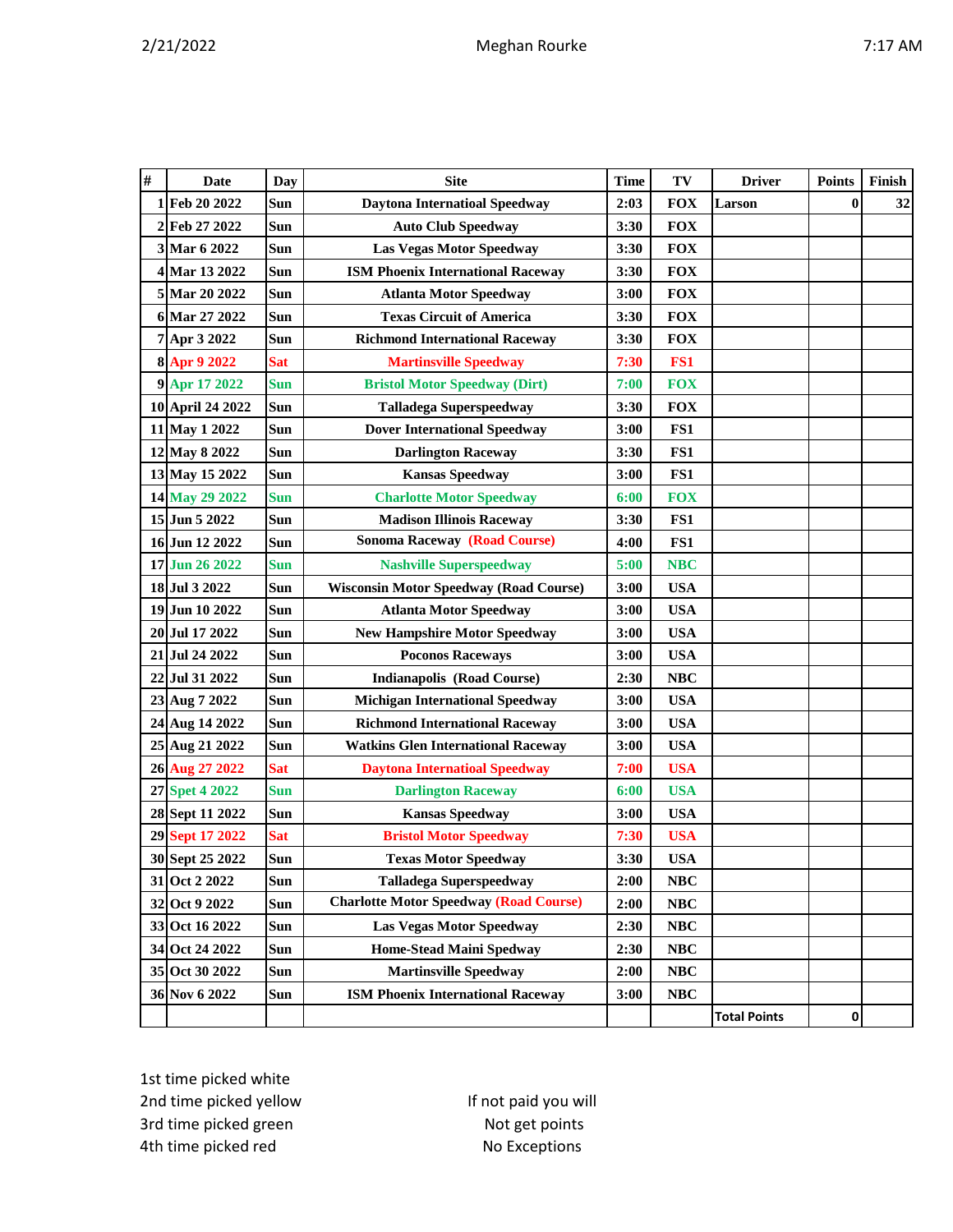|--|

| #    | <b>Date</b>        | <b>Day</b> | <b>Site</b>                                   | <b>Time</b> | TV         | <b>Driver</b>       | <b>Points</b> | Finish |
|------|--------------------|------------|-----------------------------------------------|-------------|------------|---------------------|---------------|--------|
|      | 1 Feb 20 2022      | Sun        | <b>Daytona Internatioal Speedway</b>          | 2:03        | <b>FOX</b> | Larson              | $\bf{0}$      | 32     |
| 2    | Feb 27 2022        | Sun        | <b>Auto Club Speedway</b>                     | 3:30        | <b>FOX</b> |                     |               |        |
|      | 3 Mar 6 2022       | Sun        | <b>Las Vegas Motor Speedway</b>               | 3:30        | <b>FOX</b> |                     |               |        |
|      | 4 Mar 13 2022      | Sun        | <b>ISM Phoenix International Raceway</b>      | 3:30        | <b>FOX</b> |                     |               |        |
|      | 5 Mar 20 2022      | Sun        | <b>Atlanta Motor Speedway</b>                 | 3:00        | <b>FOX</b> |                     |               |        |
| 6    | Mar 27 2022        | Sun        | <b>Texas Circuit of America</b>               | 3:30        | <b>FOX</b> |                     |               |        |
|      | 7 Apr 3 2022       | Sun        | <b>Richmond International Raceway</b>         | 3:30        | <b>FOX</b> |                     |               |        |
|      | 8 Apr 9 2022       | <b>Sat</b> | <b>Martinsville Speedway</b>                  | 7:30        | FS1        |                     |               |        |
|      | 9 Apr 17 2022      | <b>Sun</b> | <b>Bristol Motor Speedway (Dirt)</b>          | 7:00        | <b>FOX</b> |                     |               |        |
|      | 10 April 24 2022   | Sun        | <b>Talladega Superspeedway</b>                | 3:30        | <b>FOX</b> |                     |               |        |
|      | 11 May 1 2022      | Sun        | <b>Dover International Speedway</b>           | 3:00        | FS1        |                     |               |        |
|      | 12 May 8 2022      | Sun        | <b>Darlington Raceway</b>                     | 3:30        | FS1        |                     |               |        |
|      | 13 May 15 2022     | Sun        | <b>Kansas Speedway</b>                        | 3:00        | FS1        |                     |               |        |
|      | 14 May 29 2022     | <b>Sun</b> | <b>Charlotte Motor Speedway</b>               | 6:00        | <b>FOX</b> |                     |               |        |
| 15   | Jun 5 2022         | Sun        | <b>Madison Illinois Raceway</b>               | 3:30        | FS1        |                     |               |        |
|      | 16 Jun 12 2022     | Sun        | <b>Sonoma Raceway (Road Course)</b>           | 4:00        | FS1        |                     |               |        |
|      | 17 Jun 26 2022     | <b>Sun</b> | <b>Nashville Superspeedway</b>                | 5:00        | <b>NBC</b> |                     |               |        |
|      | 18 Jul 3 2022      | Sun        | <b>Wisconsin Motor Speedway (Road Course)</b> | 3:00        | <b>USA</b> |                     |               |        |
|      | 19 Jun 10 2022     | Sun        | <b>Atlanta Motor Speedway</b>                 | 3:00        | <b>USA</b> |                     |               |        |
| 20   | <b>Jul 17 2022</b> | Sun        | <b>New Hampshire Motor Speedway</b>           | 3:00        | <b>USA</b> |                     |               |        |
| 21 I | Jul 24 2022        | Sun        | <b>Poconos Raceways</b>                       | 3:00        | <b>USA</b> |                     |               |        |
| 22   | Jul 31 2022        | Sun        | <b>Indianapolis (Road Course)</b>             | 2:30        | <b>NBC</b> |                     |               |        |
|      | 23 Aug 7 2022      | Sun        | <b>Michigan International Speedway</b>        | 3:00        | <b>USA</b> |                     |               |        |
|      | 24 Aug 14 2022     | Sun        | <b>Richmond International Raceway</b>         | 3:00        | <b>USA</b> |                     |               |        |
| 25   | Aug 21 2022        | Sun        | <b>Watkins Glen International Raceway</b>     | 3:00        | <b>USA</b> |                     |               |        |
|      | 26 Aug 27 2022     | <b>Sat</b> | <b>Daytona Internatioal Speedway</b>          | 7:00        | <b>USA</b> |                     |               |        |
|      | 27 Spet 4 2022     | <b>Sun</b> | <b>Darlington Raceway</b>                     | 6:00        | <b>USA</b> |                     |               |        |
|      | 28 Sept 11 2022    | Sun        | <b>Kansas Speedway</b>                        | 3:00        | <b>USA</b> |                     |               |        |
|      | 29 Sept 17 2022    | <b>Sat</b> | <b>Bristol Motor Speedway</b>                 | 7:30        | <b>USA</b> |                     |               |        |
|      | 30 Sept 25 2022    | Sun        | <b>Texas Motor Speedway</b>                   | 3:30        | <b>USA</b> |                     |               |        |
|      | 31 Oct 2 2022      | Sun        | <b>Talladega Superspeedway</b>                | 2:00        | NBC        |                     |               |        |
|      | 32 Oct 9 2022      | Sun        | <b>Charlotte Motor Speedway (Road Course)</b> | 2:00        | <b>NBC</b> |                     |               |        |
|      | 33 Oct 16 2022     | Sun        | <b>Las Vegas Motor Speedway</b>               | 2:30        | NBC        |                     |               |        |
|      | 34 Oct 24 2022     | Sun        | <b>Home-Stead Maini Spedway</b>               | 2:30        | <b>NBC</b> |                     |               |        |
|      | 35 Oct 30 2022     | Sun        | <b>Martinsville Speedway</b>                  | 2:00        | NBC        |                     |               |        |
|      | 36 Nov 6 2022      | Sun        | <b>ISM Phoenix International Raceway</b>      | 3:00        | <b>NBC</b> |                     |               |        |
|      |                    |            |                                               |             |            | <b>Total Points</b> | 0             |        |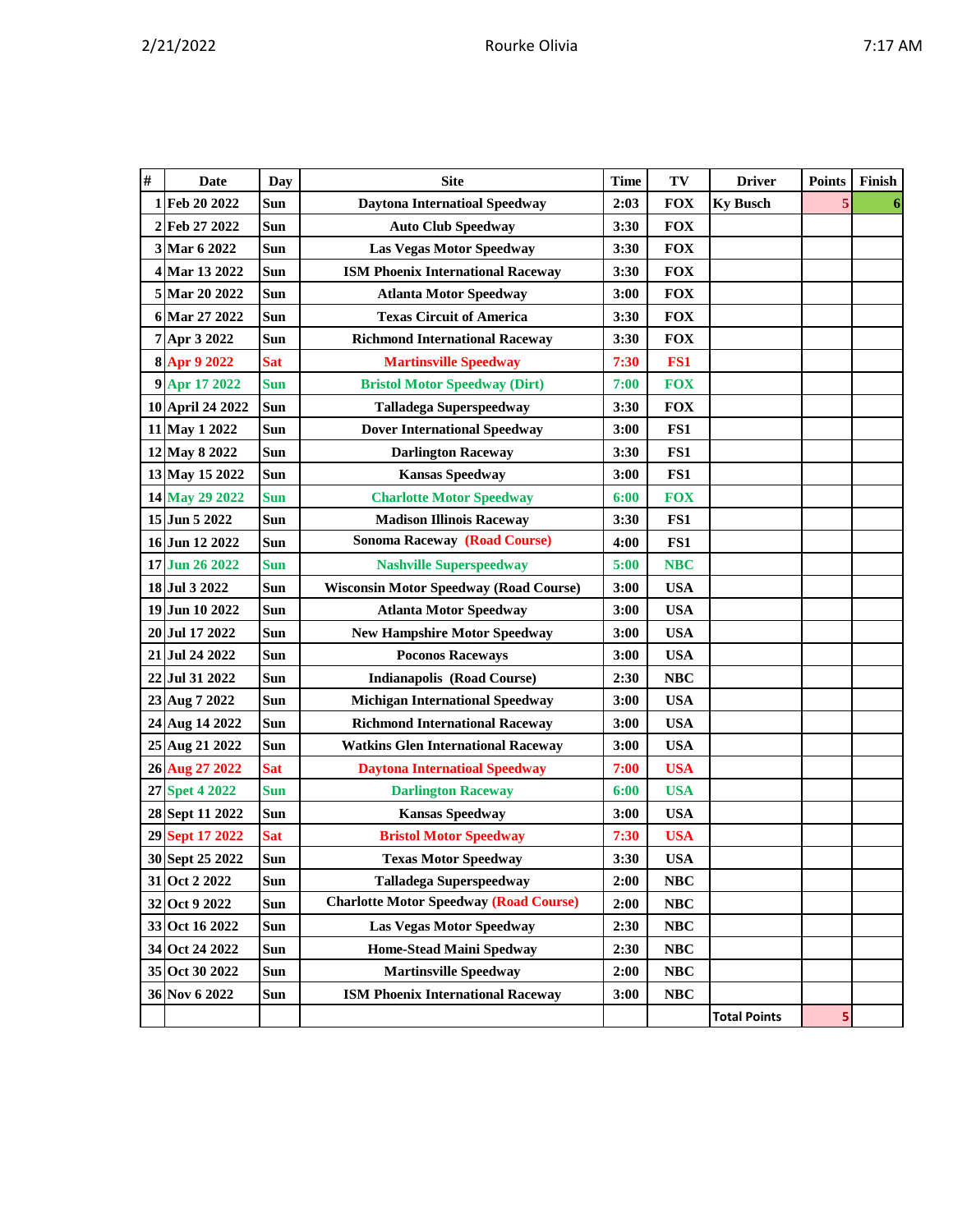| # | <b>Date</b>      | Day        | <b>Site</b>                                   | <b>Time</b> | TV              | <b>Driver</b>       | <b>Points</b> | Finish |
|---|------------------|------------|-----------------------------------------------|-------------|-----------------|---------------------|---------------|--------|
| 1 | Feb 20 2022      | Sun        | <b>Daytona Internatioal Speedway</b>          | 2:03        | <b>FOX</b>      | <b>Ky Busch</b>     | 5             |        |
|   | 2 Feb 27 2022    | Sun        | <b>Auto Club Speedway</b>                     | 3:30        | <b>FOX</b>      |                     |               |        |
|   | 3 Mar 6 2022     | <b>Sun</b> | Las Vegas Motor Speedway                      | 3:30        | <b>FOX</b>      |                     |               |        |
|   | 4 Mar 13 2022    | <b>Sun</b> | <b>ISM Phoenix International Raceway</b>      | 3:30        | <b>FOX</b>      |                     |               |        |
|   | 5 Mar 20 2022    | Sun        | <b>Atlanta Motor Speedway</b>                 | 3:00        | <b>FOX</b>      |                     |               |        |
|   | 6 Mar 27 2022    | Sun        | <b>Texas Circuit of America</b>               | 3:30        | <b>FOX</b>      |                     |               |        |
|   | 7 Apr 3 2022     | Sun        | <b>Richmond International Raceway</b>         | 3:30        | <b>FOX</b>      |                     |               |        |
|   | 8 Apr 9 2022     | <b>Sat</b> | <b>Martinsville Speedway</b>                  | 7:30        | FS <sub>1</sub> |                     |               |        |
|   | 9 Apr 17 2022    | <b>Sun</b> | <b>Bristol Motor Speedway (Dirt)</b>          | 7:00        | <b>FOX</b>      |                     |               |        |
|   | 10 April 24 2022 | Sun        | <b>Talladega Superspeedway</b>                | 3:30        | <b>FOX</b>      |                     |               |        |
|   | 11 May 1 2022    | Sun        | <b>Dover International Speedway</b>           | 3:00        | FS1             |                     |               |        |
|   | 12 May 8 2022    | Sun        | <b>Darlington Raceway</b>                     | 3:30        | FS1             |                     |               |        |
|   | 13 May 15 2022   | Sun        | <b>Kansas Speedway</b>                        | 3:00        | FS1             |                     |               |        |
|   | 14 May 29 2022   | <b>Sun</b> | <b>Charlotte Motor Speedway</b>               | 6:00        | <b>FOX</b>      |                     |               |        |
|   | 15 Jun 5 2022    | <b>Sun</b> | <b>Madison Illinois Raceway</b>               | 3:30        | FS1             |                     |               |        |
|   | 16 Jun 12 2022   | Sun        | <b>Sonoma Raceway (Road Course)</b>           | 4:00        | FS1             |                     |               |        |
|   | 17 Jun 26 2022   | <b>Sun</b> | <b>Nashville Superspeedway</b>                | 5:00        | <b>NBC</b>      |                     |               |        |
|   | 18 Jul 3 2022    | <b>Sun</b> | <b>Wisconsin Motor Speedway (Road Course)</b> | 3:00        | <b>USA</b>      |                     |               |        |
|   | 19 Jun 10 2022   | Sun        | <b>Atlanta Motor Speedway</b>                 | 3:00        | <b>USA</b>      |                     |               |        |
|   | 20 Jul 17 2022   | <b>Sun</b> | <b>New Hampshire Motor Speedway</b>           | 3:00        | <b>USA</b>      |                     |               |        |
|   | 21 Jul 24 2022   | Sun        | <b>Poconos Raceways</b>                       | 3:00        | <b>USA</b>      |                     |               |        |
|   | 22 Jul 31 2022   | Sun        | <b>Indianapolis (Road Course)</b>             | 2:30        | <b>NBC</b>      |                     |               |        |
|   | 23 Aug 7 2022    | Sun        | <b>Michigan International Speedway</b>        | 3:00        | <b>USA</b>      |                     |               |        |
|   | 24 Aug 14 2022   | <b>Sun</b> | <b>Richmond International Raceway</b>         | 3:00        | <b>USA</b>      |                     |               |        |
|   | 25 Aug 21 2022   | Sun        | <b>Watkins Glen International Raceway</b>     | 3:00        | <b>USA</b>      |                     |               |        |
|   | 26 Aug 27 2022   | <b>Sat</b> | <b>Daytona Internatioal Speedway</b>          | 7:00        | <b>USA</b>      |                     |               |        |
|   | 27 Spet 4 2022   | <b>Sun</b> | <b>Darlington Raceway</b>                     | 6:00        | <b>USA</b>      |                     |               |        |
|   | 28 Sept 11 2022  | <b>Sun</b> | <b>Kansas Speedway</b>                        | 3:00        | <b>USA</b>      |                     |               |        |
|   | 29 Sept 17 2022  | <b>Sat</b> | <b>Bristol Motor Speedway</b>                 | 7:30        | <b>USA</b>      |                     |               |        |
|   | 30 Sept 25 2022  | Sun        | <b>Texas Motor Speedway</b>                   | 3:30        | <b>USA</b>      |                     |               |        |
|   | 31 Oct 2 2022    | Sun        | <b>Talladega Superspeedway</b>                | 2:00        | NBC             |                     |               |        |
|   | 32 Oct 9 2022    | Sun        | <b>Charlotte Motor Speedway (Road Course)</b> | 2:00        | NBC             |                     |               |        |
|   | 33 Oct 16 2022   | Sun        | <b>Las Vegas Motor Speedway</b>               | 2:30        | NBC             |                     |               |        |
|   | 34 Oct 24 2022   | Sun        | <b>Home-Stead Maini Spedway</b>               | 2:30        | NBC             |                     |               |        |
|   | 35 Oct 30 2022   | Sun        | <b>Martinsville Speedway</b>                  | 2:00        | NBC             |                     |               |        |
|   | 36 Nov 6 2022    | Sun        | <b>ISM Phoenix International Raceway</b>      | 3:00        | <b>NBC</b>      |                     |               |        |
|   |                  |            |                                               |             |                 | <b>Total Points</b> | 5             |        |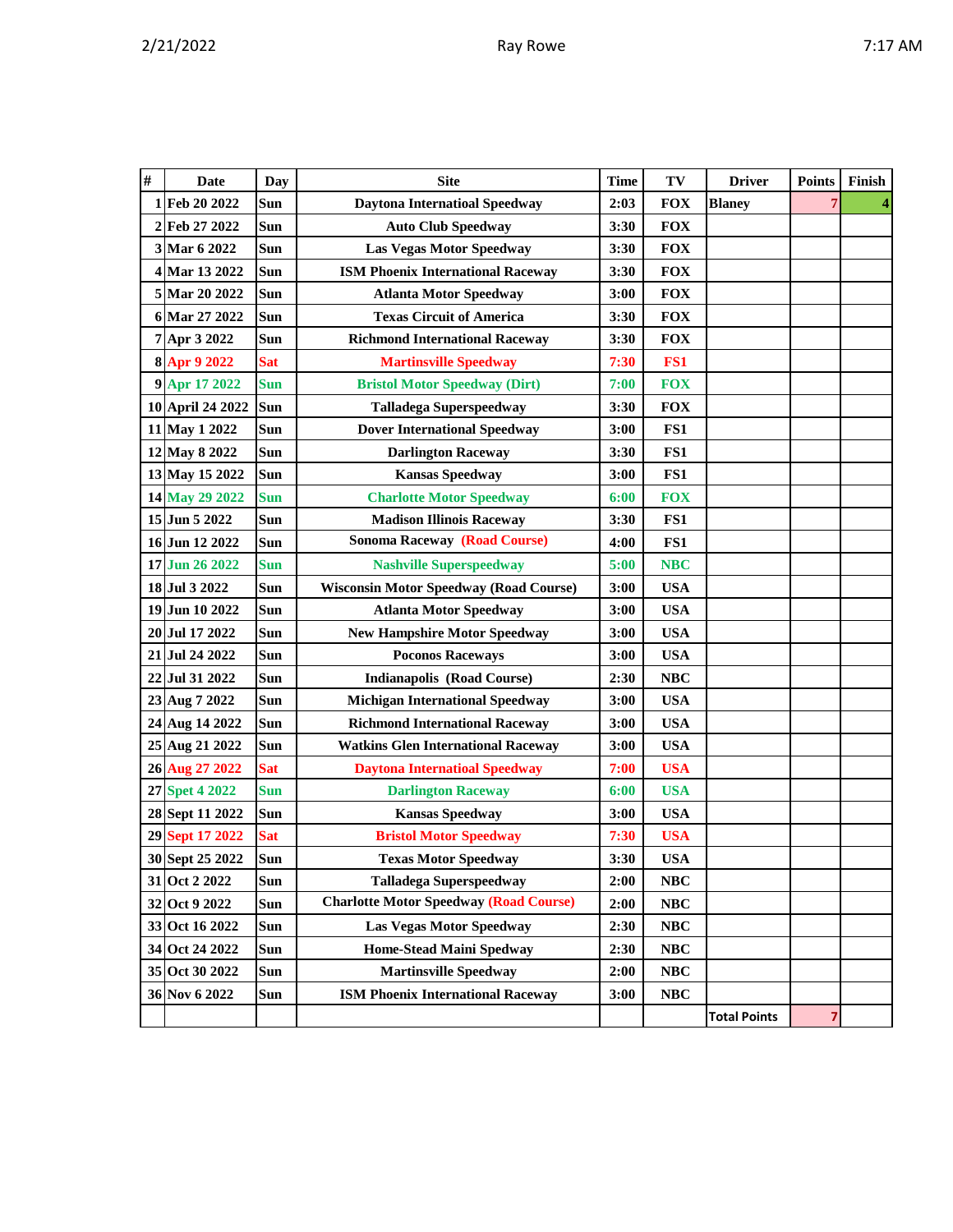|  |  |  |  | ١<br>۰. |
|--|--|--|--|---------|
|--|--|--|--|---------|

| # | <b>Date</b>      | <b>Day</b> | <b>Site</b>                                   | <b>Time</b> | TV         | <b>Driver</b>       | <b>Points</b>  | Finish                  |
|---|------------------|------------|-----------------------------------------------|-------------|------------|---------------------|----------------|-------------------------|
|   | 1 Feb 20 2022    | Sun        | <b>Daytona Internatioal Speedway</b>          | 2:03        | <b>FOX</b> | <b>Blaney</b>       | $\overline{7}$ | $\overline{\mathbf{4}}$ |
|   | 2 Feb 27 2022    | Sun        | <b>Auto Club Speedway</b>                     | 3:30        | <b>FOX</b> |                     |                |                         |
|   | 3 Mar 6 2022     | Sun        | <b>Las Vegas Motor Speedway</b>               | 3:30        | <b>FOX</b> |                     |                |                         |
|   | 4 Mar 13 2022    | Sun        | <b>ISM Phoenix International Raceway</b>      | 3:30        | <b>FOX</b> |                     |                |                         |
|   | 5 Mar 20 2022    | Sun        | <b>Atlanta Motor Speedway</b>                 | 3:00        | <b>FOX</b> |                     |                |                         |
|   | 6 Mar 27 2022    | Sun        | <b>Texas Circuit of America</b>               | 3:30        | <b>FOX</b> |                     |                |                         |
|   | 7 Apr 3 2022     | Sun        | <b>Richmond International Raceway</b>         | 3:30        | <b>FOX</b> |                     |                |                         |
|   | 8 Apr 9 2022     | <b>Sat</b> | <b>Martinsville Speedway</b>                  | 7:30        | FS1        |                     |                |                         |
|   | 9 Apr 17 2022    | <b>Sun</b> | <b>Bristol Motor Speedway (Dirt)</b>          | 7:00        | <b>FOX</b> |                     |                |                         |
|   | 10 April 24 2022 | Sun        | <b>Talladega Superspeedway</b>                | 3:30        | <b>FOX</b> |                     |                |                         |
|   | 11 May 1 2022    | Sun        | <b>Dover International Speedway</b>           | 3:00        | FS1        |                     |                |                         |
|   | 12 May 8 2022    | Sun        | <b>Darlington Raceway</b>                     | 3:30        | FS1        |                     |                |                         |
|   | 13 May 15 2022   | Sun        | <b>Kansas Speedway</b>                        | 3:00        | FS1        |                     |                |                         |
|   | 14 May 29 2022   | <b>Sun</b> | <b>Charlotte Motor Speedway</b>               | 6:00        | <b>FOX</b> |                     |                |                         |
|   | 15 Jun 5 2022    | Sun        | <b>Madison Illinois Raceway</b>               | 3:30        | FS1        |                     |                |                         |
|   | 16 Jun 12 2022   | Sun        | <b>Sonoma Raceway (Road Course)</b>           | 4:00        | FS1        |                     |                |                         |
|   | 17 Jun 26 2022   | <b>Sun</b> | <b>Nashville Superspeedway</b>                | 5:00        | <b>NBC</b> |                     |                |                         |
|   | 18 Jul 3 2022    | Sun        | <b>Wisconsin Motor Speedway (Road Course)</b> | 3:00        | <b>USA</b> |                     |                |                         |
|   | 19 Jun 10 2022   | Sun        | <b>Atlanta Motor Speedway</b>                 | 3:00        | <b>USA</b> |                     |                |                         |
|   | 20 Jul 17 2022   | Sun        | <b>New Hampshire Motor Speedway</b>           | 3:00        | <b>USA</b> |                     |                |                         |
|   | 21 Jul 24 2022   | Sun        | <b>Poconos Raceways</b>                       | 3:00        | <b>USA</b> |                     |                |                         |
|   | 22 Jul 31 2022   | Sun        | <b>Indianapolis (Road Course)</b>             | 2:30        | <b>NBC</b> |                     |                |                         |
|   | 23 Aug 7 2022    | Sun        | <b>Michigan International Speedway</b>        | 3:00        | <b>USA</b> |                     |                |                         |
|   | 24 Aug 14 2022   | Sun        | <b>Richmond International Raceway</b>         | 3:00        | <b>USA</b> |                     |                |                         |
|   | 25 Aug 21 2022   | Sun        | <b>Watkins Glen International Raceway</b>     | 3:00        | <b>USA</b> |                     |                |                         |
|   | 26 Aug 27 2022   | <b>Sat</b> | <b>Daytona Internatioal Speedway</b>          | 7:00        | <b>USA</b> |                     |                |                         |
|   | 27 Spet 4 2022   | <b>Sun</b> | <b>Darlington Raceway</b>                     | 6:00        | <b>USA</b> |                     |                |                         |
|   | 28 Sept 11 2022  | Sun        | <b>Kansas Speedway</b>                        | 3:00        | <b>USA</b> |                     |                |                         |
|   | 29 Sept 17 2022  | <b>Sat</b> | <b>Bristol Motor Speedway</b>                 | 7:30        | <b>USA</b> |                     |                |                         |
|   | 30 Sept 25 2022  | Sun        | <b>Texas Motor Speedway</b>                   | 3:30        | <b>USA</b> |                     |                |                         |
|   | 31 Oct 2 2022    | Sun        | <b>Talladega Superspeedway</b>                | 2:00        | NBC        |                     |                |                         |
|   | 32 Oct 9 2022    | Sun        | <b>Charlotte Motor Speedway (Road Course)</b> | 2:00        | NBC        |                     |                |                         |
|   | 33 Oct 16 2022   | Sun        | <b>Las Vegas Motor Speedway</b>               | 2:30        | <b>NBC</b> |                     |                |                         |
|   | 34 Oct 24 2022   | Sun        | Home-Stead Maini Spedway                      | 2:30        | NBC        |                     |                |                         |
|   | 35 Oct 30 2022   | Sun        | <b>Martinsville Speedway</b>                  | 2:00        | <b>NBC</b> |                     |                |                         |
|   | 36 Nov 6 2022    | Sun        | <b>ISM Phoenix International Raceway</b>      | 3:00        | NBC        |                     |                |                         |
|   |                  |            |                                               |             |            | <b>Total Points</b> | 7              |                         |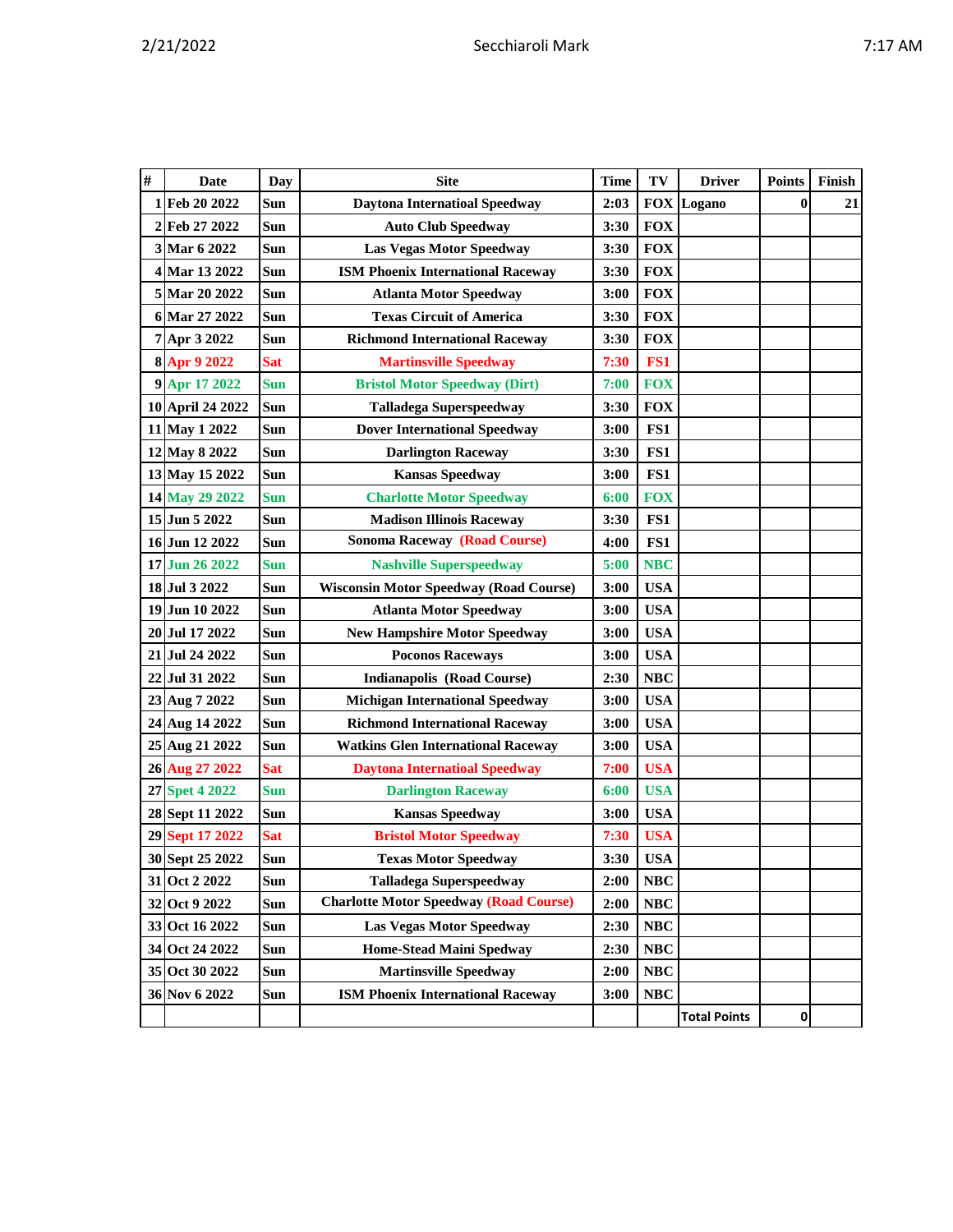| $\#$ | <b>Date</b>      | Day        | <b>Site</b>                                   | <b>Time</b> | TV         | <b>Driver</b>       | <b>Points</b> | Finish |
|------|------------------|------------|-----------------------------------------------|-------------|------------|---------------------|---------------|--------|
|      | 1 Feb 20 2022    | Sun        | <b>Daytona Internatioal Speedway</b>          | 2:03        | <b>FOX</b> | Logano              | $\bf{0}$      | 21     |
|      | 2 Feb 27 2022    | Sun        | <b>Auto Club Speedway</b>                     | 3:30        | <b>FOX</b> |                     |               |        |
|      | 3 Mar 6 2022     | Sun        | <b>Las Vegas Motor Speedway</b>               | 3:30        | <b>FOX</b> |                     |               |        |
|      | 4 Mar 13 2022    | Sun        | <b>ISM Phoenix International Raceway</b>      | 3:30        | <b>FOX</b> |                     |               |        |
|      | 5 Mar 20 2022    | Sun        | <b>Atlanta Motor Speedway</b>                 | 3:00        | <b>FOX</b> |                     |               |        |
|      | 6 Mar 27 2022    | Sun        | <b>Texas Circuit of America</b>               | 3:30        | <b>FOX</b> |                     |               |        |
|      | 7 Apr 3 2022     | Sun        | <b>Richmond International Raceway</b>         | 3:30        | <b>FOX</b> |                     |               |        |
|      | 8 Apr 9 2022     | <b>Sat</b> | <b>Martinsville Speedway</b>                  | 7:30        | FS1        |                     |               |        |
|      | 9 Apr 17 2022    | Sun        | <b>Bristol Motor Speedway (Dirt)</b>          | 7:00        | <b>FOX</b> |                     |               |        |
|      | 10 April 24 2022 | Sun        | <b>Talladega Superspeedway</b>                | 3:30        | <b>FOX</b> |                     |               |        |
|      | 11 May 1 2022    | Sun        | <b>Dover International Speedway</b>           | 3:00        | FS1        |                     |               |        |
|      | 12 May 8 2022    | Sun        | <b>Darlington Raceway</b>                     | 3:30        | FS1        |                     |               |        |
|      | 13 May 15 2022   | Sun        | <b>Kansas Speedway</b>                        | 3:00        | FS1        |                     |               |        |
|      | 14 May 29 2022   | <b>Sun</b> | <b>Charlotte Motor Speedway</b>               | 6:00        | <b>FOX</b> |                     |               |        |
|      | 15 Jun 5 2022    | Sun        | <b>Madison Illinois Raceway</b>               | 3:30        | FS1        |                     |               |        |
|      | 16 Jun 12 2022   | Sun        | <b>Sonoma Raceway (Road Course)</b>           | 4:00        | FS1        |                     |               |        |
|      | 17 Jun 26 2022   | <b>Sun</b> | <b>Nashville Superspeedway</b>                | 5:00        | <b>NBC</b> |                     |               |        |
|      | 18 Jul 3 2022    | Sun        | <b>Wisconsin Motor Speedway (Road Course)</b> | 3:00        | <b>USA</b> |                     |               |        |
|      | 19 Jun 10 2022   | Sun        | <b>Atlanta Motor Speedway</b>                 | 3:00        | <b>USA</b> |                     |               |        |
|      | 20 Jul 17 2022   | Sun        | <b>New Hampshire Motor Speedway</b>           | 3:00        | <b>USA</b> |                     |               |        |
|      | 21 Jul 24 2022   | Sun        | <b>Poconos Raceways</b>                       | 3:00        | <b>USA</b> |                     |               |        |
| 22   | Jul 31 2022      | Sun        | <b>Indianapolis (Road Course)</b>             | 2:30        | <b>NBC</b> |                     |               |        |
|      | 23 Aug 7 2022    | Sun        | <b>Michigan International Speedway</b>        | 3:00        | <b>USA</b> |                     |               |        |
|      | 24 Aug 14 2022   | Sun        | <b>Richmond International Raceway</b>         | 3:00        | <b>USA</b> |                     |               |        |
|      | 25 Aug 21 2022   | Sun        | <b>Watkins Glen International Raceway</b>     | 3:00        | <b>USA</b> |                     |               |        |
|      | 26 Aug 27 2022   | <b>Sat</b> | <b>Daytona Internatioal Speedway</b>          | 7:00        | <b>USA</b> |                     |               |        |
|      | 27 Spet 4 2022   | <b>Sun</b> | <b>Darlington Raceway</b>                     | 6:00        | <b>USA</b> |                     |               |        |
|      | 28 Sept 11 2022  | Sun        | <b>Kansas Speedway</b>                        | 3:00        | <b>USA</b> |                     |               |        |
|      | 29 Sept 17 2022  | <b>Sat</b> | <b>Bristol Motor Speedway</b>                 | 7:30        | <b>USA</b> |                     |               |        |
|      | 30 Sept 25 2022  | Sun        | <b>Texas Motor Speedway</b>                   | 3:30        | <b>USA</b> |                     |               |        |
|      | 31 Oct 2 2022    | Sun        | <b>Talladega Superspeedway</b>                | 2:00        | NBC        |                     |               |        |
|      | 32 Oct 9 2022    | Sun        | <b>Charlotte Motor Speedway (Road Course)</b> | 2:00        | NBC        |                     |               |        |
|      | 33 Oct 16 2022   | Sun        | <b>Las Vegas Motor Speedway</b>               | 2:30        | NBC        |                     |               |        |
|      | 34 Oct 24 2022   | Sun        | <b>Home-Stead Maini Spedway</b>               | 2:30        | NBC        |                     |               |        |
|      | 35 Oct 30 2022   | Sun        | <b>Martinsville Speedway</b>                  | 2:00        | NBC        |                     |               |        |
|      | 36 Nov 6 2022    | Sun        | <b>ISM Phoenix International Raceway</b>      | 3:00        | <b>NBC</b> |                     |               |        |
|      |                  |            |                                               |             |            | <b>Total Points</b> | $\mathbf{0}$  |        |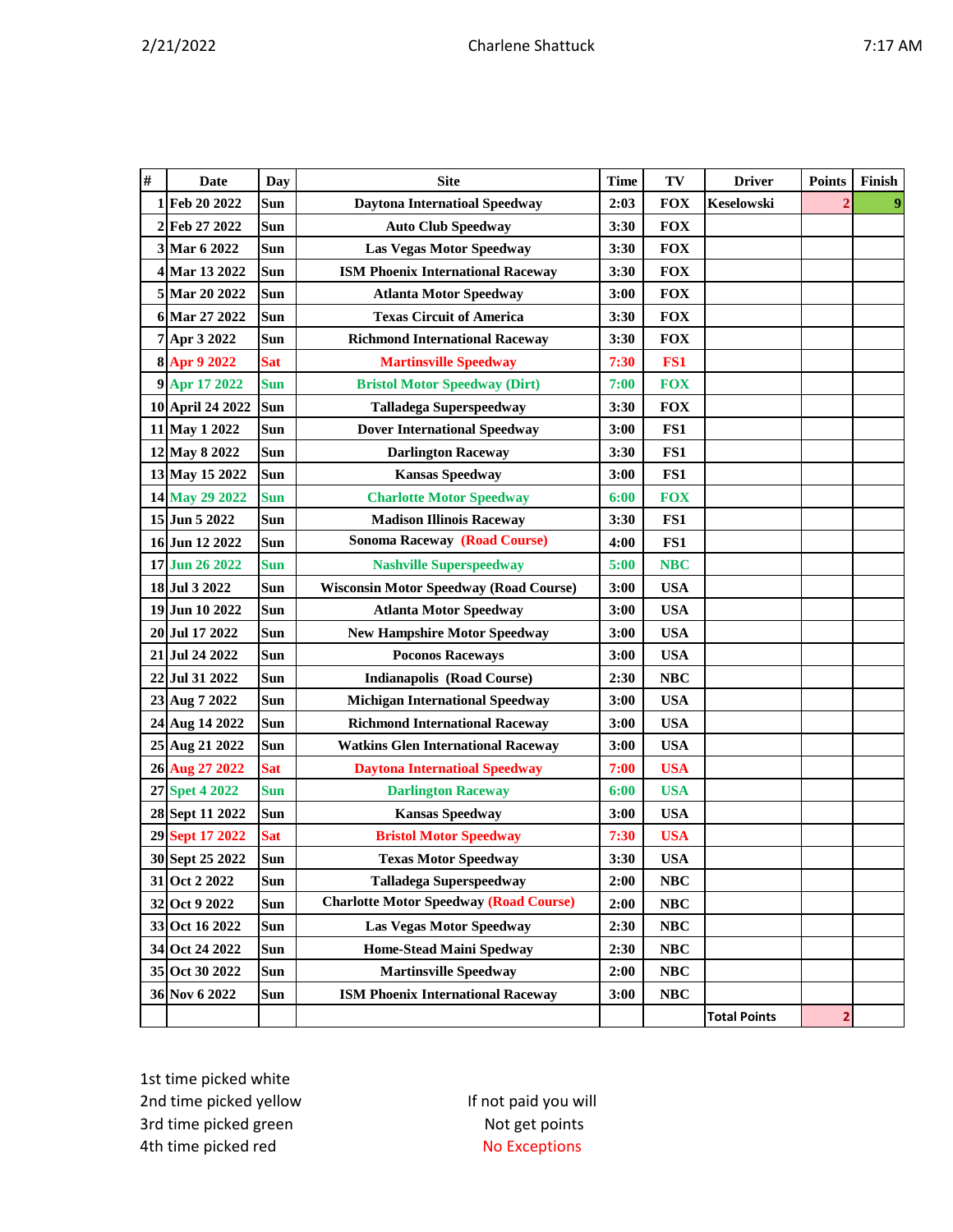|--|

| # | <b>Date</b>      | Day        | <b>Site</b>                                   | <b>Time</b> | TV         | <b>Driver</b>       | <b>Points</b>           | Finish |
|---|------------------|------------|-----------------------------------------------|-------------|------------|---------------------|-------------------------|--------|
|   | 1 Feb 20 2022    | Sun        | <b>Daytona Internatioal Speedway</b>          | 2:03        | <b>FOX</b> | Keselowski          |                         | 9      |
|   | 2 Feb 27 2022    | Sun        | <b>Auto Club Speedway</b>                     | 3:30        | <b>FOX</b> |                     |                         |        |
|   | 3 Mar 6 2022     | Sun        | <b>Las Vegas Motor Speedway</b>               | 3:30        | <b>FOX</b> |                     |                         |        |
|   | 4 Mar 13 2022    | Sun        | <b>ISM Phoenix International Raceway</b>      | 3:30        | <b>FOX</b> |                     |                         |        |
|   | 5 Mar 20 2022    | Sun        | <b>Atlanta Motor Speedway</b>                 | 3:00        | <b>FOX</b> |                     |                         |        |
|   | 6 Mar 27 2022    | <b>Sun</b> | <b>Texas Circuit of America</b>               | 3:30        | <b>FOX</b> |                     |                         |        |
|   | 7 Apr 3 2022     | Sun        | <b>Richmond International Raceway</b>         | 3:30        | <b>FOX</b> |                     |                         |        |
|   | 8 Apr 9 2022     | <b>Sat</b> | <b>Martinsville Speedway</b>                  | 7:30        | FS1        |                     |                         |        |
|   | 9 Apr 17 2022    | <b>Sun</b> | <b>Bristol Motor Speedway (Dirt)</b>          | 7:00        | <b>FOX</b> |                     |                         |        |
|   | 10 April 24 2022 | Sun        | <b>Talladega Superspeedway</b>                | 3:30        | <b>FOX</b> |                     |                         |        |
|   | 11 May 1 2022    | Sun        | <b>Dover International Speedway</b>           | 3:00        | FS1        |                     |                         |        |
|   | 12 May 8 2022    | Sun        | <b>Darlington Raceway</b>                     | 3:30        | FS1        |                     |                         |        |
|   | 13 May 15 2022   | Sun        | <b>Kansas Speedway</b>                        | 3:00        | FS1        |                     |                         |        |
|   | 14 May 29 2022   | <b>Sun</b> | <b>Charlotte Motor Speedway</b>               | 6:00        | <b>FOX</b> |                     |                         |        |
|   | 15 Jun 5 2022    | Sun        | <b>Madison Illinois Raceway</b>               | 3:30        | FS1        |                     |                         |        |
|   | 16 Jun 12 2022   | Sun        | <b>Sonoma Raceway (Road Course)</b>           | 4:00        | FS1        |                     |                         |        |
|   | 17 Jun 26 2022   | Sun        | <b>Nashville Superspeedway</b>                | 5:00        | <b>NBC</b> |                     |                         |        |
|   | 18 Jul 3 2022    | <b>Sun</b> | <b>Wisconsin Motor Speedway (Road Course)</b> | 3:00        | <b>USA</b> |                     |                         |        |
|   | 19 Jun 10 2022   | Sun        | <b>Atlanta Motor Speedway</b>                 | 3:00        | <b>USA</b> |                     |                         |        |
|   | 20 Jul 17 2022   | Sun        | <b>New Hampshire Motor Speedway</b>           | 3:00        | <b>USA</b> |                     |                         |        |
|   | 21 Jul 24 2022   | Sun        | <b>Poconos Raceways</b>                       | 3:00        | <b>USA</b> |                     |                         |        |
|   | 22 Jul 31 2022   | Sun        | <b>Indianapolis (Road Course)</b>             | 2:30        | <b>NBC</b> |                     |                         |        |
|   | 23 Aug 7 2022    | Sun        | <b>Michigan International Speedway</b>        | 3:00        | <b>USA</b> |                     |                         |        |
|   | 24 Aug 14 2022   | Sun        | <b>Richmond International Raceway</b>         | 3:00        | <b>USA</b> |                     |                         |        |
|   | 25 Aug 21 2022   | <b>Sun</b> | <b>Watkins Glen International Raceway</b>     | 3:00        | <b>USA</b> |                     |                         |        |
|   | 26 Aug 27 2022   | <b>Sat</b> | <b>Daytona Internatioal Speedway</b>          | 7:00        | <b>USA</b> |                     |                         |        |
|   | 27 Spet 4 2022   | <b>Sun</b> | <b>Darlington Raceway</b>                     | 6:00        | <b>USA</b> |                     |                         |        |
|   | 28 Sept 11 2022  | Sun        | <b>Kansas Speedway</b>                        | 3:00        | <b>USA</b> |                     |                         |        |
|   | 29 Sept 17 2022  | <b>Sat</b> | <b>Bristol Motor Speedway</b>                 | 7:30        | <b>USA</b> |                     |                         |        |
|   | 30 Sept 25 2022  | Sun        | <b>Texas Motor Speedway</b>                   | 3:30        | <b>USA</b> |                     |                         |        |
|   | 31 Oct 2 2022    | Sun        | <b>Talladega Superspeedway</b>                | 2:00        | NBC        |                     |                         |        |
|   | 32 Oct 9 2022    | Sun        | <b>Charlotte Motor Speedway (Road Course)</b> | 2:00        | <b>NBC</b> |                     |                         |        |
|   | 33 Oct 16 2022   | Sun        | Las Vegas Motor Speedway                      | 2:30        | NBC        |                     |                         |        |
|   | 34 Oct 24 2022   | Sun        | <b>Home-Stead Maini Spedway</b>               | 2:30        | <b>NBC</b> |                     |                         |        |
|   | 35 Oct 30 2022   | Sun        | <b>Martinsville Speedway</b>                  | 2:00        | <b>NBC</b> |                     |                         |        |
|   | 36 Nov 6 2022    | Sun        | <b>ISM Phoenix International Raceway</b>      | 3:00        | <b>NBC</b> |                     |                         |        |
|   |                  |            |                                               |             |            | <b>Total Points</b> | $\overline{\mathbf{2}}$ |        |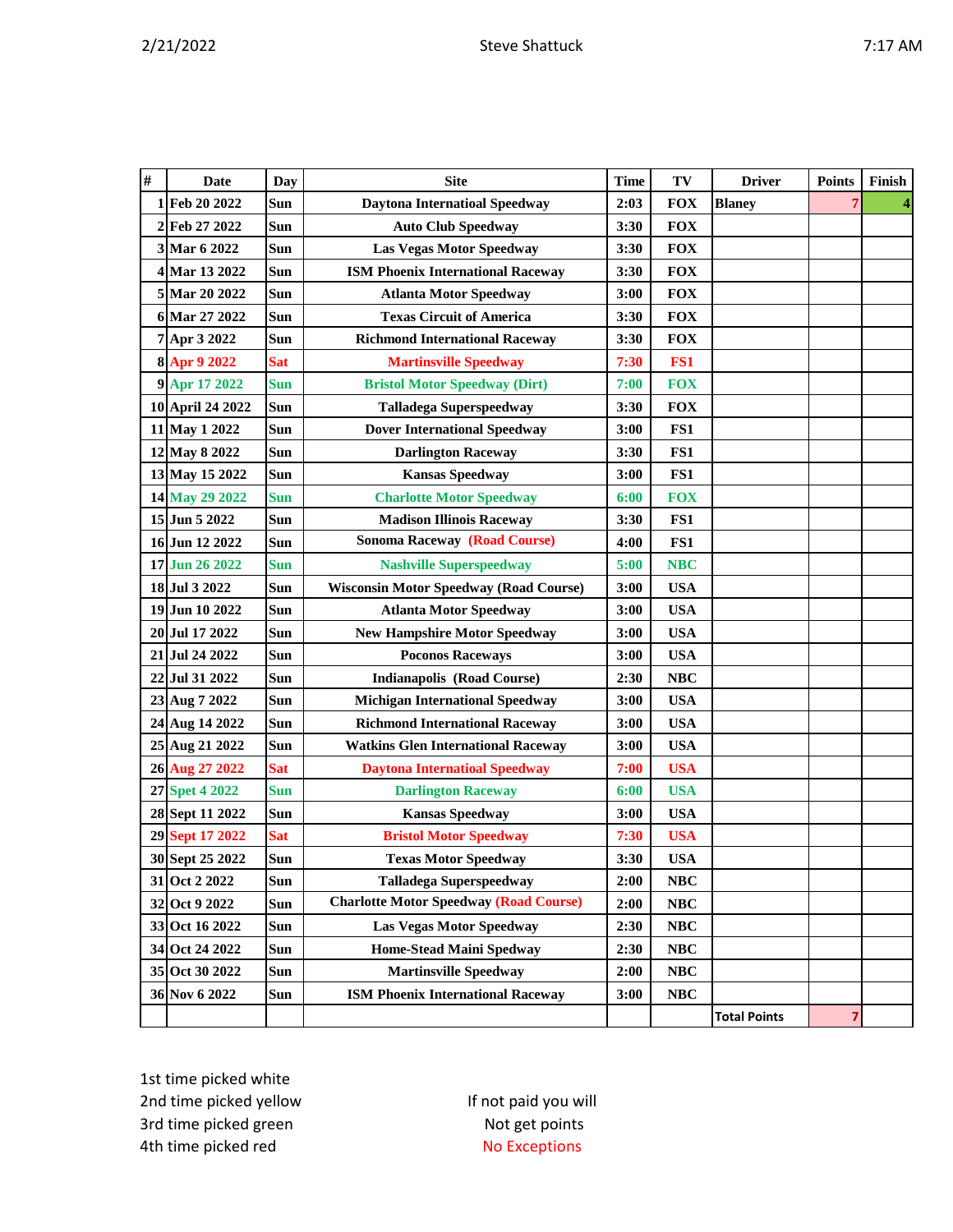|--|

| $\#$ | <b>Date</b>        | Day        | <b>Site</b>                                   | <b>Time</b> | TV         | <b>Driver</b>       | <b>Points</b> | Finish |
|------|--------------------|------------|-----------------------------------------------|-------------|------------|---------------------|---------------|--------|
| 1    | Feb 20 2022        | Sun        | <b>Daytona Internatioal Speedway</b>          | 2:03        | <b>FOX</b> | <b>Blaney</b>       |               |        |
| 2    | Feb 27 2022        | Sun        | <b>Auto Club Speedway</b>                     | 3:30        | <b>FOX</b> |                     |               |        |
|      | 3 Mar 6 2022       | <b>Sun</b> | <b>Las Vegas Motor Speedway</b>               | 3:30        | <b>FOX</b> |                     |               |        |
| 4    | Mar 13 2022        | Sun        | <b>ISM Phoenix International Raceway</b>      | 3:30        | <b>FOX</b> |                     |               |        |
|      | 5 Mar 20 2022      | Sun        | <b>Atlanta Motor Speedway</b>                 | 3:00        | <b>FOX</b> |                     |               |        |
| 6    | Mar 27 2022        | Sun        | <b>Texas Circuit of America</b>               | 3:30        | <b>FOX</b> |                     |               |        |
| 7    | Apr 3 2022         | Sun        | <b>Richmond International Raceway</b>         | 3:30        | <b>FOX</b> |                     |               |        |
|      | 8 Apr 9 2022       | <b>Sat</b> | <b>Martinsville Speedway</b>                  | 7:30        | FS1        |                     |               |        |
| 9    | Apr 17 2022        | <b>Sun</b> | <b>Bristol Motor Speedway (Dirt)</b>          | 7:00        | <b>FOX</b> |                     |               |        |
|      | 10 April 24 2022   | Sun        | <b>Talladega Superspeedway</b>                | 3:30        | <b>FOX</b> |                     |               |        |
|      | 11 May 1 2022      | Sun        | <b>Dover International Speedway</b>           | 3:00        | FS1        |                     |               |        |
|      | 12 May 8 2022      | Sun        | <b>Darlington Raceway</b>                     | 3:30        | FS1        |                     |               |        |
|      | 13 May 15 2022     | Sun        | <b>Kansas Speedway</b>                        | 3:00        | FS1        |                     |               |        |
|      | 14 May 29 2022     | <b>Sun</b> | <b>Charlotte Motor Speedway</b>               | 6:00        | <b>FOX</b> |                     |               |        |
|      | 15 Jun 5 2022      | Sun        | <b>Madison Illinois Raceway</b>               | 3:30        | FS1        |                     |               |        |
|      | 16 Jun 12 2022     | Sun        | <b>Sonoma Raceway (Road Course)</b>           | 4:00        | FS1        |                     |               |        |
|      | 17 Jun 26 2022     | <b>Sun</b> | <b>Nashville Superspeedway</b>                | 5:00        | <b>NBC</b> |                     |               |        |
|      | 18 Jul 3 2022      | Sun        | <b>Wisconsin Motor Speedway (Road Course)</b> | 3:00        | <b>USA</b> |                     |               |        |
|      | 19 Jun 10 2022     | <b>Sun</b> | <b>Atlanta Motor Speedway</b>                 | 3:00        | <b>USA</b> |                     |               |        |
| 20   | <b>Jul 17 2022</b> | <b>Sun</b> | <b>New Hampshire Motor Speedway</b>           | 3:00        | <b>USA</b> |                     |               |        |
| 21   | <b>Jul 24 2022</b> | Sun        | <b>Poconos Raceways</b>                       | 3:00        | <b>USA</b> |                     |               |        |
| 22   | Jul 31 2022        | Sun        | <b>Indianapolis (Road Course)</b>             | 2:30        | <b>NBC</b> |                     |               |        |
|      | 23 Aug 7 2022      | Sun        | <b>Michigan International Speedway</b>        | 3:00        | <b>USA</b> |                     |               |        |
|      | 24 Aug 14 2022     | Sun        | <b>Richmond International Raceway</b>         | 3:00        | <b>USA</b> |                     |               |        |
| 25   | Aug 21 2022        | Sun        | <b>Watkins Glen International Raceway</b>     | 3:00        | <b>USA</b> |                     |               |        |
|      | 26 Aug 27 2022     | <b>Sat</b> | <b>Daytona Internatioal Speedway</b>          | 7:00        | <b>USA</b> |                     |               |        |
|      | 27 Spet 4 2022     | <b>Sun</b> | <b>Darlington Raceway</b>                     | 6:00        | <b>USA</b> |                     |               |        |
|      | 28 Sept 11 2022    | Sun        | <b>Kansas Speedway</b>                        | 3:00        | <b>USA</b> |                     |               |        |
|      | 29 Sept 17 2022    | <b>Sat</b> | <b>Bristol Motor Speedway</b>                 | 7:30        | <b>USA</b> |                     |               |        |
|      | 30 Sept 25 2022    | Sun        | <b>Texas Motor Speedway</b>                   | 3:30        | <b>USA</b> |                     |               |        |
|      | 31 Oct 2 2022      | Sun        | <b>Talladega Superspeedway</b>                | 2:00        | NBC        |                     |               |        |
|      | 32 Oct 9 2022      | Sun        | <b>Charlotte Motor Speedway (Road Course)</b> | 2:00        | <b>NBC</b> |                     |               |        |
|      | 33 Oct 16 2022     | Sun        | <b>Las Vegas Motor Speedway</b>               | 2:30        | NBC        |                     |               |        |
|      | 34 Oct 24 2022     | Sun        | <b>Home-Stead Maini Spedway</b>               | 2:30        | NBC        |                     |               |        |
|      | 35 Oct 30 2022     | Sun        | <b>Martinsville Speedway</b>                  | 2:00        | <b>NBC</b> |                     |               |        |
|      | 36 Nov 6 2022      | Sun        | <b>ISM Phoenix International Raceway</b>      | 3:00        | <b>NBC</b> |                     |               |        |
|      |                    |            |                                               |             |            | <b>Total Points</b> | 7             |        |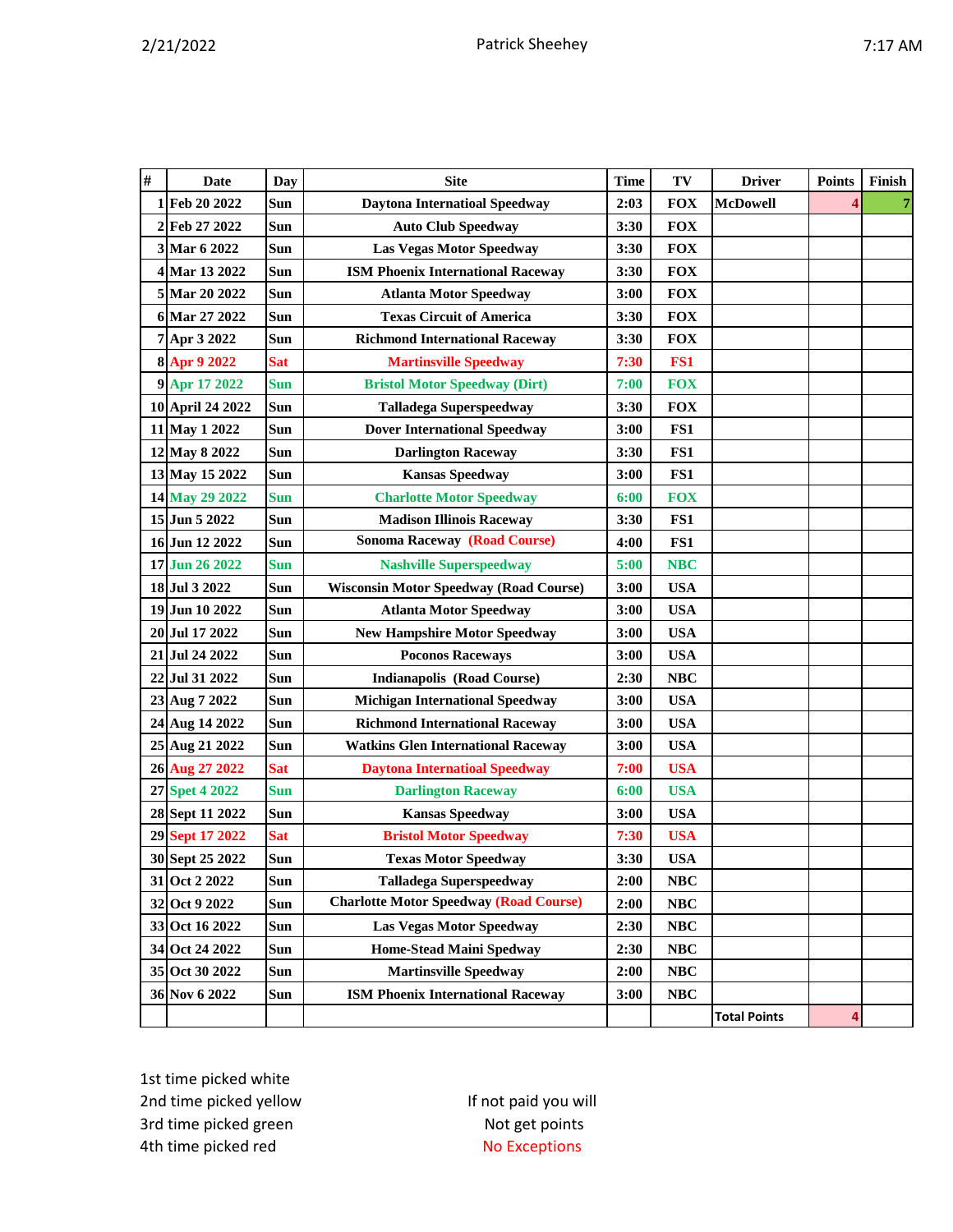| #  | Date                | Day        | <b>Site</b>                                   | Time | TV              | <b>Driver</b>       | <b>Points</b> | Finish |
|----|---------------------|------------|-----------------------------------------------|------|-----------------|---------------------|---------------|--------|
|    | 1 Feb 20 2022       | Sun        | <b>Daytona Internatioal Speedway</b>          | 2:03 | <b>FOX</b>      | <b>McDowell</b>     |               |        |
|    | 2 Feb 27 2022       | Sun        | <b>Auto Club Speedway</b>                     | 3:30 | <b>FOX</b>      |                     |               |        |
|    | 3 Mar 6 2022        | Sun        | <b>Las Vegas Motor Speedway</b>               | 3:30 | <b>FOX</b>      |                     |               |        |
|    | 4 Mar 13 2022       | Sun        | <b>ISM Phoenix International Raceway</b>      | 3:30 | <b>FOX</b>      |                     |               |        |
|    | 5 Mar 20 2022       | Sun        | <b>Atlanta Motor Speedway</b>                 | 3:00 | <b>FOX</b>      |                     |               |        |
|    | 6 Mar 27 2022       | <b>Sun</b> | <b>Texas Circuit of America</b>               | 3:30 | <b>FOX</b>      |                     |               |        |
|    | 7 Apr 3 2022        | <b>Sun</b> | <b>Richmond International Raceway</b>         | 3:30 | <b>FOX</b>      |                     |               |        |
|    | 8 Apr 9 2022        | Sat        | <b>Martinsville Speedway</b>                  | 7:30 | FS <sub>1</sub> |                     |               |        |
|    | 9 Apr 17 2022       | <b>Sun</b> | <b>Bristol Motor Speedway (Dirt)</b>          | 7:00 | <b>FOX</b>      |                     |               |        |
|    | 10 April 24 2022    | Sun        | <b>Talladega Superspeedway</b>                | 3:30 | <b>FOX</b>      |                     |               |        |
|    | 11 May 1 2022       | Sun        | <b>Dover International Speedway</b>           | 3:00 | FS1             |                     |               |        |
|    | 12 May 8 2022       | Sun        | <b>Darlington Raceway</b>                     | 3:30 | FS1             |                     |               |        |
|    | 13 May 15 2022      | Sun        | <b>Kansas Speedway</b>                        | 3:00 | FS1             |                     |               |        |
|    | 14 May 29 2022      | <b>Sun</b> | <b>Charlotte Motor Speedway</b>               | 6:00 | <b>FOX</b>      |                     |               |        |
|    | 15 Jun 5 2022       | Sun        | <b>Madison Illinois Raceway</b>               | 3:30 | FS1             |                     |               |        |
|    | 16 Jun 12 2022      | Sun        | <b>Sonoma Raceway (Road Course)</b>           | 4:00 | FS1             |                     |               |        |
|    | 17 Jun 26 2022      | <b>Sun</b> | <b>Nashville Superspeedway</b>                | 5:00 | <b>NBC</b>      |                     |               |        |
|    | 18 Jul 3 2022       | Sun        | <b>Wisconsin Motor Speedway (Road Course)</b> | 3:00 | <b>USA</b>      |                     |               |        |
|    | 19 Jun 10 2022      | Sun        | <b>Atlanta Motor Speedway</b>                 | 3:00 | <b>USA</b>      |                     |               |        |
| 20 | Jul 17 2022         | Sun        | <b>New Hampshire Motor Speedway</b>           | 3:00 | <b>USA</b>      |                     |               |        |
|    | 21 Jul 24 2022      | Sun        | <b>Poconos Raceways</b>                       | 3:00 | <b>USA</b>      |                     |               |        |
| 22 | Jul 31 2022         | Sun        | <b>Indianapolis (Road Course)</b>             | 2:30 | <b>NBC</b>      |                     |               |        |
|    | 23 Aug 7 2022       | Sun        | <b>Michigan International Speedway</b>        | 3:00 | <b>USA</b>      |                     |               |        |
|    | 24 Aug 14 2022      | Sun        | <b>Richmond International Raceway</b>         | 3:00 | <b>USA</b>      |                     |               |        |
|    | 25 Aug 21 2022      | Sun        | <b>Watkins Glen International Raceway</b>     | 3:00 | <b>USA</b>      |                     |               |        |
|    | 26 Aug 27 2022      | <b>Sat</b> | <b>Daytona Internatioal Speedway</b>          | 7:00 | <b>USA</b>      |                     |               |        |
| 27 | <b>Spet 4 2022</b>  | <b>Sun</b> | <b>Darlington Raceway</b>                     | 6:00 | <b>USA</b>      |                     |               |        |
|    | 28 Sept 11 2022     | Sun        | <b>Kansas Speedway</b>                        | 3:00 | <b>USA</b>      |                     |               |        |
| 29 | <b>Sept 17 2022</b> | <b>Sat</b> | <b>Bristol Motor Speedway</b>                 | 7:30 | <b>USA</b>      |                     |               |        |
|    | 30 Sept 25 2022     | Sun        | <b>Texas Motor Speedway</b>                   | 3:30 | <b>USA</b>      |                     |               |        |
|    | 31 Oct 2 2022       | Sun        | <b>Talladega Superspeedway</b>                | 2:00 | <b>NBC</b>      |                     |               |        |
|    | 32 Oct 9 2022       | Sun        | <b>Charlotte Motor Speedway (Road Course)</b> | 2:00 | <b>NBC</b>      |                     |               |        |
|    | 33 Oct 16 2022      | Sun        | Las Vegas Motor Speedway                      | 2:30 | <b>NBC</b>      |                     |               |        |
|    | 34 Oct 24 2022      | Sun        | <b>Home-Stead Maini Spedway</b>               | 2:30 | <b>NBC</b>      |                     |               |        |
|    | 35 Oct 30 2022      | Sun        | <b>Martinsville Speedway</b>                  | 2:00 | NBC             |                     |               |        |
|    | 36 Nov 6 2022       | Sun        | <b>ISM Phoenix International Raceway</b>      | 3:00 | NBC             |                     |               |        |
|    |                     |            |                                               |      |                 | <b>Total Points</b> | 4             |        |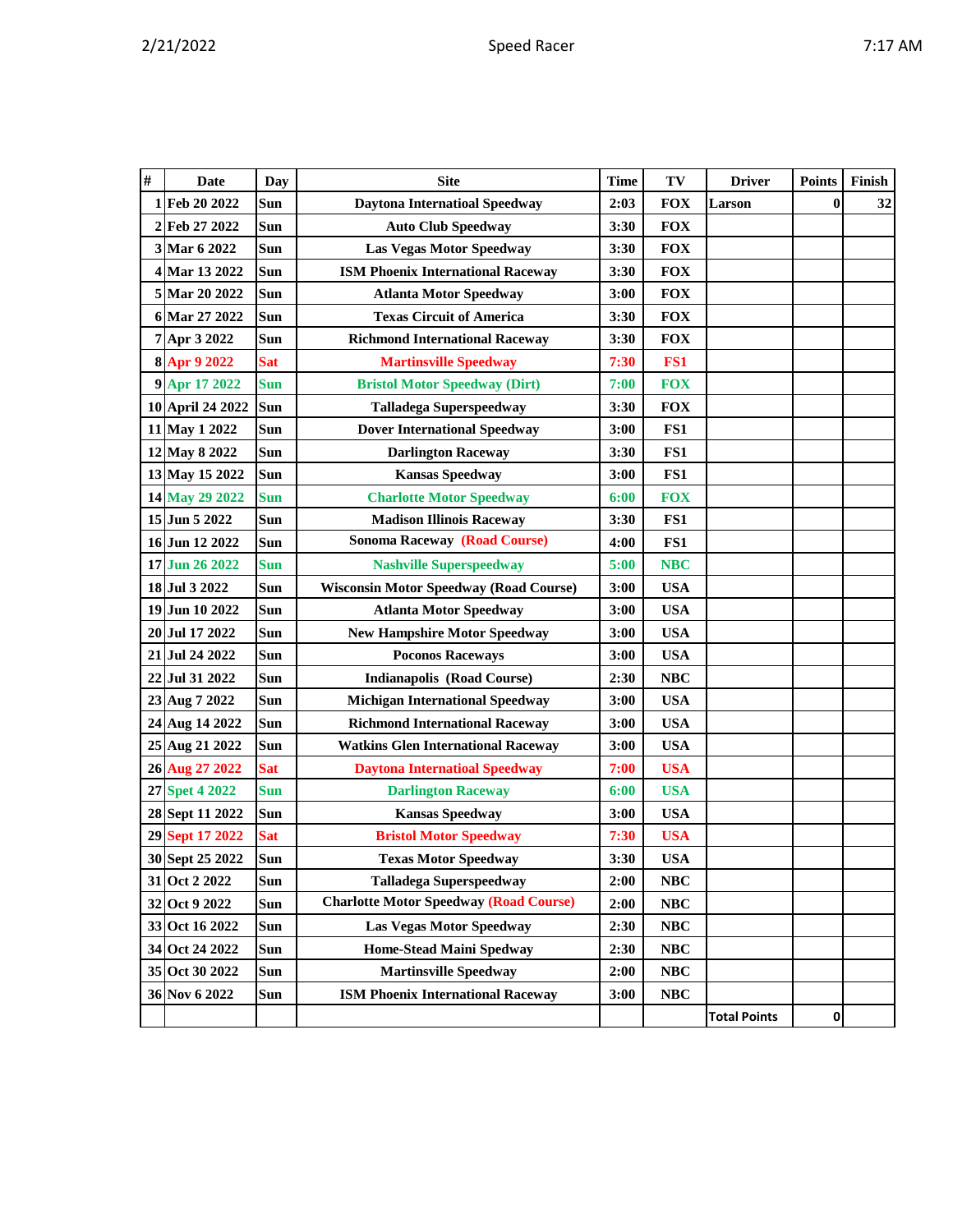| v |  |  | Ί |
|---|--|--|---|
|---|--|--|---|

| # | <b>Date</b>      | Day        | <b>Site</b>                                   | <b>Time</b> | TV         | <b>Driver</b>       | <b>Points</b> | Finish |
|---|------------------|------------|-----------------------------------------------|-------------|------------|---------------------|---------------|--------|
| 1 | Feb 20 2022      | Sun        | <b>Daytona Internatioal Speedway</b>          | 2:03        | <b>FOX</b> | Larson              | $\bf{0}$      | 32     |
|   | 2Feb 27 2022     | Sun        | <b>Auto Club Speedway</b>                     | 3:30        | <b>FOX</b> |                     |               |        |
|   | 3 Mar 6 2022     | Sun        | Las Vegas Motor Speedway                      | 3:30        | <b>FOX</b> |                     |               |        |
|   | 4 Mar 13 2022    | Sun        | <b>ISM Phoenix International Raceway</b>      | 3:30        | <b>FOX</b> |                     |               |        |
|   | 5 Mar 20 2022    | Sun        | <b>Atlanta Motor Speedway</b>                 | 3:00        | <b>FOX</b> |                     |               |        |
|   | 6 Mar 27 2022    | Sun        | <b>Texas Circuit of America</b>               | 3:30        | <b>FOX</b> |                     |               |        |
|   | 7 Apr 3 2022     | Sun        | <b>Richmond International Raceway</b>         | 3:30        | <b>FOX</b> |                     |               |        |
|   | 8 Apr 9 2022     | <b>Sat</b> | <b>Martinsville Speedway</b>                  | 7:30        | FS1        |                     |               |        |
|   | 9 Apr 17 2022    | <b>Sun</b> | <b>Bristol Motor Speedway (Dirt)</b>          | 7:00        | <b>FOX</b> |                     |               |        |
|   | 10 April 24 2022 | Sun        | <b>Talladega Superspeedway</b>                | 3:30        | <b>FOX</b> |                     |               |        |
|   | 11 May 1 2022    | Sun        | <b>Dover International Speedway</b>           | 3:00        | FS1        |                     |               |        |
|   | 12 May 8 2022    | Sun        | <b>Darlington Raceway</b>                     | 3:30        | FS1        |                     |               |        |
|   | 13 May 15 2022   | Sun        | <b>Kansas Speedway</b>                        | 3:00        | FS1        |                     |               |        |
|   | 14 May 29 2022   | <b>Sun</b> | <b>Charlotte Motor Speedway</b>               | 6:00        | <b>FOX</b> |                     |               |        |
|   | 15 Jun 5 2022    | Sun        | <b>Madison Illinois Raceway</b>               | 3:30        | FS1        |                     |               |        |
|   | 16 Jun 12 2022   | Sun        | <b>Sonoma Raceway (Road Course)</b>           | 4:00        | FS1        |                     |               |        |
|   | 17 Jun 26 2022   | <b>Sun</b> | <b>Nashville Superspeedway</b>                | 5:00        | <b>NBC</b> |                     |               |        |
|   | 18 Jul 3 2022    | Sun        | <b>Wisconsin Motor Speedway (Road Course)</b> | 3:00        | <b>USA</b> |                     |               |        |
|   | 19 Jun 10 2022   | Sun        | <b>Atlanta Motor Speedway</b>                 | 3:00        | <b>USA</b> |                     |               |        |
|   | 20 Jul 17 2022   | Sun        | <b>New Hampshire Motor Speedway</b>           | 3:00        | <b>USA</b> |                     |               |        |
|   | 21 Jul 24 2022   | Sun        | <b>Poconos Raceways</b>                       | 3:00        | <b>USA</b> |                     |               |        |
|   | 22 Jul 31 2022   | Sun        | <b>Indianapolis (Road Course)</b>             | 2:30        | <b>NBC</b> |                     |               |        |
|   | 23 Aug 7 2022    | Sun        | <b>Michigan International Speedway</b>        | 3:00        | <b>USA</b> |                     |               |        |
|   | 24 Aug 14 2022   | Sun        | <b>Richmond International Raceway</b>         | 3:00        | <b>USA</b> |                     |               |        |
|   | 25 Aug 21 2022   | Sun        | <b>Watkins Glen International Raceway</b>     | 3:00        | <b>USA</b> |                     |               |        |
|   | 26 Aug 27 2022   | <b>Sat</b> | <b>Daytona Internatioal Speedway</b>          | 7:00        | <b>USA</b> |                     |               |        |
|   | 27 Spet 4 2022   | <b>Sun</b> | <b>Darlington Raceway</b>                     | 6:00        | <b>USA</b> |                     |               |        |
|   | 28 Sept 11 2022  | Sun        | <b>Kansas Speedway</b>                        | 3:00        | <b>USA</b> |                     |               |        |
|   | 29 Sept 17 2022  | <b>Sat</b> | <b>Bristol Motor Speedway</b>                 | 7:30        | <b>USA</b> |                     |               |        |
|   | 30 Sept 25 2022  | Sun        | <b>Texas Motor Speedway</b>                   | 3:30        | <b>USA</b> |                     |               |        |
|   | 31 Oct 2 2022    | Sun        | <b>Talladega Superspeedway</b>                | 2:00        | NBC        |                     |               |        |
|   | 32 Oct 9 2022    | Sun        | <b>Charlotte Motor Speedway (Road Course)</b> | 2:00        | NBC        |                     |               |        |
|   | 33 Oct 16 2022   | Sun        | Las Vegas Motor Speedway                      | 2:30        | NBC        |                     |               |        |
|   | 34 Oct 24 2022   | Sun        | <b>Home-Stead Maini Spedway</b>               | 2:30        | NBC        |                     |               |        |
|   | 35 Oct 30 2022   | Sun        | <b>Martinsville Speedway</b>                  | 2:00        | NBC        |                     |               |        |
|   | 36 Nov 6 2022    | Sun        | <b>ISM Phoenix International Raceway</b>      | 3:00        | <b>NBC</b> |                     |               |        |
|   |                  |            |                                               |             |            | <b>Total Points</b> | $\mathbf{0}$  |        |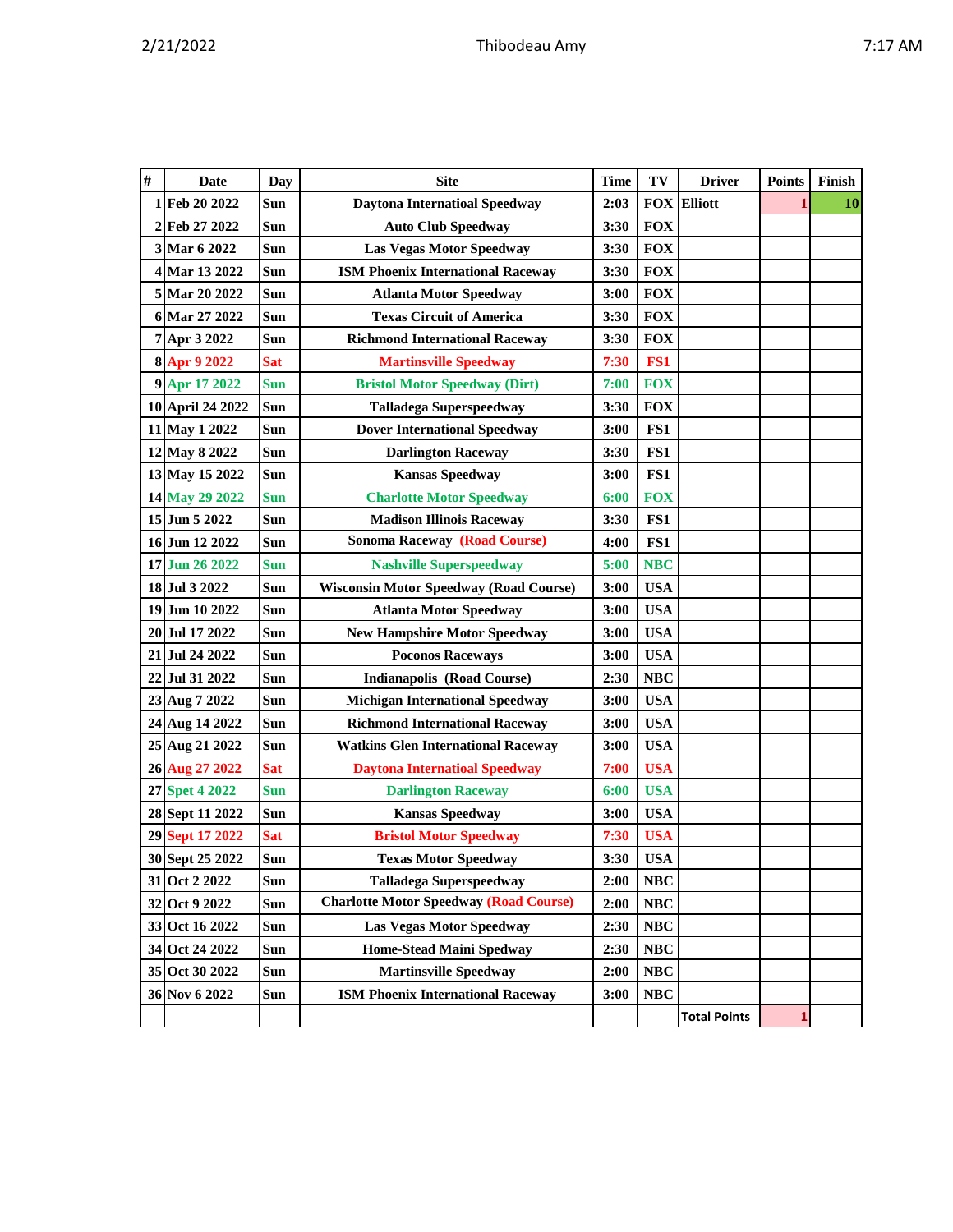| $\#$ | Date               | Day        | <b>Site</b>                                   | <b>Time</b> | TV         | <b>Driver</b>       | <b>Points</b> | Finish |
|------|--------------------|------------|-----------------------------------------------|-------------|------------|---------------------|---------------|--------|
|      | 1 Feb 20 2022      | Sun        | <b>Daytona Internatioal Speedway</b>          | 2:03        |            | <b>FOX Elliott</b>  |               | 10     |
| 2    | Feb 27 2022        | Sun        | <b>Auto Club Speedway</b>                     | 3:30        | <b>FOX</b> |                     |               |        |
|      | 3 Mar 6 2022       | Sun        | <b>Las Vegas Motor Speedway</b>               | 3:30        | <b>FOX</b> |                     |               |        |
|      | 4 Mar 13 2022      | Sun        | <b>ISM Phoenix International Raceway</b>      | 3:30        | <b>FOX</b> |                     |               |        |
|      | 5 Mar 20 2022      | Sun        | <b>Atlanta Motor Speedway</b>                 | 3:00        | <b>FOX</b> |                     |               |        |
|      | 6 Mar 27 2022      | Sun        | <b>Texas Circuit of America</b>               | 3:30        | <b>FOX</b> |                     |               |        |
|      | 7 Apr 3 2022       | Sun        | <b>Richmond International Raceway</b>         | 3:30        | <b>FOX</b> |                     |               |        |
|      | 8 Apr 9 2022       | Sat        | <b>Martinsville Speedway</b>                  | 7:30        | FS1        |                     |               |        |
|      | 9 Apr 17 2022      | <b>Sun</b> | <b>Bristol Motor Speedway (Dirt)</b>          | 7:00        | <b>FOX</b> |                     |               |        |
|      | 10 April 24 2022   | Sun        | <b>Talladega Superspeedway</b>                | 3:30        | <b>FOX</b> |                     |               |        |
|      | 11 May 1 2022      | Sun        | <b>Dover International Speedway</b>           | 3:00        | FS1        |                     |               |        |
|      | 12 May 8 2022      | Sun        | <b>Darlington Raceway</b>                     | 3:30        | FS1        |                     |               |        |
|      | 13 May 15 2022     | Sun        | <b>Kansas Speedway</b>                        | 3:00        | FS1        |                     |               |        |
|      | 14 May 29 2022     | <b>Sun</b> | <b>Charlotte Motor Speedway</b>               | 6:00        | <b>FOX</b> |                     |               |        |
|      | 15 Jun 5 2022      | Sun        | <b>Madison Illinois Raceway</b>               | 3:30        | FS1        |                     |               |        |
|      | 16 Jun 12 2022     | Sun        | <b>Sonoma Raceway (Road Course)</b>           | 4:00        | FS1        |                     |               |        |
|      | 17 Jun 26 2022     | <b>Sun</b> | <b>Nashville Superspeedway</b>                | 5:00        | <b>NBC</b> |                     |               |        |
|      | 18 Jul 3 2022      | Sun        | <b>Wisconsin Motor Speedway (Road Course)</b> | 3:00        | <b>USA</b> |                     |               |        |
|      | 19 Jun 10 2022     | Sun        | <b>Atlanta Motor Speedway</b>                 | 3:00        | <b>USA</b> |                     |               |        |
|      | 20 Jul 17 2022     | Sun        | <b>New Hampshire Motor Speedway</b>           | 3:00        | <b>USA</b> |                     |               |        |
|      | 21 Jul 24 2022     | Sun        | <b>Poconos Raceways</b>                       | 3:00        | <b>USA</b> |                     |               |        |
|      | 22 Jul 31 2022     | Sun        | <b>Indianapolis (Road Course)</b>             | 2:30        | NBC        |                     |               |        |
|      | 23 Aug 7 2022      | Sun        | <b>Michigan International Speedway</b>        | 3:00        | <b>USA</b> |                     |               |        |
|      | 24 Aug 14 2022     | Sun        | <b>Richmond International Raceway</b>         | 3:00        | <b>USA</b> |                     |               |        |
|      | 25 Aug 21 2022     | Sun        | <b>Watkins Glen International Raceway</b>     | 3:00        | <b>USA</b> |                     |               |        |
|      | 26 Aug 27 2022     | <b>Sat</b> | <b>Daytona Internatioal Speedway</b>          | 7:00        | <b>USA</b> |                     |               |        |
| 27   | <b>Spet 4 2022</b> | <b>Sun</b> | <b>Darlington Raceway</b>                     | 6:00        | <b>USA</b> |                     |               |        |
|      | 28 Sept 11 2022    | Sun        | <b>Kansas Speedway</b>                        | 3:00        | <b>USA</b> |                     |               |        |
|      | 29 Sept 17 2022    | <b>Sat</b> | <b>Bristol Motor Speedway</b>                 | 7:30        | <b>USA</b> |                     |               |        |
|      | 30 Sept 25 2022    | Sun        | <b>Texas Motor Speedway</b>                   | 3:30        | <b>USA</b> |                     |               |        |
|      | 31 Oct 2 2022      | Sun        | <b>Talladega Superspeedway</b>                | 2:00        | <b>NBC</b> |                     |               |        |
|      | 32 Oct 9 2022      | Sun        | <b>Charlotte Motor Speedway (Road Course)</b> | 2:00        | NBC        |                     |               |        |
|      | 33 Oct 16 2022     | Sun        | <b>Las Vegas Motor Speedway</b>               | 2:30        | NBC        |                     |               |        |
|      | 34 Oct 24 2022     | Sun        | Home-Stead Maini Spedway                      | 2:30        | NBC        |                     |               |        |
|      | 35 Oct 30 2022     | Sun        | <b>Martinsville Speedway</b>                  | 2:00        | NBC        |                     |               |        |
|      | 36 Nov 6 2022      | Sun        | <b>ISM Phoenix International Raceway</b>      | 3:00        | <b>NBC</b> |                     |               |        |
|      |                    |            |                                               |             |            | <b>Total Points</b> | 1             |        |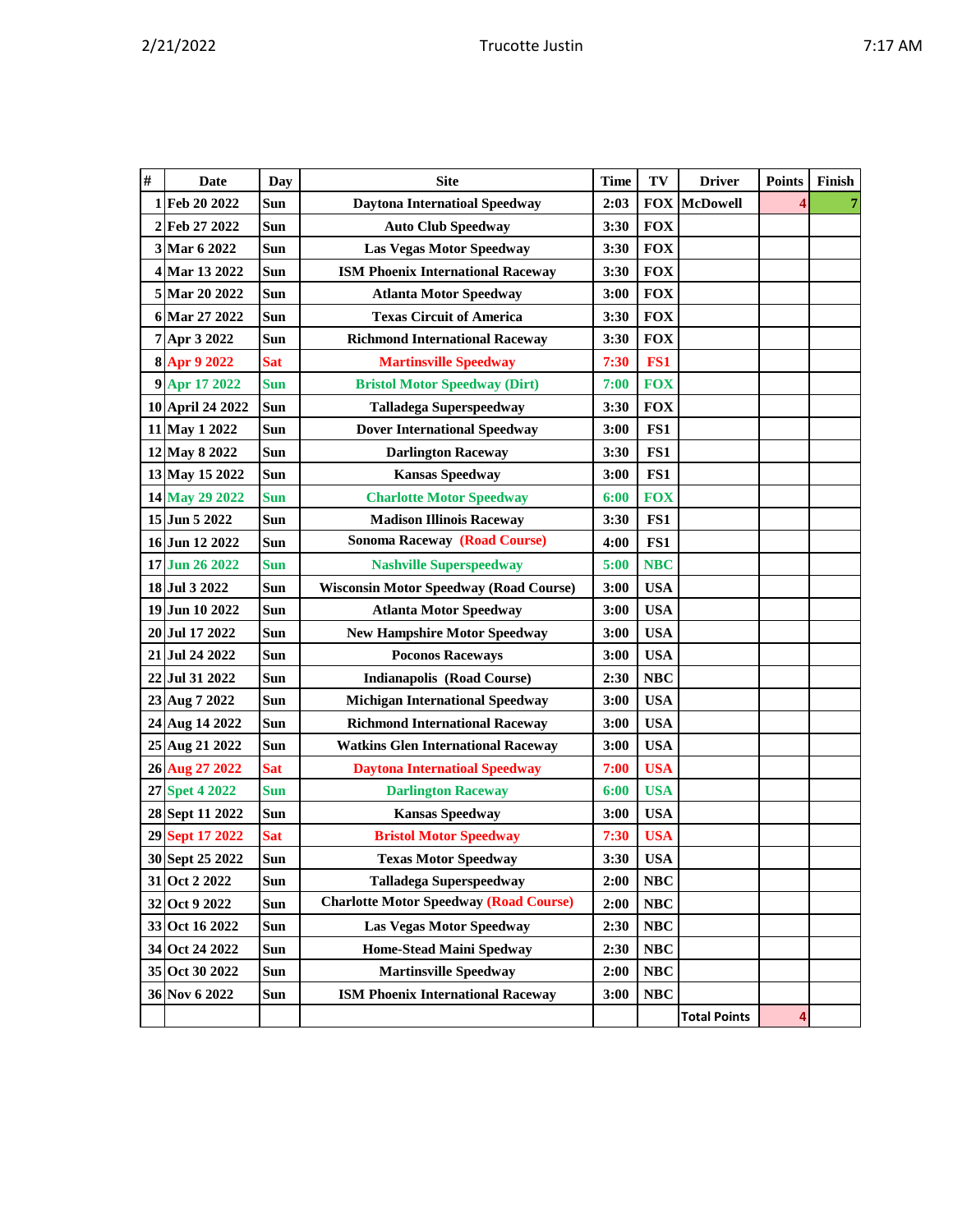| $\#$ | Date             | Day        | <b>Site</b>                                   | <b>Time</b> | TV         | <b>Driver</b>       | <b>Points</b> | Finish |
|------|------------------|------------|-----------------------------------------------|-------------|------------|---------------------|---------------|--------|
|      | 1 Feb 20 2022    | Sun        | <b>Daytona Internatioal Speedway</b>          | 2:03        | <b>FOX</b> | <b>McDowell</b>     |               | 7      |
| 2    | Feb 27 2022      | Sun        | <b>Auto Club Speedway</b>                     | 3:30        | <b>FOX</b> |                     |               |        |
|      | 3 Mar 6 2022     | Sun        | <b>Las Vegas Motor Speedway</b>               | 3:30        | <b>FOX</b> |                     |               |        |
|      | 4 Mar 13 2022    | Sun        | <b>ISM Phoenix International Raceway</b>      | 3:30        | <b>FOX</b> |                     |               |        |
|      | 5 Mar 20 2022    | Sun        | <b>Atlanta Motor Speedway</b>                 | 3:00        | <b>FOX</b> |                     |               |        |
|      | 6 Mar 27 2022    | Sun        | <b>Texas Circuit of America</b>               | 3:30        | <b>FOX</b> |                     |               |        |
|      | 7 Apr 3 2022     | Sun        | <b>Richmond International Raceway</b>         | 3:30        | <b>FOX</b> |                     |               |        |
|      | 8 Apr 9 2022     | <b>Sat</b> | <b>Martinsville Speedway</b>                  | 7:30        | FS1        |                     |               |        |
|      | 9 Apr 17 2022    | Sun        | <b>Bristol Motor Speedway (Dirt)</b>          | 7:00        | <b>FOX</b> |                     |               |        |
|      | 10 April 24 2022 | Sun        | <b>Talladega Superspeedway</b>                | 3:30        | <b>FOX</b> |                     |               |        |
|      | 11 May 1 2022    | Sun        | <b>Dover International Speedway</b>           | 3:00        | FS1        |                     |               |        |
|      | 12 May 8 2022    | Sun        | <b>Darlington Raceway</b>                     | 3:30        | FS1        |                     |               |        |
|      | 13 May 15 2022   | Sun        | <b>Kansas Speedway</b>                        | 3:00        | FS1        |                     |               |        |
|      | 14 May 29 2022   | Sun        | <b>Charlotte Motor Speedway</b>               | 6:00        | <b>FOX</b> |                     |               |        |
|      | 15 Jun 5 2022    | Sun        | <b>Madison Illinois Raceway</b>               | 3:30        | FS1        |                     |               |        |
|      | 16 Jun 12 2022   | Sun        | <b>Sonoma Raceway (Road Course)</b>           | 4:00        | FS1        |                     |               |        |
|      | 17 Jun 26 2022   | Sun        | <b>Nashville Superspeedway</b>                | 5:00        | <b>NBC</b> |                     |               |        |
|      | 18 Jul 3 2022    | Sun        | <b>Wisconsin Motor Speedway (Road Course)</b> | 3:00        | <b>USA</b> |                     |               |        |
|      | 19 Jun 10 2022   | Sun        | <b>Atlanta Motor Speedway</b>                 | 3:00        | <b>USA</b> |                     |               |        |
|      | 20 Jul 17 2022   | Sun        | <b>New Hampshire Motor Speedway</b>           | 3:00        | <b>USA</b> |                     |               |        |
|      | 21 Jul 24 2022   | Sun        | <b>Poconos Raceways</b>                       | 3:00        | <b>USA</b> |                     |               |        |
| 22   | Jul 31 2022      | Sun        | <b>Indianapolis (Road Course)</b>             | 2:30        | <b>NBC</b> |                     |               |        |
|      | 23 Aug 7 2022    | Sun        | <b>Michigan International Speedway</b>        | 3:00        | <b>USA</b> |                     |               |        |
|      | 24 Aug 14 2022   | Sun        | <b>Richmond International Raceway</b>         | 3:00        | <b>USA</b> |                     |               |        |
|      | 25 Aug 21 2022   | Sun        | <b>Watkins Glen International Raceway</b>     | 3:00        | <b>USA</b> |                     |               |        |
|      | 26 Aug 27 2022   | <b>Sat</b> | <b>Daytona Internatioal Speedway</b>          | 7:00        | <b>USA</b> |                     |               |        |
|      | 27 Spet 4 2022   | <b>Sun</b> | <b>Darlington Raceway</b>                     | 6:00        | <b>USA</b> |                     |               |        |
|      | 28 Sept 11 2022  | Sun        | <b>Kansas Speedway</b>                        | 3:00        | <b>USA</b> |                     |               |        |
|      | 29 Sept 17 2022  | <b>Sat</b> | <b>Bristol Motor Speedway</b>                 | 7:30        | <b>USA</b> |                     |               |        |
|      | 30 Sept 25 2022  | Sun        | <b>Texas Motor Speedway</b>                   | 3:30        | <b>USA</b> |                     |               |        |
|      | 31 Oct 2 2022    | Sun        | <b>Talladega Superspeedway</b>                | 2:00        | <b>NBC</b> |                     |               |        |
|      | 32 Oct 9 2022    | Sun        | <b>Charlotte Motor Speedway (Road Course)</b> | 2:00        | NBC        |                     |               |        |
|      | 33 Oct 16 2022   | Sun        | <b>Las Vegas Motor Speedway</b>               | 2:30        | NBC        |                     |               |        |
|      | 34 Oct 24 2022   | Sun        | <b>Home-Stead Maini Spedway</b>               | 2:30        | NBC        |                     |               |        |
|      | 35 Oct 30 2022   | Sun        | <b>Martinsville Speedway</b>                  | 2:00        | NBC        |                     |               |        |
|      | 36 Nov 6 2022    | Sun        | <b>ISM Phoenix International Raceway</b>      | 3:00        | NBC        |                     |               |        |
|      |                  |            |                                               |             |            | <b>Total Points</b> | 4             |        |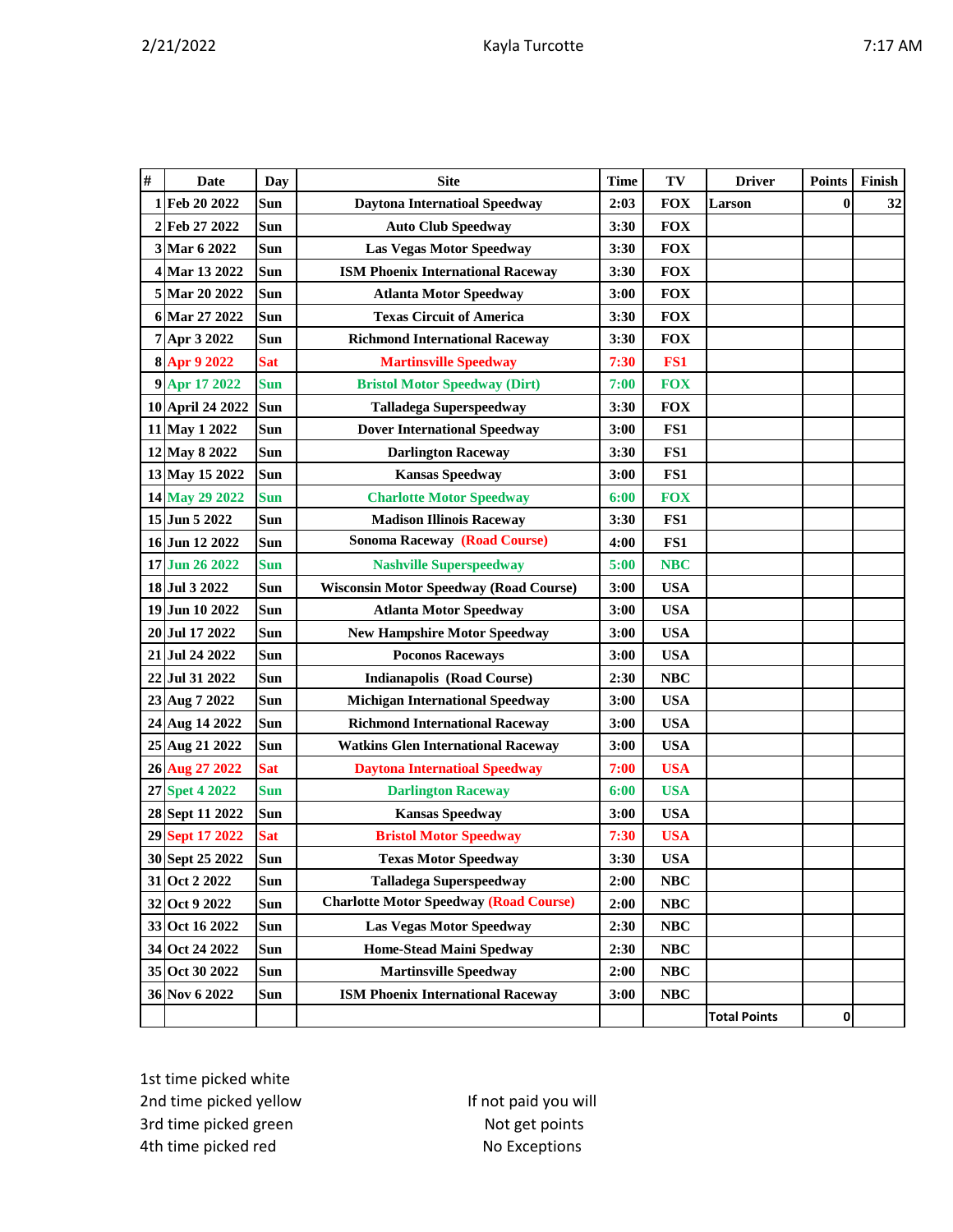|--|

| $\#$ | <b>Date</b>      | Day        | <b>Site</b>                                   | <b>Time</b> | TV         | <b>Driver</b>       | <b>Points</b> | Finish |
|------|------------------|------------|-----------------------------------------------|-------------|------------|---------------------|---------------|--------|
|      | 1 Feb 20 2022    | Sun        | <b>Daytona Internatioal Speedway</b>          | 2:03        | <b>FOX</b> | Larson              | $\bf{0}$      | 32     |
|      | 2 Feb 27 2022    | Sun        | <b>Auto Club Speedway</b>                     | 3:30        | <b>FOX</b> |                     |               |        |
|      | 3 Mar 6 2022     | Sun        | <b>Las Vegas Motor Speedway</b>               | 3:30        | <b>FOX</b> |                     |               |        |
|      | 4 Mar 13 2022    | Sun        | <b>ISM Phoenix International Raceway</b>      | 3:30        | <b>FOX</b> |                     |               |        |
|      | 5 Mar 20 2022    | Sun        | <b>Atlanta Motor Speedway</b>                 | 3:00        | <b>FOX</b> |                     |               |        |
|      | 6 Mar 27 2022    | Sun        | <b>Texas Circuit of America</b>               | 3:30        | <b>FOX</b> |                     |               |        |
|      | 7 Apr 3 2022     | Sun        | <b>Richmond International Raceway</b>         | 3:30        | <b>FOX</b> |                     |               |        |
|      | 8 Apr 9 2022     | <b>Sat</b> | <b>Martinsville Speedway</b>                  | 7:30        | FS1        |                     |               |        |
|      | 9 Apr 17 2022    | <b>Sun</b> | <b>Bristol Motor Speedway (Dirt)</b>          | 7:00        | <b>FOX</b> |                     |               |        |
|      | 10 April 24 2022 | Sun        | <b>Talladega Superspeedway</b>                | 3:30        | <b>FOX</b> |                     |               |        |
|      | 11 May 1 2022    | Sun        | <b>Dover International Speedway</b>           | 3:00        | FS1        |                     |               |        |
|      | 12 May 8 2022    | Sun        | <b>Darlington Raceway</b>                     | 3:30        | FS1        |                     |               |        |
|      | 13 May 15 2022   | Sun        | <b>Kansas Speedway</b>                        | 3:00        | FS1        |                     |               |        |
|      | 14 May 29 2022   | <b>Sun</b> | <b>Charlotte Motor Speedway</b>               | 6:00        | <b>FOX</b> |                     |               |        |
|      | 15 Jun 5 2022    | Sun        | <b>Madison Illinois Raceway</b>               | 3:30        | FS1        |                     |               |        |
|      | 16 Jun 12 2022   | Sun        | <b>Sonoma Raceway (Road Course)</b>           | 4:00        | FS1        |                     |               |        |
|      | 17 Jun 26 2022   | <b>Sun</b> | <b>Nashville Superspeedway</b>                | 5:00        | <b>NBC</b> |                     |               |        |
|      | 18 Jul 3 2022    | Sun        | <b>Wisconsin Motor Speedway (Road Course)</b> | 3:00        | <b>USA</b> |                     |               |        |
|      | 19 Jun 10 2022   | Sun        | <b>Atlanta Motor Speedway</b>                 | 3:00        | <b>USA</b> |                     |               |        |
|      | 20 Jul 17 2022   | Sun        | <b>New Hampshire Motor Speedway</b>           | 3:00        | <b>USA</b> |                     |               |        |
|      | 21 Jul 24 2022   | Sun        | <b>Poconos Raceways</b>                       | 3:00        | <b>USA</b> |                     |               |        |
|      | 22 Jul 31 2022   | Sun        | <b>Indianapolis (Road Course)</b>             | 2:30        | <b>NBC</b> |                     |               |        |
|      | 23 Aug 7 2022    | Sun        | <b>Michigan International Speedway</b>        | 3:00        | <b>USA</b> |                     |               |        |
|      | 24 Aug 14 2022   | Sun        | <b>Richmond International Raceway</b>         | 3:00        | <b>USA</b> |                     |               |        |
|      | 25 Aug 21 2022   | Sun        | <b>Watkins Glen International Raceway</b>     | 3:00        | <b>USA</b> |                     |               |        |
|      | 26 Aug 27 2022   | <b>Sat</b> | <b>Daytona Internatioal Speedway</b>          | 7:00        | <b>USA</b> |                     |               |        |
|      | 27 Spet 4 2022   | <b>Sun</b> | <b>Darlington Raceway</b>                     | 6:00        | <b>USA</b> |                     |               |        |
|      | 28 Sept 11 2022  | Sun        | <b>Kansas Speedway</b>                        | 3:00        | <b>USA</b> |                     |               |        |
|      | 29 Sept 17 2022  | <b>Sat</b> | <b>Bristol Motor Speedway</b>                 | 7:30        | <b>USA</b> |                     |               |        |
|      | 30 Sept 25 2022  | Sun        | <b>Texas Motor Speedway</b>                   | 3:30        | <b>USA</b> |                     |               |        |
|      | 31 Oct 2 2022    | Sun        | <b>Talladega Superspeedway</b>                | 2:00        | NBC        |                     |               |        |
|      | 32 Oct 9 2022    | Sun        | <b>Charlotte Motor Speedway (Road Course)</b> | 2:00        | $\bf NBC$  |                     |               |        |
|      | 33 Oct 16 2022   | Sun        | <b>Las Vegas Motor Speedway</b>               | 2:30        | NBC        |                     |               |        |
|      | 34 Oct 24 2022   | Sun        | Home-Stead Maini Spedway                      | 2:30        | NBC        |                     |               |        |
|      | 35 Oct 30 2022   | Sun        | <b>Martinsville Speedway</b>                  | 2:00        | NBC        |                     |               |        |
|      | 36 Nov 6 2022    | Sun        | <b>ISM Phoenix International Raceway</b>      | 3:00        | NBC        |                     |               |        |
|      |                  |            |                                               |             |            | <b>Total Points</b> | 0             |        |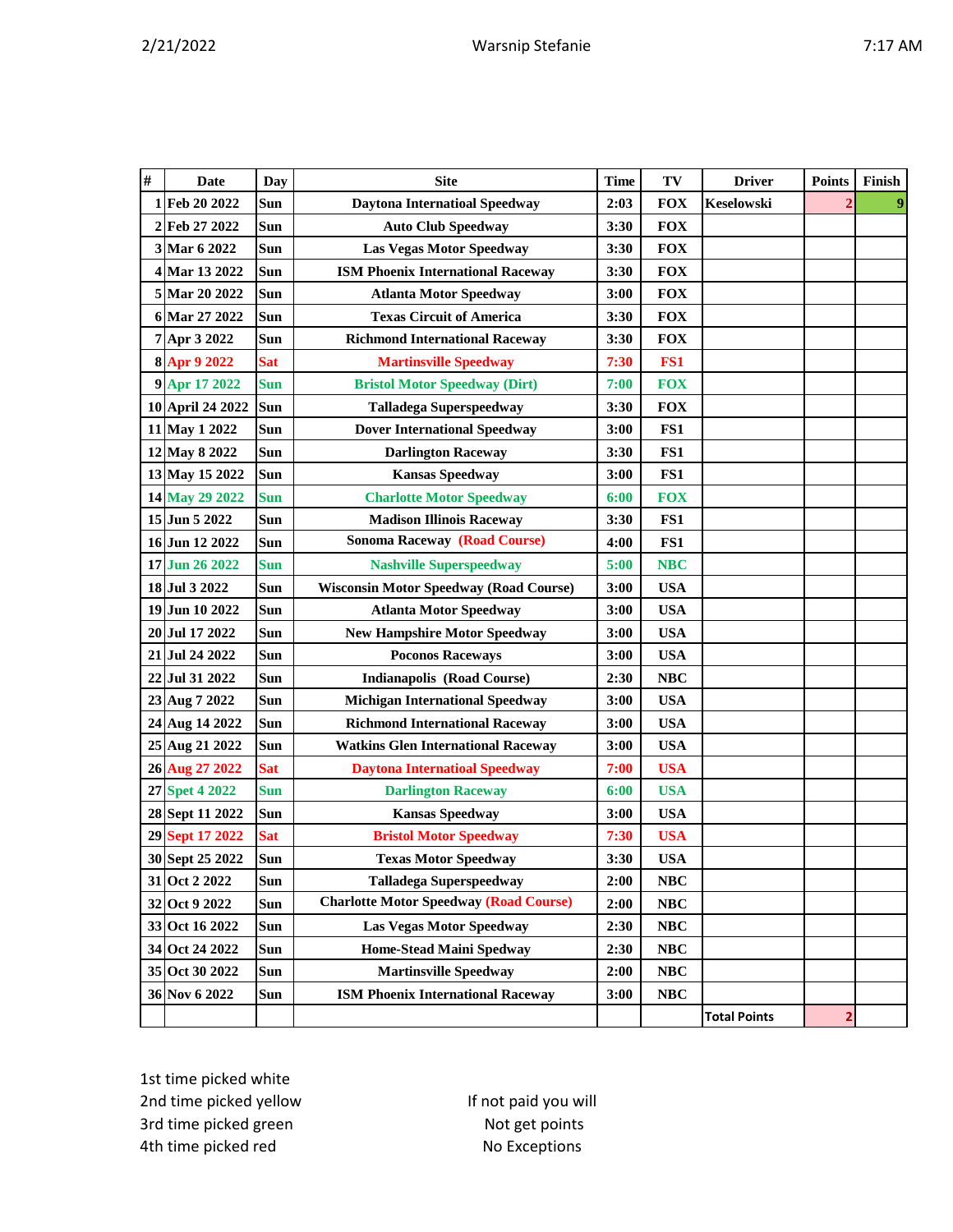|--|

| $\#$ | <b>Date</b>      | <b>Day</b> | <b>Site</b>                                   | <b>Time</b> | TV         | <b>Driver</b>       | <b>Points</b> | Finish |
|------|------------------|------------|-----------------------------------------------|-------------|------------|---------------------|---------------|--------|
|      | 1 Feb 20 2022    | Sun        | <b>Daytona Internatioal Speedway</b>          | 2:03        | <b>FOX</b> | <b>Keselowski</b>   |               |        |
|      | 2 Feb 27 2022    | Sun        | <b>Auto Club Speedway</b>                     | 3:30        | <b>FOX</b> |                     |               |        |
|      | 3 Mar 6 2022     | Sun        | <b>Las Vegas Motor Speedway</b>               | 3:30        | <b>FOX</b> |                     |               |        |
|      | 4 Mar 13 2022    | Sun        | <b>ISM Phoenix International Raceway</b>      | 3:30        | <b>FOX</b> |                     |               |        |
|      | 5 Mar 20 2022    | Sun        | <b>Atlanta Motor Speedway</b>                 | 3:00        | <b>FOX</b> |                     |               |        |
|      | 6 Mar 27 2022    | Sun        | <b>Texas Circuit of America</b>               | 3:30        | <b>FOX</b> |                     |               |        |
|      | 7 Apr 3 2022     | Sun        | <b>Richmond International Raceway</b>         | 3:30        | <b>FOX</b> |                     |               |        |
|      | 8 Apr 9 2022     | <b>Sat</b> | <b>Martinsville Speedway</b>                  | 7:30        | FS1        |                     |               |        |
|      | 9 Apr 17 2022    | <b>Sun</b> | <b>Bristol Motor Speedway (Dirt)</b>          | 7:00        | <b>FOX</b> |                     |               |        |
|      | 10 April 24 2022 | Sun        | <b>Talladega Superspeedway</b>                | 3:30        | <b>FOX</b> |                     |               |        |
|      | 11 May 1 2022    | Sun        | <b>Dover International Speedway</b>           | 3:00        | FS1        |                     |               |        |
|      | 12 May 8 2022    | Sun        | <b>Darlington Raceway</b>                     | 3:30        | FS1        |                     |               |        |
|      | 13 May 15 2022   | Sun        | <b>Kansas Speedway</b>                        | 3:00        | FS1        |                     |               |        |
|      | 14 May 29 2022   | Sun        | <b>Charlotte Motor Speedway</b>               | 6:00        | <b>FOX</b> |                     |               |        |
|      | 15 Jun 5 2022    | Sun        | <b>Madison Illinois Raceway</b>               | 3:30        | FS1        |                     |               |        |
|      | 16 Jun 12 2022   | Sun        | <b>Sonoma Raceway (Road Course)</b>           | 4:00        | FS1        |                     |               |        |
|      | 17 Jun 26 2022   | <b>Sun</b> | <b>Nashville Superspeedway</b>                | 5:00        | <b>NBC</b> |                     |               |        |
|      | 18 Jul 3 2022    | Sun        | <b>Wisconsin Motor Speedway (Road Course)</b> | 3:00        | <b>USA</b> |                     |               |        |
|      | 19 Jun 10 2022   | Sun        | <b>Atlanta Motor Speedway</b>                 | 3:00        | <b>USA</b> |                     |               |        |
|      | 20 Jul 17 2022   | Sun        | <b>New Hampshire Motor Speedway</b>           | 3:00        | <b>USA</b> |                     |               |        |
|      | 21 Jul 24 2022   | Sun        | <b>Poconos Raceways</b>                       | 3:00        | <b>USA</b> |                     |               |        |
|      | 22 Jul 31 2022   | Sun        | <b>Indianapolis (Road Course)</b>             | 2:30        | <b>NBC</b> |                     |               |        |
|      | 23 Aug 7 2022    | Sun        | <b>Michigan International Speedway</b>        | 3:00        | <b>USA</b> |                     |               |        |
|      | 24 Aug 14 2022   | Sun        | <b>Richmond International Raceway</b>         | 3:00        | <b>USA</b> |                     |               |        |
|      | 25 Aug 21 2022   | Sun        | <b>Watkins Glen International Raceway</b>     | 3:00        | <b>USA</b> |                     |               |        |
|      | 26 Aug 27 2022   | <b>Sat</b> | <b>Daytona Internatioal Speedway</b>          | 7:00        | <b>USA</b> |                     |               |        |
|      | 27 Spet 4 2022   | <b>Sun</b> | <b>Darlington Raceway</b>                     | 6:00        | <b>USA</b> |                     |               |        |
|      | 28 Sept 11 2022  | Sun        | <b>Kansas Speedway</b>                        | 3:00        | <b>USA</b> |                     |               |        |
|      | 29 Sept 17 2022  | <b>Sat</b> | <b>Bristol Motor Speedway</b>                 | 7:30        | <b>USA</b> |                     |               |        |
|      | 30 Sept 25 2022  | Sun        | <b>Texas Motor Speedway</b>                   | 3:30        | <b>USA</b> |                     |               |        |
|      | 31 Oct 2 2022    | Sun        | <b>Talladega Superspeedway</b>                | 2:00        | NBC        |                     |               |        |
|      | 32 Oct 9 2022    | Sun        | <b>Charlotte Motor Speedway (Road Course)</b> | 2:00        | $\bf NBC$  |                     |               |        |
|      | 33 Oct 16 2022   | Sun        | <b>Las Vegas Motor Speedway</b>               | 2:30        | NBC        |                     |               |        |
|      | 34 Oct 24 2022   | Sun        | <b>Home-Stead Maini Spedway</b>               | 2:30        | NBC        |                     |               |        |
|      | 35 Oct 30 2022   | Sun        | <b>Martinsville Speedway</b>                  | 2:00        | NBC        |                     |               |        |
|      | 36 Nov 6 2022    | Sun        | <b>ISM Phoenix International Raceway</b>      | 3:00        | NBC        |                     |               |        |
|      |                  |            |                                               |             |            | <b>Total Points</b> | þ             |        |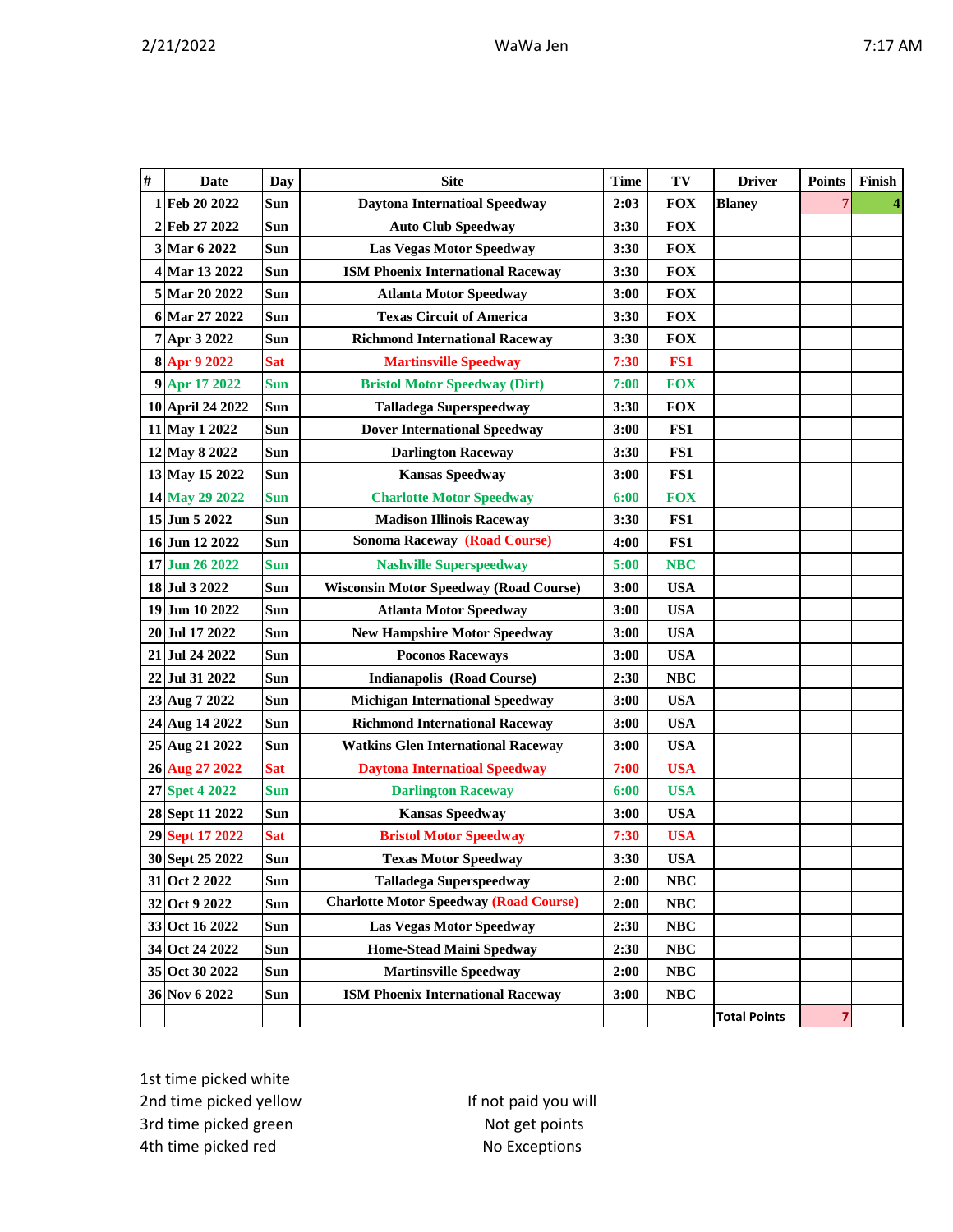| # | <b>Date</b>      | <b>Day</b> | <b>Site</b>                                   | <b>Time</b> | TV         | <b>Driver</b>       | <b>Points</b> | Finish |
|---|------------------|------------|-----------------------------------------------|-------------|------------|---------------------|---------------|--------|
|   | 1 Feb 20 2022    | Sun        | <b>Daytona Internatioal Speedway</b>          | 2:03        | <b>FOX</b> | <b>Blaney</b>       | 7             |        |
|   | 2 Feb 27 2022    | Sun        | <b>Auto Club Speedway</b>                     | 3:30        | <b>FOX</b> |                     |               |        |
|   | 3 Mar 6 2022     | Sun        | <b>Las Vegas Motor Speedway</b>               | 3:30        | <b>FOX</b> |                     |               |        |
|   | 4 Mar 13 2022    | Sun        | <b>ISM Phoenix International Raceway</b>      | 3:30        | <b>FOX</b> |                     |               |        |
|   | 5 Mar 20 2022    | Sun        | <b>Atlanta Motor Speedway</b>                 | 3:00        | <b>FOX</b> |                     |               |        |
|   | 6 Mar 27 2022    | Sun        | <b>Texas Circuit of America</b>               | 3:30        | <b>FOX</b> |                     |               |        |
|   | 7 Apr 3 2022     | Sun        | <b>Richmond International Raceway</b>         | 3:30        | <b>FOX</b> |                     |               |        |
|   | 8 Apr 9 2022     | <b>Sat</b> | <b>Martinsville Speedway</b>                  | 7:30        | FS1        |                     |               |        |
|   | 9 Apr 17 2022    | <b>Sun</b> | <b>Bristol Motor Speedway (Dirt)</b>          | 7:00        | <b>FOX</b> |                     |               |        |
|   | 10 April 24 2022 | Sun        | <b>Talladega Superspeedway</b>                | 3:30        | <b>FOX</b> |                     |               |        |
|   | 11 May 1 2022    | Sun        | <b>Dover International Speedway</b>           | 3:00        | FS1        |                     |               |        |
|   | 12 May 8 2022    | Sun        | <b>Darlington Raceway</b>                     | 3:30        | FS1        |                     |               |        |
|   | 13 May 15 2022   | <b>Sun</b> | <b>Kansas Speedway</b>                        | 3:00        | FS1        |                     |               |        |
|   | 14 May 29 2022   | <b>Sun</b> | <b>Charlotte Motor Speedway</b>               | 6:00        | <b>FOX</b> |                     |               |        |
|   | 15 Jun 5 2022    | Sun        | <b>Madison Illinois Raceway</b>               | 3:30        | FS1        |                     |               |        |
|   | 16 Jun 12 2022   | Sun        | <b>Sonoma Raceway (Road Course)</b>           | 4:00        | FS1        |                     |               |        |
|   | 17 Jun 26 2022   | <b>Sun</b> | <b>Nashville Superspeedway</b>                | 5:00        | <b>NBC</b> |                     |               |        |
|   | 18 Jul 3 2022    | Sun        | <b>Wisconsin Motor Speedway (Road Course)</b> | 3:00        | <b>USA</b> |                     |               |        |
|   | 19 Jun 10 2022   | Sun        | <b>Atlanta Motor Speedway</b>                 | 3:00        | <b>USA</b> |                     |               |        |
|   | 20 Jul 17 2022   | Sun        | <b>New Hampshire Motor Speedway</b>           | 3:00        | <b>USA</b> |                     |               |        |
|   | 21 Jul 24 2022   | Sun        | <b>Poconos Raceways</b>                       | 3:00        | <b>USA</b> |                     |               |        |
|   | 22 Jul 31 2022   | Sun        | <b>Indianapolis (Road Course)</b>             | 2:30        | <b>NBC</b> |                     |               |        |
|   | 23 Aug 7 2022    | Sun        | <b>Michigan International Speedway</b>        | 3:00        | <b>USA</b> |                     |               |        |
|   | 24 Aug 14 2022   | Sun        | <b>Richmond International Raceway</b>         | 3:00        | <b>USA</b> |                     |               |        |
|   | 25 Aug 21 2022   | Sun        | <b>Watkins Glen International Raceway</b>     | 3:00        | <b>USA</b> |                     |               |        |
|   | 26 Aug 27 2022   | <b>Sat</b> | <b>Daytona Internatioal Speedway</b>          | 7:00        | <b>USA</b> |                     |               |        |
|   | 27 Spet 4 2022   | <b>Sun</b> | <b>Darlington Raceway</b>                     | 6:00        | <b>USA</b> |                     |               |        |
|   | 28 Sept 11 2022  | Sun        | <b>Kansas Speedway</b>                        | 3:00        | <b>USA</b> |                     |               |        |
|   | 29 Sept 17 2022  | <b>Sat</b> | <b>Bristol Motor Speedway</b>                 | 7:30        | <b>USA</b> |                     |               |        |
|   | 30 Sept 25 2022  | Sun        | <b>Texas Motor Speedway</b>                   | 3:30        | <b>USA</b> |                     |               |        |
|   | 31 Oct 2 2022    | Sun        | <b>Talladega Superspeedway</b>                | 2:00        | NBC        |                     |               |        |
|   | 32 Oct 9 2022    | Sun        | <b>Charlotte Motor Speedway (Road Course)</b> | 2:00        | NBC        |                     |               |        |
|   | 33 Oct 16 2022   | Sun        | <b>Las Vegas Motor Speedway</b>               | 2:30        | NBC        |                     |               |        |
|   | 34 Oct 24 2022   | Sun        | Home-Stead Maini Spedway                      | 2:30        | NBC        |                     |               |        |
|   | 35 Oct 30 2022   | Sun        | <b>Martinsville Speedway</b>                  | 2:00        | NBC        |                     |               |        |
|   | 36 Nov 6 2022    | Sun        | <b>ISM Phoenix International Raceway</b>      | 3:00        | <b>NBC</b> |                     |               |        |
|   |                  |            |                                               |             |            | <b>Total Points</b> | 7             |        |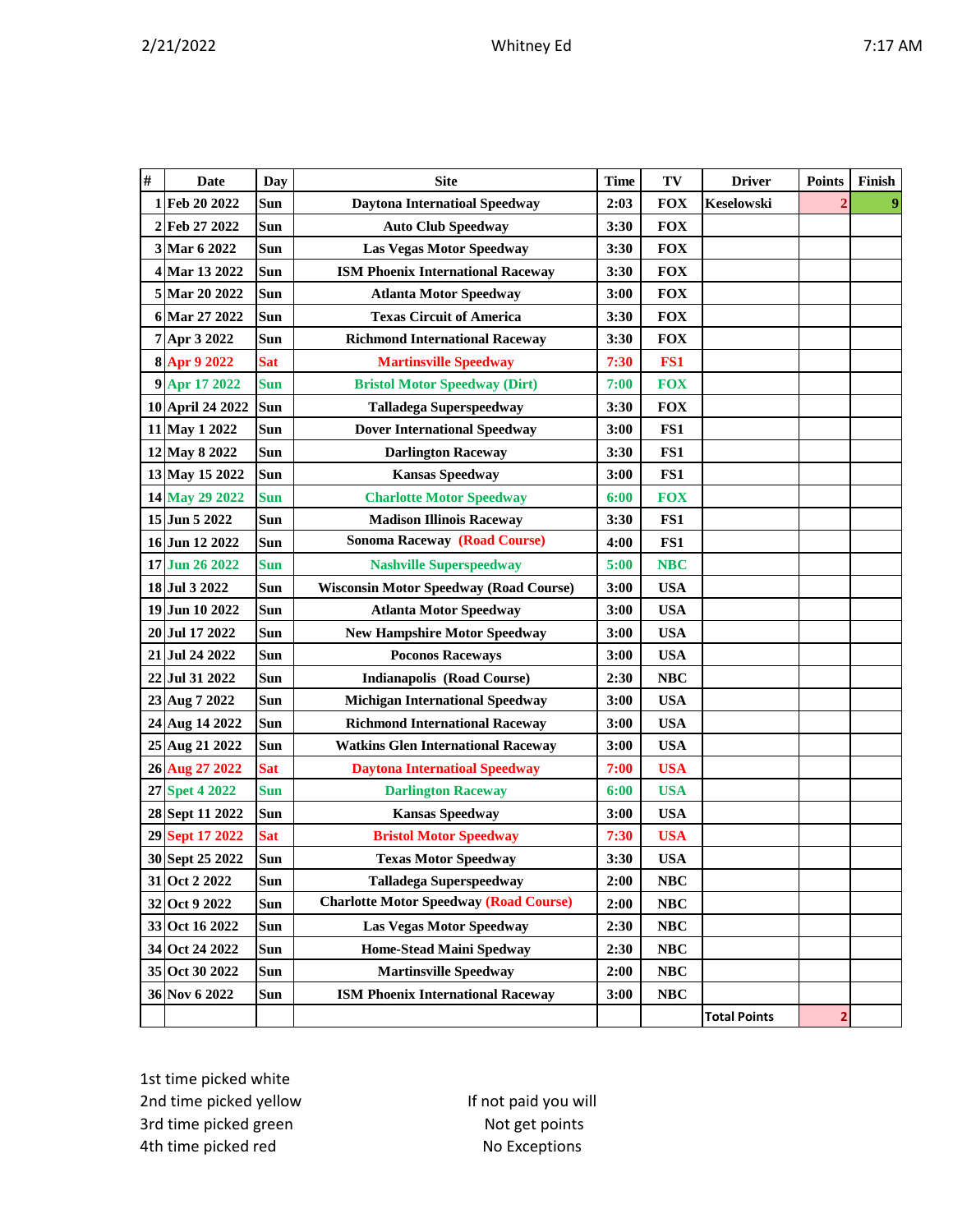|--|--|--|--|

| # | <b>Date</b>      | <b>Day</b> | <b>Site</b>                                   | <b>Time</b> | TV         | <b>Driver</b>       | <b>Points</b> | Finish |
|---|------------------|------------|-----------------------------------------------|-------------|------------|---------------------|---------------|--------|
|   | 1 Feb 20 2022    | Sun        | <b>Daytona Internatioal Speedway</b>          | 2:03        | <b>FOX</b> | <b>Keselowski</b>   |               |        |
|   | 2 Feb 27 2022    | Sun        | <b>Auto Club Speedway</b>                     | 3:30        | <b>FOX</b> |                     |               |        |
|   | 3 Mar 6 2022     | Sun        | <b>Las Vegas Motor Speedway</b>               | 3:30        | <b>FOX</b> |                     |               |        |
|   | 4 Mar 13 2022    | Sun        | <b>ISM Phoenix International Raceway</b>      | 3:30        | <b>FOX</b> |                     |               |        |
|   | 5 Mar 20 2022    | Sun        | <b>Atlanta Motor Speedway</b>                 | 3:00        | <b>FOX</b> |                     |               |        |
|   | 6 Mar 27 2022    | Sun        | <b>Texas Circuit of America</b>               | 3:30        | <b>FOX</b> |                     |               |        |
|   | 7 Apr 3 2022     | Sun        | <b>Richmond International Raceway</b>         | 3:30        | <b>FOX</b> |                     |               |        |
|   | 8 Apr 9 2022     | <b>Sat</b> | <b>Martinsville Speedway</b>                  | 7:30        | FS1        |                     |               |        |
|   | 9 Apr 17 2022    | <b>Sun</b> | <b>Bristol Motor Speedway (Dirt)</b>          | 7:00        | <b>FOX</b> |                     |               |        |
|   | 10 April 24 2022 | Sun        | <b>Talladega Superspeedway</b>                | 3:30        | <b>FOX</b> |                     |               |        |
|   | 11 May 1 2022    | Sun        | <b>Dover International Speedway</b>           | 3:00        | FS1        |                     |               |        |
|   | 12 May 8 2022    | Sun        | <b>Darlington Raceway</b>                     | 3:30        | FS1        |                     |               |        |
|   | 13 May 15 2022   | Sun        | <b>Kansas Speedway</b>                        | 3:00        | FS1        |                     |               |        |
|   | 14 May 29 2022   | <b>Sun</b> | <b>Charlotte Motor Speedway</b>               | 6:00        | <b>FOX</b> |                     |               |        |
|   | 15 Jun 5 2022    | Sun        | <b>Madison Illinois Raceway</b>               | 3:30        | FS1        |                     |               |        |
|   | 16 Jun 12 2022   | Sun        | <b>Sonoma Raceway (Road Course)</b>           | 4:00        | FS1        |                     |               |        |
|   | 17 Jun 26 2022   | <b>Sun</b> | <b>Nashville Superspeedway</b>                | 5:00        | <b>NBC</b> |                     |               |        |
|   | 18 Jul 3 2022    | Sun        | <b>Wisconsin Motor Speedway (Road Course)</b> | 3:00        | <b>USA</b> |                     |               |        |
|   | 19 Jun 10 2022   | Sun        | <b>Atlanta Motor Speedway</b>                 | 3:00        | <b>USA</b> |                     |               |        |
|   | 20 Jul 17 2022   | Sun        | <b>New Hampshire Motor Speedway</b>           | 3:00        | <b>USA</b> |                     |               |        |
|   | 21 Jul 24 2022   | Sun        | <b>Poconos Raceways</b>                       | 3:00        | <b>USA</b> |                     |               |        |
|   | 22 Jul 31 2022   | Sun        | <b>Indianapolis (Road Course)</b>             | 2:30        | <b>NBC</b> |                     |               |        |
|   | 23 Aug 7 2022    | Sun        | <b>Michigan International Speedway</b>        | 3:00        | <b>USA</b> |                     |               |        |
|   | 24 Aug 14 2022   | Sun        | <b>Richmond International Raceway</b>         | 3:00        | <b>USA</b> |                     |               |        |
|   | 25 Aug 21 2022   | Sun        | <b>Watkins Glen International Raceway</b>     | 3:00        | <b>USA</b> |                     |               |        |
|   | 26 Aug 27 2022   | <b>Sat</b> | <b>Daytona Internatioal Speedway</b>          | 7:00        | <b>USA</b> |                     |               |        |
|   | 27 Spet 4 2022   | <b>Sun</b> | <b>Darlington Raceway</b>                     | 6:00        | <b>USA</b> |                     |               |        |
|   | 28 Sept 11 2022  | Sun        | <b>Kansas Speedway</b>                        | 3:00        | <b>USA</b> |                     |               |        |
|   | 29 Sept 17 2022  | <b>Sat</b> | <b>Bristol Motor Speedway</b>                 | 7:30        | <b>USA</b> |                     |               |        |
|   | 30 Sept 25 2022  | Sun        | <b>Texas Motor Speedway</b>                   | 3:30        | <b>USA</b> |                     |               |        |
|   | 31 Oct 2 2022    | Sun        | <b>Talladega Superspeedway</b>                | 2:00        | NBC        |                     |               |        |
|   | 32 Oct 9 2022    | Sun        | <b>Charlotte Motor Speedway (Road Course)</b> | 2:00        | <b>NBC</b> |                     |               |        |
|   | 33 Oct 16 2022   | Sun        | Las Vegas Motor Speedway                      | 2:30        | NBC        |                     |               |        |
|   | 34 Oct 24 2022   | Sun        | <b>Home-Stead Maini Spedway</b>               | 2:30        | NBC        |                     |               |        |
|   | 35 Oct 30 2022   | Sun        | <b>Martinsville Speedway</b>                  | 2:00        | NBC        |                     |               |        |
|   | 36 Nov 6 2022    | Sun        | <b>ISM Phoenix International Raceway</b>      | 3:00        | <b>NBC</b> |                     |               |        |
|   |                  |            |                                               |             |            | <b>Total Points</b> | 2             |        |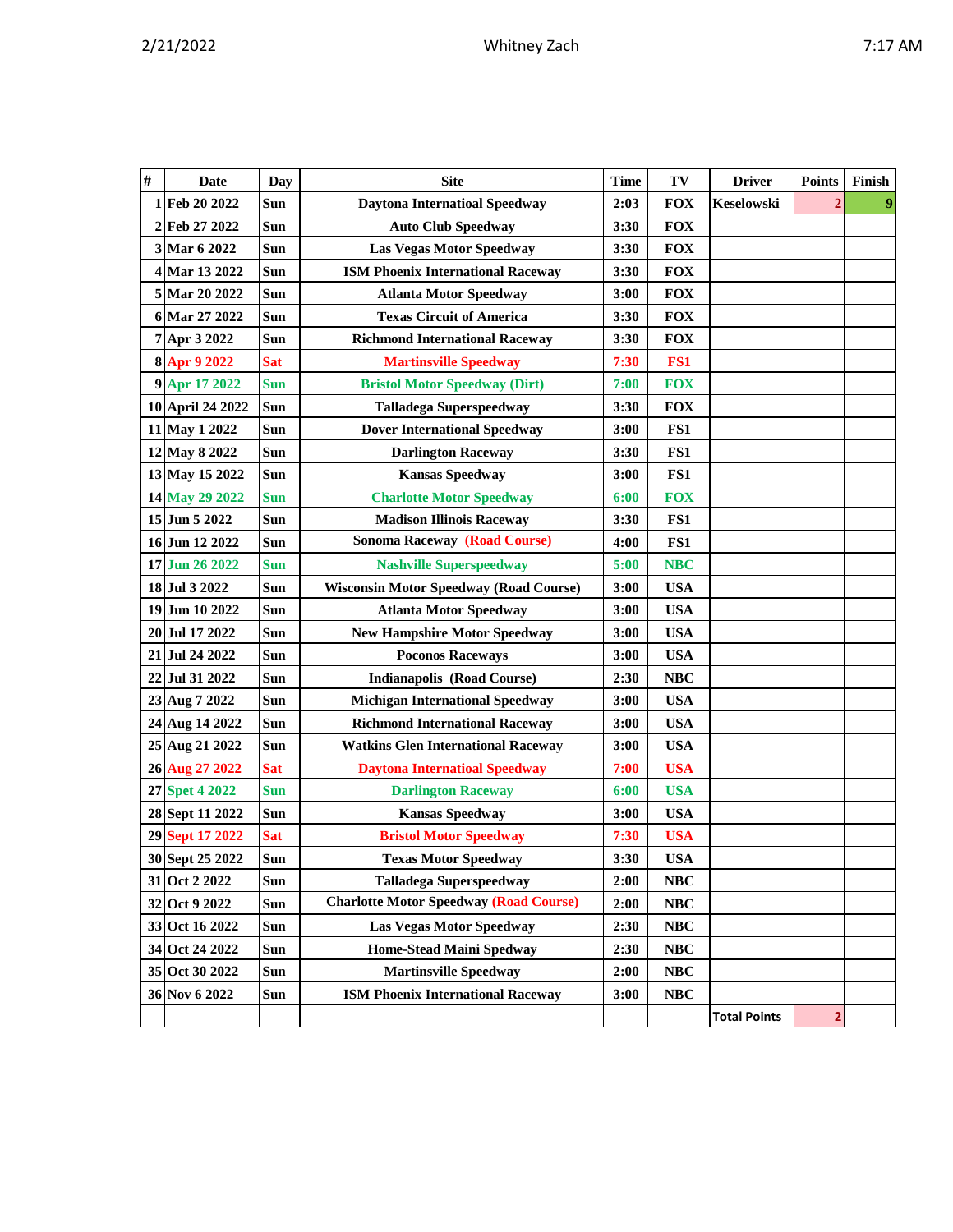|  |  |  |  | ١<br>۰. |
|--|--|--|--|---------|
|--|--|--|--|---------|

| $\#$ | <b>Date</b>      | <b>Day</b> | <b>Site</b>                                   | <b>Time</b> | TV         | <b>Driver</b>       | <b>Points</b>  | Finish |
|------|------------------|------------|-----------------------------------------------|-------------|------------|---------------------|----------------|--------|
| 1    | Feb 20 2022      | Sun        | <b>Daytona Internatioal Speedway</b>          | 2:03        | <b>FOX</b> | <b>Keselowski</b>   |                |        |
|      | 2 Feb 27 2022    | Sun        | <b>Auto Club Speedway</b>                     | 3:30        | <b>FOX</b> |                     |                |        |
|      | 3 Mar 6 2022     | Sun        | <b>Las Vegas Motor Speedway</b>               | 3:30        | <b>FOX</b> |                     |                |        |
|      | 4 Mar 13 2022    | Sun        | <b>ISM Phoenix International Raceway</b>      | 3:30        | <b>FOX</b> |                     |                |        |
|      | 5 Mar 20 2022    | Sun        | <b>Atlanta Motor Speedway</b>                 | 3:00        | <b>FOX</b> |                     |                |        |
|      | 6 Mar 27 2022    | Sun        | <b>Texas Circuit of America</b>               | 3:30        | <b>FOX</b> |                     |                |        |
|      | 7 Apr 3 2022     | Sun        | <b>Richmond International Raceway</b>         | 3:30        | <b>FOX</b> |                     |                |        |
|      | 8 Apr 9 2022     | <b>Sat</b> | <b>Martinsville Speedway</b>                  | 7:30        | FS1        |                     |                |        |
|      | 9 Apr 17 2022    | <b>Sun</b> | <b>Bristol Motor Speedway (Dirt)</b>          | 7:00        | <b>FOX</b> |                     |                |        |
|      | 10 April 24 2022 | Sun        | <b>Talladega Superspeedway</b>                | 3:30        | <b>FOX</b> |                     |                |        |
|      | 11 May 1 2022    | Sun        | <b>Dover International Speedway</b>           | 3:00        | FS1        |                     |                |        |
|      | 12 May 8 2022    | Sun        | <b>Darlington Raceway</b>                     | 3:30        | FS1        |                     |                |        |
|      | 13 May 15 2022   | Sun        | <b>Kansas Speedway</b>                        | 3:00        | FS1        |                     |                |        |
|      | 14 May 29 2022   | <b>Sun</b> | <b>Charlotte Motor Speedway</b>               | 6:00        | <b>FOX</b> |                     |                |        |
|      | 15 Jun 5 2022    | Sun        | <b>Madison Illinois Raceway</b>               | 3:30        | FS1        |                     |                |        |
|      | 16 Jun 12 2022   | Sun        | <b>Sonoma Raceway (Road Course)</b>           | 4:00        | FS1        |                     |                |        |
|      | 17 Jun 26 2022   | <b>Sun</b> | <b>Nashville Superspeedway</b>                | 5:00        | <b>NBC</b> |                     |                |        |
|      | 18 Jul 3 2022    | Sun        | <b>Wisconsin Motor Speedway (Road Course)</b> | 3:00        | <b>USA</b> |                     |                |        |
|      | 19 Jun 10 2022   | Sun        | <b>Atlanta Motor Speedway</b>                 | 3:00        | <b>USA</b> |                     |                |        |
|      | 20 Jul 17 2022   | Sun        | <b>New Hampshire Motor Speedway</b>           | 3:00        | <b>USA</b> |                     |                |        |
|      | 21 Jul 24 2022   | Sun        | <b>Poconos Raceways</b>                       | 3:00        | <b>USA</b> |                     |                |        |
|      | 22 Jul 31 2022   | Sun        | <b>Indianapolis (Road Course)</b>             | 2:30        | <b>NBC</b> |                     |                |        |
|      | 23 Aug 7 2022    | Sun        | <b>Michigan International Speedway</b>        | 3:00        | <b>USA</b> |                     |                |        |
|      | 24 Aug 14 2022   | Sun        | <b>Richmond International Raceway</b>         | 3:00        | <b>USA</b> |                     |                |        |
|      | 25 Aug 21 2022   | Sun        | <b>Watkins Glen International Raceway</b>     | 3:00        | <b>USA</b> |                     |                |        |
|      | 26 Aug 27 2022   | <b>Sat</b> | <b>Daytona Internatioal Speedway</b>          | 7:00        | <b>USA</b> |                     |                |        |
|      | 27 Spet 4 2022   | <b>Sun</b> | <b>Darlington Raceway</b>                     | 6:00        | <b>USA</b> |                     |                |        |
|      | 28 Sept 11 2022  | Sun        | <b>Kansas Speedway</b>                        | 3:00        | <b>USA</b> |                     |                |        |
|      | 29 Sept 17 2022  | <b>Sat</b> | <b>Bristol Motor Speedway</b>                 | 7:30        | <b>USA</b> |                     |                |        |
|      | 30 Sept 25 2022  | Sun        | <b>Texas Motor Speedway</b>                   | 3:30        | <b>USA</b> |                     |                |        |
|      | 31 Oct 2 2022    | Sun        | <b>Talladega Superspeedway</b>                | 2:00        | <b>NBC</b> |                     |                |        |
|      | 32 Oct 9 2022    | Sun        | <b>Charlotte Motor Speedway (Road Course)</b> | 2:00        | <b>NBC</b> |                     |                |        |
|      | 33 Oct 16 2022   | Sun        | <b>Las Vegas Motor Speedway</b>               | 2:30        | NBC        |                     |                |        |
|      | 34 Oct 24 2022   | Sun        | Home-Stead Maini Spedway                      | 2:30        | $\bf NBC$  |                     |                |        |
|      | 35 Oct 30 2022   | Sun        | <b>Martinsville Speedway</b>                  | 2:00        | <b>NBC</b> |                     |                |        |
|      | 36 Nov 6 2022    | Sun        | <b>ISM Phoenix International Raceway</b>      | 3:00        | <b>NBC</b> |                     |                |        |
|      |                  |            |                                               |             |            | <b>Total Points</b> | $\overline{2}$ |        |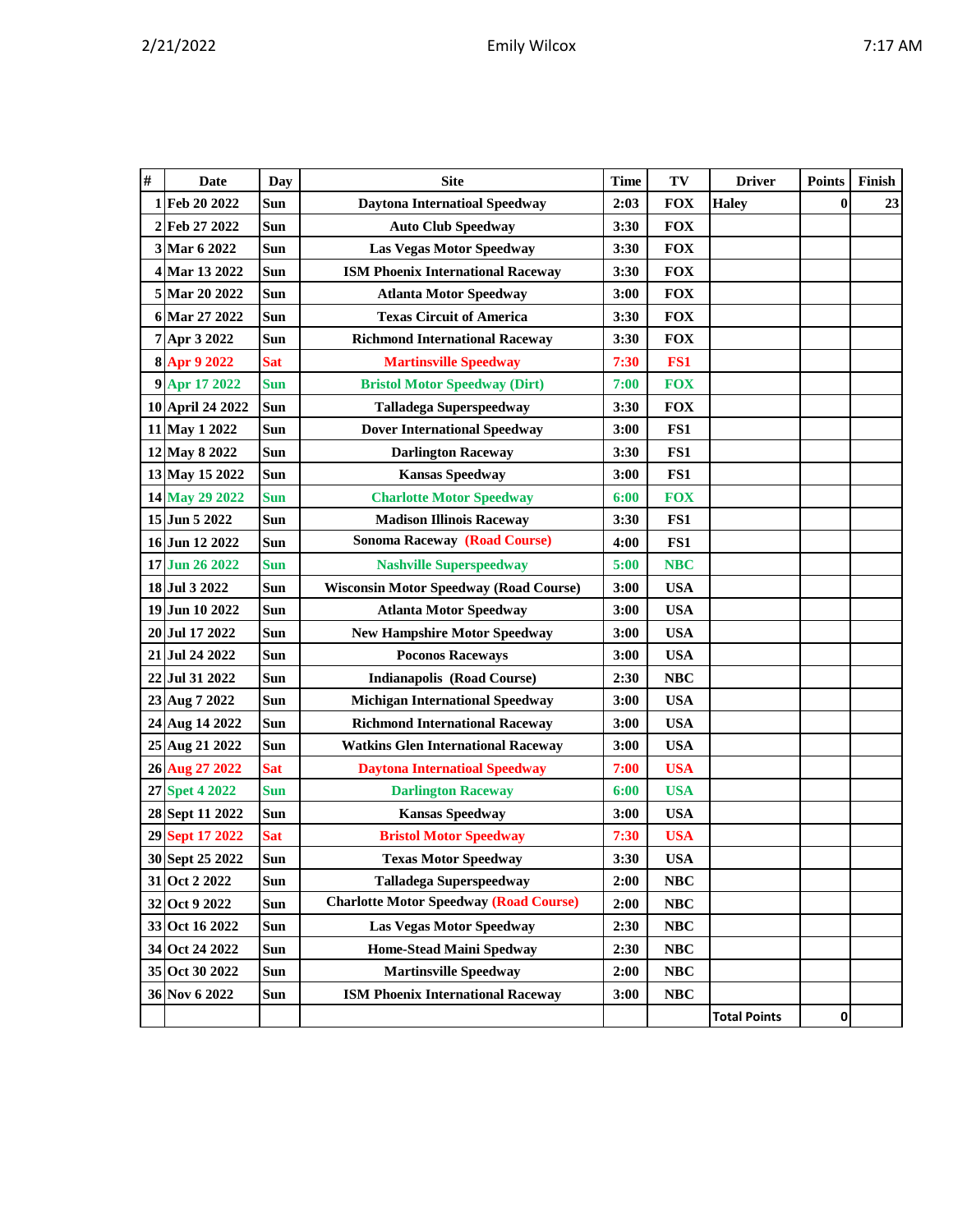|  | ., | ٦M<br>Λ |
|--|----|---------|
|  |    |         |

| # | <b>Date</b>      | Day        | <b>Site</b>                                   | <b>Time</b> | TV         | <b>Driver</b>       | <b>Points</b> | Finish |
|---|------------------|------------|-----------------------------------------------|-------------|------------|---------------------|---------------|--------|
| 1 | Feb 20 2022      | Sun        | <b>Daytona Internatioal Speedway</b>          | 2:03        | <b>FOX</b> | <b>Haley</b>        | $\mathbf{0}$  | 23     |
| 2 | Feb 27 2022      | Sun        | <b>Auto Club Speedway</b>                     | 3:30        | <b>FOX</b> |                     |               |        |
|   | 3 Mar 6 2022     | Sun        | <b>Las Vegas Motor Speedway</b>               | 3:30        | <b>FOX</b> |                     |               |        |
|   | 4 Mar 13 2022    | <b>Sun</b> | <b>ISM Phoenix International Raceway</b>      | 3:30        | <b>FOX</b> |                     |               |        |
|   | 5 Mar 20 2022    | <b>Sun</b> | <b>Atlanta Motor Speedway</b>                 | 3:00        | <b>FOX</b> |                     |               |        |
|   | 6 Mar 27 2022    | <b>Sun</b> | <b>Texas Circuit of America</b>               | 3:30        | <b>FOX</b> |                     |               |        |
|   | 7 Apr 3 2022     | <b>Sun</b> | <b>Richmond International Raceway</b>         | 3:30        | <b>FOX</b> |                     |               |        |
|   | 8 Apr 9 2022     | <b>Sat</b> | <b>Martinsville Speedway</b>                  | 7:30        | FS1        |                     |               |        |
|   | 9 Apr 17 2022    | <b>Sun</b> | <b>Bristol Motor Speedway (Dirt)</b>          | 7:00        | <b>FOX</b> |                     |               |        |
|   | 10 April 24 2022 | <b>Sun</b> | <b>Talladega Superspeedway</b>                | 3:30        | <b>FOX</b> |                     |               |        |
|   | 11 May 1 2022    | Sun        | <b>Dover International Speedway</b>           | 3:00        | FS1        |                     |               |        |
|   | 12 May 8 2022    | <b>Sun</b> | <b>Darlington Raceway</b>                     | 3:30        | FS1        |                     |               |        |
|   | 13 May 15 2022   | Sun        | <b>Kansas Speedway</b>                        | 3:00        | FS1        |                     |               |        |
|   | 14 May 29 2022   | <b>Sun</b> | <b>Charlotte Motor Speedway</b>               | 6:00        | <b>FOX</b> |                     |               |        |
|   | 15 Jun 5 2022    | Sun        | <b>Madison Illinois Raceway</b>               | 3:30        | FS1        |                     |               |        |
|   | 16 Jun 12 2022   | Sun        | <b>Sonoma Raceway (Road Course)</b>           | 4:00        | FS1        |                     |               |        |
|   | 17 Jun 26 2022   | <b>Sun</b> | <b>Nashville Superspeedway</b>                | 5:00        | <b>NBC</b> |                     |               |        |
|   | 18 Jul 3 2022    | <b>Sun</b> | <b>Wisconsin Motor Speedway (Road Course)</b> | 3:00        | <b>USA</b> |                     |               |        |
|   | 19 Jun 10 2022   | <b>Sun</b> | <b>Atlanta Motor Speedway</b>                 | 3:00        | <b>USA</b> |                     |               |        |
|   | 20 Jul 17 2022   | <b>Sun</b> | <b>New Hampshire Motor Speedway</b>           | 3:00        | <b>USA</b> |                     |               |        |
|   | 21 Jul 24 2022   | Sun        | <b>Poconos Raceways</b>                       | 3:00        | <b>USA</b> |                     |               |        |
|   | 22 Jul 31 2022   | Sun        | <b>Indianapolis (Road Course)</b>             | 2:30        | <b>NBC</b> |                     |               |        |
|   | 23 Aug 7 2022    | Sun        | <b>Michigan International Speedway</b>        | 3:00        | <b>USA</b> |                     |               |        |
|   | 24 Aug 14 2022   | <b>Sun</b> | <b>Richmond International Raceway</b>         | 3:00        | <b>USA</b> |                     |               |        |
|   | 25 Aug 21 2022   | Sun        | <b>Watkins Glen International Raceway</b>     | 3:00        | <b>USA</b> |                     |               |        |
|   | 26 Aug 27 2022   | <b>Sat</b> | <b>Daytona Internatioal Speedway</b>          | 7:00        | <b>USA</b> |                     |               |        |
|   | 27 Spet 4 2022   | <b>Sun</b> | <b>Darlington Raceway</b>                     | 6:00        | <b>USA</b> |                     |               |        |
|   | 28 Sept 11 2022  | Sun        | <b>Kansas Speedway</b>                        | 3:00        | <b>USA</b> |                     |               |        |
|   | 29 Sept 17 2022  | <b>Sat</b> | <b>Bristol Motor Speedway</b>                 | 7:30        | <b>USA</b> |                     |               |        |
|   | 30 Sept 25 2022  | Sun        | <b>Texas Motor Speedway</b>                   | 3:30        | <b>USA</b> |                     |               |        |
|   | 31 Oct 2 2022    | Sun        | <b>Talladega Superspeedway</b>                | 2:00        | <b>NBC</b> |                     |               |        |
|   | 32 Oct 9 2022    | Sun        | <b>Charlotte Motor Speedway (Road Course)</b> | 2:00        | <b>NBC</b> |                     |               |        |
|   | 33 Oct 16 2022   | Sun        | <b>Las Vegas Motor Speedway</b>               | 2:30        | NBC        |                     |               |        |
|   | 34 Oct 24 2022   | Sun        | <b>Home-Stead Maini Spedway</b>               | 2:30        | NBC        |                     |               |        |
|   | 35 Oct 30 2022   | Sun        | <b>Martinsville Speedway</b>                  | 2:00        | <b>NBC</b> |                     |               |        |
|   | 36 Nov 6 2022    | Sun        | <b>ISM Phoenix International Raceway</b>      | 3:00        | NBC        |                     |               |        |
|   |                  |            |                                               |             |            | <b>Total Points</b> | 0             |        |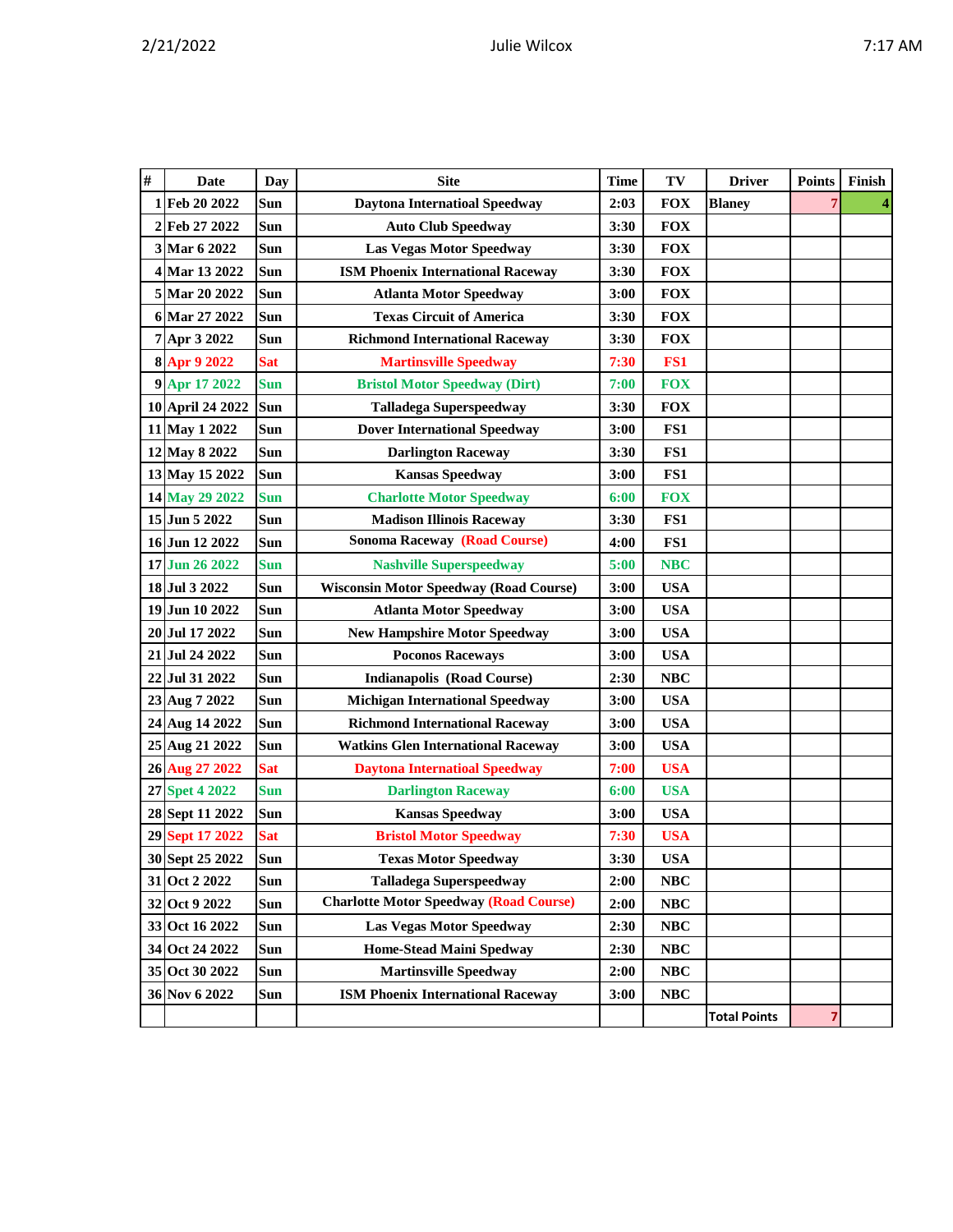|  |  |  |  | ١<br>۰. |
|--|--|--|--|---------|
|--|--|--|--|---------|

| # | <b>Date</b>      | Day        | <b>Site</b>                                   | <b>Time</b> | TV         | <b>Driver</b>       | <b>Points</b> | Finish                  |
|---|------------------|------------|-----------------------------------------------|-------------|------------|---------------------|---------------|-------------------------|
|   | 1 Feb 20 2022    | Sun        | <b>Daytona Internatioal Speedway</b>          | 2:03        | <b>FOX</b> | <b>Blaney</b>       | 7             | $\overline{\mathbf{4}}$ |
|   | 2 Feb 27 2022    | Sun        | <b>Auto Club Speedway</b>                     | 3:30        | <b>FOX</b> |                     |               |                         |
|   | 3 Mar 6 2022     | Sun        | <b>Las Vegas Motor Speedway</b>               | 3:30        | <b>FOX</b> |                     |               |                         |
|   | 4 Mar 13 2022    | Sun        | <b>ISM Phoenix International Raceway</b>      | 3:30        | <b>FOX</b> |                     |               |                         |
|   | 5 Mar 20 2022    | Sun        | <b>Atlanta Motor Speedway</b>                 | 3:00        | <b>FOX</b> |                     |               |                         |
|   | 6 Mar 27 2022    | Sun        | <b>Texas Circuit of America</b>               | 3:30        | <b>FOX</b> |                     |               |                         |
|   | 7 Apr 3 2022     | Sun        | <b>Richmond International Raceway</b>         | 3:30        | <b>FOX</b> |                     |               |                         |
|   | 8 Apr 9 2022     | <b>Sat</b> | <b>Martinsville Speedway</b>                  | 7:30        | FS1        |                     |               |                         |
|   | 9 Apr 17 2022    | <b>Sun</b> | <b>Bristol Motor Speedway (Dirt)</b>          | 7:00        | <b>FOX</b> |                     |               |                         |
|   | 10 April 24 2022 | Sun        | <b>Talladega Superspeedway</b>                | 3:30        | <b>FOX</b> |                     |               |                         |
|   | 11 May 1 2022    | Sun        | <b>Dover International Speedway</b>           | 3:00        | FS1        |                     |               |                         |
|   | 12 May 8 2022    | Sun        | <b>Darlington Raceway</b>                     | 3:30        | FS1        |                     |               |                         |
|   | 13 May 15 2022   | Sun        | <b>Kansas Speedway</b>                        | 3:00        | FS1        |                     |               |                         |
|   | 14 May 29 2022   | <b>Sun</b> | <b>Charlotte Motor Speedway</b>               | 6:00        | <b>FOX</b> |                     |               |                         |
|   | 15 Jun 5 2022    | <b>Sun</b> | <b>Madison Illinois Raceway</b>               | 3:30        | FS1        |                     |               |                         |
|   | 16 Jun 12 2022   | Sun        | <b>Sonoma Raceway (Road Course)</b>           | 4:00        | FS1        |                     |               |                         |
|   | 17 Jun 26 2022   | <b>Sun</b> | <b>Nashville Superspeedway</b>                | 5:00        | <b>NBC</b> |                     |               |                         |
|   | 18 Jul 3 2022    | Sun        | <b>Wisconsin Motor Speedway (Road Course)</b> | 3:00        | <b>USA</b> |                     |               |                         |
|   | 19 Jun 10 2022   | Sun        | <b>Atlanta Motor Speedway</b>                 | 3:00        | <b>USA</b> |                     |               |                         |
|   | 20 Jul 17 2022   | Sun        | <b>New Hampshire Motor Speedway</b>           | 3:00        | <b>USA</b> |                     |               |                         |
|   | 21 Jul 24 2022   | Sun        | <b>Poconos Raceways</b>                       | 3:00        | <b>USA</b> |                     |               |                         |
|   | 22 Jul 31 2022   | Sun        | <b>Indianapolis (Road Course)</b>             | 2:30        | <b>NBC</b> |                     |               |                         |
|   | 23 Aug 7 2022    | Sun        | <b>Michigan International Speedway</b>        | 3:00        | <b>USA</b> |                     |               |                         |
|   | 24 Aug 14 2022   | Sun        | <b>Richmond International Raceway</b>         | 3:00        | <b>USA</b> |                     |               |                         |
|   | 25 Aug 21 2022   | Sun        | <b>Watkins Glen International Raceway</b>     | 3:00        | <b>USA</b> |                     |               |                         |
|   | 26 Aug 27 2022   | <b>Sat</b> | <b>Daytona Internatioal Speedway</b>          | 7:00        | <b>USA</b> |                     |               |                         |
|   | 27 Spet 4 2022   | <b>Sun</b> | <b>Darlington Raceway</b>                     | 6:00        | <b>USA</b> |                     |               |                         |
|   | 28 Sept 11 2022  | Sun        | <b>Kansas Speedway</b>                        | 3:00        | <b>USA</b> |                     |               |                         |
|   | 29 Sept 17 2022  | <b>Sat</b> | <b>Bristol Motor Speedway</b>                 | 7:30        | <b>USA</b> |                     |               |                         |
|   | 30 Sept 25 2022  | Sun        | <b>Texas Motor Speedway</b>                   | 3:30        | <b>USA</b> |                     |               |                         |
|   | 31 Oct 2 2022    | Sun        | <b>Talladega Superspeedway</b>                | 2:00        | NBC        |                     |               |                         |
|   | 32 Oct 9 2022    | Sun        | <b>Charlotte Motor Speedway (Road Course)</b> | 2:00        | NBC        |                     |               |                         |
|   | 33 Oct 16 2022   | Sun        | Las Vegas Motor Speedway                      | 2:30        | NBC        |                     |               |                         |
|   | 34 Oct 24 2022   | Sun        | <b>Home-Stead Maini Spedway</b>               | 2:30        | NBC        |                     |               |                         |
|   | 35 Oct 30 2022   | Sun        | <b>Martinsville Speedway</b>                  | 2:00        | NBC        |                     |               |                         |
|   | 36 Nov 6 2022    | <b>Sun</b> | <b>ISM Phoenix International Raceway</b>      | 3:00        | <b>NBC</b> |                     |               |                         |
|   |                  |            |                                               |             |            | <b>Total Points</b> | 7             |                         |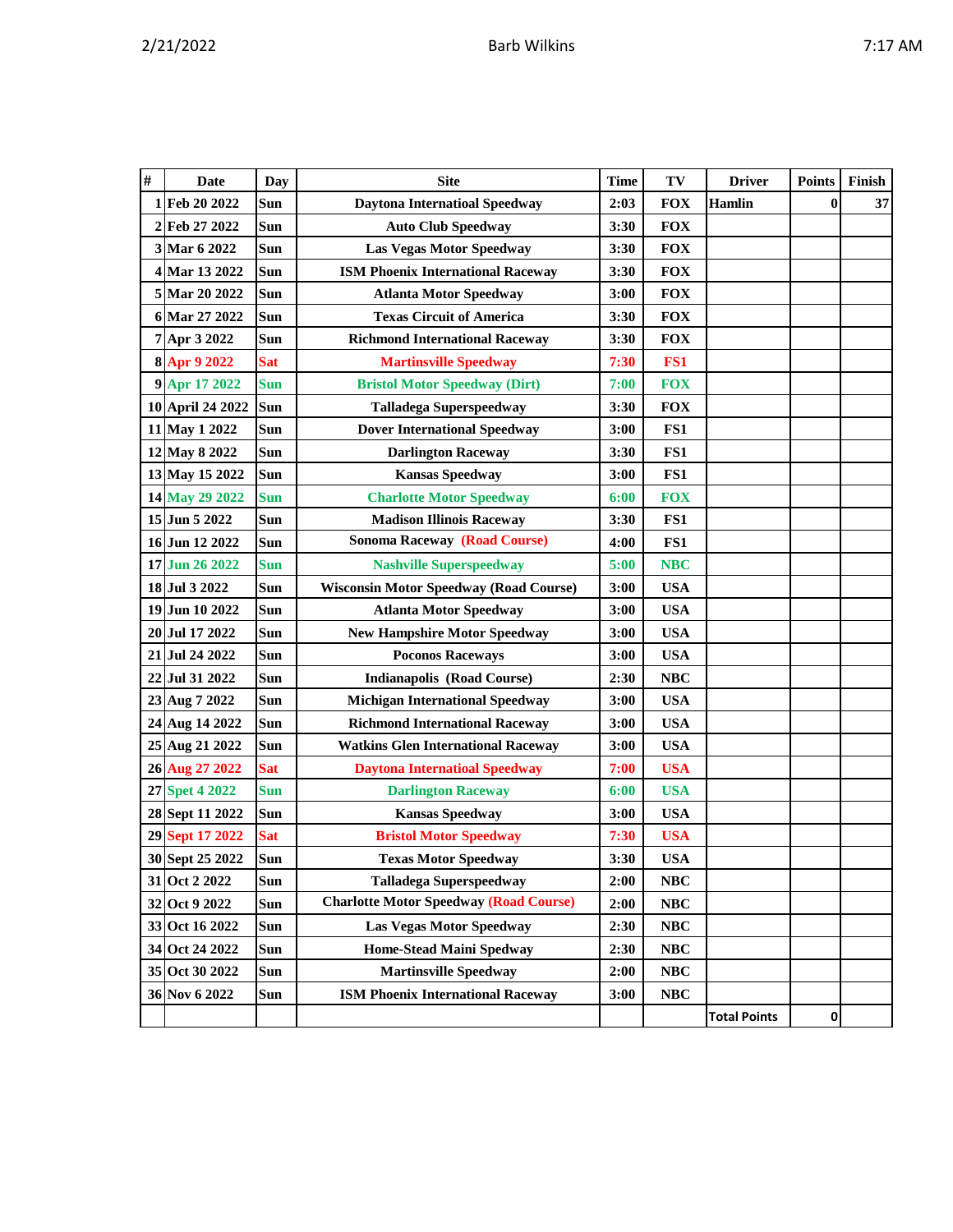|  |  |  |  | ١<br>۰. |
|--|--|--|--|---------|
|--|--|--|--|---------|

| # | <b>Date</b>      | Day        | <b>Site</b>                                   | <b>Time</b> | TV         | <b>Driver</b>       | <b>Points</b> | Finish |
|---|------------------|------------|-----------------------------------------------|-------------|------------|---------------------|---------------|--------|
| 1 | Feb 20 2022      | Sun        | <b>Daytona Internatioal Speedway</b>          | 2:03        | <b>FOX</b> | <b>Hamlin</b>       | $\bf{0}$      | 37     |
|   | 2 Feb 27 2022    | Sun        | <b>Auto Club Speedway</b>                     | 3:30        | <b>FOX</b> |                     |               |        |
|   | 3 Mar 6 2022     | <b>Sun</b> | <b>Las Vegas Motor Speedway</b>               | 3:30        | <b>FOX</b> |                     |               |        |
|   | 4 Mar 13 2022    | Sun        | <b>ISM Phoenix International Raceway</b>      | 3:30        | <b>FOX</b> |                     |               |        |
|   | 5 Mar 20 2022    | Sun        | <b>Atlanta Motor Speedway</b>                 | 3:00        | <b>FOX</b> |                     |               |        |
|   | 6 Mar 27 2022    | Sun        | <b>Texas Circuit of America</b>               | 3:30        | <b>FOX</b> |                     |               |        |
|   | 7 Apr 3 2022     | Sun        | <b>Richmond International Raceway</b>         | 3:30        | <b>FOX</b> |                     |               |        |
|   | 8 Apr 9 2022     | <b>Sat</b> | <b>Martinsville Speedway</b>                  | 7:30        | FS1        |                     |               |        |
|   | 9 Apr 17 2022    | <b>Sun</b> | <b>Bristol Motor Speedway (Dirt)</b>          | 7:00        | <b>FOX</b> |                     |               |        |
|   | 10 April 24 2022 | Sun        | <b>Talladega Superspeedway</b>                | 3:30        | <b>FOX</b> |                     |               |        |
|   | 11 May 1 2022    | Sun        | <b>Dover International Speedway</b>           | 3:00        | FS1        |                     |               |        |
|   | 12 May 8 2022    | Sun        | <b>Darlington Raceway</b>                     | 3:30        | FS1        |                     |               |        |
|   | 13 May 15 2022   | Sun        | <b>Kansas Speedway</b>                        | 3:00        | FS1        |                     |               |        |
|   | 14 May 29 2022   | <b>Sun</b> | <b>Charlotte Motor Speedway</b>               | 6:00        | <b>FOX</b> |                     |               |        |
|   | 15 Jun 5 2022    | Sun        | <b>Madison Illinois Raceway</b>               | 3:30        | FS1        |                     |               |        |
|   | 16 Jun 12 2022   | Sun        | <b>Sonoma Raceway (Road Course)</b>           | 4:00        | FS1        |                     |               |        |
|   | 17 Jun 26 2022   | <b>Sun</b> | <b>Nashville Superspeedway</b>                | 5:00        | <b>NBC</b> |                     |               |        |
|   | 18 Jul 3 2022    | <b>Sun</b> | <b>Wisconsin Motor Speedway (Road Course)</b> | 3:00        | <b>USA</b> |                     |               |        |
|   | 19 Jun 10 2022   | Sun        | <b>Atlanta Motor Speedway</b>                 | 3:00        | <b>USA</b> |                     |               |        |
|   | 20 Jul 17 2022   | <b>Sun</b> | <b>New Hampshire Motor Speedway</b>           | 3:00        | <b>USA</b> |                     |               |        |
|   | 21 Jul 24 2022   | Sun        | <b>Poconos Raceways</b>                       | 3:00        | <b>USA</b> |                     |               |        |
|   | 22 Jul 31 2022   | Sun        | <b>Indianapolis (Road Course)</b>             | 2:30        | <b>NBC</b> |                     |               |        |
|   | 23 Aug 7 2022    | Sun        | <b>Michigan International Speedway</b>        | 3:00        | <b>USA</b> |                     |               |        |
|   | 24 Aug 14 2022   | Sun        | <b>Richmond International Raceway</b>         | 3:00        | <b>USA</b> |                     |               |        |
|   | 25 Aug 21 2022   | Sun        | <b>Watkins Glen International Raceway</b>     | 3:00        | <b>USA</b> |                     |               |        |
|   | 26 Aug 27 2022   | <b>Sat</b> | <b>Daytona Internatioal Speedway</b>          | 7:00        | <b>USA</b> |                     |               |        |
|   | 27 Spet 4 2022   | <b>Sun</b> | <b>Darlington Raceway</b>                     | 6:00        | <b>USA</b> |                     |               |        |
|   | 28 Sept 11 2022  | Sun        | <b>Kansas Speedway</b>                        | 3:00        | <b>USA</b> |                     |               |        |
|   | 29 Sept 17 2022  | <b>Sat</b> | <b>Bristol Motor Speedway</b>                 | 7:30        | <b>USA</b> |                     |               |        |
|   | 30 Sept 25 2022  | Sun        | <b>Texas Motor Speedway</b>                   | 3:30        | <b>USA</b> |                     |               |        |
|   | 31 Oct 2 2022    | Sun        | <b>Talladega Superspeedway</b>                | 2:00        | NBC        |                     |               |        |
|   | 32 Oct 9 2022    | Sun        | <b>Charlotte Motor Speedway (Road Course)</b> | 2:00        | NBC        |                     |               |        |
|   | 33 Oct 16 2022   | Sun        | <b>Las Vegas Motor Speedway</b>               | 2:30        | $\bf NBC$  |                     |               |        |
|   | 34 Oct 24 2022   | Sun        | <b>Home-Stead Maini Spedway</b>               | 2:30        | NBC        |                     |               |        |
|   | 35 Oct 30 2022   | Sun        | <b>Martinsville Speedway</b>                  | 2:00        | NBC        |                     |               |        |
|   | 36 Nov 6 2022    | Sun        | <b>ISM Phoenix International Raceway</b>      | 3:00        | <b>NBC</b> |                     |               |        |
|   |                  |            |                                               |             |            | <b>Total Points</b> | $\pmb{0}$     |        |